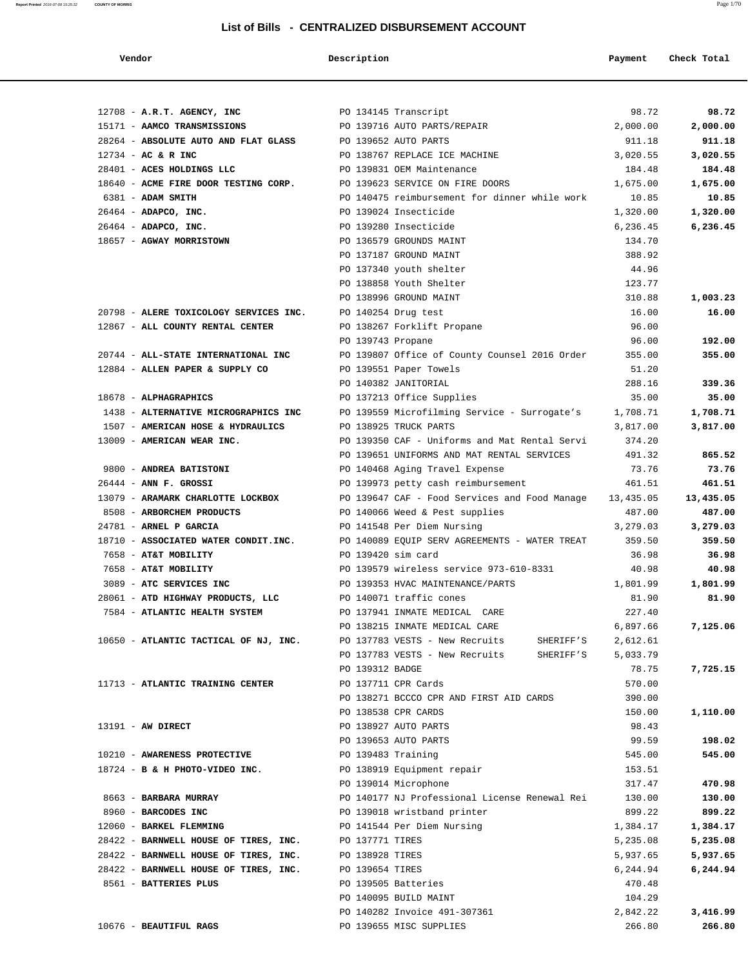| Vendor                                                        | Description                                       | Payment               | Check Total       |
|---------------------------------------------------------------|---------------------------------------------------|-----------------------|-------------------|
|                                                               |                                                   |                       |                   |
| 12708 - A.R.T. AGENCY, INC                                    | PO 134145 Transcript                              | 98.72                 | 98.72             |
| 15171 - AAMCO TRANSMISSIONS                                   | PO 139716 AUTO PARTS/REPAIR                       | 2,000.00              | 2,000.00          |
| 28264 - ABSOLUTE AUTO AND FLAT GLASS                          | PO 139652 AUTO PARTS                              | 911.18                | 911.18            |
| 12734 - AC & R INC                                            | PO 138767 REPLACE ICE MACHINE                     | 3,020.55              | 3,020.55          |
| 28401 - ACES HOLDINGS LLC                                     | PO 139831 OEM Maintenance                         | 184.48                | 184.48            |
| 18640 - ACME FIRE DOOR TESTING CORP.                          | PO 139623 SERVICE ON FIRE DOORS                   | 1,675.00              | 1,675.00          |
| 6381 - ADAM SMITH                                             | PO 140475 reimbursement for dinner while work     | 10.85                 | 10.85             |
| 26464 - ADAPCO, INC.                                          | PO 139024 Insecticide                             | 1,320.00              | 1,320.00          |
| $26464$ - ADAPCO, INC.                                        | PO 139280 Insecticide                             | 6,236.45              | 6,236.45          |
| 18657 - AGWAY MORRISTOWN                                      | PO 136579 GROUNDS MAINT                           | 134.70                |                   |
|                                                               | PO 137187 GROUND MAINT                            | 388.92                |                   |
|                                                               | PO 137340 youth shelter                           | 44.96                 |                   |
|                                                               | PO 138858 Youth Shelter                           | 123.77                |                   |
|                                                               | PO 138996 GROUND MAINT                            | 310.88                | 1,003.23          |
| 20798 - ALERE TOXICOLOGY SERVICES INC.                        | PO 140254 Drug test                               | 16.00                 | 16.00             |
| 12867 - ALL COUNTY RENTAL CENTER                              | PO 138267 Forklift Propane                        | 96.00                 |                   |
|                                                               | PO 139743 Propane                                 | 96.00                 | 192.00            |
| 20744 - ALL-STATE INTERNATIONAL INC                           | PO 139807 Office of County Counsel 2016 Order     | 355.00                | 355.00            |
| 12884 - ALLEN PAPER & SUPPLY CO                               | PO 139551 Paper Towels                            | 51.20                 |                   |
|                                                               | PO 140382 JANITORIAL<br>PO 137213 Office Supplies | 288.16                | 339.36            |
| 18678 - ALPHAGRAPHICS<br>1438 - ALTERNATIVE MICROGRAPHICS INC | PO 139559 Microfilming Service - Surrogate's      | 35.00<br>1,708.71     | 35.00<br>1,708.71 |
| 1507 - AMERICAN HOSE & HYDRAULICS                             | PO 138925 TRUCK PARTS                             | 3,817.00              | 3,817.00          |
| 13009 - AMERICAN WEAR INC.                                    | PO 139350 CAF - Uniforms and Mat Rental Servi     | 374.20                |                   |
|                                                               | PO 139651 UNIFORMS AND MAT RENTAL SERVICES        | 491.32                | 865.52            |
| 9800 - ANDREA BATISTONI                                       | PO 140468 Aging Travel Expense                    | 73.76                 | 73.76             |
| $26444$ - ANN F. GROSSI                                       | PO 139973 petty cash reimbursement                | 461.51                | 461.51            |
| 13079 - ARAMARK CHARLOTTE LOCKBOX                             | PO 139647 CAF - Food Services and Food Manage     | 13,435.05             | 13,435.05         |
| 8508 - ARBORCHEM PRODUCTS                                     | PO 140066 Weed & Pest supplies                    | 487.00                | 487.00            |
| 24781 - ARNEL P GARCIA                                        | PO 141548 Per Diem Nursing                        | 3,279.03              | 3,279.03          |
| 18710 - ASSOCIATED WATER CONDIT.INC.                          | PO 140089 EQUIP SERV AGREEMENTS - WATER TREAT     | 359.50                | 359.50            |
| 7658 - AT&T MOBILITY                                          | PO 139420 sim card                                | 36.98                 | 36.98             |
| 7658 - AT&T MOBILITY                                          | PO 139579 wireless service 973-610-8331           | 40.98                 | 40.98             |
| 3089 - ATC SERVICES INC                                       | PO 139353 HVAC MAINTENANCE/PARTS                  | 1,801.99              | 1,801.99          |
| 28061 - ATD HIGHWAY PRODUCTS, LLC                             | PO 140071 traffic cones                           | 81.90                 | 81.90             |
| 7584 - ATLANTIC HEALTH SYSTEM                                 | PO 137941 INMATE MEDICAL CARE                     | 227.40                |                   |
|                                                               | PO 138215 INMATE MEDICAL CARE                     | 6,897.66              | 7,125.06          |
| 10650 - ATLANTIC TACTICAL OF NJ, INC.                         | PO 137783 VESTS - New Recruits                    | SHERIFF'S<br>2,612.61 |                   |
|                                                               | PO 137783 VESTS - New Recruits                    | 5,033.79<br>SHERIFF'S |                   |
|                                                               | PO 139312 BADGE                                   | 78.75                 | 7,725.15          |
| 11713 - ATLANTIC TRAINING CENTER                              | PO 137711 CPR Cards                               | 570.00                |                   |
|                                                               | PO 138271 BCCCO CPR AND FIRST AID CARDS           | 390.00                |                   |
|                                                               | PO 138538 CPR CARDS                               | 150.00                | 1,110.00          |
| $13191 - AW DIRECT$                                           | PO 138927 AUTO PARTS                              | 98.43                 |                   |
|                                                               | PO 139653 AUTO PARTS                              | 99.59                 | 198.02            |
| 10210 - AWARENESS PROTECTIVE                                  | PO 139483 Training                                | 545.00                | 545.00            |
| 18724 - B & H PHOTO-VIDEO INC.                                | PO 138919 Equipment repair                        | 153.51                |                   |
|                                                               | PO 139014 Microphone                              | 317.47                | 470.98            |
| 8663 - BARBARA MURRAY                                         | PO 140177 NJ Professional License Renewal Rei     | 130.00                | 130.00            |
| 8960 - BARCODES INC                                           | PO 139018 wristband printer                       | 899.22                | 899.22            |
| 12060 - BARKEL FLEMMING                                       | PO 141544 Per Diem Nursing                        | 1,384.17              | 1,384.17          |
| 28422 - BARNWELL HOUSE OF TIRES, INC.                         | PO 137771 TIRES                                   | 5,235.08              | 5,235.08          |
| 28422 - BARNWELL HOUSE OF TIRES, INC.                         | PO 138928 TIRES                                   | 5,937.65              | 5,937.65          |
| 28422 - BARNWELL HOUSE OF TIRES, INC.                         | PO 139654 TIRES                                   | 6,244.94              | 6,244.94          |
| 8561 - BATTERIES PLUS                                         | PO 139505 Batteries                               | 470.48                |                   |
|                                                               | PO 140095 BUILD MAINT                             | 104.29                |                   |
|                                                               | PO 140282 Invoice 491-307361                      | 2,842.22              | 3,416.99          |
| 10676 - BEAUTIFUL RAGS                                        | PO 139655 MISC SUPPLIES                           | 266.80                | 266.80            |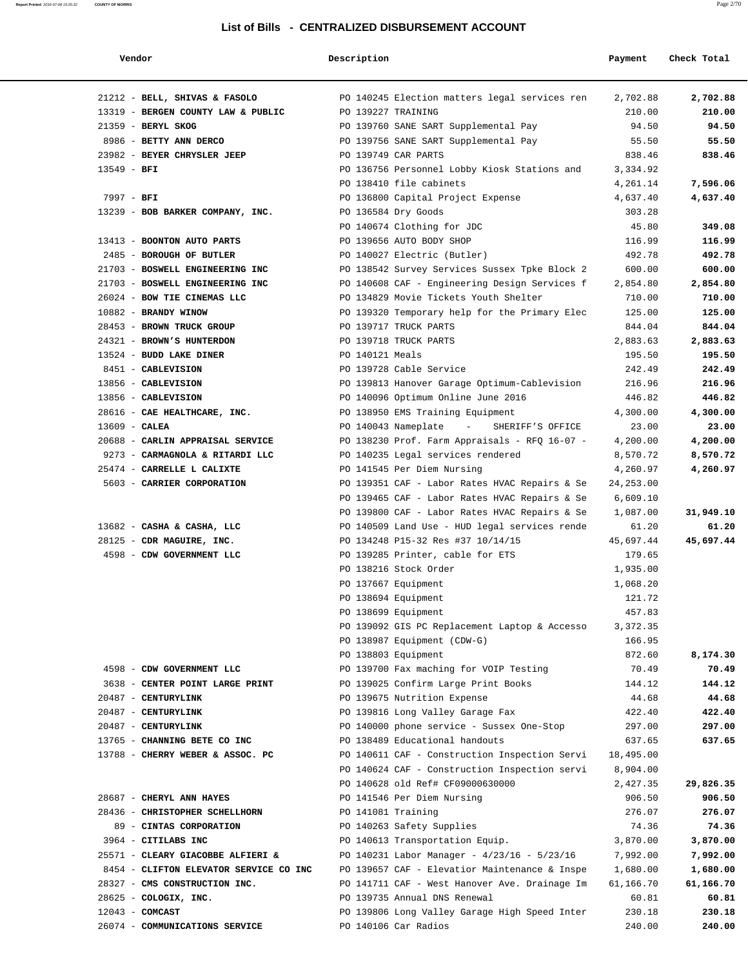| Vendor |  |  |  |  |
|--------|--|--|--|--|
|--------|--|--|--|--|

| Vendor                                 | Description     |                                               | Payment    | Check Total |
|----------------------------------------|-----------------|-----------------------------------------------|------------|-------------|
|                                        |                 |                                               |            |             |
| 21212 - BELL, SHIVAS & FASOLO          |                 | PO 140245 Election matters legal services ren | 2,702.88   | 2,702.88    |
| 13319 - BERGEN COUNTY LAW & PUBLIC     |                 | PO 139227 TRAINING                            | 210.00     | 210.00      |
| $21359$ - BERYL SKOG                   |                 | PO 139760 SANE SART Supplemental Pay          | 94.50      | 94.50       |
| 8986 - BETTY ANN DERCO                 |                 | PO 139756 SANE SART Supplemental Pay          | 55.50      | 55.50       |
| 23982 - BEYER CHRYSLER JEEP            |                 | PO 139749 CAR PARTS                           | 838.46     | 838.46      |
| $13549 - BFI$                          |                 | PO 136756 Personnel Lobby Kiosk Stations and  | 3,334.92   |             |
|                                        |                 | PO 138410 file cabinets                       | 4,261.14   | 7,596.06    |
| $7997 - BFI$                           |                 | PO 136800 Capital Project Expense             | 4,637.40   | 4,637.40    |
| 13239 - BOB BARKER COMPANY, INC.       |                 | PO 136584 Dry Goods                           | 303.28     |             |
|                                        |                 | PO 140674 Clothing for JDC                    | 45.80      | 349.08      |
| 13413 - BOONTON AUTO PARTS             |                 | PO 139656 AUTO BODY SHOP                      | 116.99     | 116.99      |
| 2485 - BOROUGH OF BUTLER               |                 | PO 140027 Electric (Butler)                   | 492.78     | 492.78      |
| 21703 - BOSWELL ENGINEERING INC        |                 | PO 138542 Survey Services Sussex Tpke Block 2 | 600.00     | 600.00      |
| 21703 - BOSWELL ENGINEERING INC        |                 | PO 140608 CAF - Engineering Design Services f | 2,854.80   | 2,854.80    |
| 26024 - BOW TIE CINEMAS LLC            |                 | PO 134829 Movie Tickets Youth Shelter         | 710.00     | 710.00      |
| 10882 - BRANDY WINOW                   |                 | PO 139320 Temporary help for the Primary Elec | 125.00     | 125.00      |
| 28453 - BROWN TRUCK GROUP              |                 | PO 139717 TRUCK PARTS                         | 844.04     | 844.04      |
| 24321 - BROWN'S HUNTERDON              |                 | PO 139718 TRUCK PARTS                         | 2,883.63   | 2,883.63    |
| 13524 - BUDD LAKE DINER                | PO 140121 Meals |                                               | 195.50     | 195.50      |
| 8451 - CABLEVISION                     |                 | PO 139728 Cable Service                       | 242.49     | 242.49      |
| 13856 - CABLEVISION                    |                 | PO 139813 Hanover Garage Optimum-Cablevision  | 216.96     | 216.96      |
| 13856 - CABLEVISION                    |                 | PO 140096 Optimum Online June 2016            | 446.82     | 446.82      |
| 28616 - CAE HEALTHCARE, INC.           |                 | PO 138950 EMS Training Equipment              | 4,300.00   | 4,300.00    |
| $13609$ - CALEA                        |                 | PO 140043 Nameplate -                         | 23.00      | 23.00       |
|                                        |                 | SHERIFF'S OFFICE                              |            |             |
| 20688 - CARLIN APPRAISAL SERVICE       |                 | PO 138230 Prof. Farm Appraisals - RFQ 16-07 - | 4,200.00   | 4,200.00    |
| 9273 - CARMAGNOLA & RITARDI LLC        |                 | PO 140235 Legal services rendered             | 8,570.72   | 8,570.72    |
| 25474 - CARRELLE L CALIXTE             |                 | PO 141545 Per Diem Nursing                    | 4,260.97   | 4,260.97    |
| 5603 - CARRIER CORPORATION             |                 | PO 139351 CAF - Labor Rates HVAC Repairs & Se | 24, 253.00 |             |
|                                        |                 | PO 139465 CAF - Labor Rates HVAC Repairs & Se | 6,609.10   |             |
|                                        |                 | PO 139800 CAF - Labor Rates HVAC Repairs & Se | 1,087.00   | 31,949.10   |
| 13682 - CASHA & CASHA, LLC             |                 | PO 140509 Land Use - HUD legal services rende | 61.20      | 61.20       |
| 28125 - CDR MAGUIRE, INC.              |                 | PO 134248 P15-32 Res #37 10/14/15             | 45,697.44  | 45,697.44   |
| 4598 - CDW GOVERNMENT LLC              |                 | PO 139285 Printer, cable for ETS              | 179.65     |             |
|                                        |                 | PO 138216 Stock Order                         | 1,935.00   |             |
|                                        |                 | PO 137667 Equipment                           | 1,068.20   |             |
|                                        |                 | PO 138694 Equipment                           | 121.72     |             |
|                                        |                 | PO 138699 Equipment                           | 457.83     |             |
|                                        |                 | PO 139092 GIS PC Replacement Laptop & Accesso | 3,372.35   |             |
|                                        |                 | PO 138987 Equipment (CDW-G)                   | 166.95     |             |
|                                        |                 | PO 138803 Equipment                           | 872.60     | 8,174.30    |
| 4598 - CDW GOVERNMENT LLC              |                 | PO 139700 Fax maching for VOIP Testing        | 70.49      | 70.49       |
| 3638 - CENTER POINT LARGE PRINT        |                 | PO 139025 Confirm Large Print Books           | 144.12     | 144.12      |
| 20487 - CENTURYLINK                    |                 | PO 139675 Nutrition Expense                   | 44.68      | 44.68       |
| 20487 - CENTURYLINK                    |                 |                                               |            | 422.40      |
|                                        |                 | PO 139816 Long Valley Garage Fax              | 422.40     |             |
| 20487 - CENTURYLINK                    |                 | PO 140000 phone service - Sussex One-Stop     | 297.00     | 297.00      |
| 13765 - CHANNING BETE CO INC           |                 | PO 138489 Educational handouts                | 637.65     | 637.65      |
| 13788 - CHERRY WEBER & ASSOC. PC       |                 | PO 140611 CAF - Construction Inspection Servi | 18,495.00  |             |
|                                        |                 | PO 140624 CAF - Construction Inspection servi | 8,904.00   |             |
|                                        |                 | PO 140628 old Ref# CF09000630000              | 2,427.35   | 29,826.35   |
| 28687 - CHERYL ANN HAYES               |                 | PO 141546 Per Diem Nursing                    | 906.50     | 906.50      |
| 28436 - CHRISTOPHER SCHELLHORN         |                 | PO 141081 Training                            | 276.07     | 276.07      |
| 89 - CINTAS CORPORATION                |                 | PO 140263 Safety Supplies                     | 74.36      | 74.36       |
| 3964 - CITILABS INC                    |                 | PO 140613 Transportation Equip.               | 3,870.00   | 3,870.00    |
| 25571 - CLEARY GIACOBBE ALFIERI &      |                 | PO 140231 Labor Manager - 4/23/16 - 5/23/16   | 7,992.00   | 7,992.00    |
| 8454 - CLIFTON ELEVATOR SERVICE CO INC |                 | PO 139657 CAF - Elevatior Maintenance & Inspe | 1,680.00   | 1,680.00    |
| 28327 - CMS CONSTRUCTION INC.          |                 | PO 141711 CAF - West Hanover Ave. Drainage Im | 61,166.70  | 61,166.70   |
| 28625 - COLOGIX, INC.                  |                 | PO 139735 Annual DNS Renewal                  | 60.81      | 60.81       |
| $12043$ - COMCAST                      |                 | PO 139806 Long Valley Garage High Speed Inter | 230.18     | 230.18      |
|                                        |                 |                                               |            |             |

26074 - **COMMUNICATIONS SERVICE** PO 140106 Car Radios 240.00 **240.00**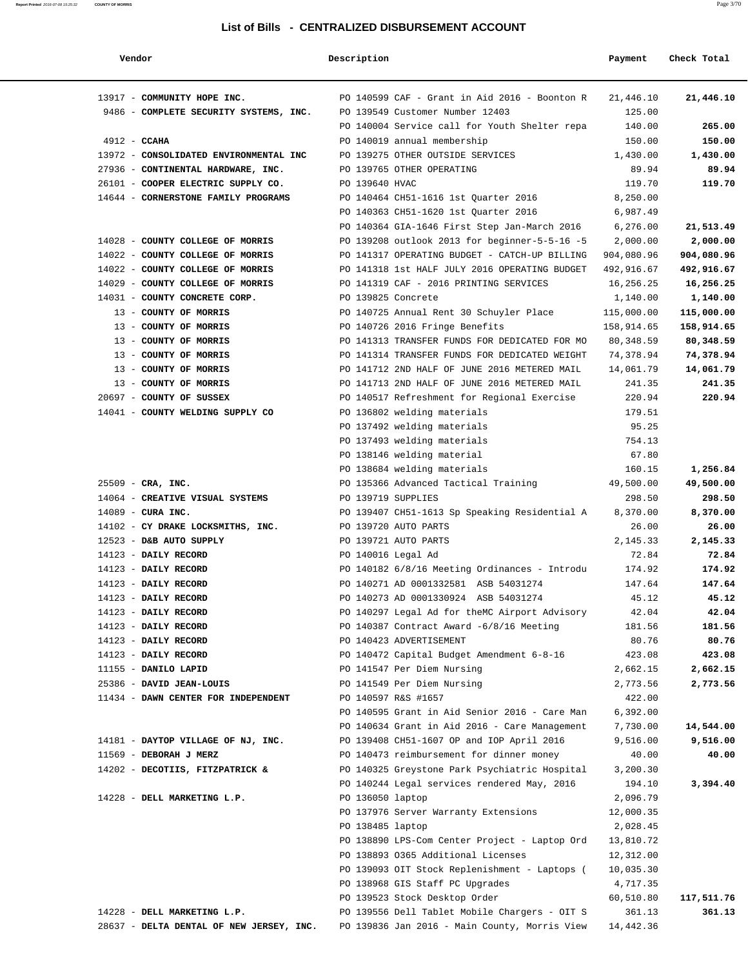| Vendor                                   | Description        |                                                                  | Payment               | Check Total          |
|------------------------------------------|--------------------|------------------------------------------------------------------|-----------------------|----------------------|
| 13917 - COMMUNITY HOPE INC.              |                    | PO 140599 CAF - Grant in Aid 2016 - Boonton R                    | 21,446.10             | 21,446.10            |
| 9486 - COMPLETE SECURITY SYSTEMS, INC.   |                    | PO 139549 Customer Number 12403                                  | 125.00                |                      |
|                                          |                    | PO 140004 Service call for Youth Shelter repa                    | 140.00                | 265.00               |
| $4912 - CCAHA$                           |                    | PO 140019 annual membership                                      | 150.00                | 150.00               |
| 13972 - CONSOLIDATED ENVIRONMENTAL INC   |                    | PO 139275 OTHER OUTSIDE SERVICES                                 | 1,430.00              | 1,430.00             |
| 27936 - CONTINENTAL HARDWARE, INC.       |                    | PO 139765 OTHER OPERATING                                        | 89.94                 | 89.94                |
| 26101 - COOPER ELECTRIC SUPPLY CO.       | PO 139640 HVAC     |                                                                  | 119.70                | 119.70               |
| 14644 - CORNERSTONE FAMILY PROGRAMS      |                    | PO 140464 CH51-1616 1st Quarter 2016                             | 8,250.00              |                      |
|                                          |                    | PO 140363 CH51-1620 1st Quarter 2016                             | 6,987.49              |                      |
|                                          |                    | PO 140364 GIA-1646 First Step Jan-March 2016                     | 6,276.00              | 21,513.49            |
| 14028 - COUNTY COLLEGE OF MORRIS         |                    | PO 139208 outlook 2013 for beginner-5-5-16 -5                    | 2,000.00              | 2,000.00             |
| 14022 - COUNTY COLLEGE OF MORRIS         |                    | PO 141317 OPERATING BUDGET - CATCH-UP BILLING                    | 904,080.96            | 904,080.96           |
| 14022 - COUNTY COLLEGE OF MORRIS         |                    | PO 141318 1st HALF JULY 2016 OPERATING BUDGET                    | 492,916.67            | 492,916.67           |
| 14029 - COUNTY COLLEGE OF MORRIS         |                    | PO 141319 CAF - 2016 PRINTING SERVICES                           | 16,256.25             | 16,256.25            |
| 14031 - COUNTY CONCRETE CORP.            | PO 139825 Concrete |                                                                  | 1,140.00              | 1,140.00             |
| 13 - COUNTY OF MORRIS                    |                    | PO 140725 Annual Rent 30 Schuyler Place                          | 115,000.00            | 115,000.00           |
| 13 - COUNTY OF MORRIS                    |                    | PO 140726 2016 Fringe Benefits                                   | 158,914.65            | 158,914.65           |
| 13 - COUNTY OF MORRIS                    |                    | PO 141313 TRANSFER FUNDS FOR DEDICATED FOR MO                    | 80, 348.59            | 80,348.59            |
| 13 - COUNTY OF MORRIS                    |                    | PO 141314 TRANSFER FUNDS FOR DEDICATED WEIGHT                    | 74,378.94             | 74,378.94            |
| 13 - COUNTY OF MORRIS                    |                    | PO 141712 2ND HALF OF JUNE 2016 METERED MAIL                     | 14,061.79             | 14,061.79            |
| 13 - COUNTY OF MORRIS                    |                    | PO 141713 2ND HALF OF JUNE 2016 METERED MAIL                     | 241.35                | 241.35               |
| 20697 - COUNTY OF SUSSEX                 |                    | PO 140517 Refreshment for Regional Exercise                      | 220.94                | 220.94               |
| 14041 - COUNTY WELDING SUPPLY CO         |                    | PO 136802 welding materials                                      | 179.51                |                      |
|                                          |                    | PO 137492 welding materials                                      | 95.25                 |                      |
|                                          |                    | PO 137493 welding materials                                      | 754.13                |                      |
|                                          |                    | PO 138146 welding material                                       | 67.80                 |                      |
|                                          |                    | PO 138684 welding materials                                      | 160.15                | 1,256.84             |
| $25509 - CRA$ , INC.                     |                    | PO 135366 Advanced Tactical Training                             | 49,500.00             | 49,500.00            |
| 14064 - CREATIVE VISUAL SYSTEMS          | PO 139719 SUPPLIES |                                                                  | 298.50                | 298.50               |
| $14089$ - CURA INC.                      |                    | PO 139407 CH51-1613 Sp Speaking Residential A                    | 8,370.00              | 8,370.00             |
| 14102 - CY DRAKE LOCKSMITHS, INC.        |                    | PO 139720 AUTO PARTS                                             | 26.00                 | 26.00                |
| 12523 - D&B AUTO SUPPLY                  |                    | PO 139721 AUTO PARTS                                             | 2,145.33              | 2,145.33             |
| 14123 - DAILY RECORD                     | PO 140016 Legal Ad |                                                                  | 72.84                 | 72.84                |
| 14123 - DAILY RECORD                     |                    | PO 140182 6/8/16 Meeting Ordinances - Introdu                    | 174.92                | 174.92               |
| 14123 - DAILY RECORD                     |                    | PO 140271 AD 0001332581 ASB 54031274                             | 147.64                | 147.64               |
| 14123 - DAILY RECORD                     |                    | PO 140273 AD 0001330924 ASB 54031274                             | 45.12                 | 45.12                |
| 14123 - DAILY RECORD                     |                    | PO 140297 Legal Ad for theMC Airport Advisory                    | 42.04                 | 42.04                |
| 14123 - DAILY RECORD                     |                    | PO 140387 Contract Award $-6/8/16$ Meeting                       | 181.56                | 181.56               |
| 14123 - DAILY RECORD                     |                    | PO 140423 ADVERTISEMENT                                          | 80.76                 | 80.76                |
| 14123 - DAILY RECORD                     |                    | PO 140472 Capital Budget Amendment 6-8-16                        | 423.08                | 423.08               |
| 11155 - DANILO LAPID                     |                    | PO 141547 Per Diem Nursing                                       | 2,662.15              | 2,662.15             |
| 25386 - DAVID JEAN-LOUIS                 |                    | PO 141549 Per Diem Nursing                                       | 2,773.56              | 2,773.56             |
| 11434 - DAWN CENTER FOR INDEPENDENT      |                    | PO 140597 R&S #1657                                              | 422.00                |                      |
|                                          |                    | PO 140595 Grant in Aid Senior 2016 - Care Man                    | 6,392.00              |                      |
|                                          |                    | PO 140634 Grant in Aid 2016 - Care Management                    | 7,730.00              | 14,544.00            |
| 14181 - DAYTOP VILLAGE OF NJ, INC.       |                    | PO 139408 CH51-1607 OP and IOP April 2016                        | 9,516.00              | 9,516.00             |
| 11569 - DEBORAH J MERZ                   |                    | PO 140473 reimbursement for dinner money                         | 40.00                 | 40.00                |
| 14202 - DECOTIIS, FITZPATRICK &          |                    | PO 140325 Greystone Park Psychiatric Hospital                    | 3,200.30              |                      |
|                                          |                    | PO 140244 Legal services rendered May, 2016                      | 194.10                | 3,394.40             |
| 14228 - DELL MARKETING L.P.              | PO 136050 laptop   |                                                                  | 2,096.79              |                      |
|                                          |                    | PO 137976 Server Warranty Extensions                             | 12,000.35             |                      |
|                                          | PO 138485 laptop   |                                                                  | 2,028.45              |                      |
|                                          |                    | PO 138890 LPS-Com Center Project - Laptop Ord                    | 13,810.72             |                      |
|                                          |                    | PO 138893 0365 Additional Licenses                               | 12,312.00             |                      |
|                                          |                    | PO 139093 OIT Stock Replenishment - Laptops (                    | 10,035.30             |                      |
|                                          |                    | PO 138968 GIS Staff PC Upgrades<br>PO 139523 Stock Desktop Order | 4,717.35<br>60,510.80 |                      |
| 14228 - DELL MARKETING L.P.              |                    | PO 139556 Dell Tablet Mobile Chargers - OIT S                    | 361.13                | 117,511.76<br>361.13 |
| 28637 - DELTA DENTAL OF NEW JERSEY, INC. |                    | PO 139836 Jan 2016 - Main County, Morris View                    | 14,442.36             |                      |
|                                          |                    |                                                                  |                       |                      |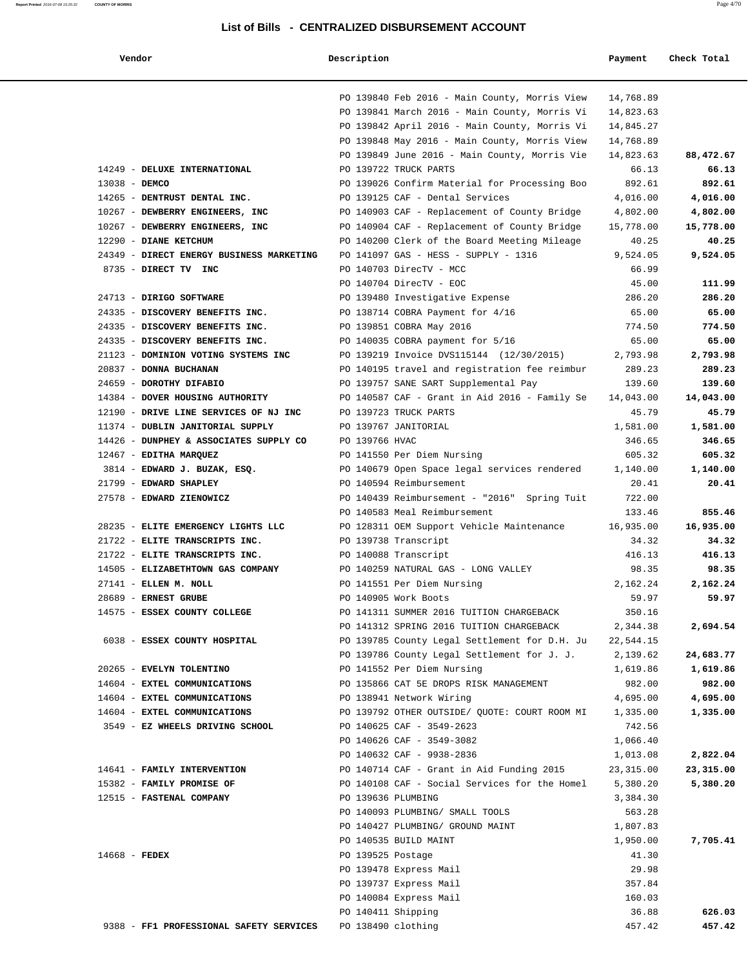# **Vendor Description Description Payment** Check Total

|                                                                      |                    | PO 139840 Feb 2016 - Main County, Morris View               | 14,768.89       |                 |
|----------------------------------------------------------------------|--------------------|-------------------------------------------------------------|-----------------|-----------------|
|                                                                      |                    | PO 139841 March 2016 - Main County, Morris Vi               | 14,823.63       |                 |
|                                                                      |                    | PO 139842 April 2016 - Main County, Morris Vi               | 14,845.27       |                 |
|                                                                      |                    | PO 139848 May 2016 - Main County, Morris View               | 14,768.89       |                 |
|                                                                      |                    | PO 139849 June 2016 - Main County, Morris Vie               | 14,823.63       | 88,472.67       |
| 14249 - DELUXE INTERNATIONAL                                         |                    | PO 139722 TRUCK PARTS                                       | 66.13           | 66.13           |
| 13038 - DEMCO                                                        |                    | PO 139026 Confirm Material for Processing Boo               | 892.61          | 892.61          |
| 14265 - DENTRUST DENTAL INC.                                         |                    | PO 139125 CAF - Dental Services                             | 4,016.00        | 4,016.00        |
| 10267 - DEWBERRY ENGINEERS, INC                                      |                    | PO 140903 CAF - Replacement of County Bridge                | 4,802.00        | 4,802.00        |
| 10267 - DEWBERRY ENGINEERS, INC                                      |                    | PO 140904 CAF - Replacement of County Bridge                | 15,778.00       | 15,778.00       |
| 12290 - DIANE KETCHUM                                                |                    | PO 140200 Clerk of the Board Meeting Mileage                | 40.25           | 40.25           |
| 24349 - DIRECT ENERGY BUSINESS MARKETING                             |                    | PO 141097 GAS - HESS - SUPPLY - 1316                        | 9,524.05        | 9,524.05        |
| 8735 - DIRECT TV INC                                                 |                    | PO 140703 DirecTV - MCC                                     | 66.99           |                 |
|                                                                      |                    | PO 140704 DirecTV - EOC                                     | 45.00           | 111.99          |
| 24713 - DIRIGO SOFTWARE                                              |                    | PO 139480 Investigative Expense                             | 286.20          | 286.20          |
| 24335 - DISCOVERY BENEFITS INC.                                      |                    | PO 138714 COBRA Payment for 4/16                            | 65.00           | 65.00           |
| 24335 - DISCOVERY BENEFITS INC.                                      |                    | PO 139851 COBRA May 2016                                    | 774.50          | 774.50          |
| 24335 - DISCOVERY BENEFITS INC.                                      |                    | PO 140035 COBRA payment for 5/16                            | 65.00           | 65.00           |
| 21123 - DOMINION VOTING SYSTEMS INC                                  |                    | PO 139219 Invoice DVS115144 (12/30/2015)                    | 2,793.98        | 2,793.98        |
| 20837 - DONNA BUCHANAN                                               |                    | PO 140195 travel and registration fee reimbur               | 289.23          | 289.23          |
| 24659 - DOROTHY DIFABIO                                              |                    | PO 139757 SANE SART Supplemental Pay                        | 139.60          | 139.60          |
| 14384 - DOVER HOUSING AUTHORITY                                      |                    | PO 140587 CAF - Grant in Aid 2016 - Family Se               | 14,043.00       | 14,043.00       |
| 12190 - DRIVE LINE SERVICES OF NJ INC                                |                    | PO 139723 TRUCK PARTS                                       | 45.79           | 45.79           |
| 11374 - DUBLIN JANITORIAL SUPPLY                                     |                    | PO 139767 JANITORIAL                                        | 1,581.00        | 1,581.00        |
| 14426 - DUNPHEY & ASSOCIATES SUPPLY CO                               | PO 139766 HVAC     |                                                             | 346.65          | 346.65          |
| 12467 - EDITHA MARQUEZ                                               |                    | PO 141550 Per Diem Nursing                                  | 605.32          | 605.32          |
| 3814 - EDWARD J. BUZAK, ESQ.                                         |                    | PO 140679 Open Space legal services rendered                | 1,140.00        | 1,140.00        |
| 21799 - EDWARD SHAPLEY                                               |                    | PO 140594 Reimbursement                                     | 20.41           | 20.41           |
| 27578 - EDWARD ZIENOWICZ                                             |                    | PO 140439 Reimbursement - "2016" Spring Tuit                | 722.00          |                 |
|                                                                      |                    | PO 140583 Meal Reimbursement                                | 133.46          | 855.46          |
| 28235 - ELITE EMERGENCY LIGHTS LLC<br>21722 - ELITE TRANSCRIPTS INC. |                    | PO 128311 OEM Support Vehicle Maintenance                   | 16,935.00       | 16,935.00       |
| 21722 - ELITE TRANSCRIPTS INC.                                       |                    | PO 139738 Transcript                                        | 34.32           | 34.32<br>416.13 |
| 14505 - ELIZABETHTOWN GAS COMPANY                                    |                    | PO 140088 Transcript<br>PO 140259 NATURAL GAS - LONG VALLEY | 416.13<br>98.35 | 98.35           |
| 27141 - ELLEN M. NOLL                                                |                    | PO 141551 Per Diem Nursing                                  | 2,162.24        | 2,162.24        |
| 28689 - ERNEST GRUBE                                                 |                    | PO 140905 Work Boots                                        | 59.97           | 59.97           |
| 14575 - ESSEX COUNTY COLLEGE                                         |                    | PO 141311 SUMMER 2016 TUITION CHARGEBACK                    | 350.16          |                 |
|                                                                      |                    | PO 141312 SPRING 2016 TUITION CHARGEBACK                    | 2,344.38        | 2,694.54        |
| 6038 - ESSEX COUNTY HOSPITAL                                         |                    | PO 139785 County Legal Settlement for D.H. Ju               | 22,544.15       |                 |
|                                                                      |                    | PO 139786 County Legal Settlement for J. J.                 | 2,139.62        | 24,683.77       |
| 20265 - EVELYN TOLENTINO                                             |                    | PO 141552 Per Diem Nursing                                  | 1,619.86        | 1,619.86        |
| 14604 - EXTEL COMMUNICATIONS                                         |                    | PO 135866 CAT 5E DROPS RISK MANAGEMENT                      | 982.00          | 982.00          |
| 14604 - EXTEL COMMUNICATIONS                                         |                    | PO 138941 Network Wiring                                    | 4,695.00        | 4,695.00        |
| 14604 - EXTEL COMMUNICATIONS                                         |                    | PO 139792 OTHER OUTSIDE/ OUOTE: COURT ROOM MI               | 1,335.00        | 1,335.00        |
| 3549 - EZ WHEELS DRIVING SCHOOL                                      |                    | PO 140625 CAF - 3549-2623                                   | 742.56          |                 |
|                                                                      |                    | PO 140626 CAF - 3549-3082                                   | 1,066.40        |                 |
|                                                                      |                    | PO 140632 CAF - 9938-2836                                   | 1,013.08        | 2,822.04        |
| 14641 - FAMILY INTERVENTION                                          |                    | PO 140714 CAF - Grant in Aid Funding 2015                   | 23, 315.00      | 23,315.00       |
| 15382 - FAMILY PROMISE OF                                            |                    | PO 140108 CAF - Social Services for the Homel               | 5,380.20        | 5,380.20        |
| 12515 - FASTENAL COMPANY                                             | PO 139636 PLUMBING |                                                             | 3,384.30        |                 |
|                                                                      |                    | PO 140093 PLUMBING/ SMALL TOOLS                             | 563.28          |                 |
|                                                                      |                    | PO 140427 PLUMBING/ GROUND MAINT                            | 1,807.83        |                 |
|                                                                      |                    | PO 140535 BUILD MAINT                                       | 1,950.00        | 7,705.41        |
| $14668$ - FEDEX                                                      | PO 139525 Postage  |                                                             | 41.30           |                 |
|                                                                      |                    | PO 139478 Express Mail                                      | 29.98           |                 |
|                                                                      |                    | PO 139737 Express Mail                                      | 357.84          |                 |
|                                                                      |                    | PO 140084 Express Mail                                      | 160.03          |                 |
|                                                                      |                    |                                                             |                 |                 |
|                                                                      | PO 140411 Shipping |                                                             | 36.88           | 626.03          |
| 9388 - FF1 PROFESSIONAL SAFETY SERVICES                              | PO 138490 clothing |                                                             | 457.42          | 457.42          |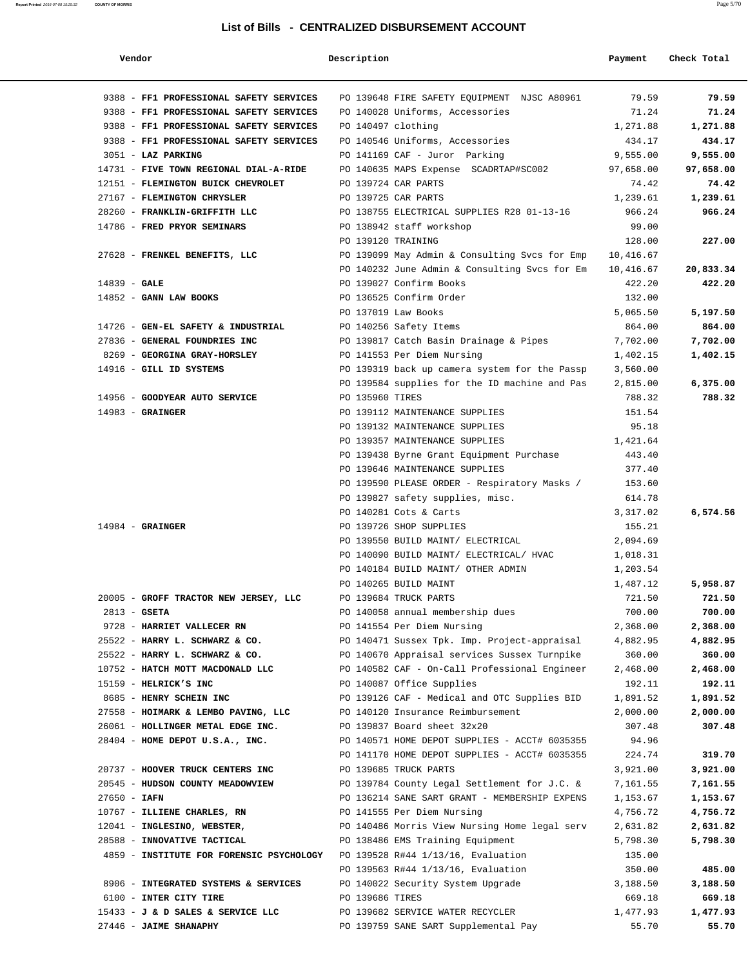#### **Report Printed** 2016-07-08 15:25:32 **COUNTY OF MORRIS** Page 5/70

| Vendor                                   | Description                                                      | Payment            | Check Total        |
|------------------------------------------|------------------------------------------------------------------|--------------------|--------------------|
| 9388 - FF1 PROFESSIONAL SAFETY SERVICES  | PO 139648 FIRE SAFETY EQUIPMENT NJSC A80961                      | 79.59              | 79.59              |
| 9388 - FF1 PROFESSIONAL SAFETY SERVICES  | PO 140028 Uniforms, Accessories                                  | 71.24              | 71.24              |
| 9388 - FF1 PROFESSIONAL SAFETY SERVICES  | PO 140497 clothing                                               | 1,271.88           | 1,271.88           |
| 9388 - FF1 PROFESSIONAL SAFETY SERVICES  | PO 140546 Uniforms, Accessories                                  | 434.17             | 434.17             |
| 3051 - LAZ PARKING                       | PO 141169 CAF - Juror Parking                                    | 9,555.00           | 9,555.00           |
| 14731 - FIVE TOWN REGIONAL DIAL-A-RIDE   | PO 140635 MAPS Expense SCADRTAP#SC002                            | 97,658.00          | 97,658.00          |
| 12151 - FLEMINGTON BUICK CHEVROLET       | PO 139724 CAR PARTS                                              | 74.42              | 74.42              |
| 27167 - FLEMINGTON CHRYSLER              | PO 139725 CAR PARTS                                              | 1,239.61           | 1,239.61           |
| 28260 - FRANKLIN-GRIFFITH LLC            | PO 138755 ELECTRICAL SUPPLIES R28 01-13-16                       | 966.24             | 966.24             |
| 14786 - FRED PRYOR SEMINARS              | PO 138942 staff workshop                                         | 99.00              |                    |
|                                          | PO 139120 TRAINING                                               | 128.00             | 227.00             |
| 27628 - FRENKEL BENEFITS, LLC            | PO 139099 May Admin & Consulting Svcs for Emp                    | 10,416.67          |                    |
|                                          | PO 140232 June Admin & Consulting Svcs for Em                    | 10,416.67          | 20,833.34          |
| $14839 - GALE$                           | PO 139027 Confirm Books                                          | 422.20             | 422.20             |
| $14852$ - GANN LAW BOOKS                 | PO 136525 Confirm Order                                          | 132.00             |                    |
|                                          | PO 137019 Law Books                                              | 5,065.50           | 5,197.50           |
| 14726 - GEN-EL SAFETY & INDUSTRIAL       | PO 140256 Safety Items                                           | 864.00             | 864.00             |
| 27836 - GENERAL FOUNDRIES INC            | PO 139817 Catch Basin Drainage & Pipes                           | 7,702.00           | 7,702.00           |
| 8269 - GEORGINA GRAY-HORSLEY             | PO 141553 Per Diem Nursing                                       | 1,402.15           | 1,402.15           |
| 14916 - GILL ID SYSTEMS                  | PO 139319 back up camera system for the Passp                    | 3,560.00           |                    |
| 14956 - GOODYEAR AUTO SERVICE            | PO 139584 supplies for the ID machine and Pas<br>PO 135960 TIRES | 2,815.00<br>788.32 | 6,375.00<br>788.32 |
| $14983$ - GRAINGER                       | PO 139112 MAINTENANCE SUPPLIES                                   | 151.54             |                    |
|                                          | PO 139132 MAINTENANCE SUPPLIES                                   | 95.18              |                    |
|                                          | PO 139357 MAINTENANCE SUPPLIES                                   | 1,421.64           |                    |
|                                          | PO 139438 Byrne Grant Equipment Purchase                         | 443.40             |                    |
|                                          | PO 139646 MAINTENANCE SUPPLIES                                   | 377.40             |                    |
|                                          | PO 139590 PLEASE ORDER - Respiratory Masks /                     | 153.60             |                    |
|                                          | PO 139827 safety supplies, misc.                                 | 614.78             |                    |
|                                          | PO 140281 Cots & Carts                                           | 3,317.02           | 6,574.56           |
| $14984$ - GRAINGER                       | PO 139726 SHOP SUPPLIES                                          | 155.21             |                    |
|                                          | PO 139550 BUILD MAINT/ ELECTRICAL                                | 2,094.69           |                    |
|                                          | PO 140090 BUILD MAINT/ ELECTRICAL/ HVAC                          | 1,018.31           |                    |
|                                          | PO 140184 BUILD MAINT/ OTHER ADMIN                               | 1,203.54           |                    |
|                                          | PO 140265 BUILD MAINT                                            | 1,487.12           | 5,958.87           |
| 20005 - GROFF TRACTOR NEW JERSEY, LLC    | PO 139684 TRUCK PARTS                                            | 721.50             | 721.50             |
| $2813 - GSETA$                           | PO 140058 annual membership dues                                 | 700.00             | 700.00             |
| 9728 - HARRIET VALLECER RN               | PO 141554 Per Diem Nursing                                       | 2,368.00           | 2,368.00           |
| 25522 - HARRY L. SCHWARZ & CO.           | PO 140471 Sussex Tpk. Imp. Project-appraisal                     | 4,882.95           | 4,882.95           |
| 25522 - HARRY L. SCHWARZ & CO.           | PO 140670 Appraisal services Sussex Turnpike                     | 360.00             | 360.00             |
| 10752 - HATCH MOTT MACDONALD LLC         | PO 140582 CAF - On-Call Professional Engineer                    | 2,468.00           | 2,468.00           |
| 15159 - HELRICK'S INC                    | PO 140087 Office Supplies                                        | 192.11             | 192.11             |
| 8685 - HENRY SCHEIN INC                  | PO 139126 CAF - Medical and OTC Supplies BID                     | 1,891.52           | 1,891.52           |
| 27558 - HOIMARK & LEMBO PAVING, LLC      | PO 140120 Insurance Reimbursement                                | 2,000.00           | 2,000.00           |
| 26061 - HOLLINGER METAL EDGE INC.        | PO 139837 Board sheet 32x20                                      | 307.48             | 307.48             |
| 28404 - HOME DEPOT U.S.A., INC.          | PO 140571 HOME DEPOT SUPPLIES - ACCT# 6035355                    | 94.96              |                    |
|                                          | PO 141170 HOME DEPOT SUPPLIES - ACCT# 6035355                    | 224.74             | 319.70             |
| 20737 - HOOVER TRUCK CENTERS INC         | PO 139685 TRUCK PARTS                                            | 3,921.00           | 3,921.00           |
| 20545 - HUDSON COUNTY MEADOWVIEW         | PO 139784 County Legal Settlement for J.C. &                     | 7,161.55           | 7,161.55           |
| $27650 - IAFN$                           | PO 136214 SANE SART GRANT - MEMBERSHIP EXPENS                    | 1,153.67           | 1,153.67           |
| 10767 - ILLIENE CHARLES, RN              | PO 141555 Per Diem Nursing                                       | 4,756.72           | 4,756.72           |
| 12041 - INGLESINO, WEBSTER,              | PO 140486 Morris View Nursing Home legal serv                    | 2,631.82           | 2,631.82           |
| 28588 - INNOVATIVE TACTICAL              | PO 138486 EMS Training Equipment                                 | 5,798.30           | 5,798.30           |
| 4859 - INSTITUTE FOR FORENSIC PSYCHOLOGY | PO 139528 R#44 1/13/16, Evaluation                               | 135.00             | 485.00             |
| 8906 - INTEGRATED SYSTEMS & SERVICES     | PO 139563 R#44 1/13/16, Evaluation                               | 350.00             | 3,188.50           |
| 6100 - INTER CITY TIRE                   | PO 140022 Security System Upgrade<br>PO 139686 TIRES             | 3,188.50<br>669.18 | 669.18             |
| 15433 - J & D SALES & SERVICE LLC        | PO 139682 SERVICE WATER RECYCLER                                 | 1,477.93           | 1,477.93           |
| 27446 - JAIME SHANAPHY                   | PO 139759 SANE SART Supplemental Pay                             | 55.70              | 55.70              |
|                                          |                                                                  |                    |                    |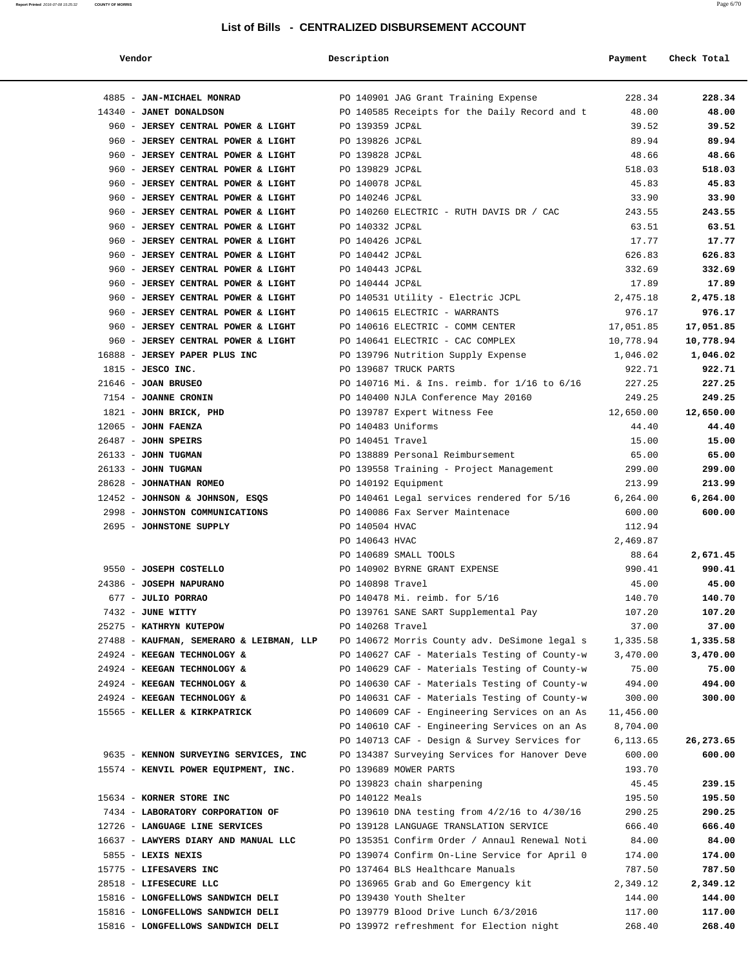| Vendor | Description | Payment Check Total |
|--------|-------------|---------------------|
|--------|-------------|---------------------|

| 4885 - JAN-MICHAEL MONRAD                                                |                    | PO 140901 JAG Grant Training Expense                                                   | 228.34           | 228.34           |
|--------------------------------------------------------------------------|--------------------|----------------------------------------------------------------------------------------|------------------|------------------|
| 14340 - JANET DONALDSON                                                  |                    | PO 140585 Receipts for the Daily Record and t                                          | 48.00            | 48.00            |
| 960 - JERSEY CENTRAL POWER & LIGHT                                       | PO 139359 JCP&L    |                                                                                        | 39.52            | 39.52            |
| 960 - JERSEY CENTRAL POWER & LIGHT                                       | PO 139826 JCP&L    |                                                                                        | 89.94            | 89.94            |
| 960 - JERSEY CENTRAL POWER & LIGHT                                       | PO 139828 JCP&L    |                                                                                        | 48.66            | 48.66            |
| 960 - JERSEY CENTRAL POWER & LIGHT                                       | PO 139829 JCP&L    |                                                                                        | 518.03           | 518.03           |
| 960 - JERSEY CENTRAL POWER & LIGHT                                       | PO 140078 JCP&L    |                                                                                        | 45.83            | 45.83            |
| 960 - JERSEY CENTRAL POWER & LIGHT                                       | PO 140246 JCP&L    |                                                                                        | 33.90            | 33.90            |
| 960 - JERSEY CENTRAL POWER & LIGHT                                       |                    | PO 140260 ELECTRIC - RUTH DAVIS DR / CAC                                               | 243.55           | 243.55           |
| 960 - JERSEY CENTRAL POWER & LIGHT                                       | PO 140332 JCP&L    |                                                                                        | 63.51            | 63.51            |
| 960 - JERSEY CENTRAL POWER & LIGHT                                       | PO 140426 JCP&L    |                                                                                        | 17.77            | 17.77            |
| 960 - JERSEY CENTRAL POWER & LIGHT                                       | PO 140442 JCP&L    |                                                                                        | 626.83           | 626.83           |
| 960 - JERSEY CENTRAL POWER & LIGHT                                       | PO 140443 JCP&L    |                                                                                        | 332.69<br>17.89  | 332.69<br>17.89  |
| 960 - JERSEY CENTRAL POWER & LIGHT<br>960 - JERSEY CENTRAL POWER & LIGHT | PO 140444 JCP&L    | PO 140531 Utility - Electric JCPL                                                      | 2,475.18         | 2,475.18         |
| 960 - JERSEY CENTRAL POWER & LIGHT                                       |                    | PO 140615 ELECTRIC - WARRANTS                                                          | 976.17           | 976.17           |
| 960 - JERSEY CENTRAL POWER & LIGHT                                       |                    | PO 140616 ELECTRIC - COMM CENTER                                                       | 17,051.85        | 17,051.85        |
| 960 - JERSEY CENTRAL POWER & LIGHT                                       |                    | PO 140641 ELECTRIC - CAC COMPLEX                                                       | 10,778.94        | 10,778.94        |
| 16888 - JERSEY PAPER PLUS INC                                            |                    | PO 139796 Nutrition Supply Expense                                                     | 1,046.02         | 1,046.02         |
| $1815$ - JESCO INC.                                                      |                    | PO 139687 TRUCK PARTS                                                                  | 922.71           | 922.71           |
| $21646$ - JOAN BRUSEO                                                    |                    | PO 140716 Mi. & Ins. reimb. for 1/16 to 6/16                                           | 227.25           | 227.25           |
| 7154 - JOANNE CRONIN                                                     |                    | PO 140400 NJLA Conference May 20160                                                    | 249.25           | 249.25           |
| 1821 - JOHN BRICK, PHD                                                   |                    | PO 139787 Expert Witness Fee                                                           | 12,650.00        | 12,650.00        |
| $12065$ - JOHN FAENZA                                                    | PO 140483 Uniforms |                                                                                        | 44.40            | 44.40            |
| $26487$ - JOHN SPEIRS                                                    | PO 140451 Travel   |                                                                                        | 15.00            | 15.00            |
| 26133 - JOHN TUGMAN                                                      |                    | PO 138889 Personal Reimbursement                                                       | 65.00            | 65.00            |
| $26133 - JOHN TUGMAN$                                                    |                    | PO 139558 Training - Project Management                                                | 299.00           | 299.00           |
| 28628 - JOHNATHAN ROMEO                                                  |                    | PO 140192 Equipment                                                                    | 213.99           | 213.99           |
| 12452 - JOHNSON & JOHNSON, ESQS                                          |                    | PO 140461 Legal services rendered for 5/16                                             | 6,264.00         | 6,264.00         |
| 2998 - JOHNSTON COMMUNICATIONS                                           |                    | PO 140086 Fax Server Maintenace                                                        | 600.00           | 600.00           |
| 2695 - JOHNSTONE SUPPLY                                                  | PO 140504 HVAC     |                                                                                        | 112.94           |                  |
|                                                                          | PO 140643 HVAC     |                                                                                        | 2,469.87         |                  |
|                                                                          |                    | PO 140689 SMALL TOOLS                                                                  | 88.64            | 2,671.45         |
| 9550 - JOSEPH COSTELLO<br>24386 - JOSEPH NAPURANO                        | PO 140898 Travel   | PO 140902 BYRNE GRANT EXPENSE                                                          | 990.41<br>45.00  | 990.41<br>45.00  |
| 677 - JULIO PORRAO                                                       |                    | PO 140478 Mi. reimb. for 5/16                                                          | 140.70           | 140.70           |
| 7432 - JUNE WITTY                                                        |                    | PO 139761 SANE SART Supplemental Pay                                                   | 107.20           | 107.20           |
| 25275 - KATHRYN KUTEPOW                                                  | PO 140268 Travel   |                                                                                        | 37.00            | 37.00            |
| 27488 - KAUFMAN, SEMERARO & LEIBMAN, LLP                                 |                    | PO 140672 Morris County adv. DeSimone legal s                                          | 1,335.58         | 1,335.58         |
| 24924 - KEEGAN TECHNOLOGY &                                              |                    | PO 140627 CAF - Materials Testing of County-w                                          | 3,470.00         | 3,470.00         |
| 24924 - KEEGAN TECHNOLOGY &                                              |                    | PO 140629 CAF - Materials Testing of County-w                                          | 75.00            | 75.00            |
| 24924 - KEEGAN TECHNOLOGY &                                              |                    | PO 140630 CAF - Materials Testing of County-w                                          | 494.00           | 494.00           |
| 24924 - KEEGAN TECHNOLOGY &                                              |                    | PO 140631 CAF - Materials Testing of County-w                                          | 300.00           | 300.00           |
| 15565 - KELLER & KIRKPATRICK                                             |                    | PO 140609 CAF - Engineering Services on an As                                          | 11,456.00        |                  |
|                                                                          |                    | PO 140610 CAF - Engineering Services on an As                                          | 8,704.00         |                  |
|                                                                          |                    | PO 140713 CAF - Design & Survey Services for                                           | 6,113.65         | 26,273.65        |
| 9635 - KENNON SURVEYING SERVICES, INC                                    |                    | PO 134387 Surveying Services for Hanover Deve                                          | 600.00           | 600.00           |
| 15574 - KENVIL POWER EQUIPMENT, INC.                                     |                    | PO 139689 MOWER PARTS                                                                  | 193.70           |                  |
|                                                                          |                    | PO 139823 chain sharpening                                                             | 45.45            | 239.15           |
| 15634 - KORNER STORE INC                                                 | PO 140122 Meals    |                                                                                        | 195.50           | 195.50           |
| 7434 - LABORATORY CORPORATION OF<br>12726 - LANGUAGE LINE SERVICES       |                    | PO 139610 DNA testing from 4/2/16 to 4/30/16<br>PO 139128 LANGUAGE TRANSLATION SERVICE | 290.25<br>666.40 | 290.25<br>666.40 |
| 16637 - LAWYERS DIARY AND MANUAL LLC                                     |                    | PO 135351 Confirm Order / Annaul Renewal Noti                                          | 84.00            | 84.00            |
| $5855 -$ LEXIS NEXIS                                                     |                    | PO 139074 Confirm On-Line Service for April 0                                          | 174.00           | 174.00           |
| 15775 - LIFESAVERS INC                                                   |                    | PO 137464 BLS Healthcare Manuals                                                       | 787.50           | 787.50           |
| 28518 - LIFESECURE LLC                                                   |                    | PO 136965 Grab and Go Emergency kit                                                    | 2,349.12         | 2,349.12         |
| 15816 - LONGFELLOWS SANDWICH DELI                                        |                    | PO 139430 Youth Shelter                                                                | 144.00           | 144.00           |
| 15816 - LONGFELLOWS SANDWICH DELI                                        |                    | PO 139779 Blood Drive Lunch 6/3/2016                                                   | 117.00           | 117.00           |
| 15816 - LONGFELLOWS SANDWICH DELI                                        |                    | PO 139972 refreshment for Election night                                               | 268.40           | 268.40           |
|                                                                          |                    |                                                                                        |                  |                  |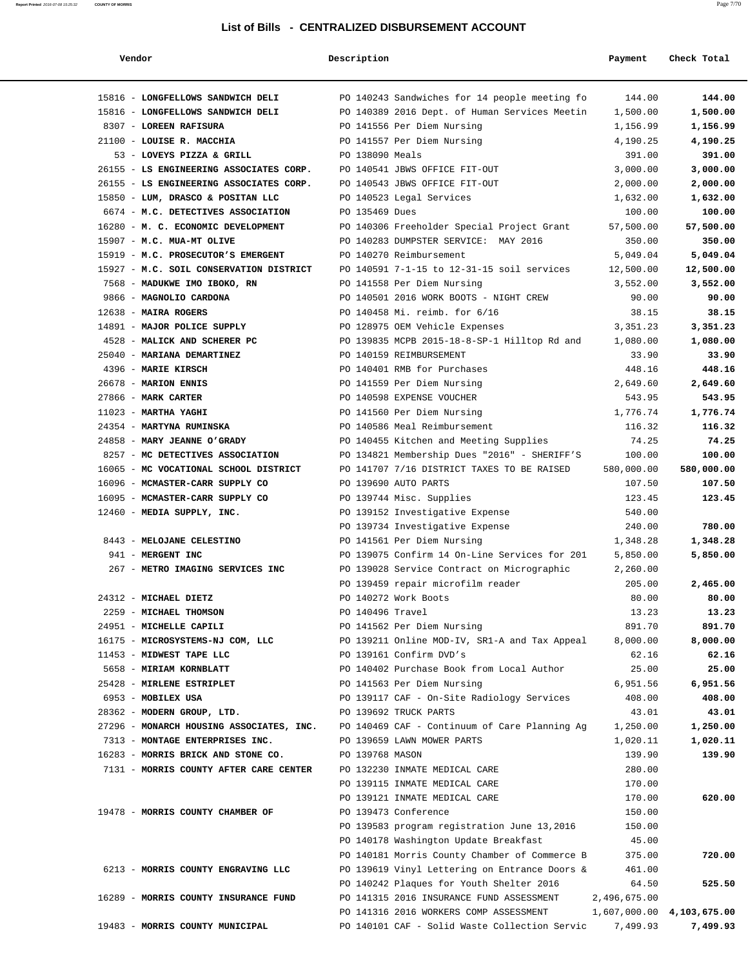| Vendor                                   | Description      |                                               | Payment      | Check Total               |
|------------------------------------------|------------------|-----------------------------------------------|--------------|---------------------------|
| 15816 - LONGFELLOWS SANDWICH DELI        |                  | PO 140243 Sandwiches for 14 people meeting fo | 144.00       | 144.00                    |
| 15816 - LONGFELLOWS SANDWICH DELI        |                  | PO 140389 2016 Dept. of Human Services Meetin | 1,500.00     | 1,500.00                  |
| 8307 - LOREEN RAFISURA                   |                  | PO 141556 Per Diem Nursing                    | 1,156.99     | 1,156.99                  |
| 21100 - LOUISE R. MACCHIA                |                  | PO 141557 Per Diem Nursing                    | 4,190.25     | 4,190.25                  |
| 53 - LOVEYS PIZZA & GRILL                | PO 138090 Meals  |                                               | 391.00       | 391.00                    |
| 26155 - LS ENGINEERING ASSOCIATES CORP.  |                  | PO 140541 JBWS OFFICE FIT-OUT                 | 3,000.00     | 3,000.00                  |
| 26155 - LS ENGINEERING ASSOCIATES CORP.  |                  | PO 140543 JBWS OFFICE FIT-OUT                 | 2,000.00     | 2,000.00                  |
| 15850 - LUM, DRASCO & POSITAN LLC        |                  | PO 140523 Legal Services                      | 1,632.00     | 1,632.00                  |
| 6674 - M.C. DETECTIVES ASSOCIATION       | PO 135469 Dues   |                                               | 100.00       | 100.00                    |
| 16280 - M. C. ECONOMIC DEVELOPMENT       |                  | PO 140306 Freeholder Special Project Grant    | 57,500.00    | 57,500.00                 |
| 15907 - M.C. MUA-MT OLIVE                |                  | PO 140283 DUMPSTER SERVICE: MAY 2016          | 350.00       | 350.00                    |
| 15919 - M.C. PROSECUTOR'S EMERGENT       |                  | PO 140270 Reimbursement                       | 5,049.04     | 5,049.04                  |
| 15927 - M.C. SOIL CONSERVATION DISTRICT  |                  | PO 140591 7-1-15 to 12-31-15 soil services    | 12,500.00    | 12,500.00                 |
| 7568 - MADUKWE IMO IBOKO, RN             |                  | PO 141558 Per Diem Nursing                    | 3,552.00     | 3,552.00                  |
| 9866 - MAGNOLIO CARDONA                  |                  | PO 140501 2016 WORK BOOTS - NIGHT CREW        | 90.00        | 90.00                     |
| 12638 - MAIRA ROGERS                     |                  | PO 140458 Mi. reimb. for 6/16                 | 38.15        | 38.15                     |
| 14891 - MAJOR POLICE SUPPLY              |                  | PO 128975 OEM Vehicle Expenses                | 3,351.23     | 3,351.23                  |
| 4528 - MALICK AND SCHERER PC             |                  | PO 139835 MCPB 2015-18-8-SP-1 Hilltop Rd and  | 1,080.00     | 1,080.00                  |
| 25040 - MARIANA DEMARTINEZ               |                  | PO 140159 REIMBURSEMENT                       | 33.90        | 33.90                     |
| 4396 - MARIE KIRSCH                      |                  | PO 140401 RMB for Purchases                   | 448.16       | 448.16                    |
| 26678 - MARION ENNIS                     |                  | PO 141559 Per Diem Nursing                    | 2,649.60     | 2,649.60                  |
| 27866 - MARK CARTER                      |                  | PO 140598 EXPENSE VOUCHER                     | 543.95       | 543.95                    |
| $11023$ - MARTHA YAGHI                   |                  | PO 141560 Per Diem Nursing                    | 1,776.74     | 1,776.74                  |
| 24354 - MARTYNA RUMINSKA                 |                  | PO 140586 Meal Reimbursement                  | 116.32       | 116.32                    |
| 24858 - MARY JEANNE O'GRADY              |                  | PO 140455 Kitchen and Meeting Supplies        | 74.25        | 74.25                     |
| 8257 - MC DETECTIVES ASSOCIATION         |                  | PO 134821 Membership Dues "2016" - SHERIFF'S  | 100.00       | 100.00                    |
| 16065 - MC VOCATIONAL SCHOOL DISTRICT    |                  | PO 141707 7/16 DISTRICT TAXES TO BE RAISED    | 580,000.00   | 580,000.00                |
| 16096 - MCMASTER-CARR SUPPLY CO          |                  | PO 139690 AUTO PARTS                          | 107.50       | 107.50                    |
| 16095 - MCMASTER-CARR SUPPLY CO          |                  | PO 139744 Misc. Supplies                      | 123.45       | 123.45                    |
| 12460 - MEDIA SUPPLY, INC.               |                  | PO 139152 Investigative Expense               | 540.00       |                           |
|                                          |                  | PO 139734 Investigative Expense               | 240.00       | 780.00                    |
| 8443 - MELOJANE CELESTINO                |                  | PO 141561 Per Diem Nursing                    | 1,348.28     | 1,348.28                  |
| 941 - MERGENT INC                        |                  | PO 139075 Confirm 14 On-Line Services for 201 | 5,850.00     | 5,850.00                  |
| 267 - METRO IMAGING SERVICES INC         |                  | PO 139028 Service Contract on Micrographic    | 2,260.00     |                           |
|                                          |                  | PO 139459 repair microfilm reader             | 205.00       | 2,465.00                  |
| 24312 - MICHAEL DIETZ                    |                  | PO 140272 Work Boots                          | 80.00        | 80.00                     |
| 2259 - MICHAEL THOMSON                   | PO 140496 Travel |                                               | 13.23        | 13.23                     |
| 24951 - MICHELLE CAPILI                  |                  | PO 141562 Per Diem Nursing                    | 891.70       | 891.70                    |
| 16175 - MICROSYSTEMS-NJ COM, LLC         |                  | PO 139211 Online MOD-IV, SR1-A and Tax Appeal | 8,000.00     | 8,000.00                  |
| 11453 - MIDWEST TAPE LLC                 |                  | PO 139161 Confirm DVD's                       | 62.16        | 62.16                     |
| 5658 - MIRIAM KORNBLATT                  |                  | PO 140402 Purchase Book from Local Author     | 25.00        | 25.00                     |
| 25428 - MIRLENE ESTRIPLET                |                  | PO 141563 Per Diem Nursing                    | 6,951.56     | 6,951.56                  |
| 6953 - MOBILEX USA                       |                  | PO 139117 CAF - On-Site Radiology Services    | 408.00       | 408.00                    |
| 28362 - MODERN GROUP, LTD.               |                  | PO 139692 TRUCK PARTS                         | 43.01        | 43.01                     |
| 27296 - MONARCH HOUSING ASSOCIATES, INC. |                  | PO 140469 CAF - Continuum of Care Planning Ag | 1,250.00     | 1,250.00                  |
| 7313 - MONTAGE ENTERPRISES INC.          |                  | PO 139659 LAWN MOWER PARTS                    | 1,020.11     | 1,020.11                  |
| 16283 - MORRIS BRICK AND STONE CO.       | PO 139768 MASON  |                                               | 139.90       | 139.90                    |
| 7131 - MORRIS COUNTY AFTER CARE CENTER   |                  | PO 132230 INMATE MEDICAL CARE                 | 280.00       |                           |
|                                          |                  | PO 139115 INMATE MEDICAL CARE                 | 170.00       |                           |
|                                          |                  | PO 139121 INMATE MEDICAL CARE                 | 170.00       | 620.00                    |
| 19478 - MORRIS COUNTY CHAMBER OF         |                  | PO 139473 Conference                          | 150.00       |                           |
|                                          |                  | PO 139583 program registration June 13,2016   | 150.00       |                           |
|                                          |                  | PO 140178 Washington Update Breakfast         | 45.00        |                           |
|                                          |                  | PO 140181 Morris County Chamber of Commerce B | 375.00       | 720.00                    |
| 6213 - MORRIS COUNTY ENGRAVING LLC       |                  | PO 139619 Vinyl Lettering on Entrance Doors & | 461.00       |                           |
|                                          |                  | PO 140242 Plaques for Youth Shelter 2016      | 64.50        | 525.50                    |
| 16289 - MORRIS COUNTY INSURANCE FUND     |                  | PO 141315 2016 INSURANCE FUND ASSESSMENT      | 2,496,675.00 |                           |
|                                          |                  | PO 141316 2016 WORKERS COMP ASSESSMENT        |              | 1,607,000.00 4,103,675.00 |
| 19483 - MORRIS COUNTY MUNICIPAL          |                  | PO 140101 CAF - Solid Waste Collection Servic | 7,499.93     | 7,499.93                  |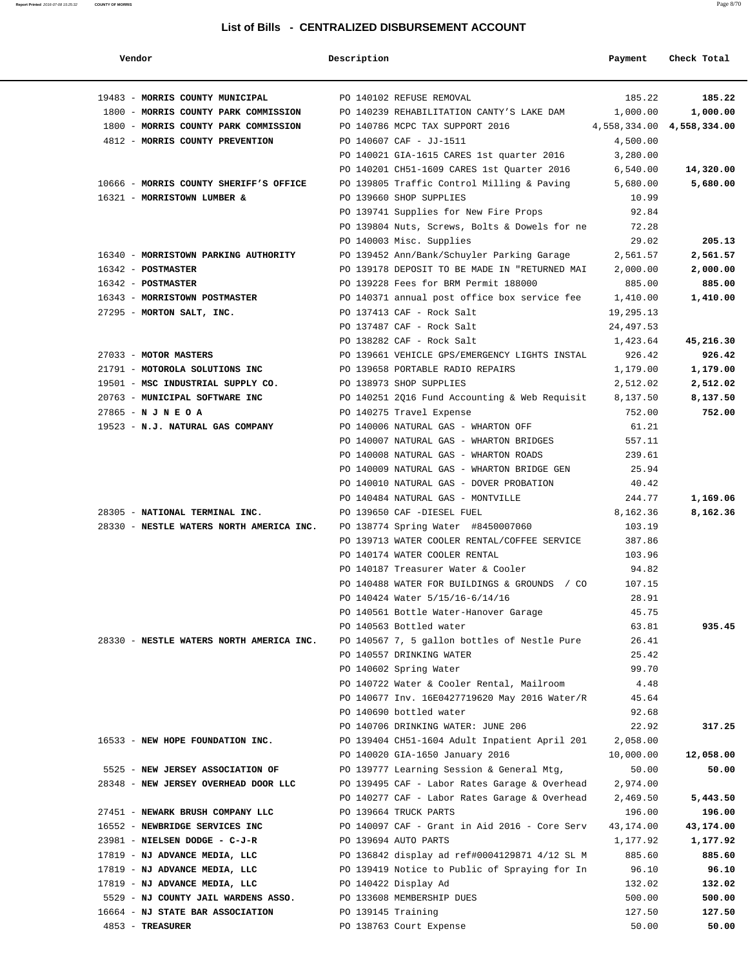| Vendor                                   | Description        |                                                                                            | Payment        | Check Total                |
|------------------------------------------|--------------------|--------------------------------------------------------------------------------------------|----------------|----------------------------|
| 19483 - MORRIS COUNTY MUNICIPAL          |                    | PO 140102 REFUSE REMOVAL                                                                   | 185.22         | 185.22                     |
| 1800 - MORRIS COUNTY PARK COMMISSION     |                    | PO 140239 REHABILITATION CANTY'S LAKE DAM                                                  | 1,000.00       | 1,000.00                   |
| 1800 - MORRIS COUNTY PARK COMMISSION     |                    | PO 140786 MCPC TAX SUPPORT 2016                                                            |                | 4,558,334.00  4,558,334.00 |
| 4812 - MORRIS COUNTY PREVENTION          |                    | PO 140607 CAF - JJ-1511                                                                    | 4,500.00       |                            |
|                                          |                    | PO 140021 GIA-1615 CARES 1st quarter 2016                                                  | 3,280.00       |                            |
|                                          |                    | PO 140201 CH51-1609 CARES 1st Quarter 2016                                                 | 6,540.00       | 14,320.00                  |
| 10666 - MORRIS COUNTY SHERIFF'S OFFICE   |                    | PO 139805 Traffic Control Milling & Paving                                                 | 5,680.00       | 5,680.00                   |
| 16321 - MORRISTOWN LUMBER &              |                    | PO 139660 SHOP SUPPLIES                                                                    | 10.99          |                            |
|                                          |                    | PO 139741 Supplies for New Fire Props                                                      | 92.84          |                            |
|                                          |                    | PO 139804 Nuts, Screws, Bolts & Dowels for ne 72.28                                        |                |                            |
|                                          |                    | PO 140003 Misc. Supplies                                                                   | 29.02          | 205.13                     |
| 16340 - MORRISTOWN PARKING AUTHORITY     |                    | PO 139452 Ann/Bank/Schuyler Parking Garage                                                 | 2,561.57       | 2,561.57                   |
| 16342 - POSTMASTER                       |                    | PO 139178 DEPOSIT TO BE MADE IN "RETURNED MAI                                              | 2,000.00       | 2,000.00                   |
| 16342 - POSTMASTER                       |                    | PO 139228 Fees for BRM Permit 188000                                                       | 885.00         | 885.00                     |
| 16343 - MORRISTOWN POSTMASTER            |                    | PO 140371 annual post office box service fee 1,410.00                                      |                | 1,410.00                   |
| 27295 - MORTON SALT, INC.                |                    | PO 137413 CAF - Rock Salt                                                                  | 19,295.13      |                            |
|                                          |                    | PO 137487 CAF - Rock Salt                                                                  | 24,497.53      |                            |
|                                          |                    | PO 138282 CAF - Rock Salt                                                                  | 1,423.64       | 45,216.30                  |
| 27033 - MOTOR MASTERS                    |                    | PO 139661 VEHICLE GPS/EMERGENCY LIGHTS INSTAL                                              | 926.42         | 926.42                     |
| 21791 - MOTOROLA SOLUTIONS INC           |                    | PO 139658 PORTABLE RADIO REPAIRS                                                           | 1,179.00       | 1,179.00                   |
| 19501 - MSC INDUSTRIAL SUPPLY CO.        |                    | PO 138973 SHOP SUPPLIES                                                                    | 2,512.02       | 2,512.02                   |
| 20763 - MUNICIPAL SOFTWARE INC           |                    | PO 140251 2016 Fund Accounting & Web Requisit                                              | 8,137.50       | 8,137.50                   |
| $27865 - N J N E O A$                    |                    | PO 140275 Travel Expense                                                                   | 752.00         | 752.00                     |
| 19523 - N.J. NATURAL GAS COMPANY         |                    | PO 140006 NATURAL GAS - WHARTON OFF                                                        | 61.21          |                            |
|                                          |                    | PO 140007 NATURAL GAS - WHARTON BRIDGES                                                    | 557.11         |                            |
|                                          |                    | PO 140008 NATURAL GAS - WHARTON ROADS                                                      | 239.61         |                            |
|                                          |                    | PO 140009 NATURAL GAS - WHARTON BRIDGE GEN                                                 | 25.94          |                            |
|                                          |                    | PO 140010 NATURAL GAS - DOVER PROBATION                                                    | 40.42          |                            |
|                                          |                    | PO 140484 NATURAL GAS - MONTVILLE                                                          | 244.77         | 1,169.06                   |
| 28305 - NATIONAL TERMINAL INC.           |                    | PO 139650 CAF -DIESEL FUEL                                                                 | 8,162.36       | 8,162.36                   |
| 28330 - NESTLE WATERS NORTH AMERICA INC. |                    | PO 138774 Spring Water #8450007060                                                         | 103.19         |                            |
|                                          |                    | PO 139713 WATER COOLER RENTAL/COFFEE SERVICE                                               | 387.86         |                            |
|                                          |                    | PO 140174 WATER COOLER RENTAL                                                              | 103.96         |                            |
|                                          |                    | PO 140187 Treasurer Water & Cooler                                                         | 94.82          |                            |
|                                          |                    | PO 140488 WATER FOR BUILDINGS & GROUNDS / CO                                               | 107.15         |                            |
|                                          |                    | PO 140424 Water 5/15/16-6/14/16                                                            | 28.91          |                            |
|                                          |                    | PO 140561 Bottle Water-Hanover Garage                                                      | 45.75          |                            |
|                                          |                    | PO 140563 Bottled water                                                                    | 63.81          | 935.45                     |
| 28330 - NESTLE WATERS NORTH AMERICA INC. |                    | PO 140567 7, 5 gallon bottles of Nestle Pure                                               | 26.41          |                            |
|                                          |                    | PO 140557 DRINKING WATER                                                                   | 25.42          |                            |
|                                          |                    | PO 140602 Spring Water                                                                     | 99.70          |                            |
|                                          |                    | PO 140722 Water & Cooler Rental, Mailroom<br>PO 140677 Inv. 16E0427719620 May 2016 Water/R | 4.48           |                            |
|                                          |                    | PO 140690 bottled water                                                                    | 45.64<br>92.68 |                            |
|                                          |                    | PO 140706 DRINKING WATER: JUNE 206                                                         | 22.92          | 317.25                     |
| 16533 - NEW HOPE FOUNDATION INC.         |                    | PO 139404 CH51-1604 Adult Inpatient April 201                                              | 2,058.00       |                            |
|                                          |                    | PO 140020 GIA-1650 January 2016                                                            | 10,000.00      | 12,058.00                  |
| 5525 - NEW JERSEY ASSOCIATION OF         |                    | PO 139777 Learning Session & General Mtg,                                                  | 50.00          | 50.00                      |
| 28348 - NEW JERSEY OVERHEAD DOOR LLC     |                    | PO 139495 CAF - Labor Rates Garage & Overhead                                              | 2,974.00       |                            |
|                                          |                    | PO 140277 CAF - Labor Rates Garage & Overhead                                              | 2,469.50       | 5,443.50                   |
| 27451 - NEWARK BRUSH COMPANY LLC         |                    | PO 139664 TRUCK PARTS                                                                      | 196.00         | 196.00                     |
| 16552 - NEWBRIDGE SERVICES INC           |                    | PO 140097 CAF - Grant in Aid 2016 - Core Serv                                              | 43,174.00      | 43,174.00                  |
| 23981 - NIELSEN DODGE - C-J-R            |                    | PO 139694 AUTO PARTS                                                                       | 1,177.92       | 1,177.92                   |
| 17819 - NJ ADVANCE MEDIA, LLC            |                    | PO 136842 display ad ref#0004129871 4/12 SL M                                              | 885.60         | 885.60                     |
| 17819 - NJ ADVANCE MEDIA, LLC            |                    | PO 139419 Notice to Public of Spraying for In                                              | 96.10          | 96.10                      |
| 17819 - NJ ADVANCE MEDIA, LLC            |                    | PO 140422 Display Ad                                                                       | 132.02         | 132.02                     |
| 5529 - NJ COUNTY JAIL WARDENS ASSO.      |                    | PO 133608 MEMBERSHIP DUES                                                                  | 500.00         | 500.00                     |
| 16664 - NJ STATE BAR ASSOCIATION         | PO 139145 Training |                                                                                            | 127.50         | 127.50                     |
| 4853 - TREASURER                         |                    | PO 138763 Court Expense                                                                    | 50.00          | 50.00                      |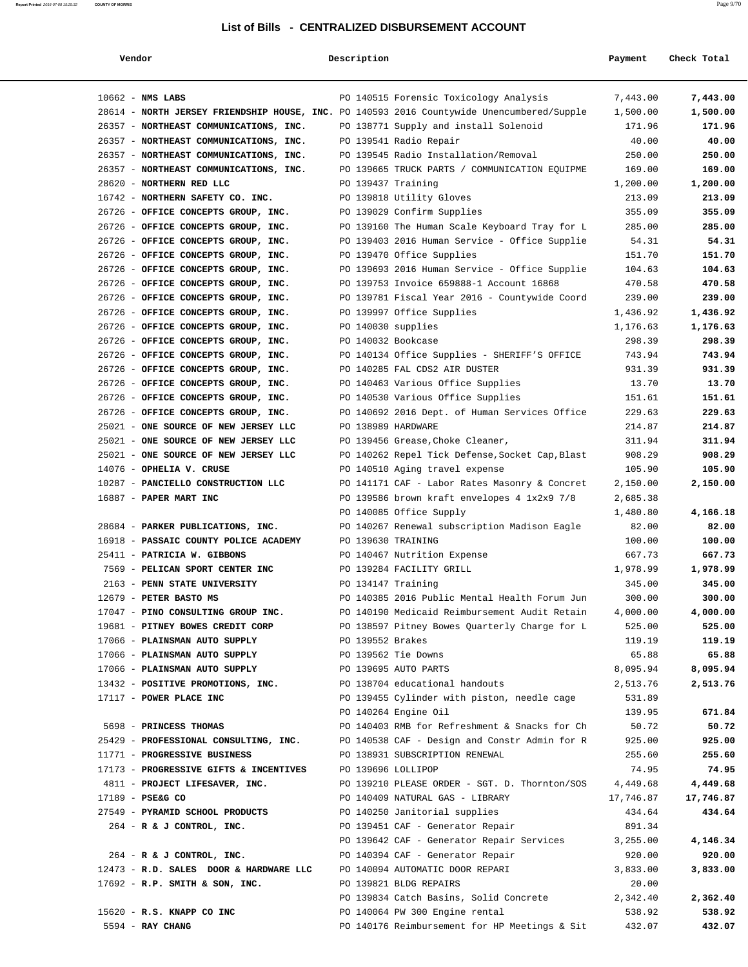| Vendor                                                                                    | Description        |                                                      | Payment   | Check Total |
|-------------------------------------------------------------------------------------------|--------------------|------------------------------------------------------|-----------|-------------|
| $10662$ - NMS LABS                                                                        |                    | PO 140515 Forensic Toxicology Analysis               | 7,443.00  | 7,443.00    |
| 28614 - NORTH JERSEY FRIENDSHIP HOUSE, INC. PO 140593 2016 Countywide Unencumbered/Supple |                    |                                                      | 1,500.00  | 1,500.00    |
| 26357 - NORTHEAST COMMUNICATIONS, INC.                                                    |                    | PO 138771 Supply and install Solenoid                | 171.96    | 171.96      |
| 26357 - NORTHEAST COMMUNICATIONS, INC.                                                    |                    | PO 139541 Radio Repair                               | 40.00     | 40.00       |
| 26357 - NORTHEAST COMMUNICATIONS, INC.                                                    |                    | PO 139545 Radio Installation/Removal                 | 250.00    | 250.00      |
| 26357 - NORTHEAST COMMUNICATIONS, INC.                                                    |                    | PO 139665 TRUCK PARTS / COMMUNICATION EQUIPME        | 169.00    | 169.00      |
| 28620 - NORTHERN RED LLC                                                                  | PO 139437 Training |                                                      | 1,200.00  | 1,200.00    |
| 16742 - NORTHERN SAFETY CO. INC.                                                          |                    | PO 139818 Utility Gloves                             | 213.09    | 213.09      |
| 26726 - OFFICE CONCEPTS GROUP, INC.                                                       |                    | PO 139029 Confirm Supplies                           | 355.09    | 355.09      |
| 26726 - OFFICE CONCEPTS GROUP, INC.                                                       |                    | PO 139160 The Human Scale Keyboard Tray for L        | 285.00    | 285.00      |
| 26726 - OFFICE CONCEPTS GROUP, INC.                                                       |                    | PO 139403 2016 Human Service - Office Supplie        | 54.31     | 54.31       |
| 26726 - OFFICE CONCEPTS GROUP, INC.                                                       |                    | PO 139470 Office Supplies                            | 151.70    | 151.70      |
| 26726 - OFFICE CONCEPTS GROUP, INC.                                                       |                    | PO 139693 2016 Human Service - Office Supplie        | 104.63    | 104.63      |
| 26726 - OFFICE CONCEPTS GROUP, INC.                                                       |                    | PO 139753 Invoice 659888-1 Account 16868             | 470.58    | 470.58      |
| 26726 - OFFICE CONCEPTS GROUP, INC.                                                       |                    | PO 139781 Fiscal Year 2016 - Countywide Coord        | 239.00    | 239.00      |
| 26726 - OFFICE CONCEPTS GROUP, INC.                                                       |                    | PO 139997 Office Supplies                            | 1,436.92  | 1,436.92    |
| 26726 - OFFICE CONCEPTS GROUP, INC.                                                       | PO 140030 supplies |                                                      | 1,176.63  | 1,176.63    |
| 26726 - OFFICE CONCEPTS GROUP, INC.                                                       | PO 140032 Bookcase |                                                      | 298.39    | 298.39      |
| 26726 - OFFICE CONCEPTS GROUP, INC.                                                       |                    | PO 140134 Office Supplies - SHERIFF'S OFFICE         | 743.94    | 743.94      |
| 26726 - OFFICE CONCEPTS GROUP, INC.                                                       |                    | PO 140285 FAL CDS2 AIR DUSTER                        | 931.39    | 931.39      |
| 26726 - OFFICE CONCEPTS GROUP, INC.                                                       |                    | PO 140463 Various Office Supplies                    | 13.70     | 13.70       |
| 26726 - OFFICE CONCEPTS GROUP, INC.                                                       |                    | PO 140530 Various Office Supplies                    | 151.61    | 151.61      |
| 26726 - OFFICE CONCEPTS GROUP, INC.                                                       |                    | PO 140692 2016 Dept. of Human Services Office        | 229.63    | 229.63      |
| 25021 - ONE SOURCE OF NEW JERSEY LLC                                                      | PO 138989 HARDWARE |                                                      | 214.87    | 214.87      |
| 25021 - ONE SOURCE OF NEW JERSEY LLC                                                      |                    | PO 139456 Grease, Choke Cleaner,                     | 311.94    | 311.94      |
| 25021 - ONE SOURCE OF NEW JERSEY LLC                                                      |                    | PO 140262 Repel Tick Defense, Socket Cap, Blast      | 908.29    | 908.29      |
| 14076 - OPHELIA V. CRUSE                                                                  |                    | PO 140510 Aging travel expense                       | 105.90    | 105.90      |
| 10287 - PANCIELLO CONSTRUCTION LLC                                                        |                    | PO 141171 CAF - Labor Rates Masonry & Concret        | 2,150.00  | 2,150.00    |
| 16887 - PAPER MART INC                                                                    |                    | PO 139586 brown kraft envelopes 4 1x2x9 7/8          | 2,685.38  |             |
|                                                                                           |                    | PO 140085 Office Supply                              | 1,480.80  | 4,166.18    |
| 28684 - PARKER PUBLICATIONS, INC.                                                         |                    | PO 140267 Renewal subscription Madison Eagle         | 82.00     | 82.00       |
| 16918 - PASSAIC COUNTY POLICE ACADEMY                                                     | PO 139630 TRAINING |                                                      | 100.00    | 100.00      |
| 25411 - PATRICIA W. GIBBONS                                                               |                    | PO 140467 Nutrition Expense                          | 667.73    | 667.73      |
| 7569 - PELICAN SPORT CENTER INC                                                           |                    | PO 139284 FACILITY GRILL                             | 1,978.99  | 1,978.99    |
| 2163 - PENN STATE UNIVERSITY                                                              | PO 134147 Training |                                                      | 345.00    | 345.00      |
| 12679 - PETER BASTO MS                                                                    |                    | PO 140385 2016 Public Mental Health Forum Jun        | 300.00    | 300.00      |
| 17047 - PINO CONSULTING GROUP INC.                                                        |                    | PO 140190 Medicaid Reimbursement Audit Retain        | 4,000.00  | 4,000.00    |
| 19681 - PITNEY BOWES CREDIT CORP                                                          |                    | PO 138597 Pitney Bowes Quarterly Charge for L        | 525.00    | 525.00      |
| 17066 - PLAINSMAN AUTO SUPPLY                                                             | PO 139552 Brakes   |                                                      | 119.19    | 119.19      |
| 17066 - PLAINSMAN AUTO SUPPLY THE PO 139562 Tie Downs                                     |                    |                                                      | 65.88     | 65.88       |
| 17066 - PLAINSMAN AUTO SUPPLY THE PO 139695 AUTO PARTS                                    |                    |                                                      | 8,095.94  | 8,095.94    |
| 13432 - POSITIVE PROMOTIONS, INC. PO 138704 educational handouts                          |                    |                                                      | 2,513.76  | 2,513.76    |
| 17117 - POWER PLACE INC                                                                   |                    | PO 139455 Cylinder with piston, needle cage          | 531.89    |             |
|                                                                                           |                    | PO 140264 Engine Oil                                 | 139.95    | 671.84      |
| 5698 - PRINCESS THOMAS                                                                    |                    | PO 140403 RMB for Refreshment & Snacks for Ch        | 50.72     | 50.72       |
| 25429 - PROFESSIONAL CONSULTING, INC. PO 140538 CAF - Design and Constr Admin for R       |                    |                                                      | 925.00    | 925.00      |
| 11771 - PROGRESSIVE BUSINESS                                                              |                    | PO 138931 SUBSCRIPTION RENEWAL                       | 255.60    | 255.60      |
| 17173 - PROGRESSIVE GIFTS & INCENTIVES PO 139696 LOLLIPOP                                 |                    |                                                      | 74.95     | 74.95       |
| 4811 - PROJECT LIFESAVER, INC.                                                            |                    | PO 139210 PLEASE ORDER - SGT. D. Thornton/SOS        | 4,449.68  | 4,449.68    |
| 17189 - PSE&G CO                                                                          |                    | PO 140409 NATURAL GAS - LIBRARY                      | 17,746.87 | 17,746.87   |
| 27549 - PYRAMID SCHOOL PRODUCTS                                                           |                    | PO 140250 Janitorial supplies                        | 434.64    | 434.64      |
| 264 - R & J CONTROL, INC.                                                                 |                    | PO 139451 CAF - Generator Repair                     | 891.34    |             |
|                                                                                           |                    | PO 139642 CAF - Generator Repair Services            | 3,255.00  | 4,146.34    |
| $264$ - R & J CONTROL, INC.                                                               |                    | PO 140394 CAF - Generator Repair                     | 920.00    | 920.00      |
| 12473 - R.D. SALES DOOR & HARDWARE LLC PO 140094 AUTOMATIC DOOR REPARI                    |                    |                                                      | 3,833.00  | 3,833.00    |
| $17692$ - R.P. SMITH & SON, INC.                                                          |                    | PO 139821 BLDG REPAIRS                               | 20.00     |             |
|                                                                                           |                    | PO 139834 Catch Basins, Solid Concrete               | 2,342.40  | 2,362.40    |
| 15620 - R.S. KNAPP CO INC                                                                 |                    | PO 140064 PW 300 Engine rental                       | 538.92    | 538.92      |
| $5594$ - RAY CHANG                                                                        |                    | PO 140176 Reimbursement for HP Meetings & Sit 432.07 |           | 432.07      |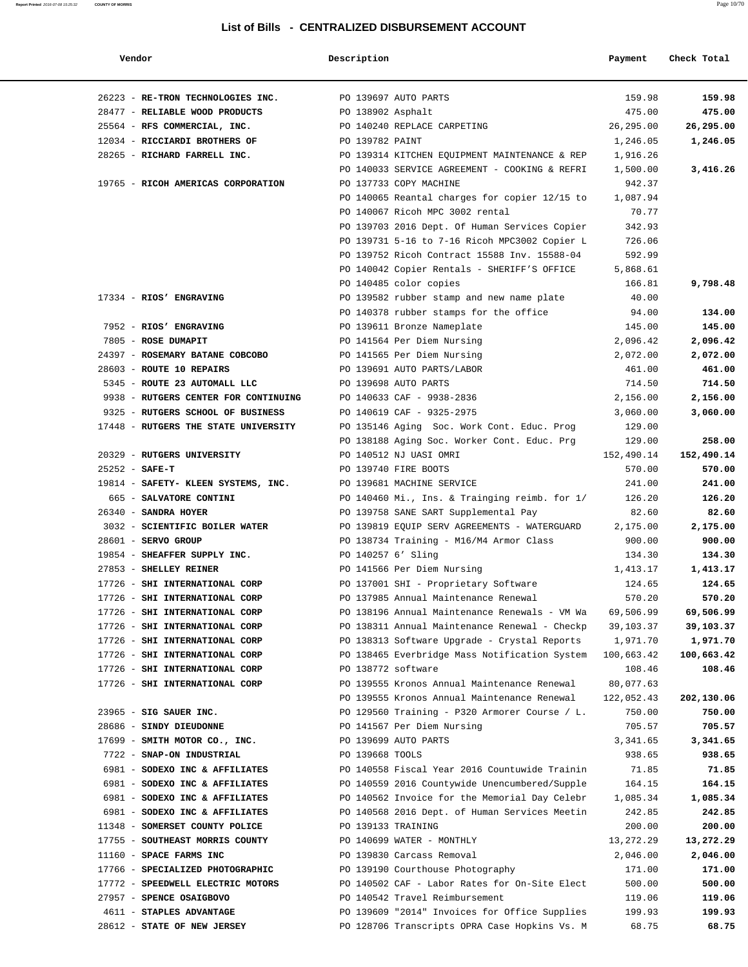| Vendor                                                  | Description        |                                                                                                | Payment         | Check Total     |
|---------------------------------------------------------|--------------------|------------------------------------------------------------------------------------------------|-----------------|-----------------|
| 26223 - RE-TRON TECHNOLOGIES INC.                       |                    | PO 139697 AUTO PARTS                                                                           | 159.98          | 159.98          |
| 28477 - RELIABLE WOOD PRODUCTS                          | PO 138902 Asphalt  |                                                                                                | 475.00          | 475.00          |
| 25564 - RFS COMMERCIAL, INC.                            |                    | PO 140240 REPLACE CARPETING                                                                    | 26,295.00       | 26,295.00       |
| 12034 - RICCIARDI BROTHERS OF                           | PO 139782 PAINT    |                                                                                                | 1,246.05        | 1,246.05        |
| 28265 - RICHARD FARRELL INC.                            |                    | PO 139314 KITCHEN EQUIPMENT MAINTENANCE & REP                                                  | 1,916.26        |                 |
|                                                         |                    | PO 140033 SERVICE AGREEMENT - COOKING & REFRI                                                  | 1,500.00        | 3,416.26        |
| 19765 - RICOH AMERICAS CORPORATION                      |                    | PO 137733 COPY MACHINE                                                                         | 942.37          |                 |
|                                                         |                    | PO 140065 Reantal charges for copier 12/15 to                                                  | 1,087.94        |                 |
|                                                         |                    | PO 140067 Ricoh MPC 3002 rental                                                                | 70.77           |                 |
|                                                         |                    | PO 139703 2016 Dept. Of Human Services Copier                                                  | 342.93          |                 |
|                                                         |                    | PO 139731 5-16 to 7-16 Ricoh MPC3002 Copier L                                                  | 726.06          |                 |
|                                                         |                    | PO 139752 Ricoh Contract 15588 Inv. 15588-04                                                   | 592.99          |                 |
|                                                         |                    | PO 140042 Copier Rentals - SHERIFF'S OFFICE                                                    | 5,868.61        |                 |
|                                                         |                    | PO 140485 color copies                                                                         | 166.81          | 9,798.48        |
| 17334 - RIOS' ENGRAVING                                 |                    | PO 139582 rubber stamp and new name plate                                                      | 40.00           |                 |
|                                                         |                    | PO 140378 rubber stamps for the office                                                         | 94.00           | 134.00          |
| 7952 - RIOS' ENGRAVING                                  |                    | PO 139611 Bronze Nameplate                                                                     | 145.00          | 145.00          |
| 7805 - ROSE DUMAPIT                                     |                    | PO 141564 Per Diem Nursing                                                                     | 2,096.42        | 2,096.42        |
| 24397 - ROSEMARY BATANE COBCOBO                         |                    | PO 141565 Per Diem Nursing                                                                     | 2,072.00        | 2,072.00        |
| 28603 - ROUTE 10 REPAIRS                                |                    | PO 139691 AUTO PARTS/LABOR                                                                     | 461.00          | 461.00          |
| 5345 - ROUTE 23 AUTOMALL LLC                            |                    | PO 139698 AUTO PARTS                                                                           | 714.50          | 714.50          |
| 9938 - RUTGERS CENTER FOR CONTINUING                    |                    | PO 140633 CAF - 9938-2836                                                                      | 2,156.00        | 2,156.00        |
| 9325 - RUTGERS SCHOOL OF BUSINESS                       |                    | PO 140619 CAF - 9325-2975                                                                      | 3,060.00        | 3,060.00        |
| 17448 - RUTGERS THE STATE UNIVERSITY                    |                    | PO 135146 Aging Soc. Work Cont. Educ. Prog                                                     | 129.00          |                 |
|                                                         |                    | PO 138188 Aging Soc. Worker Cont. Educ. Prg                                                    | 129.00          | 258.00          |
| 20329 - RUTGERS UNIVERSITY                              |                    | PO 140512 NJ UASI OMRI                                                                         | 152,490.14      | 152,490.14      |
| $25252 - SAFE-T$                                        |                    | PO 139740 FIRE BOOTS                                                                           | 570.00          | 570.00          |
| 19814 - SAFETY- KLEEN SYSTEMS, INC.                     |                    | PO 139681 MACHINE SERVICE                                                                      | 241.00          | 241.00          |
| 665 - SALVATORE CONTINI                                 |                    | PO 140460 Mi., Ins. & Trainging reimb. for 1/                                                  | 126.20          | 126.20          |
| 26340 - SANDRA HOYER                                    |                    | PO 139758 SANE SART Supplemental Pay                                                           | 82.60           | 82.60           |
| 3032 - SCIENTIFIC BOILER WATER                          |                    | PO 139819 EQUIP SERV AGREEMENTS - WATERGUARD                                                   | 2,175.00        | 2,175.00        |
| $28601$ - SERVO GROUP                                   |                    | PO 138734 Training - M16/M4 Armor Class                                                        | 900.00          | 900.00          |
| 19854 - SHEAFFER SUPPLY INC.                            | PO 140257 6' Sling |                                                                                                | 134.30          | 134.30          |
| 27853 - SHELLEY REINER                                  |                    | PO 141566 Per Diem Nursing                                                                     | 1,413.17        | 1,413.17        |
| 17726 - SHI INTERNATIONAL CORP                          |                    | PO 137001 SHI - Proprietary Software                                                           | 124.65          | 124.65          |
| 17726 - SHI INTERNATIONAL CORP                          |                    | PO 137985 Annual Maintenance Renewal                                                           | 570.20          | 570.20          |
| 17726 - SHI INTERNATIONAL CORP                          |                    | PO 138196 Annual Maintenance Renewals - VM Wa                                                  | 69,506.99       | 69,506.99       |
| 17726 - SHI INTERNATIONAL CORP                          |                    | PO 138311 Annual Maintenance Renewal - Checkp                                                  | 39,103.37       | 39,103.37       |
| 17726 - SHI INTERNATIONAL CORP                          |                    | PO 138313 Software Upgrade - Crystal Reports                                                   | 1,971.70        | 1,971.70        |
| 17726 - SHI INTERNATIONAL CORP                          |                    | PO 138465 Everbridge Mass Notification System                                                  | 100,663.42      | 100,663.42      |
| 17726 - SHI INTERNATIONAL CORP                          | PO 138772 software |                                                                                                | 108.46          | 108.46          |
| 17726 - SHI INTERNATIONAL CORP                          |                    | PO 139555 Kronos Annual Maintenance Renewal                                                    | 80,077.63       |                 |
|                                                         |                    | PO 139555 Kronos Annual Maintenance Renewal                                                    | 122,052.43      | 202,130.06      |
| 23965 - SIG SAUER INC.                                  |                    | PO 129560 Training - P320 Armorer Course / L.                                                  | 750.00          | 750.00          |
| 28686 - SINDY DIEUDONNE                                 |                    | PO 141567 Per Diem Nursing                                                                     | 705.57          | 705.57          |
| 17699 - SMITH MOTOR CO., INC.                           |                    | PO 139699 AUTO PARTS                                                                           | 3,341.65        | 3,341.65        |
| 7722 - SNAP-ON INDUSTRIAL                               | PO 139668 TOOLS    |                                                                                                | 938.65          | 938.65          |
| 6981 - SODEXO INC & AFFILIATES                          |                    | PO 140558 Fiscal Year 2016 Countuwide Trainin                                                  | 71.85           | 71.85           |
| 6981 - SODEXO INC & AFFILIATES                          |                    | PO 140559 2016 Countywide Unencumbered/Supple                                                  | 164.15          | 164.15          |
| 6981 - SODEXO INC & AFFILIATES                          |                    | PO 140562 Invoice for the Memorial Day Celebr                                                  | 1,085.34        | 1,085.34        |
| 6981 - SODEXO INC & AFFILIATES                          |                    | PO 140568 2016 Dept. of Human Services Meetin                                                  | 242.85          | 242.85          |
| 11348 - SOMERSET COUNTY POLICE                          | PO 139133 TRAINING |                                                                                                | 200.00          | 200.00          |
| 17755 - SOUTHEAST MORRIS COUNTY                         |                    | PO 140699 WATER - MONTHLY                                                                      | 13,272.29       | 13,272.29       |
| 11160 - SPACE FARMS INC                                 |                    | PO 139830 Carcass Removal                                                                      | 2,046.00        | 2,046.00        |
| 17766 - SPECIALIZED PHOTOGRAPHIC                        |                    | PO 139190 Courthouse Photography                                                               | 171.00          | 171.00          |
| 17772 - SPEEDWELL ELECTRIC MOTORS                       |                    | PO 140502 CAF - Labor Rates for On-Site Elect                                                  | 500.00          | 500.00          |
| 27957 - SPENCE OSAIGBOVO                                |                    | PO 140542 Travel Reimbursement                                                                 | 119.06          | 119.06          |
| 4611 - STAPLES ADVANTAGE<br>28612 - STATE OF NEW JERSEY |                    | PO 139609 "2014" Invoices for Office Supplies<br>PO 128706 Transcripts OPRA Case Hopkins Vs. M | 199.93<br>68.75 | 199.93<br>68.75 |
|                                                         |                    |                                                                                                |                 |                 |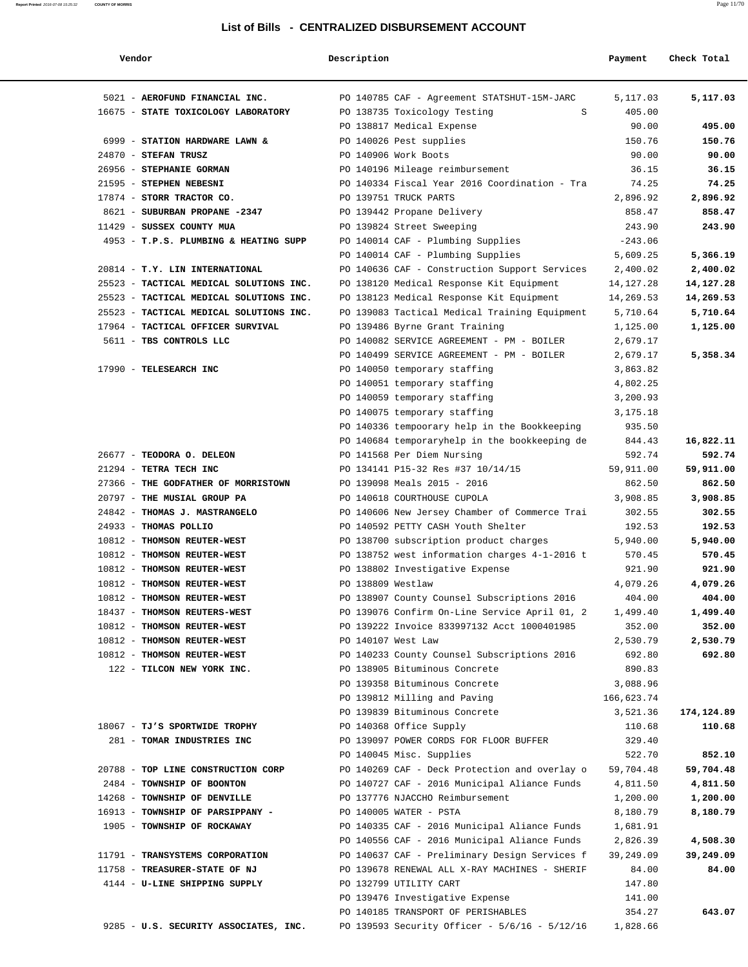| Vendor                                  | Description                                   | Payment     | Check Total |
|-----------------------------------------|-----------------------------------------------|-------------|-------------|
| 5021 - AEROFUND FINANCIAL INC.          | PO 140785 CAF - Agreement STATSHUT-15M-JARC   | 5,117.03    | 5,117.03    |
| 16675 - STATE TOXICOLOGY LABORATORY     | PO 138735 Toxicology Testing<br>S             | 405.00      |             |
|                                         | PO 138817 Medical Expense                     | 90.00       | 495.00      |
| 6999 - STATION HARDWARE LAWN &          | PO 140026 Pest supplies                       | 150.76      | 150.76      |
| $24870$ - STEFAN TRUSZ                  | PO 140906 Work Boots                          | 90.00       | 90.00       |
| 26956 - STEPHANIE GORMAN                | PO 140196 Mileage reimbursement               | 36.15       | 36.15       |
| 21595 - STEPHEN NEBESNI                 | PO 140334 Fiscal Year 2016 Coordination - Tra | 74.25       | 74.25       |
| 17874 - STORR TRACTOR CO.               | PO 139751 TRUCK PARTS                         | 2,896.92    | 2,896.92    |
| 8621 - SUBURBAN PROPANE -2347           | PO 139442 Propane Delivery                    | 858.47      | 858.47      |
| 11429 - SUSSEX COUNTY MUA               | PO 139824 Street Sweeping                     | 243.90      | 243.90      |
| 4953 - T.P.S. PLUMBING & HEATING SUPP   | PO 140014 CAF - Plumbing Supplies             | $-243.06$   |             |
|                                         | PO 140014 CAF - Plumbing Supplies             | 5,609.25    | 5,366.19    |
| 20814 - T.Y. LIN INTERNATIONAL          | PO 140636 CAF - Construction Support Services | 2,400.02    | 2,400.02    |
| 25523 - TACTICAL MEDICAL SOLUTIONS INC. | PO 138120 Medical Response Kit Equipment      | 14, 127. 28 | 14,127.28   |
| 25523 - TACTICAL MEDICAL SOLUTIONS INC. | PO 138123 Medical Response Kit Equipment      | 14,269.53   | 14,269.53   |
| 25523 - TACTICAL MEDICAL SOLUTIONS INC. | PO 139083 Tactical Medical Training Equipment | 5,710.64    | 5,710.64    |
| 17964 - TACTICAL OFFICER SURVIVAL       | PO 139486 Byrne Grant Training                | 1,125.00    | 1,125.00    |
| 5611 - TBS CONTROLS LLC                 | PO 140082 SERVICE AGREEMENT - PM - BOILER     | 2,679.17    |             |
|                                         | PO 140499 SERVICE AGREEMENT - PM - BOILER     | 2,679.17    | 5,358.34    |
| 17990 - TELESEARCH INC                  | PO 140050 temporary staffing                  | 3,863.82    |             |
|                                         | PO 140051 temporary staffing                  | 4,802.25    |             |
|                                         | PO 140059 temporary staffing                  | 3,200.93    |             |
|                                         | PO 140075 temporary staffing                  | 3,175.18    |             |
|                                         |                                               | 935.50      |             |
|                                         | PO 140336 tempoorary help in the Bookkeeping  |             |             |
|                                         | PO 140684 temporaryhelp in the bookkeeping de | 844.43      | 16,822.11   |
| 26677 - TEODORA O. DELEON               | PO 141568 Per Diem Nursing                    | 592.74      | 592.74      |
| 21294 - TETRA TECH INC                  | PO 134141 P15-32 Res #37 10/14/15             | 59,911.00   | 59,911.00   |
| 27366 - THE GODFATHER OF MORRISTOWN     | PO 139098 Meals 2015 - 2016                   | 862.50      | 862.50      |
| 20797 - THE MUSIAL GROUP PA             | PO 140618 COURTHOUSE CUPOLA                   | 3,908.85    | 3,908.85    |
| 24842 - THOMAS J. MASTRANGELO           | PO 140606 New Jersey Chamber of Commerce Trai | 302.55      | 302.55      |
| 24933 - THOMAS POLLIO                   | PO 140592 PETTY CASH Youth Shelter            | 192.53      | 192.53      |
| 10812 - THOMSON REUTER-WEST             | PO 138700 subscription product charges        | 5,940.00    | 5,940.00    |
| 10812 - THOMSON REUTER-WEST             | PO 138752 west information charges 4-1-2016 t | 570.45      | 570.45      |
| 10812 - THOMSON REUTER-WEST             | PO 138802 Investigative Expense               | 921.90      | 921.90      |
| 10812 - THOMSON REUTER-WEST             | PO 138809 Westlaw                             | 4,079.26    | 4,079.26    |
| 10812 - THOMSON REUTER-WEST             | PO 138907 County Counsel Subscriptions 2016   | 404.00      | 404.00      |
| 18437 - THOMSON REUTERS-WEST            | PO 139076 Confirm On-Line Service April 01, 2 | 1,499.40    | 1,499.40    |
| 10812 - THOMSON REUTER-WEST             | PO 139222 Invoice 833997132 Acct 1000401985   | 352.00      | 352.00      |
| 10812 - THOMSON REUTER-WEST             | PO 140107 West Law                            | 2,530.79    | 2,530.79    |
| 10812 - THOMSON REUTER-WEST             | PO 140233 County Counsel Subscriptions 2016   | 692.80      | 692.80      |
| 122 - TILCON NEW YORK INC.              | PO 138905 Bituminous Concrete                 | 890.83      |             |
|                                         | PO 139358 Bituminous Concrete                 | 3,088.96    |             |
|                                         | PO 139812 Milling and Paving                  | 166,623.74  |             |
|                                         | PO 139839 Bituminous Concrete                 | 3,521.36    | 174,124.89  |
| 18067 - TJ'S SPORTWIDE TROPHY           | PO 140368 Office Supply                       | 110.68      | 110.68      |
| 281 - TOMAR INDUSTRIES INC              | PO 139097 POWER CORDS FOR FLOOR BUFFER        | 329.40      |             |
|                                         | PO 140045 Misc. Supplies                      | 522.70      | 852.10      |
| 20788 - TOP LINE CONSTRUCTION CORP      | PO 140269 CAF - Deck Protection and overlay o | 59,704.48   | 59,704.48   |
| 2484 - TOWNSHIP OF BOONTON              | PO 140727 CAF - 2016 Municipal Aliance Funds  | 4,811.50    | 4,811.50    |
| 14268 - TOWNSHIP OF DENVILLE            | PO 137776 NJACCHO Reimbursement               | 1,200.00    | 1,200.00    |
| 16913 - TOWNSHIP OF PARSIPPANY -        | PO 140005 WATER - PSTA                        | 8,180.79    | 8,180.79    |
| 1905 - TOWNSHIP OF ROCKAWAY             | PO 140335 CAF - 2016 Municipal Aliance Funds  | 1,681.91    |             |

PO 140556 CAF - 2016 Municipal Aliance Funds 2,826.39 **4,508.30**

PO 139476 Investigative Expense 141.00

 11791 - **TRANSYSTEMS CORPORATION** PO 140637 CAF - Preliminary Design Services f 39,249.09 **39,249.09** 11758 - **TREASURER-STATE OF NJ** PO 139678 RENEWAL ALL X-RAY MACHINES - SHERIF 84.00 **84.00** 4144 - **U-LINE SHIPPING SUPPLY** PO 132799 UTILITY CART 147.80

9285 - **U.S. SECURITY ASSOCIATES, INC.** PO 139593 Security Officer - 5/6/16 - 5/12/16 1,828.66

PO 140185 TRANSPORT OF PERISHABLES 354.27 **643.07**

**Report Printed** 2016-07-08 15:25:32 **COUNTY OF MORRIS** Page 11/70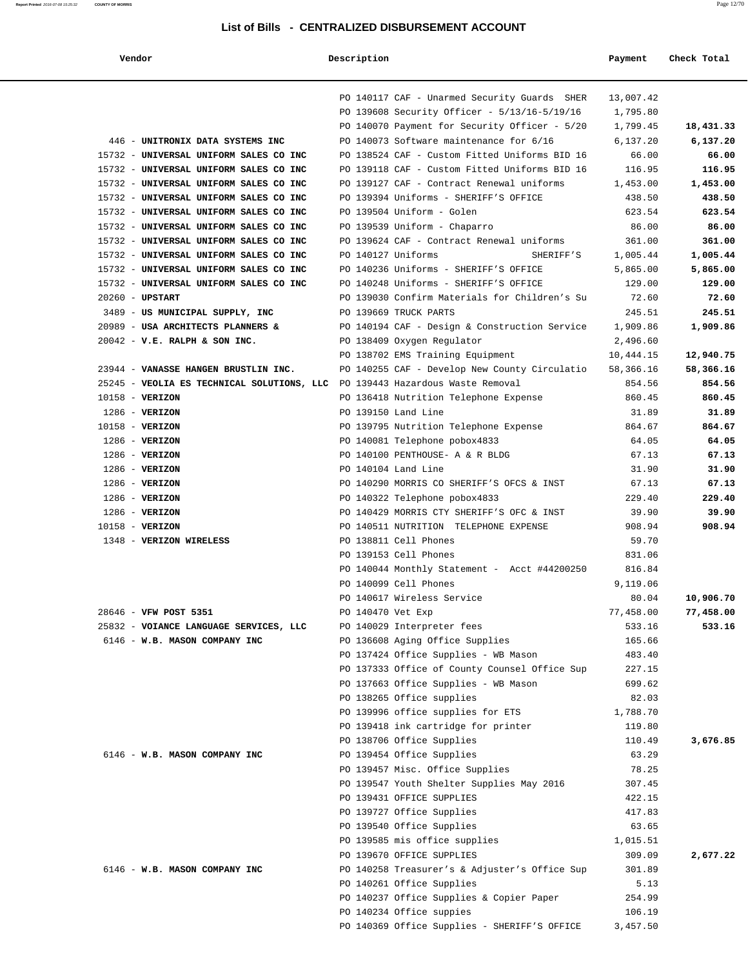**Report Printed** 2016-07-08 15:25:32 **COUNTY OF MORRIS** Page 12/70

| Vendor                                     | Description        |                                                                                              | Payment               | Check Total |
|--------------------------------------------|--------------------|----------------------------------------------------------------------------------------------|-----------------------|-------------|
|                                            |                    | PO 140117 CAF - Unarmed Security Guards SHER<br>PO 139608 Security Officer - 5/13/16-5/19/16 | 13,007.42<br>1,795.80 |             |
|                                            |                    | PO 140070 Payment for Security Officer - 5/20                                                | 1,799.45              | 18,431.33   |
| 446 - UNITRONIX DATA SYSTEMS INC           |                    | PO 140073 Software maintenance for 6/16                                                      | 6,137.20              | 6,137.20    |
| 15732 - UNIVERSAL UNIFORM SALES CO INC     |                    | PO 138524 CAF - Custom Fitted Uniforms BID 16                                                | 66.00                 | 66.00       |
| 15732 - UNIVERSAL UNIFORM SALES CO INC     |                    | PO 139118 CAF - Custom Fitted Uniforms BID 16                                                | 116.95                | 116.95      |
| 15732 - UNIVERSAL UNIFORM SALES CO INC     |                    | PO 139127 CAF - Contract Renewal uniforms                                                    | 1,453.00              | 1,453.00    |
| 15732 - UNIVERSAL UNIFORM SALES CO INC     |                    | PO 139394 Uniforms - SHERIFF'S OFFICE                                                        | 438.50                | 438.50      |
| 15732 - UNIVERSAL UNIFORM SALES CO INC     |                    | PO 139504 Uniform - Golen                                                                    | 623.54                | 623.54      |
| 15732 - UNIVERSAL UNIFORM SALES CO INC     |                    | PO 139539 Uniform - Chaparro                                                                 | 86.00                 | 86.00       |
| 15732 - UNIVERSAL UNIFORM SALES CO INC     |                    | PO 139624 CAF - Contract Renewal uniforms                                                    | 361.00                | 361.00      |
| 15732 - UNIVERSAL UNIFORM SALES CO INC     | PO 140127 Uniforms | SHERIFF'S                                                                                    | 1,005.44              | 1,005.44    |
| 15732 - UNIVERSAL UNIFORM SALES CO INC     |                    | PO 140236 Uniforms - SHERIFF'S OFFICE                                                        | 5,865.00              | 5,865.00    |
| 15732 - UNIVERSAL UNIFORM SALES CO INC     |                    | PO 140248 Uniforms - SHERIFF'S OFFICE                                                        | 129.00                | 129.00      |
| $20260$ - UPSTART                          |                    | PO 139030 Confirm Materials for Children's Su                                                | 72.60                 | 72.60       |
| 3489 - US MUNICIPAL SUPPLY, INC            |                    | PO 139669 TRUCK PARTS                                                                        | 245.51                | 245.51      |
| 20989 - USA ARCHITECTS PLANNERS &          |                    | PO 140194 CAF - Design & Construction Service                                                | 1,909.86              | 1,909.86    |
| $20042$ - V.E. RALPH & SON INC.            |                    | PO 138409 Oxygen Regulator                                                                   | 2,496.60              |             |
|                                            |                    | PO 138702 EMS Training Equipment                                                             | 10,444.15             | 12,940.75   |
| 23944 - VANASSE HANGEN BRUSTLIN INC.       |                    | PO 140255 CAF - Develop New County Circulatio                                                | 58,366.16             | 58,366.16   |
| 25245 - VEOLIA ES TECHNICAL SOLUTIONS, LLC |                    | PO 139443 Hazardous Waste Removal                                                            | 854.56                | 854.56      |
| $10158 - VERIZON$                          |                    | PO 136418 Nutrition Telephone Expense                                                        | 860.45                | 860.45      |
| $1286$ - VERIZON                           |                    | PO 139150 Land Line                                                                          | 31.89                 | 31.89       |
| 10158 - VERIZON                            |                    | PO 139795 Nutrition Telephone Expense                                                        | 864.67                | 864.67      |
| $1286$ - VERIZON                           |                    | PO 140081 Telephone pobox4833                                                                | 64.05                 | 64.05       |
| $1286$ - VERIZON                           |                    | PO 140100 PENTHOUSE- A & R BLDG                                                              | 67.13                 | 67.13       |
| $1286$ - VERIZON                           |                    | PO 140104 Land Line                                                                          | 31.90                 | 31.90       |
| $1286$ - VERIZON                           |                    | PO 140290 MORRIS CO SHERIFF'S OFCS & INST                                                    | 67.13                 | 67.13       |
| $1286$ - VERIZON                           |                    | PO 140322 Telephone pobox4833                                                                | 229.40                | 229.40      |
| $1286$ - VERIZON                           |                    | PO 140429 MORRIS CTY SHERIFF'S OFC & INST                                                    | 39.90                 | 39.90       |
| $10158 - VERIZON$                          |                    | PO 140511 NUTRITION TELEPHONE EXPENSE                                                        | 908.94                | 908.94      |
| 1348 - VERIZON WIRELESS                    |                    | PO 138811 Cell Phones                                                                        | 59.70                 |             |
|                                            |                    | PO 139153 Cell Phones                                                                        | 831.06                |             |
|                                            |                    | PO 140044 Monthly Statement - Acct #44200250                                                 | 816.84                |             |
|                                            |                    | PO 140099 Cell Phones                                                                        | 9,119.06              |             |
|                                            |                    | PO 140617 Wireless Service                                                                   | 80.04                 | 10,906.70   |
| 28646 - VFW POST 5351                      | PO 140470 Vet Exp  |                                                                                              | 77,458.00             | 77,458.00   |
| 25832 - VOIANCE LANGUAGE SERVICES, LLC     |                    | PO 140029 Interpreter fees                                                                   | 533.16                | 533.16      |
| 6146 - W.B. MASON COMPANY INC              |                    | PO 136608 Aging Office Supplies                                                              | 165.66                |             |
|                                            |                    | PO 137424 Office Supplies - WB Mason                                                         | 483.40                |             |
|                                            |                    | PO 137333 Office of County Counsel Office Sup                                                | 227.15                |             |
|                                            |                    | PO 137663 Office Supplies - WB Mason                                                         | 699.62                |             |
|                                            |                    | PO 138265 Office supplies                                                                    | 82.03                 |             |
|                                            |                    | PO 139996 office supplies for ETS                                                            | 1,788.70              |             |
|                                            |                    | PO 139418 ink cartridge for printer                                                          | 119.80                |             |
|                                            |                    |                                                                                              |                       |             |
|                                            |                    | PO 138706 Office Supplies                                                                    | 110.49                | 3,676.85    |
| 6146 - W.B. MASON COMPANY INC              |                    | PO 139454 Office Supplies                                                                    | 63.29                 |             |
|                                            |                    | PO 139457 Misc. Office Supplies                                                              | 78.25                 |             |
|                                            |                    | PO 139547 Youth Shelter Supplies May 2016                                                    | 307.45                |             |
|                                            |                    | PO 139431 OFFICE SUPPLIES                                                                    | 422.15                |             |
|                                            |                    | PO 139727 Office Supplies                                                                    | 417.83                |             |
|                                            |                    | PO 139540 Office Supplies                                                                    | 63.65                 |             |
|                                            |                    | PO 139585 mis office supplies                                                                | 1,015.51              |             |
|                                            |                    | PO 139670 OFFICE SUPPLIES                                                                    | 309.09                | 2,677.22    |
| 6146 - W.B. MASON COMPANY INC              |                    | PO 140258 Treasurer's & Adjuster's Office Sup                                                | 301.89                |             |
|                                            |                    | PO 140261 Office Supplies                                                                    | 5.13                  |             |
|                                            |                    | PO 140237 Office Supplies & Copier Paper                                                     | 254.99                |             |
|                                            |                    | PO 140234 Office suppies                                                                     | 106.19                |             |
|                                            |                    | PO 140369 Office Supplies - SHERIFF'S OFFICE                                                 | 3,457.50              |             |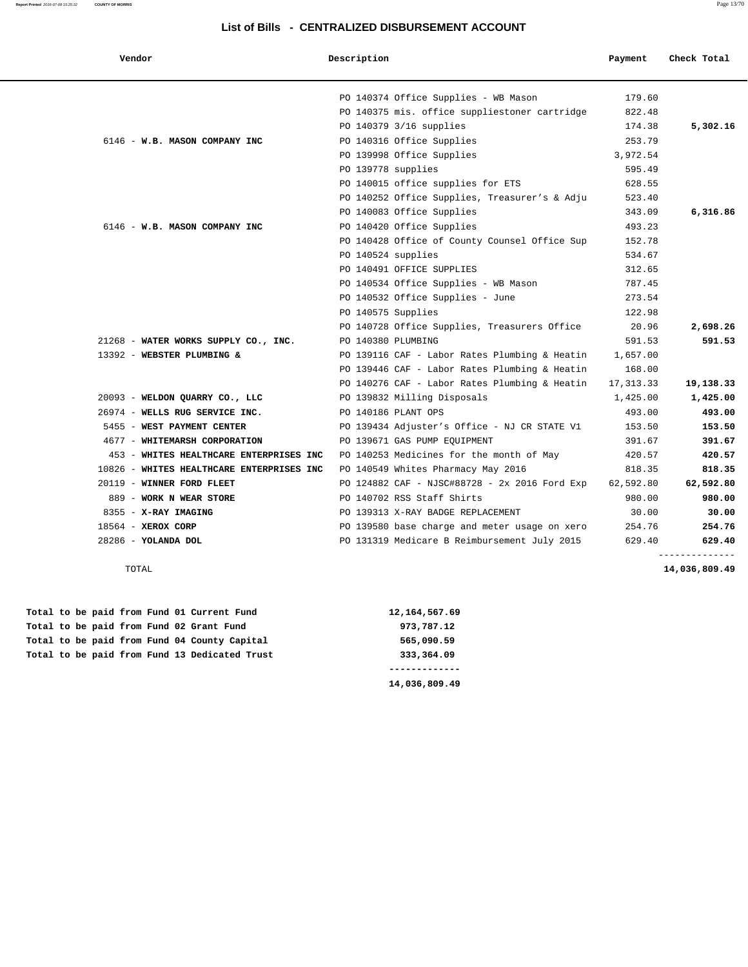| Report Printed 2016-07-08 15:25:32 | <b>COUNTY OF MORRIS</b> |  |  | Page 13/70 |
|------------------------------------|-------------------------|--|--|------------|
|                                    |                         |  |  |            |

| Vendor                                    | Description                                   | Payment    | Check Total    |
|-------------------------------------------|-----------------------------------------------|------------|----------------|
|                                           | PO 140374 Office Supplies - WB Mason          | 179.60     |                |
|                                           | PO 140375 mis. office suppliestoner cartridge | 822.48     |                |
|                                           | PO 140379 3/16 supplies                       | 174.38     | 5,302.16       |
| 6146 - W.B. MASON COMPANY INC             | PO 140316 Office Supplies                     | 253.79     |                |
|                                           | PO 139998 Office Supplies                     | 3,972.54   |                |
|                                           | PO 139778 supplies                            | 595.49     |                |
|                                           | PO 140015 office supplies for ETS             | 628.55     |                |
|                                           | PO 140252 Office Supplies, Treasurer's & Adju | 523.40     |                |
|                                           | PO 140083 Office Supplies                     | 343.09     | 6,316.86       |
| 6146 - W.B. MASON COMPANY INC             | PO 140420 Office Supplies                     | 493.23     |                |
|                                           | PO 140428 Office of County Counsel Office Sup | 152.78     |                |
|                                           | PO 140524 supplies                            | 534.67     |                |
|                                           | PO 140491 OFFICE SUPPLIES                     | 312.65     |                |
|                                           | PO 140534 Office Supplies - WB Mason          | 787.45     |                |
|                                           | PO 140532 Office Supplies - June              | 273.54     |                |
|                                           | PO 140575 Supplies                            | 122.98     |                |
|                                           | PO 140728 Office Supplies, Treasurers Office  | 20.96      | 2,698.26       |
| 21268 - WATER WORKS SUPPLY CO., INC.      | PO 140380 PLUMBING                            | 591.53     | 591.53         |
| 13392 - WEBSTER PLUMBING &                | PO 139116 CAF - Labor Rates Plumbing & Heatin | 1,657.00   |                |
|                                           | PO 139446 CAF - Labor Rates Plumbing & Heatin | 168.00     |                |
|                                           | PO 140276 CAF - Labor Rates Plumbing & Heatin | 17, 313.33 | 19,138.33      |
| 20093 - WELDON QUARRY CO., LLC            | PO 139832 Milling Disposals                   | 1,425.00   | 1,425.00       |
| 26974 - WELLS RUG SERVICE INC.            | PO 140186 PLANT OPS                           | 493.00     | 493.00         |
| 5455 - WEST PAYMENT CENTER                | PO 139434 Adjuster's Office - NJ CR STATE V1  | 153.50     | 153.50         |
| 4677 - WHITEMARSH CORPORATION             | PO 139671 GAS PUMP EQUIPMENT                  | 391.67     | 391.67         |
| 453 - WHITES HEALTHCARE ENTERPRISES INC   | PO 140253 Medicines for the month of May      | 420.57     | 420.57         |
| 10826 - WHITES HEALTHCARE ENTERPRISES INC | PO 140549 Whites Pharmacy May 2016            | 818.35     | 818.35         |
| 20119 - WINNER FORD FLEET                 | PO 124882 CAF - NJSC#88728 - 2x 2016 Ford Exp | 62,592.80  | 62,592.80      |
| 889 - WORK N WEAR STORE                   | PO 140702 RSS Staff Shirts                    | 980.00     | 980.00         |
| 8355 - X-RAY IMAGING                      | PO 139313 X-RAY BADGE REPLACEMENT             | 30.00      | 30.00          |
| 18564 - XEROX CORP                        | PO 139580 base charge and meter usage on xero | 254.76     | 254.76         |
| 28286 - YOLANDA DOL                       | PO 131319 Medicare B Reimbursement July 2015  | 629.40     | 629.40         |
|                                           |                                               |            | -------------- |

TOTAL **14,036,809.49**

|  |  |  |  | Total to be paid from Fund 01 Current Fund    | 12, 164, 567. 69 |
|--|--|--|--|-----------------------------------------------|------------------|
|  |  |  |  | Total to be paid from Fund 02 Grant Fund      | 973,787.12       |
|  |  |  |  | Total to be paid from Fund 04 County Capital  | 565,090.59       |
|  |  |  |  | Total to be paid from Fund 13 Dedicated Trust | 333,364.09       |
|  |  |  |  |                                               |                  |

 **14,036,809.49**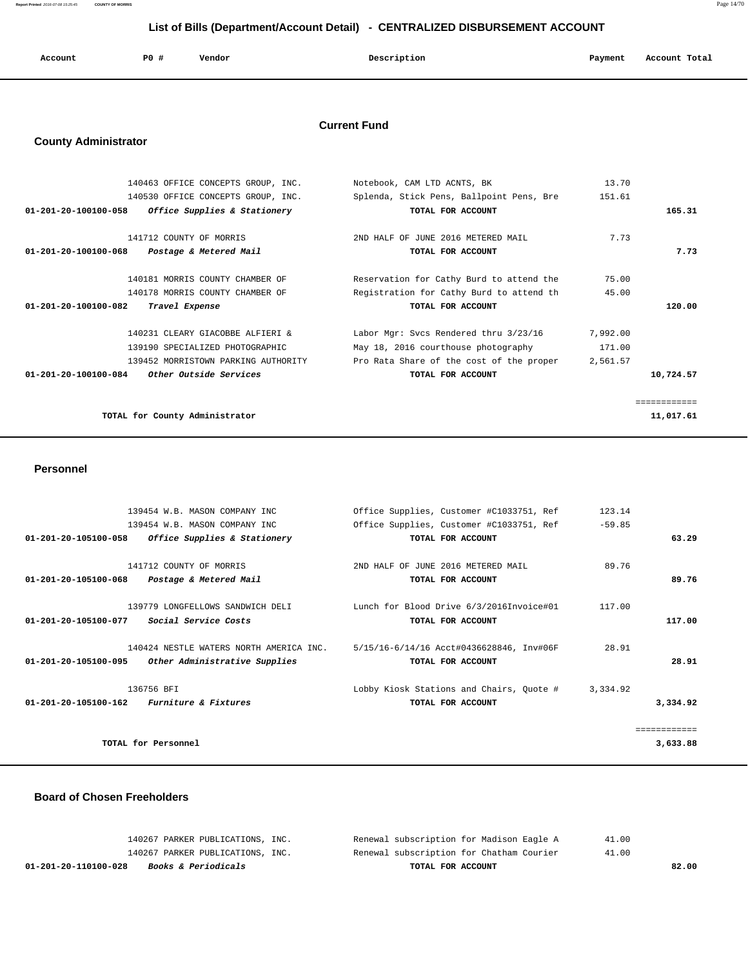**Report Printed** 2016-07-08 15:25:45 **COUNTY OF MORRIS** Page 14/70

# **List of Bills (Department/Account Detail) - CENTRALIZED DISBURSEMENT ACCOUNT**

| Account | PO # | Vendor | Description<br>$\sim$ $\sim$ | Payment<br>. . | Account Total |
|---------|------|--------|------------------------------|----------------|---------------|
|         |      |        |                              |                |               |

### **Current Fund**

# **County Administrator**

| 140463 OFFICE CONCEPTS GROUP, INC.                   | Notebook, CAM LTD ACNTS, BK              | 13.70    |             |
|------------------------------------------------------|------------------------------------------|----------|-------------|
| 140530 OFFICE CONCEPTS GROUP, INC.                   | Splenda, Stick Pens, Ballpoint Pens, Bre | 151.61   |             |
| 01-201-20-100100-058<br>Office Supplies & Stationery | TOTAL FOR ACCOUNT                        |          | 165.31      |
| 141712 COUNTY OF MORRIS                              | 2ND HALF OF JUNE 2016 METERED MAIL       | 7.73     |             |
| 01-201-20-100100-068<br>Postage & Metered Mail       | TOTAL FOR ACCOUNT                        |          | 7.73        |
| 140181 MORRIS COUNTY CHAMBER OF                      | Reservation for Cathy Burd to attend the | 75.00    |             |
| 140178 MORRIS COUNTY CHAMBER OF                      | Registration for Cathy Burd to attend th | 45.00    |             |
| Travel Expense<br>01-201-20-100100-082               | TOTAL FOR ACCOUNT                        |          | 120.00      |
| 140231 CLEARY GIACOBBE ALFIERI &                     | Labor Mgr: Svcs Rendered thru 3/23/16    | 7,992.00 |             |
| 139190 SPECIALIZED PHOTOGRAPHIC                      | May 18, 2016 courthouse photography      | 171.00   |             |
| 139452 MORRISTOWN PARKING AUTHORITY                  | Pro Rata Share of the cost of the proper | 2,561.57 |             |
| 01-201-20-100100-084<br>Other Outside Services       | TOTAL FOR ACCOUNT                        |          | 10,724.57   |
|                                                      |                                          |          | :========== |
| TOTAL for County Administrator                       |                                          |          | 11,017.61   |

#### **Personnel**

|              | 123.14   | Office Supplies, Customer #C1033751, Ref | 139454 W.B. MASON COMPANY INC           |                                |
|--------------|----------|------------------------------------------|-----------------------------------------|--------------------------------|
|              | $-59.85$ | Office Supplies, Customer #C1033751, Ref | 139454 W.B. MASON COMPANY INC           |                                |
| 63.29        |          | TOTAL FOR ACCOUNT                        | Office Supplies & Stationery            | $01 - 201 - 20 - 105100 - 058$ |
|              |          |                                          |                                         |                                |
|              | 89.76    | 2ND HALF OF JUNE 2016 METERED MAIL       | 141712 COUNTY OF MORRIS                 |                                |
| 89.76        |          | TOTAL FOR ACCOUNT                        | Postage & Metered Mail                  | $01 - 201 - 20 - 105100 - 068$ |
|              |          |                                          |                                         |                                |
|              | 117.00   | Lunch for Blood Drive 6/3/2016Invoice#01 | 139779 LONGFELLOWS SANDWICH DELI        |                                |
| 117.00       |          | TOTAL FOR ACCOUNT                        | Social Service Costs                    | 01-201-20-105100-077           |
|              |          |                                          |                                         |                                |
|              | 28.91    | 5/15/16-6/14/16 Acct#0436628846, Inv#06F | 140424 NESTLE WATERS NORTH AMERICA INC. |                                |
| 28.91        |          | TOTAL FOR ACCOUNT                        | Other Administrative Supplies           | 01-201-20-105100-095           |
|              |          |                                          |                                         |                                |
|              | 3,334.92 | Lobby Kiosk Stations and Chairs, Ouote # | 136756 BFI                              |                                |
| 3,334.92     |          | TOTAL FOR ACCOUNT                        | <i>Furniture &amp; Fixtures</i>         | 01-201-20-105100-162           |
|              |          |                                          |                                         |                                |
| ============ |          |                                          |                                         |                                |
| 3,633.88     |          |                                          | TOTAL for Personnel                     |                                |
|              |          |                                          |                                         |                                |

#### **Board of Chosen Freeholders**

| 01-201-20-110100-028 | <i>Books &amp; Periodicals</i>   | TOTAL FOR ACCOUNT                        | 82.00 |
|----------------------|----------------------------------|------------------------------------------|-------|
|                      | 140267 PARKER PUBLICATIONS, INC. | Renewal subscription for Chatham Courier | 41.00 |
|                      | 140267 PARKER PUBLICATIONS, INC. | Renewal subscription for Madison Eagle A | 41.00 |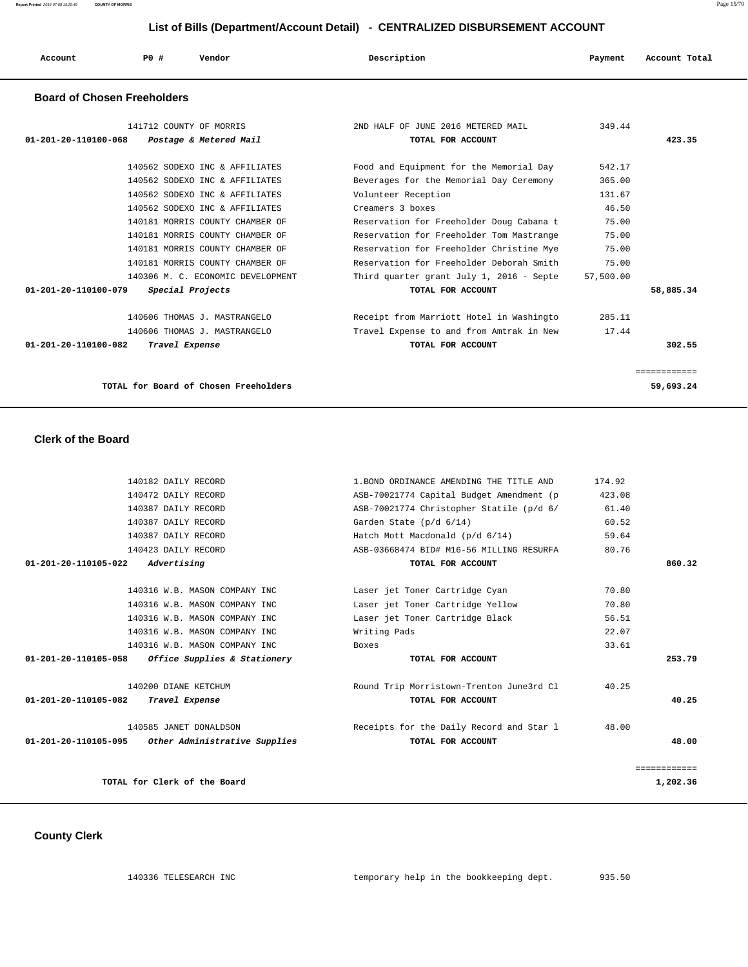**Report Printed** 2016-07-08 15:25:45 **COUNTY OF MORRIS** Page 15/70

# **List of Bills (Department/Account Detail) - CENTRALIZED DISBURSEMENT ACCOUNT**

| Account                            | <b>PO #</b> | Vendor | Description | Payment | Account Total |
|------------------------------------|-------------|--------|-------------|---------|---------------|
| <b>Board of Chosen Freeholders</b> |             |        |             |         |               |

| 141712 COUNTY OF MORRIS                            |                                       | 2ND HALF OF JUNE 2016 METERED MAIL       | 349.44    |              |
|----------------------------------------------------|---------------------------------------|------------------------------------------|-----------|--------------|
| 01-201-20-110100-068                               | Postage & Metered Mail                | TOTAL FOR ACCOUNT                        |           | 423.35       |
|                                                    | 140562 SODEXO INC & AFFILIATES        | Food and Equipment for the Memorial Day  | 542.17    |              |
|                                                    | 140562 SODEXO INC & AFFILIATES        | Beverages for the Memorial Day Ceremony  | 365.00    |              |
|                                                    | 140562 SODEXO INC & AFFILIATES        | Volunteer Reception                      | 131.67    |              |
|                                                    | 140562 SODEXO INC & AFFILIATES        | Creamers 3 boxes                         | 46.50     |              |
|                                                    | 140181 MORRIS COUNTY CHAMBER OF       | Reservation for Freeholder Doug Cabana t | 75.00     |              |
|                                                    | 140181 MORRIS COUNTY CHAMBER OF       | Reservation for Freeholder Tom Mastrange | 75.00     |              |
|                                                    | 140181 MORRIS COUNTY CHAMBER OF       | Reservation for Freeholder Christine Mye | 75.00     |              |
|                                                    | 140181 MORRIS COUNTY CHAMBER OF       | Reservation for Freeholder Deborah Smith | 75.00     |              |
|                                                    | 140306 M. C. ECONOMIC DEVELOPMENT     | Third quarter grant July 1, 2016 - Septe | 57,500.00 |              |
| $01 - 201 - 20 - 110100 - 079$<br>Special Projects |                                       | TOTAL FOR ACCOUNT                        |           | 58,885.34    |
|                                                    | 140606 THOMAS J. MASTRANGELO          | Receipt from Marriott Hotel in Washingto | 285.11    |              |
|                                                    | 140606 THOMAS J. MASTRANGELO          | Travel Expense to and from Amtrak in New | 17.44     |              |
| $01 - 201 - 20 - 110100 - 082$<br>Travel Expense   |                                       | TOTAL FOR ACCOUNT                        |           | 302.55       |
|                                                    |                                       |                                          |           | ============ |
|                                                    | TOTAL for Board of Chosen Freeholders |                                          |           | 59,693.24    |

 **Clerk of the Board** 

| 140182 DAILY RECORD                                   | 1. BOND ORDINANCE AMENDING THE TITLE AND | 174.92       |
|-------------------------------------------------------|------------------------------------------|--------------|
| 140472 DAILY RECORD                                   | ASB-70021774 Capital Budget Amendment (p | 423.08       |
| 140387 DAILY RECORD                                   | ASB-70021774 Christopher Statile (p/d 6/ | 61.40        |
| 140387 DAILY RECORD                                   | Garden State $(p/d 6/14)$                | 60.52        |
| 140387 DAILY RECORD                                   | Hatch Mott Macdonald (p/d 6/14)          | 59.64        |
| 140423 DAILY RECORD                                   | ASB-03668474 BID# M16-56 MILLING RESURFA | 80.76        |
| 01-201-20-110105-022<br>Advertising                   | TOTAL FOR ACCOUNT                        | 860.32       |
| 140316 W.B. MASON COMPANY INC                         | Laser jet Toner Cartridge Cyan           | 70.80        |
|                                                       |                                          |              |
| 140316 W.B. MASON COMPANY INC                         | Laser jet Toner Cartridge Yellow         | 70.80        |
| 140316 W.B. MASON COMPANY INC                         | Laser jet Toner Cartridge Black          | 56.51        |
| 140316 W.B. MASON COMPANY INC                         | Writing Pads                             | 22.07        |
| 140316 W.B. MASON COMPANY INC                         | Boxes                                    | 33.61        |
| Office Supplies & Stationery<br>01-201-20-110105-058  | TOTAL FOR ACCOUNT                        | 253.79       |
| 140200 DIANE KETCHUM                                  | Round Trip Morristown-Trenton June3rd Cl | 40.25        |
| 01-201-20-110105-082<br>Travel Expense                | TOTAL FOR ACCOUNT                        | 40.25        |
| 140585 JANET DONALDSON                                | Receipts for the Daily Record and Star 1 | 48.00        |
| 01-201-20-110105-095<br>Other Administrative Supplies | TOTAL FOR ACCOUNT                        | 48.00        |
|                                                       |                                          | ============ |
| TOTAL for Clerk of the Board                          |                                          | 1,202.36     |
|                                                       |                                          |              |

 **County Clerk**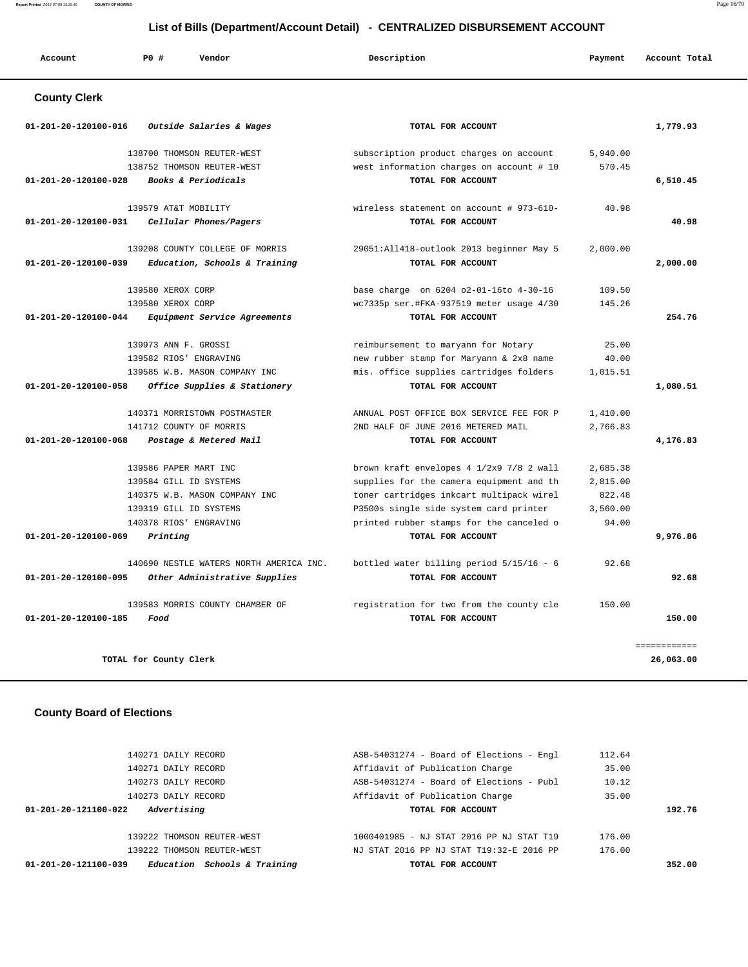**Report Printed** 2016-07-08 15:25:45 **COUNTY OF MORRIS** Page 16/70

#### **List of Bills (Department/Account Detail) - CENTRALIZED DISBURSEMENT ACCOUNT**

| Account                          | P0 #<br>Vendor                             | Description                                                                 | Payment         | Account Total |
|----------------------------------|--------------------------------------------|-----------------------------------------------------------------------------|-----------------|---------------|
| <b>County Clerk</b>              |                                            |                                                                             |                 |               |
| 01-201-20-120100-016             | Outside Salaries & Wages                   | TOTAL FOR ACCOUNT                                                           |                 | 1,779.93      |
|                                  |                                            |                                                                             |                 |               |
|                                  | 138700 THOMSON REUTER-WEST                 | subscription product charges on account                                     | 5,940.00        |               |
|                                  | 138752 THOMSON REUTER-WEST                 | west information charges on account # 10                                    | 570.45          |               |
| 01-201-20-120100-028             | Books & Periodicals                        | TOTAL FOR ACCOUNT                                                           |                 | 6,510.45      |
|                                  | 139579 AT&T MOBILITY                       | wireless statement on account # 973-610-                                    | 40.98           |               |
| 01-201-20-120100-031             | Cellular Phones/Pagers                     | TOTAL FOR ACCOUNT                                                           |                 | 40.98         |
|                                  |                                            |                                                                             |                 |               |
|                                  | 139208 COUNTY COLLEGE OF MORRIS            | 29051:All418-outlook 2013 beginner May 5                                    | 2,000.00        |               |
| 01-201-20-120100-039             | Education, Schools & Training              | TOTAL FOR ACCOUNT                                                           |                 | 2,000.00      |
|                                  | 139580 XEROX CORP                          | base charge on 6204 o2-01-16to 4-30-16                                      | 109.50          |               |
|                                  | 139580 XEROX CORP                          | wc7335p ser.#FKA-937519 meter usage 4/30                                    | 145.26          |               |
| 01-201-20-120100-044             | Equipment Service Agreements               | TOTAL FOR ACCOUNT                                                           |                 | 254.76        |
|                                  | 139973 ANN F. GROSSI                       | reimbursement to maryann for Notary                                         | 25.00           |               |
|                                  | 139582 RIOS' ENGRAVING                     | new rubber stamp for Maryann & 2x8 name                                     | 40.00           |               |
|                                  | 139585 W.B. MASON COMPANY INC              | mis. office supplies cartridges folders                                     | 1,015.51        |               |
| 01-201-20-120100-058             | Office Supplies & Stationery               | TOTAL FOR ACCOUNT                                                           |                 | 1,080.51      |
|                                  |                                            |                                                                             |                 |               |
|                                  | 140371 MORRISTOWN POSTMASTER               | ANNUAL POST OFFICE BOX SERVICE FEE FOR P                                    | 1,410.00        |               |
|                                  | 141712 COUNTY OF MORRIS                    | 2ND HALF OF JUNE 2016 METERED MAIL                                          | 2,766.83        |               |
| 01-201-20-120100-068             | Postage & Metered Mail                     | TOTAL FOR ACCOUNT                                                           |                 | 4,176.83      |
|                                  | 139586 PAPER MART INC                      | brown kraft envelopes 4 1/2x9 7/8 2 wall                                    | 2,685.38        |               |
|                                  | 139584 GILL ID SYSTEMS                     | supplies for the camera equipment and th                                    | 2,815.00        |               |
|                                  | 140375 W.B. MASON COMPANY INC              | toner cartridges inkcart multipack wirel                                    | 822.48          |               |
|                                  | 139319 GILL ID SYSTEMS                     | P3500s single side system card printer                                      | 3,560.00        |               |
|                                  | 140378 RIOS' ENGRAVING                     | printed rubber stamps for the canceled o                                    | 94.00           |               |
| 01-201-20-120100-069             | Printing                                   | TOTAL FOR ACCOUNT                                                           |                 | 9,976.86      |
|                                  | 140690 NESTLE WATERS NORTH AMERICA INC.    | bottled water billing period $5/15/16 - 6$                                  | 92.68           |               |
| 01-201-20-120100-095             | Other Administrative Supplies              | TOTAL FOR ACCOUNT                                                           |                 | 92.68         |
|                                  | 139583 MORRIS COUNTY CHAMBER OF            | registration for two from the county cle                                    | 150.00          |               |
| 01-201-20-120100-185             | Food                                       | TOTAL FOR ACCOUNT                                                           |                 | 150.00        |
|                                  |                                            |                                                                             |                 |               |
|                                  |                                            |                                                                             |                 | ============  |
|                                  | TOTAL for County Clerk                     |                                                                             |                 | 26,063.00     |
|                                  |                                            |                                                                             |                 |               |
| <b>County Board of Elections</b> |                                            |                                                                             |                 |               |
|                                  |                                            |                                                                             |                 |               |
|                                  |                                            |                                                                             |                 |               |
|                                  | 140271 DAILY RECORD<br>140271 DAILY RECORD | ASB-54031274 - Board of Elections - Engl<br>Affidavit of Publication Charge | 112.64<br>35.00 |               |
|                                  | 140273 DAILY RECORD                        | ASB-54031274 - Board of Elections - Publ                                    | 10.12           |               |
|                                  |                                            |                                                                             |                 |               |

 **01-201-20-121100-039 Education Schools & Training TOTAL FOR ACCOUNT 352.00**

 140273 DAILY RECORD Affidavit of Publication Charge 35.00  **01-201-20-121100-022 Advertising TOTAL FOR ACCOUNT 192.76** 139222 THOMSON REUTER-WEST 1000401985 - NJ STAT 2016 PP NJ STAT T19 176.00 139222 THOMSON REUTER-WEST NJ STAT 2016 PP NJ STAT T19:32-E 2016 PP 176.00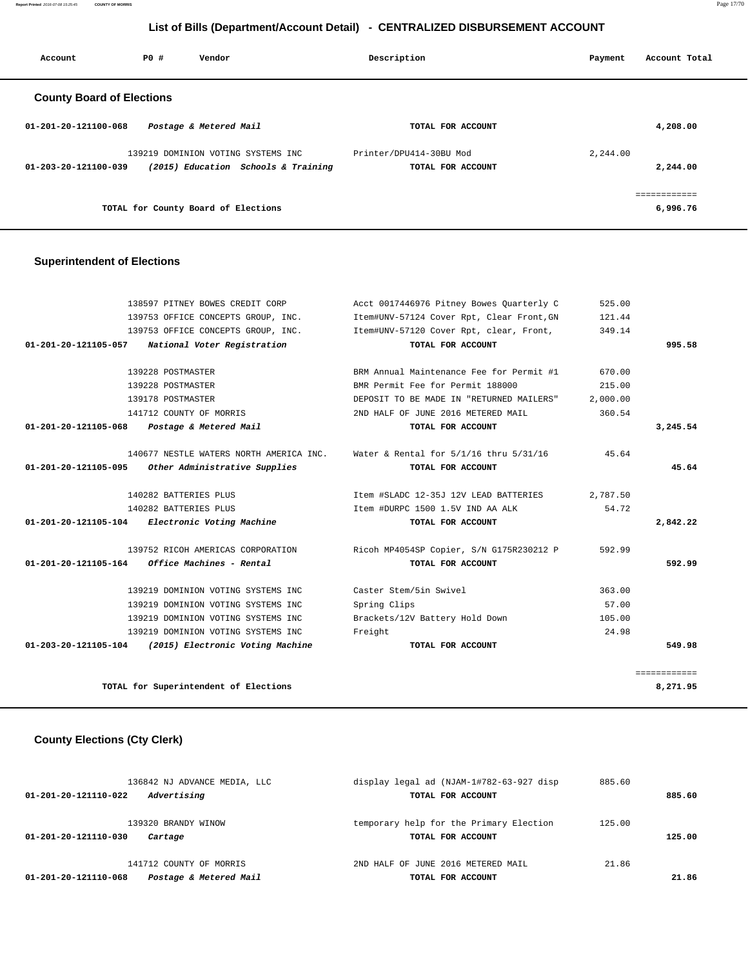**Report Printed** 2016-07-08 15:25:45 **COUNTY OF MORRIS** Page 17/70

# **List of Bills (Department/Account Detail) - CENTRALIZED DISBURSEMENT ACCOUNT**

| Account                          | PO#                                 | Vendor                 |                                                                           | Description             |                   | Payment  | Account Total            |
|----------------------------------|-------------------------------------|------------------------|---------------------------------------------------------------------------|-------------------------|-------------------|----------|--------------------------|
| <b>County Board of Elections</b> |                                     |                        |                                                                           |                         |                   |          |                          |
| $01 - 201 - 20 - 121100 - 068$   |                                     | Postage & Metered Mail |                                                                           |                         | TOTAL FOR ACCOUNT |          | 4,208.00                 |
| 01-203-20-121100-039             |                                     |                        | 139219 DOMINION VOTING SYSTEMS INC<br>(2015) Education Schools & Training | Printer/DPU414-30BU Mod | TOTAL FOR ACCOUNT | 2,244.00 | 2,244.00                 |
|                                  | TOTAL for County Board of Elections |                        |                                                                           |                         |                   |          | ------------<br>6,996.76 |

### **Superintendent of Elections**

|                      | 138597 PITNEY BOWES CREDIT CORP                       | Acct 0017446976 Pitney Bowes Ouarterly C                                       | 525.00   |              |
|----------------------|-------------------------------------------------------|--------------------------------------------------------------------------------|----------|--------------|
|                      | 139753 OFFICE CONCEPTS GROUP, INC.                    | Item#UNV-57124 Cover Rpt, Clear Front, GN                                      | 121.44   |              |
|                      | 139753 OFFICE CONCEPTS GROUP, INC.                    | Item#UNV-57120 Cover Rpt, clear, Front,                                        | 349.14   |              |
|                      | 01-201-20-121105-057 National Voter Registration      | TOTAL FOR ACCOUNT                                                              |          | 995.58       |
|                      |                                                       |                                                                                |          |              |
|                      | 139228 POSTMASTER                                     | BRM Annual Maintenance Fee for Permit #1                                       | 670.00   |              |
|                      | 139228 POSTMASTER                                     | BMR Permit Fee for Permit 188000                                               | 215.00   |              |
|                      | 139178 POSTMASTER                                     | DEPOSIT TO BE MADE IN "RETURNED MAILERS"                                       | 2,000.00 |              |
|                      | 141712 COUNTY OF MORRIS                               | 2ND HALF OF JUNE 2016 METERED MAIL                                             | 360.54   |              |
|                      | 01-201-20-121105-068 Postage & Metered Mail           | TOTAL FOR ACCOUNT                                                              |          | 3,245.54     |
|                      |                                                       | 140677 NESTLE WATERS NORTH AMERICA INC. Water & Rental for 5/1/16 thru 5/31/16 | 45.64    |              |
| 01-201-20-121105-095 | Other Administrative Supplies                         | TOTAL FOR ACCOUNT                                                              |          | 45.64        |
|                      | 140282 BATTERIES PLUS                                 | Item #SLADC 12-35J 12V LEAD BATTERIES                                          | 2,787.50 |              |
|                      | 140282 BATTERIES PLUS                                 | Item #DURPC 1500 1.5V IND AA ALK                                               | 54.72    |              |
|                      | 01-201-20-121105-104 Electronic Voting Machine        | TOTAL FOR ACCOUNT                                                              |          | 2,842.22     |
|                      | 139752 RICOH AMERICAS CORPORATION                     | Ricoh MP4054SP Copier, S/N G175R230212 P                                       | 592.99   |              |
|                      | $01-201-20-121105-164$ Office Machines - Rental       | TOTAL FOR ACCOUNT                                                              |          | 592.99       |
|                      | 139219 DOMINION VOTING SYSTEMS INC                    | Caster Stem/5in Swivel                                                         | 363.00   |              |
|                      | 139219 DOMINION VOTING SYSTEMS INC                    | Spring Clips                                                                   | 57.00    |              |
|                      | 139219 DOMINION VOTING SYSTEMS INC                    | Brackets/12V Battery Hold Down                                                 | 105.00   |              |
|                      | 139219 DOMINION VOTING SYSTEMS INC                    | Freight                                                                        | 24.98    |              |
|                      | 01-203-20-121105-104 (2015) Electronic Voting Machine | TOTAL FOR ACCOUNT                                                              |          | 549.98       |
|                      |                                                       |                                                                                |          | ============ |
|                      | TOTAL for Superintendent of Elections                 |                                                                                |          | 8,271.95     |
|                      |                                                       |                                                                                |          |              |

# **County Elections (Cty Clerk)**

| 136842 NJ ADVANCE MEDIA, LLC                           | display legal ad (NJAM-1#782-63-927 disp                     | 885.60 |        |
|--------------------------------------------------------|--------------------------------------------------------------|--------|--------|
| Advertising<br>01-201-20-121110-022                    | TOTAL FOR ACCOUNT                                            |        | 885.60 |
| 139320 BRANDY WINOW<br>01-201-20-121110-030<br>Cartage | temporary help for the Primary Election<br>TOTAL FOR ACCOUNT | 125.00 | 125.00 |
| 141712 COUNTY OF MORRIS                                | 2ND HALF OF JUNE 2016 METERED MAIL                           | 21.86  |        |
| Postage & Metered Mail<br>01-201-20-121110-068         | TOTAL FOR ACCOUNT                                            |        | 21.86  |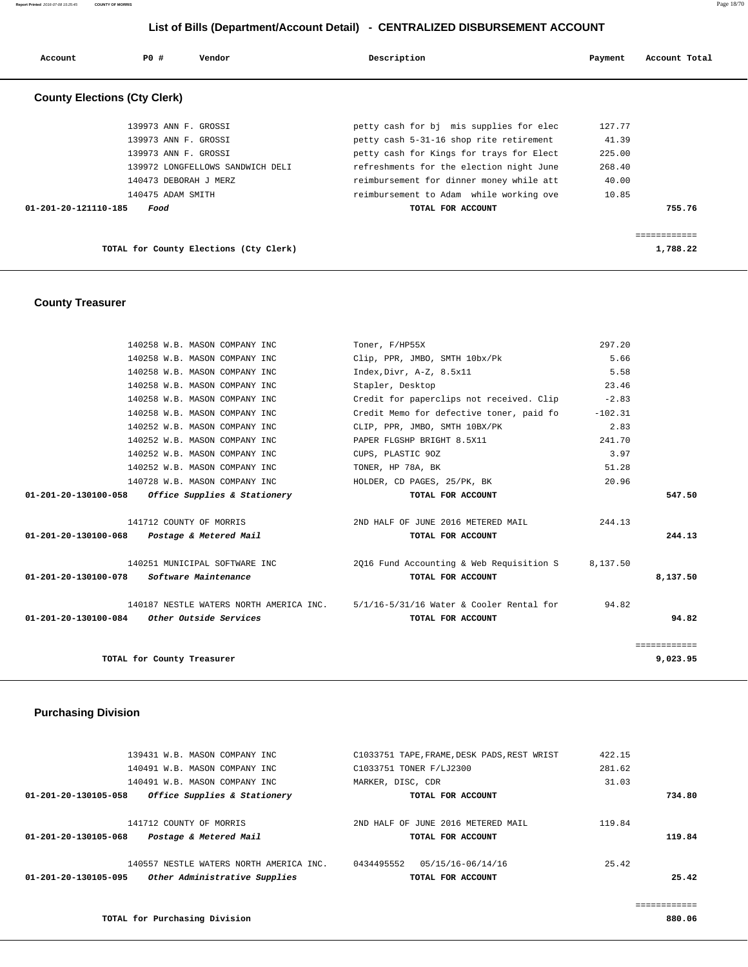| Account                             | PO#<br>Vendor                          | Description                              | Payment | Account Total |
|-------------------------------------|----------------------------------------|------------------------------------------|---------|---------------|
| <b>County Elections (Cty Clerk)</b> |                                        |                                          |         |               |
|                                     | 139973 ANN F. GROSSI                   | petty cash for bj mis supplies for elec  | 127.77  |               |
|                                     | 139973 ANN F. GROSSI                   | petty cash 5-31-16 shop rite retirement  | 41.39   |               |
|                                     | 139973 ANN F. GROSSI                   | petty cash for Kings for trays for Elect | 225.00  |               |
|                                     | 139972 LONGFELLOWS SANDWICH DELI       | refreshments for the election night June | 268.40  |               |
|                                     | 140473 DEBORAH J MERZ                  | reimbursement for dinner money while att | 40.00   |               |
|                                     | 140475 ADAM SMITH                      | reimbursement to Adam while working ove  | 10.85   |               |
| 01-201-20-121110-185                | Food                                   | TOTAL FOR ACCOUNT                        |         | 755.76        |
|                                     |                                        |                                          |         | ------------  |
|                                     | TOTAL for County Elections (Cty Clerk) |                                          |         | 1,788.22      |

 **County Treasurer** 

| 140258 W.B. MASON COMPANY INC                       | Toner, F/HP55X                                                                   | 297.20    |              |
|-----------------------------------------------------|----------------------------------------------------------------------------------|-----------|--------------|
| 140258 W.B. MASON COMPANY INC                       | Clip, PPR, JMBO, SMTH 10bx/Pk                                                    | 5.66      |              |
| 140258 W.B. MASON COMPANY INC                       | Index, Divr, A-Z, 8.5x11                                                         | 5.58      |              |
| 140258 W.B. MASON COMPANY INC                       | Stapler, Desktop                                                                 | 23.46     |              |
| 140258 W.B. MASON COMPANY INC                       | Credit for paperclips not received. Clip                                         | $-2.83$   |              |
| 140258 W.B. MASON COMPANY INC                       | Credit Memo for defective toner, paid fo                                         | $-102.31$ |              |
| 140252 W.B. MASON COMPANY INC                       | CLIP, PPR, JMBO, SMTH 10BX/PK                                                    | 2.83      |              |
| 140252 W.B. MASON COMPANY INC                       | PAPER FLGSHP BRIGHT 8.5X11                                                       | 241.70    |              |
| 140252 W.B. MASON COMPANY INC                       | CUPS, PLASTIC 90Z                                                                | 3.97      |              |
| 140252 W.B. MASON COMPANY INC                       | TONER, HP 78A, BK                                                                | 51.28     |              |
| 140728 W.B. MASON COMPANY INC                       | HOLDER, CD PAGES, 25/PK, BK                                                      | 20.96     |              |
| $01-201-20-130100-058$ Office Supplies & Stationery | TOTAL FOR ACCOUNT                                                                |           | 547.50       |
| 141712 COUNTY OF MORRIS                             | 2ND HALF OF JUNE 2016 METERED MAIL                                               | 244.13    |              |
| 01-201-20-130100-068<br>Postage & Metered Mail      | TOTAL FOR ACCOUNT                                                                |           | 244.13       |
| 140251 MUNICIPAL SOFTWARE INC                       | 2016 Fund Accounting & Web Requisition S 8,137.50                                |           |              |
| <i>Software Maintenance</i><br>01-201-20-130100-078 | TOTAL FOR ACCOUNT                                                                |           | 8,137.50     |
|                                                     | 140187 NESTLE WATERS NORTH AMERICA INC. 5/1/16-5/31/16 Water & Cooler Rental for | 94.82     |              |
| $01-201-20-130100-084$ Other Outside Services       | TOTAL FOR ACCOUNT                                                                |           | 94.82        |
|                                                     |                                                                                  |           | ============ |
| TOTAL for County Treasurer                          |                                                                                  |           | 9,023.95     |

### **Purchasing Division**

| 01-201-20-130105-095    | Other Administrative Supplies           |                         | TOTAL FOR ACCOUNT                           |        | 25.42  |
|-------------------------|-----------------------------------------|-------------------------|---------------------------------------------|--------|--------|
|                         | 140557 NESTLE WATERS NORTH AMERICA INC. | 0434495552              | 05/15/16-06/14/16                           | 25.42  |        |
| 01-201-20-130105-068    | Postage & Metered Mail                  |                         | TOTAL FOR ACCOUNT                           |        | 119.84 |
| 141712 COUNTY OF MORRIS |                                         |                         | 2ND HALF OF JUNE 2016 METERED MAIL          | 119.84 |        |
| 01-201-20-130105-058    | Office Supplies & Stationery            |                         | TOTAL FOR ACCOUNT                           |        | 734.80 |
|                         | 140491 W.B. MASON COMPANY INC           | MARKER, DISC, CDR       |                                             | 31.03  |        |
|                         | 140491 W.B. MASON COMPANY INC           | C1033751 TONER F/LJ2300 |                                             | 281.62 |        |
|                         | 139431 W.B. MASON COMPANY INC.          |                         | C1033751 TAPE, FRAME, DESK PADS, REST WRIST | 422.15 |        |

============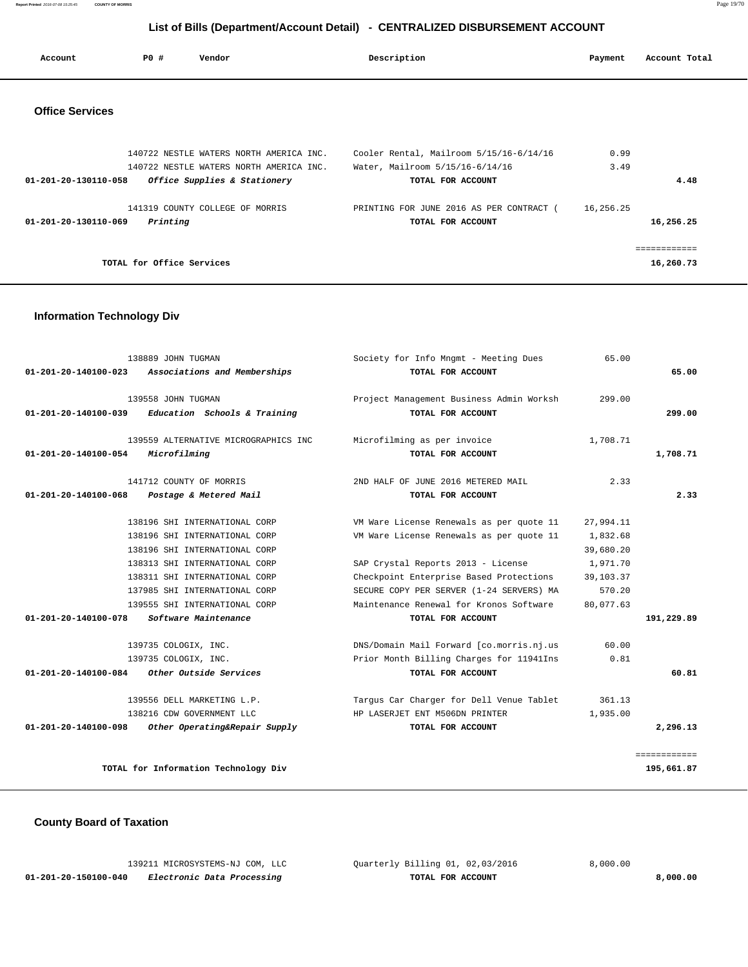**Report Printed** 2016-07-08 15:25:45 **COUNTY OF MORRIS** Page 19/70

# **List of Bills (Department/Account Detail) - CENTRALIZED DISBURSEMENT ACCOUNT**

| Account                | PO#                       | Vendor                                  | Description                              | Payment   | Account Total |
|------------------------|---------------------------|-----------------------------------------|------------------------------------------|-----------|---------------|
| <b>Office Services</b> |                           |                                         |                                          |           |               |
|                        |                           | 140722 NESTLE WATERS NORTH AMERICA INC. | Cooler Rental, Mailroom 5/15/16-6/14/16  | 0.99      |               |
|                        |                           | 140722 NESTLE WATERS NORTH AMERICA INC. | Water, Mailroom 5/15/16-6/14/16          | 3.49      |               |
| 01-201-20-130110-058   |                           | Office Supplies & Stationery            | TOTAL FOR ACCOUNT                        |           | 4.48          |
|                        |                           | 141319 COUNTY COLLEGE OF MORRIS         | PRINTING FOR JUNE 2016 AS PER CONTRACT ( | 16,256.25 |               |
| 01-201-20-130110-069   | Printing                  |                                         | TOTAL FOR ACCOUNT                        |           | 16,256.25     |
|                        |                           |                                         |                                          |           | ============  |
|                        | TOTAL for Office Services |                                         |                                          |           | 16,260.73     |

### **Information Technology Div**

|              | 65.00     | Society for Info Mngmt - Meeting Dues    | 138889 JOHN TUGMAN                   |                                |
|--------------|-----------|------------------------------------------|--------------------------------------|--------------------------------|
| 65.00        |           | TOTAL FOR ACCOUNT                        | Associations and Memberships         | 01-201-20-140100-023           |
|              |           |                                          |                                      |                                |
|              | 299.00    | Project Management Business Admin Worksh | 139558 JOHN TUGMAN                   |                                |
| 299.00       |           | TOTAL FOR ACCOUNT                        | Education Schools & Training         | $01 - 201 - 20 - 140100 - 039$ |
|              | 1,708.71  | Microfilming as per invoice              | 139559 ALTERNATIVE MICROGRAPHICS INC |                                |
| 1,708.71     |           | TOTAL FOR ACCOUNT                        | Microfilming                         | 01-201-20-140100-054           |
|              | 2.33      | 2ND HALF OF JUNE 2016 METERED MAIL       | 141712 COUNTY OF MORRIS              |                                |
| 2.33         |           |                                          |                                      | 01-201-20-140100-068           |
|              |           | TOTAL FOR ACCOUNT                        | Postage & Metered Mail               |                                |
|              | 27,994.11 | VM Ware License Renewals as per quote 11 | 138196 SHI INTERNATIONAL CORP        |                                |
|              | 1,832.68  | VM Ware License Renewals as per quote 11 | 138196 SHI INTERNATIONAL CORP        |                                |
|              | 39,680.20 |                                          | 138196 SHI INTERNATIONAL CORP        |                                |
|              | 1,971.70  | SAP Crystal Reports 2013 - License       | 138313 SHI INTERNATIONAL CORP        |                                |
|              | 39,103.37 | Checkpoint Enterprise Based Protections  | 138311 SHI INTERNATIONAL CORP        |                                |
|              | 570.20    | SECURE COPY PER SERVER (1-24 SERVERS) MA | 137985 SHI INTERNATIONAL CORP        |                                |
|              | 80,077.63 | Maintenance Renewal for Kronos Software  | 139555 SHI INTERNATIONAL CORP        |                                |
| 191,229.89   |           | TOTAL FOR ACCOUNT                        | Software Maintenance                 | 01-201-20-140100-078           |
|              | 60.00     | DNS/Domain Mail Forward [co.morris.nj.us | 139735 COLOGIX, INC.                 |                                |
|              | 0.81      | Prior Month Billing Charges for 11941Ins | 139735 COLOGIX, INC.                 |                                |
| 60.81        |           | TOTAL FOR ACCOUNT                        | <i>Other Outside Services</i>        | 01-201-20-140100-084           |
|              | 361.13    | Tarqus Car Charger for Dell Venue Tablet | 139556 DELL MARKETING L.P.           |                                |
|              | 1,935.00  | HP LASERJET ENT M506DN PRINTER           | 138216 CDW GOVERNMENT LLC            |                                |
| 2,296.13     |           | TOTAL FOR ACCOUNT                        | Other Operating&Repair Supply        | 01-201-20-140100-098           |
|              |           |                                          |                                      |                                |
| ============ |           |                                          |                                      |                                |
| 195,661.87   |           |                                          | TOTAL for Information Technology Div |                                |
|              |           |                                          |                                      |                                |

# **County Board of Taxation**

|                      | 139211 MICROSYSTEMS-NJ COM, LLC | Ouarterly Billing 01, 02,03/2016 | 8.000.00 |
|----------------------|---------------------------------|----------------------------------|----------|
| 01-201-20-150100-040 | Electronic Data Processing      | TOTAL FOR ACCOUNT                | 8,000,00 |
|                      |                                 |                                  |          |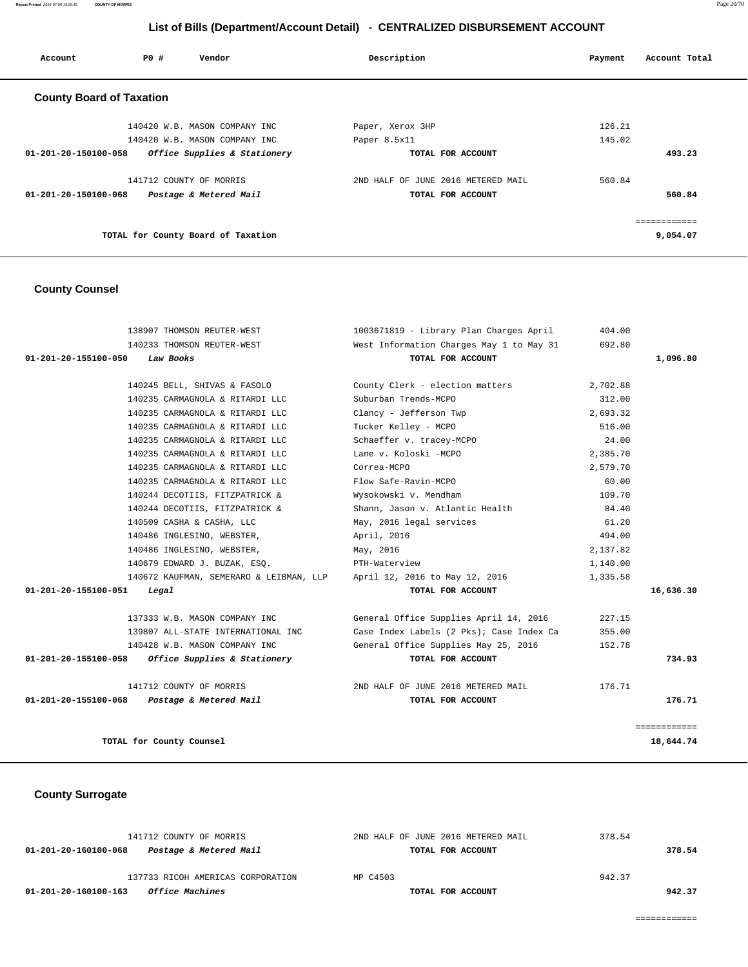**Report Printed** 2016-07-08 15:25:45 **COUNTY OF MORRIS** Page 20/70

# **List of Bills (Department/Account Detail) - CENTRALIZED DISBURSEMENT ACCOUNT**

| Account                         | PO# | Vendor                             | Description                        | Payment | Account Total |
|---------------------------------|-----|------------------------------------|------------------------------------|---------|---------------|
| <b>County Board of Taxation</b> |     |                                    |                                    |         |               |
|                                 |     | 140420 W.B. MASON COMPANY INC      | Paper, Xerox 3HP                   | 126.21  |               |
|                                 |     | 140420 W.B. MASON COMPANY INC      | Paper 8.5x11                       | 145.02  |               |
| 01-201-20-150100-058            |     | Office Supplies & Stationery       | TOTAL FOR ACCOUNT                  |         | 493.23        |
|                                 |     | 141712 COUNTY OF MORRIS            | 2ND HALF OF JUNE 2016 METERED MAIL | 560.84  |               |
| $01 - 201 - 20 - 150100 - 068$  |     | Postage & Metered Mail             | TOTAL FOR ACCOUNT                  |         | 560.84        |
|                                 |     |                                    |                                    |         | ===========   |
|                                 |     | TOTAL for County Board of Taxation |                                    |         | 9,054.07      |

# **County Counsel**

| 138907 THOMSON REUTER-WEST                                             | 1003671819 - Library Plan Charges April  | 404.00   |              |
|------------------------------------------------------------------------|------------------------------------------|----------|--------------|
| 140233 THOMSON REUTER-WEST                                             | West Information Charges May 1 to May 31 | 692.80   |              |
| 01-201-20-155100-050<br>Law Books                                      | TOTAL FOR ACCOUNT                        |          | 1,096.80     |
|                                                                        |                                          |          |              |
| 140245 BELL, SHIVAS & FASOLO                                           | County Clerk - election matters          | 2,702.88 |              |
| 140235 CARMAGNOLA & RITARDI LLC                                        | Suburban Trends-MCPO                     | 312.00   |              |
| 140235 CARMAGNOLA & RITARDI LLC                                        | Clancy - Jefferson Twp                   | 2,693.32 |              |
| 140235 CARMAGNOLA & RITARDI LLC                                        | Tucker Kelley - MCPO                     | 516.00   |              |
| 140235 CARMAGNOLA & RITARDI LLC                                        | Schaeffer v. tracey-MCPO                 | 24.00    |              |
| 140235 CARMAGNOLA & RITARDI LLC                                        | Lane v. Koloski -MCPO                    | 2,385.70 |              |
| 140235 CARMAGNOLA & RITARDI LLC                                        | Correa-MCPO                              | 2,579.70 |              |
| 140235 CARMAGNOLA & RITARDI LLC                                        | Flow Safe-Ravin-MCPO                     | 60.00    |              |
| 140244 DECOTIIS, FITZPATRICK &                                         | Wysokowski v. Mendham                    | 109.70   |              |
| 140244 DECOTIIS, FITZPATRICK &                                         | Shann, Jason v. Atlantic Health          | 84.40    |              |
| 140509 CASHA & CASHA, LLC                                              | May, 2016 legal services                 | 61.20    |              |
| 140486 INGLESINO, WEBSTER,                                             | April, 2016                              | 494.00   |              |
| 140486 INGLESINO, WEBSTER,                                             | May, 2016                                | 2,137.82 |              |
| 140679 EDWARD J. BUZAK, ESO.                                           | PTH-Waterview                            | 1,140.00 |              |
| 140672 KAUFMAN, SEMERARO & LEIBMAN, LLP April 12, 2016 to May 12, 2016 |                                          | 1,335.58 |              |
| 01-201-20-155100-051<br>Legal                                          | TOTAL FOR ACCOUNT                        |          | 16,636.30    |
|                                                                        |                                          |          |              |
| 137333 W.B. MASON COMPANY INC                                          | General Office Supplies April 14, 2016   | 227.15   |              |
| 139807 ALL-STATE INTERNATIONAL INC                                     | Case Index Labels (2 Pks); Case Index Ca | 355.00   |              |
| 140428 W.B. MASON COMPANY INC                                          | General Office Supplies May 25, 2016     | 152.78   |              |
| Office Supplies & Stationery<br>01-201-20-155100-058                   | TOTAL FOR ACCOUNT                        |          | 734.93       |
| 141712 COUNTY OF MORRIS                                                | 2ND HALF OF JUNE 2016 METERED MAIL       | 176.71   |              |
| 01-201-20-155100-068<br>Postage & Metered Mail                         | TOTAL FOR ACCOUNT                        |          | 176.71       |
|                                                                        |                                          |          | seesseessess |
| TOTAL for County Counsel                                               |                                          |          | 18,644.74    |

## **County Surrogate**

| 141712 COUNTY OF MORRIS                        | 2ND HALF OF JUNE 2016 METERED MAIL | 378.54 |
|------------------------------------------------|------------------------------------|--------|
| Postage & Metered Mail<br>01-201-20-160100-068 | TOTAL FOR ACCOUNT                  | 378.54 |
| 137733 RICOH AMERICAS CORPORATION              | MP C4503                           | 942.37 |
| <i>Office Machines</i><br>01-201-20-160100-163 | TOTAL FOR ACCOUNT                  | 942.37 |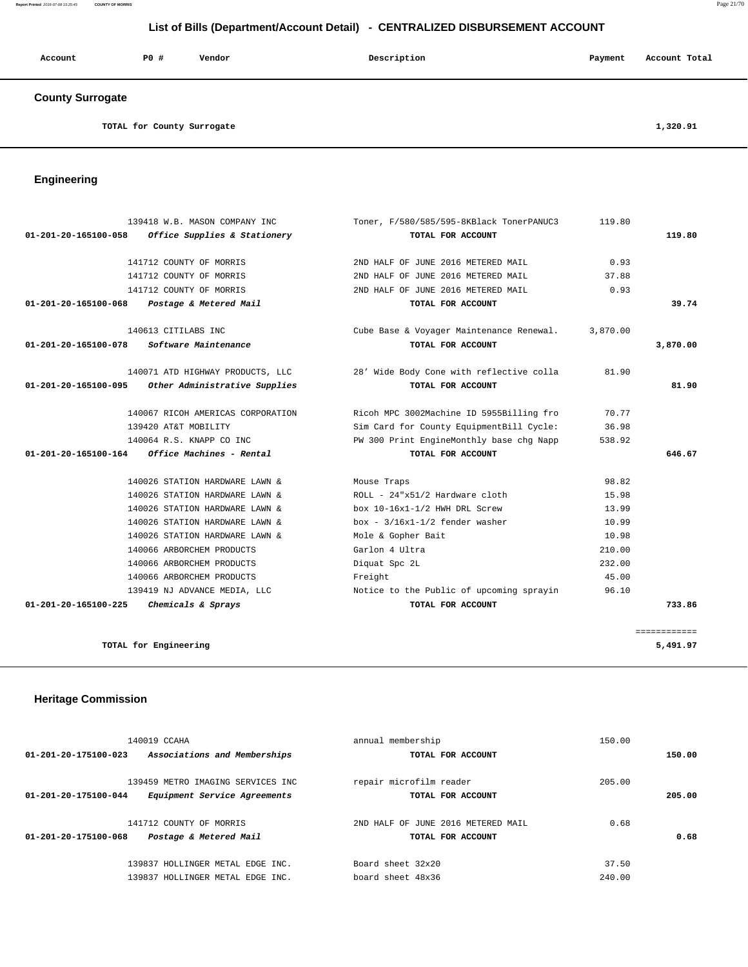#### **Report Printed** 2016-07-08 15:25:45 **COUNTY OF MORRIS** Page 21/70

# **List of Bills (Department/Account Detail) - CENTRALIZED DISBURSEMENT ACCOUNT**

| Account                 | PO# | Vendor | Description | Payment | Account Total |
|-------------------------|-----|--------|-------------|---------|---------------|
| <b>County Surrogate</b> |     |        |             |         |               |

TOTAL for County Surrogate 1,320.91

# **Engineering**

|                      | 139418 W.B. MASON COMPANY INC     | Toner, F/580/585/595-8KBlack TonerPANUC3 | 119.80   |              |
|----------------------|-----------------------------------|------------------------------------------|----------|--------------|
| 01-201-20-165100-058 | Office Supplies & Stationery      | TOTAL FOR ACCOUNT                        |          | 119.80       |
|                      | 141712 COUNTY OF MORRIS           | 2ND HALF OF JUNE 2016 METERED MAIL       | 0.93     |              |
|                      | 141712 COUNTY OF MORRIS           | 2ND HALF OF JUNE 2016 METERED MAIL       | 37.88    |              |
|                      | 141712 COUNTY OF MORRIS           | 2ND HALF OF JUNE 2016 METERED MAIL       | 0.93     |              |
| 01-201-20-165100-068 | Postage & Metered Mail            | TOTAL FOR ACCOUNT                        |          | 39.74        |
|                      | 140613 CITILABS INC               | Cube Base & Voyager Maintenance Renewal. | 3,870.00 |              |
| 01-201-20-165100-078 | Software Maintenance              | TOTAL FOR ACCOUNT                        |          | 3,870.00     |
|                      | 140071 ATD HIGHWAY PRODUCTS, LLC  | 28' Wide Body Cone with reflective colla | 81.90    |              |
| 01-201-20-165100-095 | Other Administrative Supplies     | TOTAL FOR ACCOUNT                        |          | 81.90        |
|                      | 140067 RICOH AMERICAS CORPORATION | Ricoh MPC 3002Machine ID 5955Billing fro | 70.77    |              |
|                      | 139420 AT&T MOBILITY              | Sim Card for County EquipmentBill Cycle: | 36.98    |              |
|                      | 140064 R.S. KNAPP CO INC          | PW 300 Print EngineMonthly base chg Napp | 538.92   |              |
| 01-201-20-165100-164 | Office Machines - Rental          | TOTAL FOR ACCOUNT                        |          | 646.67       |
|                      | 140026 STATION HARDWARE LAWN &    | Mouse Traps                              | 98.82    |              |
|                      | 140026 STATION HARDWARE LAWN &    | ROLL - 24"x51/2 Hardware cloth           | 15.98    |              |
|                      | 140026 STATION HARDWARE LAWN &    | box 10-16x1-1/2 HWH DRL Screw            | 13.99    |              |
|                      | 140026 STATION HARDWARE LAWN &    | $box - 3/16x1-1/2$ fender washer         | 10.99    |              |
|                      | 140026 STATION HARDWARE LAWN &    | Mole & Gopher Bait                       | 10.98    |              |
|                      | 140066 ARBORCHEM PRODUCTS         | Garlon 4 Ultra                           | 210.00   |              |
|                      | 140066 ARBORCHEM PRODUCTS         | Diquat Spc 2L                            | 232.00   |              |
|                      | 140066 ARBORCHEM PRODUCTS         | Freight                                  | 45.00    |              |
|                      | 139419 NJ ADVANCE MEDIA, LLC      | Notice to the Public of upcoming sprayin | 96.10    |              |
| 01-201-20-165100-225 | Chemicals & Sprays                | TOTAL FOR ACCOUNT                        |          | 733.86       |
|                      |                                   |                                          |          | ============ |
|                      | TOTAL for Engineering             |                                          |          | 5,491.97     |

# **Heritage Commission**

| 140019 CCAHA<br>Associations and Memberships<br>01-201-20-175100-023                      | annual membership<br>TOTAL FOR ACCOUNT                  | 150.00          | 150.00 |
|-------------------------------------------------------------------------------------------|---------------------------------------------------------|-----------------|--------|
| 139459 METRO IMAGING SERVICES INC<br>01-201-20-175100-044<br>Equipment Service Agreements | repair microfilm reader<br>TOTAL FOR ACCOUNT            | 205.00          | 205.00 |
| 141712 COUNTY OF MORRIS<br>01-201-20-175100-068<br>Postage & Metered Mail                 | 2ND HALF OF JUNE 2016 METERED MAIL<br>TOTAL FOR ACCOUNT | 0.68            | 0.68   |
| HOLLINGER METAL EDGE INC.<br>139837<br>139837 HOLLINGER METAL EDGE INC.                   | Board sheet 32x20<br>board sheet 48x36                  | 37.50<br>240.00 |        |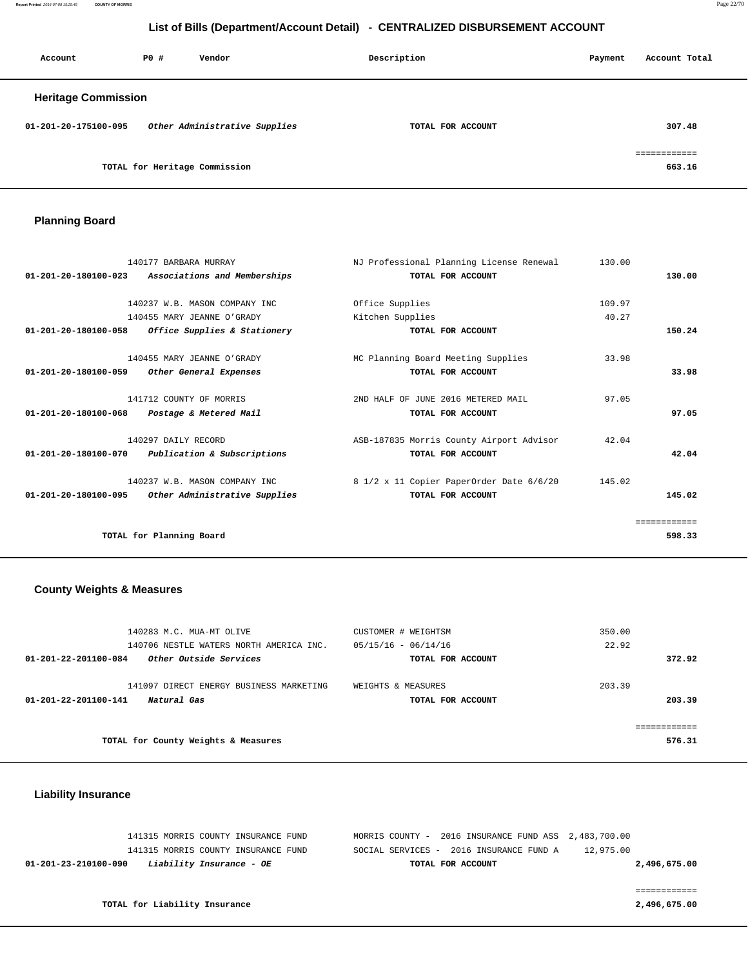**Report Printed** 2016-07-08 15:25:45 **COUNTY OF MORRIS** Page 22/70

# **List of Bills (Department/Account Detail) - CENTRALIZED DISBURSEMENT ACCOUNT**

| Account                    | PO# | Vendor                        | Description       | Account Total<br>Payment      |
|----------------------------|-----|-------------------------------|-------------------|-------------------------------|
| <b>Heritage Commission</b> |     |                               |                   |                               |
| 01-201-20-175100-095       |     | Other Administrative Supplies | TOTAL FOR ACCOUNT | 307.48                        |
|                            |     | TOTAL for Heritage Commission |                   | . = = = = = = = = =<br>663.16 |

# **Planning Board**

|                                | 140177 BARBARA MURRAY         | NJ Professional Planning License Renewal | 130.00 |              |
|--------------------------------|-------------------------------|------------------------------------------|--------|--------------|
| 01-201-20-180100-023           | Associations and Memberships  | TOTAL FOR ACCOUNT                        |        | 130.00       |
|                                |                               |                                          |        |              |
|                                | 140237 W.B. MASON COMPANY INC | Office Supplies                          | 109.97 |              |
|                                | 140455 MARY JEANNE O'GRADY    | Kitchen Supplies                         | 40.27  |              |
| $01 - 201 - 20 - 180100 - 058$ | Office Supplies & Stationery  | TOTAL FOR ACCOUNT                        |        | 150.24       |
|                                | 140455 MARY JEANNE O'GRADY    | MC Planning Board Meeting Supplies       | 33.98  |              |
| 01-201-20-180100-059           | Other General Expenses        | TOTAL FOR ACCOUNT                        |        | 33.98        |
|                                | 141712 COUNTY OF MORRIS       | 2ND HALF OF JUNE 2016 METERED MAIL       | 97.05  |              |
| 01-201-20-180100-068           | Postage & Metered Mail        | TOTAL FOR ACCOUNT                        |        | 97.05        |
|                                | 140297 DAILY RECORD           | ASB-187835 Morris County Airport Advisor | 42.04  |              |
| 01-201-20-180100-070           | Publication & Subscriptions   | TOTAL FOR ACCOUNT                        |        | 42.04        |
|                                | 140237 W.B. MASON COMPANY INC | 8 1/2 x 11 Copier PaperOrder Date 6/6/20 | 145.02 |              |
| $01 - 201 - 20 - 180100 - 095$ | Other Administrative Supplies | TOTAL FOR ACCOUNT                        |        | 145.02       |
|                                |                               |                                          |        | ============ |
|                                | TOTAL for Planning Board      |                                          |        | 598.33       |
|                                |                               |                                          |        |              |

### **County Weights & Measures**

| 140283 M.C. MUA-MT OLIVE<br>140706 NESTLE WATERS NORTH AMERICA INC.<br>Other Outside Services<br>01-201-22-201100-084 | CUSTOMER # WEIGHTSM<br>$05/15/16 - 06/14/16$<br>TOTAL FOR ACCOUNT | 350.00<br>22.92<br>372.92     |
|-----------------------------------------------------------------------------------------------------------------------|-------------------------------------------------------------------|-------------------------------|
| 141097 DIRECT ENERGY BUSINESS MARKETING<br>01-201-22-201100-141<br>Natural Gas                                        | WEIGHTS & MEASURES<br>TOTAL FOR ACCOUNT                           | 203.39<br>203.39              |
| TOTAL for County Weights & Measures                                                                                   |                                                                   | . = = = = = = = = =<br>576.31 |

#### **Liability Insurance**

|                               | 141315 MORRIS COUNTY INSURANCE FUND<br>141315 MORRIS COUNTY INSURANCE FUND | MORRIS COUNTY - 2016 INSURANCE FUND ASS 2,483,700.00<br>SOCIAL SERVICES - 2016 INSURANCE FUND A | 12,975.00    |
|-------------------------------|----------------------------------------------------------------------------|-------------------------------------------------------------------------------------------------|--------------|
| 01-201-23-210100-090          | Liability Insurance - OE                                                   | TOTAL FOR ACCOUNT                                                                               | 2,496,675.00 |
|                               |                                                                            |                                                                                                 |              |
|                               |                                                                            |                                                                                                 |              |
| TOTAL for Liability Insurance |                                                                            |                                                                                                 | 2,496,675.00 |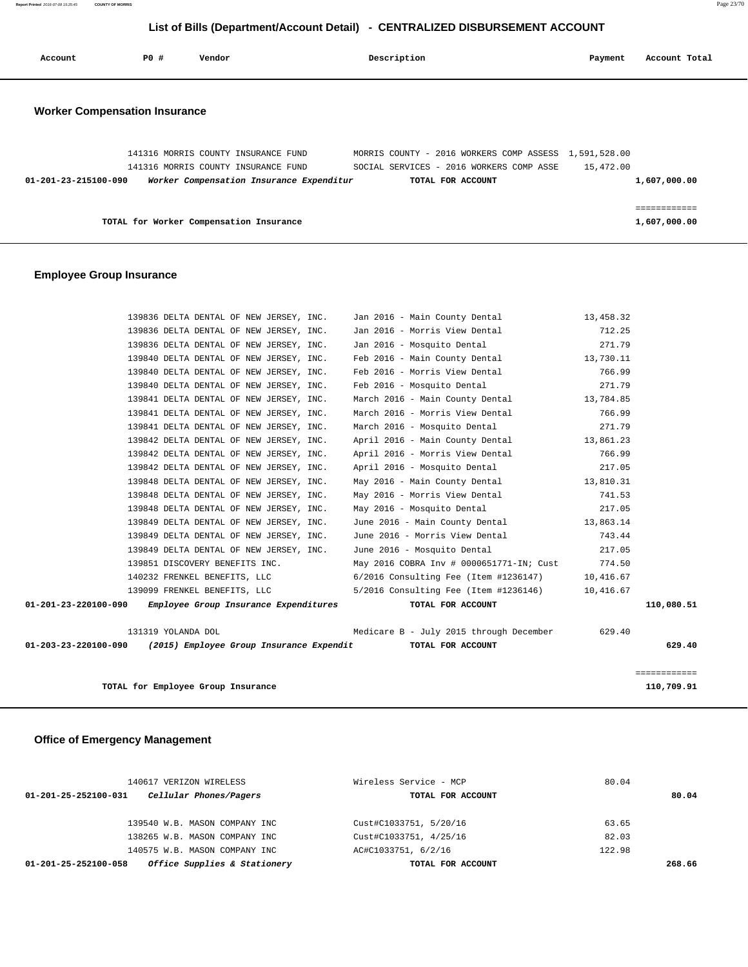**Report Printed** 2016-07-08 15:25:45 **COUNTY OF MORRIS** Page 23/70

# **List of Bills (Department/Account Detail) - CENTRALIZED DISBURSEMENT ACCOUNT**

| Account                              | PO# | Vendor                              |                                          | Description |                                                               | Payment   | Account Total |
|--------------------------------------|-----|-------------------------------------|------------------------------------------|-------------|---------------------------------------------------------------|-----------|---------------|
| <b>Worker Compensation Insurance</b> |     |                                     |                                          |             |                                                               |           |               |
|                                      |     | 141316 MORRIS COUNTY INSURANCE FUND |                                          |             | MORRIS COUNTY - 2016 WORKERS COMP ASSESS 1,591,528.00         |           |               |
| 01-201-23-215100-090                 |     | 141316 MORRIS COUNTY INSURANCE FUND | Worker Compensation Insurance Expenditur |             | SOCIAL SERVICES - 2016 WORKERS COMP ASSE<br>TOTAL FOR ACCOUNT | 15,472.00 | 1,607,000.00  |
|                                      |     |                                     |                                          |             |                                                               |           |               |

**TOTAL for Worker Compensation Insurance 1,607,000.00**

### **Employee Group Insurance**

| 139836 DELTA DENTAL OF NEW JERSEY, INC.                                      | Jan 2016 - Main County Dental                   | 13,458.32  |              |
|------------------------------------------------------------------------------|-------------------------------------------------|------------|--------------|
| 139836 DELTA DENTAL OF NEW JERSEY, INC. Jan 2016 - Morris View Dental        |                                                 | 712.25     |              |
| 139836 DELTA DENTAL OF NEW JERSEY, INC.                                      | Jan 2016 - Mosquito Dental                      | 271.79     |              |
| 139840 DELTA DENTAL OF NEW JERSEY, INC.                                      | Feb 2016 - Main County Dental 13,730.11         |            |              |
| 139840 DELTA DENTAL OF NEW JERSEY, INC.                                      | Feb 2016 - Morris View Dental                   | 766.99     |              |
| 139840 DELTA DENTAL OF NEW JERSEY, INC.                                      | Feb 2016 - Mosquito Dental                      | 271.79     |              |
| 139841 DELTA DENTAL OF NEW JERSEY, INC.                                      | March 2016 - Main County Dental 13,784.85       |            |              |
| 139841 DELTA DENTAL OF NEW JERSEY, INC.                                      | March 2016 - Morris View Dental                 | 766.99     |              |
| 139841 DELTA DENTAL OF NEW JERSEY, INC.                                      | March 2016 - Mosquito Dental                    | 271.79     |              |
| 139842 DELTA DENTAL OF NEW JERSEY, INC.                                      | April 2016 - Main County Dental 13,861.23       |            |              |
| 139842 DELTA DENTAL OF NEW JERSEY, INC.                                      | April 2016 - Morris View Dental                 | 766.99     |              |
| 139842 DELTA DENTAL OF NEW JERSEY, INC.                                      | April 2016 - Mosquito Dental                    | 217.05     |              |
| 139848 DELTA DENTAL OF NEW JERSEY, INC.                                      | May 2016 - Main County Dental 13,810.31         |            |              |
| 139848 DELTA DENTAL OF NEW JERSEY, INC.                                      | May 2016 - Morris View Dental                   | 741.53     |              |
| 139848 DELTA DENTAL OF NEW JERSEY, INC.                                      | May 2016 - Mosquito Dental                      | 217.05     |              |
| 139849 DELTA DENTAL OF NEW JERSEY, INC.                                      | June 2016 - Main County Dental 13,863.14        |            |              |
| 139849 DELTA DENTAL OF NEW JERSEY, INC.                                      | June 2016 - Morris View Dental                  | 743.44     |              |
| 139849 DELTA DENTAL OF NEW JERSEY, INC.                                      | June 2016 - Mosquito Dental                     | 217.05     |              |
| 139851 DISCOVERY BENEFITS INC.                                               | May 2016 COBRA Inv # 0000651771-IN; Cust 774.50 |            |              |
| 140232 FRENKEL BENEFITS, LLC                                                 | 6/2016 Consulting Fee (Item #1236147) 10,416.67 |            |              |
| 139099 FRENKEL BENEFITS, LLC 5/2016 Consulting Fee (Item #1236146) 10,416.67 |                                                 |            |              |
| 01-201-23-220100-090 Employee Group Insurance Expenditures                   | TOTAL FOR ACCOUNT                               |            | 110,080.51   |
| 131319 YOLANDA DOL                                                           | Medicare B - July 2015 through December         | 629.40     |              |
| $01-203-23-220100-090$ (2015) Employee Group Insurance Expendit              | TOTAL FOR ACCOUNT                               |            | 629.40       |
|                                                                              |                                                 |            | ============ |
| TOTAL for Employee Group Insurance                                           |                                                 | 110,709.91 |              |

### **Office of Emergency Management**

| 140617 VERIZON WIRELESS                              | Wireless Service - MCP | 80.04  |
|------------------------------------------------------|------------------------|--------|
| Cellular Phones/Pagers<br>01-201-25-252100-031       | TOTAL FOR ACCOUNT      | 80.04  |
| 139540 W.B. MASON COMPANY INC                        | Cust#C1033751, 5/20/16 | 63.65  |
| 138265 W.B. MASON COMPANY INC                        | Cust#C1033751, 4/25/16 | 82.03  |
| 140575 W.B. MASON COMPANY INC                        | AC#C1033751, 6/2/16    | 122.98 |
| Office Supplies & Stationery<br>01-201-25-252100-058 | TOTAL FOR ACCOUNT      | 268.66 |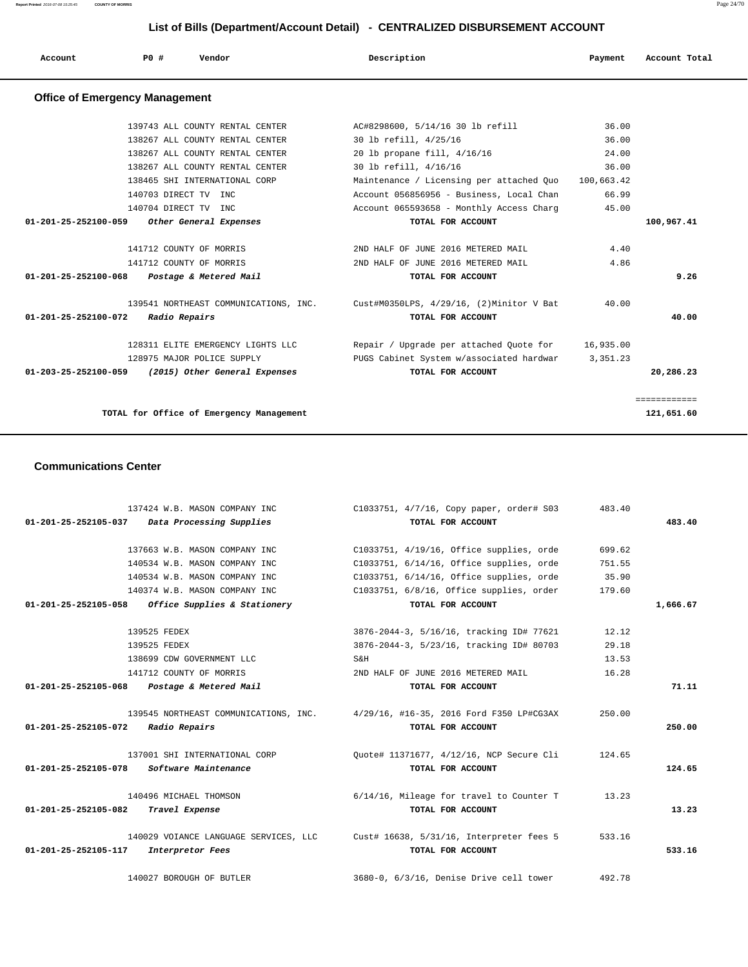**Report Printed** 2016-07-08 15:25:45 **COUNTY OF MORRIS** Page 24/70

# **List of Bills (Department/Account Detail) - CENTRALIZED DISBURSEMENT ACCOUNT**

| P0 #<br>Description<br>Vendor<br>Account Total<br>Account<br>Payment |  |  |  |  |  |  |  |
|----------------------------------------------------------------------|--|--|--|--|--|--|--|
|----------------------------------------------------------------------|--|--|--|--|--|--|--|

# **Office of Emergency Management**

| TOTAL for Office of Emergency Management |                                                    | 121,651.60                                                                     |            |              |
|------------------------------------------|----------------------------------------------------|--------------------------------------------------------------------------------|------------|--------------|
|                                          |                                                    |                                                                                |            | ============ |
|                                          | 01-203-25-252100-059 (2015) Other General Expenses | TOTAL FOR ACCOUNT                                                              |            | 20,286.23    |
|                                          | 128975 MAJOR POLICE SUPPLY                         | PUGS Cabinet System w/associated hardwar                                       | 3, 351, 23 |              |
|                                          | 128311 ELITE EMERGENCY LIGHTS LLC                  | Repair / Upgrade per attached Quote for 16,935.00                              |            |              |
| 01-201-25-252100-072                     | Radio Repairs                                      | TOTAL FOR ACCOUNT                                                              |            | 40.00        |
|                                          |                                                    | 139541 NORTHEAST COMMUNICATIONS, INC. Cust#M0350LPS, 4/29/16, (2)Minitor V Bat | 40.00      |              |
| 01-201-25-252100-068                     | Postage & Metered Mail                             | TOTAL FOR ACCOUNT                                                              |            | 9.26         |
|                                          | 141712 COUNTY OF MORRIS                            | 2ND HALF OF JUNE 2016 METERED MAIL                                             | 4.86       |              |
|                                          | 141712 COUNTY OF MORRIS                            | 2ND HALF OF JUNE 2016 METERED MAIL                                             | 4.40       |              |
|                                          | 01-201-25-252100-059 Other General Expenses        | TOTAL FOR ACCOUNT                                                              |            | 100,967.41   |
|                                          | 140704 DIRECT TV INC                               | Account 065593658 - Monthly Access Charg                                       | 45.00      |              |
|                                          | 140703 DIRECT TV INC                               | Account 056856956 - Business, Local Chan                                       | 66.99      |              |
|                                          | 138465 SHI INTERNATIONAL CORP                      | Maintenance / Licensing per attached Ouo 100,663.42                            |            |              |
|                                          | 138267 ALL COUNTY RENTAL CENTER                    | 30 lb refill, 4/16/16                                                          | 36.00      |              |
|                                          | 138267 ALL COUNTY RENTAL CENTER                    | 20 lb propane fill, 4/16/16                                                    | 24.00      |              |
|                                          | 138267 ALL COUNTY RENTAL CENTER                    | 30 lb refill, 4/25/16                                                          | 36.00      |              |
|                                          | 139743 ALL COUNTY RENTAL CENTER                    | AC#8298600, 5/14/16 30 lb refill                                               | 36.00      |              |

#### **Communications Center**

|                                | 137424 W.B. MASON COMPANY INC         | C1033751, 4/7/16, Copy paper, order# S03                                       | 483.40 |          |
|--------------------------------|---------------------------------------|--------------------------------------------------------------------------------|--------|----------|
| 01-201-25-252105-037           | Data Processing Supplies              | TOTAL FOR ACCOUNT                                                              |        | 483.40   |
|                                |                                       |                                                                                |        |          |
|                                | 137663 W.B. MASON COMPANY INC         | C1033751, 4/19/16, Office supplies, orde                                       | 699.62 |          |
|                                | 140534 W.B. MASON COMPANY INC         | C1033751, 6/14/16, Office supplies, orde                                       | 751.55 |          |
|                                | 140534 W.B. MASON COMPANY INC         | C1033751, 6/14/16, Office supplies, orde                                       | 35.90  |          |
|                                | 140374 W.B. MASON COMPANY INC         | C1033751, 6/8/16, Office supplies, order                                       | 179.60 |          |
| 01-201-25-252105-058           | Office Supplies & Stationery          | TOTAL FOR ACCOUNT                                                              |        | 1,666.67 |
|                                | 139525 FEDEX                          | 3876-2044-3, 5/16/16, tracking ID# 77621                                       | 12.12  |          |
|                                | 139525 FEDEX                          | 3876-2044-3, 5/23/16, tracking ID# 80703                                       | 29.18  |          |
|                                | 138699 CDW GOVERNMENT LLC             | S&H                                                                            | 13.53  |          |
|                                | 141712 COUNTY OF MORRIS               | 2ND HALF OF JUNE 2016 METERED MAIL                                             | 16.28  |          |
| $01 - 201 - 25 - 252105 - 068$ | Postage & Metered Mail                | TOTAL FOR ACCOUNT                                                              |        | 71.11    |
|                                |                                       |                                                                                |        |          |
|                                |                                       | 139545 NORTHEAST COMMUNICATIONS, INC. 4/29/16, #16-35, 2016 Ford F350 LP#CG3AX | 250.00 |          |
| 01-201-25-252105-072           | Radio Repairs                         | TOTAL FOR ACCOUNT                                                              |        | 250.00   |
|                                | 137001 SHI INTERNATIONAL CORP         | Ouote# 11371677, 4/12/16, NCP Secure Cli                                       | 124.65 |          |
| 01-201-25-252105-078           | Software Maintenance                  | TOTAL FOR ACCOUNT                                                              |        | 124.65   |
|                                |                                       |                                                                                |        |          |
|                                | 140496 MICHAEL THOMSON                | 6/14/16, Mileage for travel to Counter T                                       | 13.23  |          |
| 01-201-25-252105-082           | Travel Expense                        | TOTAL FOR ACCOUNT                                                              |        | 13.23    |
|                                | 140029 VOIANCE LANGUAGE SERVICES, LLC | Cust# 16638, 5/31/16, Interpreter fees 5                                       | 533.16 |          |
| 01-201-25-252105-117           | Interpretor Fees                      | TOTAL FOR ACCOUNT                                                              |        | 533.16   |
|                                | 140027 BOROUGH OF BUTLER              | 3680-0, 6/3/16, Denise Drive cell tower                                        | 492.78 |          |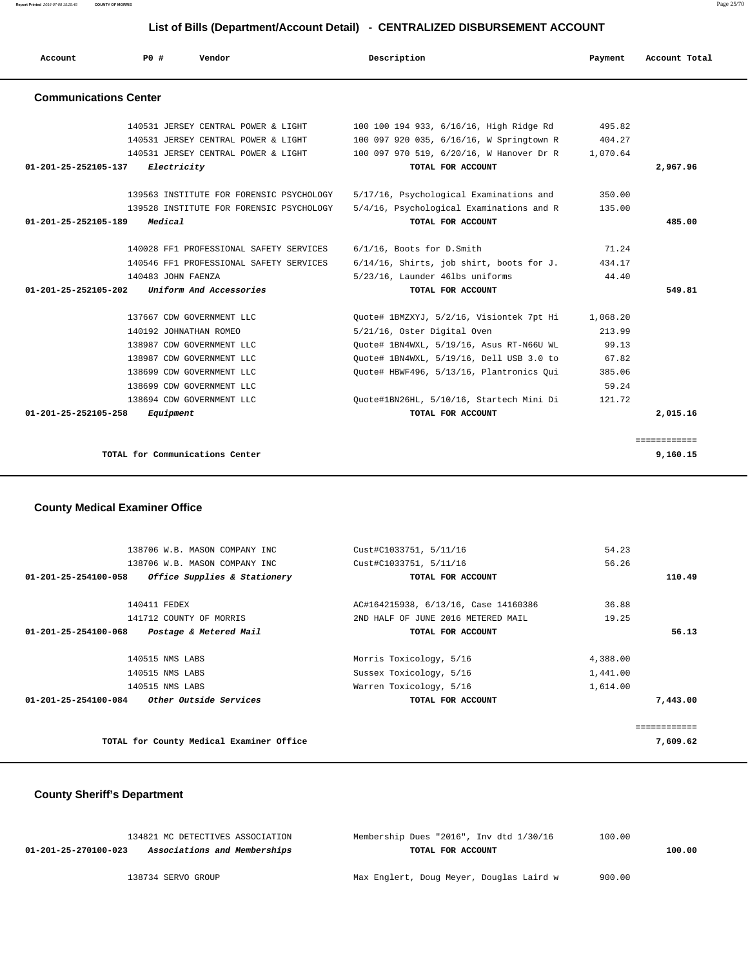**Report Printed** 2016-07-08 15:25:45 **COUNTY OF MORRIS** Page 25/70

# **List of Bills (Department/Account Detail) - CENTRALIZED DISBURSEMENT ACCOUNT**

| Account                      | PO#                | Vendor                                   | Description                                 | Payment  | Account Total            |
|------------------------------|--------------------|------------------------------------------|---------------------------------------------|----------|--------------------------|
| <b>Communications Center</b> |                    |                                          |                                             |          |                          |
|                              |                    | 140531 JERSEY CENTRAL POWER & LIGHT      | 100 100 194 933, 6/16/16, High Ridge Rd     | 495.82   |                          |
|                              |                    | 140531 JERSEY CENTRAL POWER & LIGHT      | 100 097 920 035, 6/16/16, W Springtown R    | 404.27   |                          |
|                              |                    | 140531 JERSEY CENTRAL POWER & LIGHT      | 100 097 970 519, 6/20/16, W Hanover Dr R    | 1,070.64 |                          |
| 01-201-25-252105-137         | Electricity        |                                          | TOTAL FOR ACCOUNT                           |          | 2,967.96                 |
|                              |                    | 139563 INSTITUTE FOR FORENSIC PSYCHOLOGY | 5/17/16, Psychological Examinations and     | 350.00   |                          |
|                              |                    | 139528 INSTITUTE FOR FORENSIC PSYCHOLOGY | 5/4/16, Psychological Examinations and R    | 135.00   |                          |
| 01-201-25-252105-189         | Medical            |                                          | TOTAL FOR ACCOUNT                           |          | 485.00                   |
|                              |                    | 140028 FF1 PROFESSIONAL SAFETY SERVICES  | $6/1/16$ , Boots for D. Smith               | 71.24    |                          |
|                              |                    | 140546 FF1 PROFESSIONAL SAFETY SERVICES  | $6/14/16$ , Shirts, job shirt, boots for J. | 434.17   |                          |
|                              | 140483 JOHN FAENZA |                                          | 5/23/16, Launder 46lbs uniforms             | 44.40    |                          |
| 01-201-25-252105-202         |                    | Uniform And Accessories                  | TOTAL FOR ACCOUNT                           |          | 549.81                   |
|                              |                    | 137667 CDW GOVERNMENT LLC                | Quote# 1BMZXYJ, 5/2/16, Visiontek 7pt Hi    | 1,068.20 |                          |
|                              |                    | 140192 JOHNATHAN ROMEO                   | 5/21/16, Oster Digital Oven                 | 213.99   |                          |
|                              |                    | 138987 CDW GOVERNMENT LLC                | Quote# 1BN4WXL, 5/19/16, Asus RT-N66U WL    | 99.13    |                          |
|                              |                    | 138987 CDW GOVERNMENT LLC                | Quote# 1BN4WXL, 5/19/16, Dell USB 3.0 to    | 67.82    |                          |
|                              |                    | 138699 CDW GOVERNMENT LLC                | Ouote# HBWF496, 5/13/16, Plantronics Oui    | 385.06   |                          |
|                              |                    | 138699 CDW GOVERNMENT LLC                |                                             | 59.24    |                          |
|                              |                    | 138694 CDW GOVERNMENT LLC                | Ouote#1BN26HL, 5/10/16, Startech Mini Di    | 121.72   |                          |
| 01-201-25-252105-258         | Equipment          |                                          | TOTAL FOR ACCOUNT                           |          | 2,015.16                 |
|                              |                    |                                          |                                             |          |                          |
|                              |                    | TOTAL for Communications Center          |                                             |          | ============<br>9,160.15 |

### **County Medical Examiner Office**

|              | 54.23    | Cust#C1033751, 5/11/16               | 138706 W.B. MASON COMPANY INC                         |
|--------------|----------|--------------------------------------|-------------------------------------------------------|
|              | 56.26    | Cust#C1033751, 5/11/16               | 138706 W.B. MASON COMPANY INC                         |
| 110.49       |          | TOTAL FOR ACCOUNT                    | Office Supplies & Stationery<br>01-201-25-254100-058  |
|              | 36.88    | AC#164215938, 6/13/16, Case 14160386 | 140411 FEDEX                                          |
|              | 19.25    | 2ND HALF OF JUNE 2016 METERED MAIL   | 141712 COUNTY OF MORRIS                               |
| 56.13        |          | TOTAL FOR ACCOUNT                    | 01-201-25-254100-068<br>Postage & Metered Mail        |
|              | 4,388.00 | Morris Toxicology, 5/16              | 140515 NMS LABS                                       |
|              | 1,441.00 | Sussex Toxicology, 5/16              | 140515 NMS LABS                                       |
|              | 1,614.00 | Warren Toxicology, 5/16              | 140515 NMS LABS                                       |
| 7,443.00     |          | TOTAL FOR ACCOUNT                    | <i>Other Outside Services</i><br>01-201-25-254100-084 |
| :=========== |          |                                      |                                                       |
| 7,609.62     |          |                                      | TOTAL for County Medical Examiner Office              |

### **County Sheriff's Department**

| 134821 MC DETECTIVES ASSOCIATION                     | Membership Dues "2016", Inv dtd 1/30/16  | 100.00 |        |
|------------------------------------------------------|------------------------------------------|--------|--------|
| Associations and Memberships<br>01-201-25-270100-023 | TOTAL FOR ACCOUNT                        |        | 100.00 |
|                                                      |                                          |        |        |
| 138734 SERVO GROUP                                   | Max Englert, Doug Meyer, Douglas Laird w | 900.00 |        |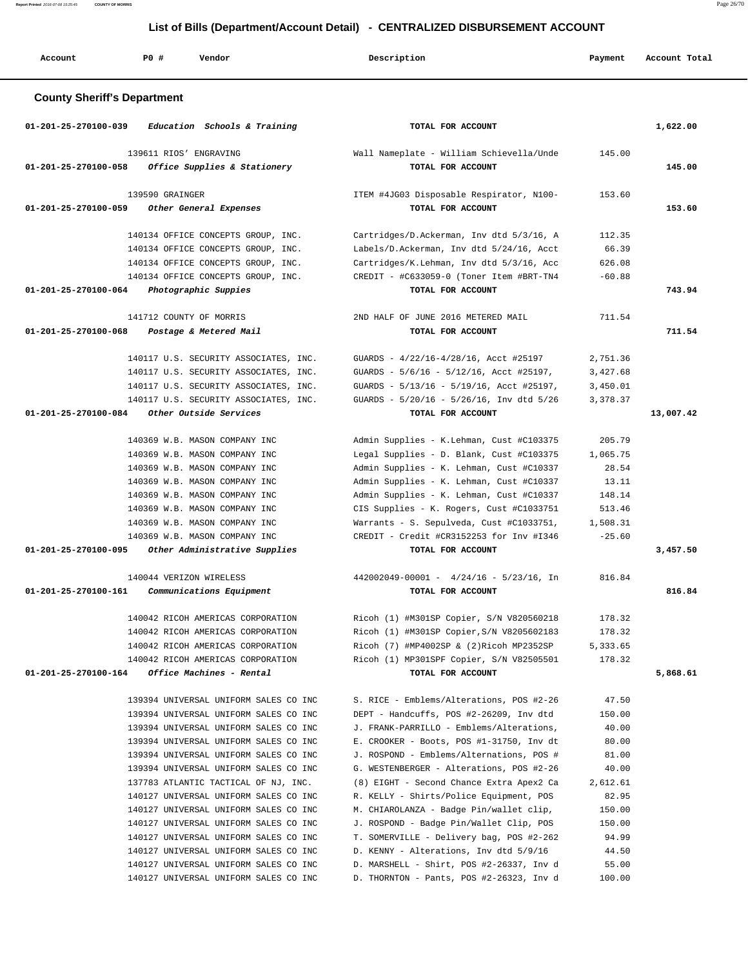**Report Printed** 2016-07-08 15:25:45 **COUNTY OF MORRIS** Page 26/70

|                                    | List of Bills (Department/Account Detail) - CENTRALIZED DISBURSEMENT ACCOUNT |                                                                                |                                                                                     |                 |               |  |  |
|------------------------------------|------------------------------------------------------------------------------|--------------------------------------------------------------------------------|-------------------------------------------------------------------------------------|-----------------|---------------|--|--|
| Account                            | <b>PO #</b>                                                                  | Vendor                                                                         | Description                                                                         | Payment         | Account Total |  |  |
| <b>County Sheriff's Department</b> |                                                                              |                                                                                |                                                                                     |                 |               |  |  |
| 01-201-25-270100-039               |                                                                              | Education Schools & Training                                                   | TOTAL FOR ACCOUNT                                                                   |                 | 1,622.00      |  |  |
|                                    | 139611 RIOS' ENGRAVING                                                       |                                                                                | Wall Nameplate - William Schievella/Unde                                            | 145.00          |               |  |  |
| 01-201-25-270100-058               |                                                                              | Office Supplies & Stationery                                                   | TOTAL FOR ACCOUNT                                                                   |                 | 145.00        |  |  |
|                                    | 139590 GRAINGER                                                              |                                                                                | ITEM #4JG03 Disposable Respirator, N100-                                            | 153.60          |               |  |  |
| 01-201-25-270100-059               |                                                                              | Other General Expenses                                                         | TOTAL FOR ACCOUNT                                                                   |                 | 153.60        |  |  |
|                                    |                                                                              | 140134 OFFICE CONCEPTS GROUP, INC.                                             | Cartridges/D.Ackerman, Inv dtd 5/3/16, A                                            | 112.35          |               |  |  |
|                                    |                                                                              | 140134 OFFICE CONCEPTS GROUP, INC.                                             | Labels/D.Ackerman, Inv dtd 5/24/16, Acct                                            | 66.39           |               |  |  |
|                                    |                                                                              | 140134 OFFICE CONCEPTS GROUP, INC.                                             | Cartridges/K.Lehman, Inv dtd 5/3/16, Acc                                            | 626.08          |               |  |  |
|                                    |                                                                              | 140134 OFFICE CONCEPTS GROUP, INC.                                             | CREDIT - #C633059-0 (Toner Item #BRT-TN4                                            | $-60.88$        |               |  |  |
| 01-201-25-270100-064               |                                                                              | Photographic Suppies                                                           | TOTAL FOR ACCOUNT                                                                   |                 | 743.94        |  |  |
|                                    |                                                                              | 141712 COUNTY OF MORRIS                                                        | 2ND HALF OF JUNE 2016 METERED MAIL                                                  | 711.54          |               |  |  |
| 01-201-25-270100-068               |                                                                              | Postage & Metered Mail                                                         | TOTAL FOR ACCOUNT                                                                   |                 | 711.54        |  |  |
|                                    |                                                                              | 140117 U.S. SECURITY ASSOCIATES, INC.                                          | GUARDS - 4/22/16-4/28/16, Acct #25197                                               | 2,751.36        |               |  |  |
|                                    |                                                                              | 140117 U.S. SECURITY ASSOCIATES, INC.                                          | GUARDS - 5/6/16 - 5/12/16, Acct #25197,                                             | 3,427.68        |               |  |  |
|                                    |                                                                              | 140117 U.S. SECURITY ASSOCIATES, INC.                                          | GUARDS - 5/13/16 - 5/19/16, Acct #25197,                                            | 3,450.01        |               |  |  |
|                                    |                                                                              | 140117 U.S. SECURITY ASSOCIATES, INC.                                          | GUARDS - 5/20/16 - 5/26/16, Inv dtd 5/26                                            | 3,378.37        |               |  |  |
| 01-201-25-270100-084               |                                                                              | Other Outside Services                                                         | TOTAL FOR ACCOUNT                                                                   |                 | 13,007.42     |  |  |
|                                    |                                                                              | 140369 W.B. MASON COMPANY INC                                                  | Admin Supplies - K.Lehman, Cust #C103375                                            | 205.79          |               |  |  |
|                                    |                                                                              | 140369 W.B. MASON COMPANY INC                                                  | Legal Supplies - D. Blank, Cust #C103375                                            | 1,065.75        |               |  |  |
|                                    |                                                                              | 140369 W.B. MASON COMPANY INC                                                  | Admin Supplies - K. Lehman, Cust #C10337                                            | 28.54           |               |  |  |
|                                    |                                                                              | 140369 W.B. MASON COMPANY INC                                                  | Admin Supplies - K. Lehman, Cust #C10337                                            | 13.11           |               |  |  |
|                                    |                                                                              | 140369 W.B. MASON COMPANY INC                                                  | Admin Supplies - K. Lehman, Cust #C10337                                            | 148.14          |               |  |  |
|                                    |                                                                              | 140369 W.B. MASON COMPANY INC                                                  | CIS Supplies - K. Rogers, Cust #C1033751                                            | 513.46          |               |  |  |
|                                    |                                                                              | 140369 W.B. MASON COMPANY INC                                                  | Warrants - S. Sepulveda, Cust #C1033751,                                            | 1,508.31        |               |  |  |
|                                    |                                                                              | 140369 W.B. MASON COMPANY INC                                                  | CREDIT - Credit #CR3152253 for Inv #1346                                            | $-25.60$        |               |  |  |
| 01-201-25-270100-095               |                                                                              | Other Administrative Supplies                                                  | TOTAL FOR ACCOUNT                                                                   |                 | 3,457.50      |  |  |
|                                    |                                                                              | 140044 VERIZON WIRELESS                                                        | $442002049 - 00001 - 4/24/16 - 5/23/16$ , In                                        | 816.84          |               |  |  |
| 01-201-25-270100-161               |                                                                              | <i>Communications Equipment</i>                                                | TOTAL FOR ACCOUNT                                                                   |                 | 816.84        |  |  |
|                                    |                                                                              | 140042 RICOH AMERICAS CORPORATION                                              | Ricoh (1) #M301SP Copier, S/N V820560218                                            | 178.32          |               |  |  |
|                                    |                                                                              | 140042 RICOH AMERICAS CORPORATION                                              | Ricoh (1) #M301SP Copier, S/N V8205602183                                           | 178.32          |               |  |  |
|                                    |                                                                              | 140042 RICOH AMERICAS CORPORATION                                              | Ricoh (7) #MP4002SP & (2)Ricoh MP2352SP                                             | 5,333.65        |               |  |  |
|                                    |                                                                              | 140042 RICOH AMERICAS CORPORATION                                              | Ricoh (1) MP301SPF Copier, S/N V82505501                                            | 178.32          |               |  |  |
| 01-201-25-270100-164               |                                                                              | Office Machines - Rental                                                       | TOTAL FOR ACCOUNT                                                                   |                 | 5,868.61      |  |  |
|                                    |                                                                              | 139394 UNIVERSAL UNIFORM SALES CO INC                                          | S. RICE - Emblems/Alterations, POS #2-26                                            | 47.50           |               |  |  |
|                                    |                                                                              | 139394 UNIVERSAL UNIFORM SALES CO INC                                          | DEPT - Handcuffs, POS #2-26209, Inv dtd                                             | 150.00          |               |  |  |
|                                    |                                                                              | 139394 UNIVERSAL UNIFORM SALES CO INC                                          | J. FRANK-PARRILLO - Emblems/Alterations,                                            | 40.00           |               |  |  |
|                                    |                                                                              | 139394 UNIVERSAL UNIFORM SALES CO INC                                          | E. CROOKER - Boots, POS #1-31750, Inv dt                                            | 80.00           |               |  |  |
|                                    |                                                                              | 139394 UNIVERSAL UNIFORM SALES CO INC                                          | J. ROSPOND - Emblems/Alternations, POS #                                            | 81.00           |               |  |  |
|                                    |                                                                              | 139394 UNIVERSAL UNIFORM SALES CO INC                                          | G. WESTENBERGER - Alterations, POS #2-26                                            | 40.00           |               |  |  |
|                                    |                                                                              | 137783 ATLANTIC TACTICAL OF NJ, INC.                                           | (8) EIGHT - Second Chance Extra Apex2 Ca                                            | 2,612.61        |               |  |  |
|                                    |                                                                              | 140127 UNIVERSAL UNIFORM SALES CO INC                                          | R. KELLY - Shirts/Police Equipment, POS                                             | 82.95           |               |  |  |
|                                    |                                                                              | 140127 UNIVERSAL UNIFORM SALES CO INC                                          | M. CHIAROLANZA - Badge Pin/wallet clip,                                             | 150.00          |               |  |  |
|                                    |                                                                              | 140127 UNIVERSAL UNIFORM SALES CO INC<br>140127 UNIVERSAL UNIFORM SALES CO INC | J. ROSPOND - Badge Pin/Wallet Clip, POS<br>T. SOMERVILLE - Delivery bag, POS #2-262 | 150.00<br>94.99 |               |  |  |
|                                    |                                                                              | 140127 UNIVERSAL UNIFORM SALES CO INC                                          | D. KENNY - Alterations, Inv dtd 5/9/16                                              | 44.50           |               |  |  |
|                                    |                                                                              | 140127 UNIVERSAL UNIFORM SALES CO INC                                          | D. MARSHELL - Shirt, POS #2-26337, Inv d                                            | 55.00           |               |  |  |

140127 UNIVERSAL UNIFORM SALES CO INC D. THORNTON - Pants, POS #2-26323, Inv d 100.00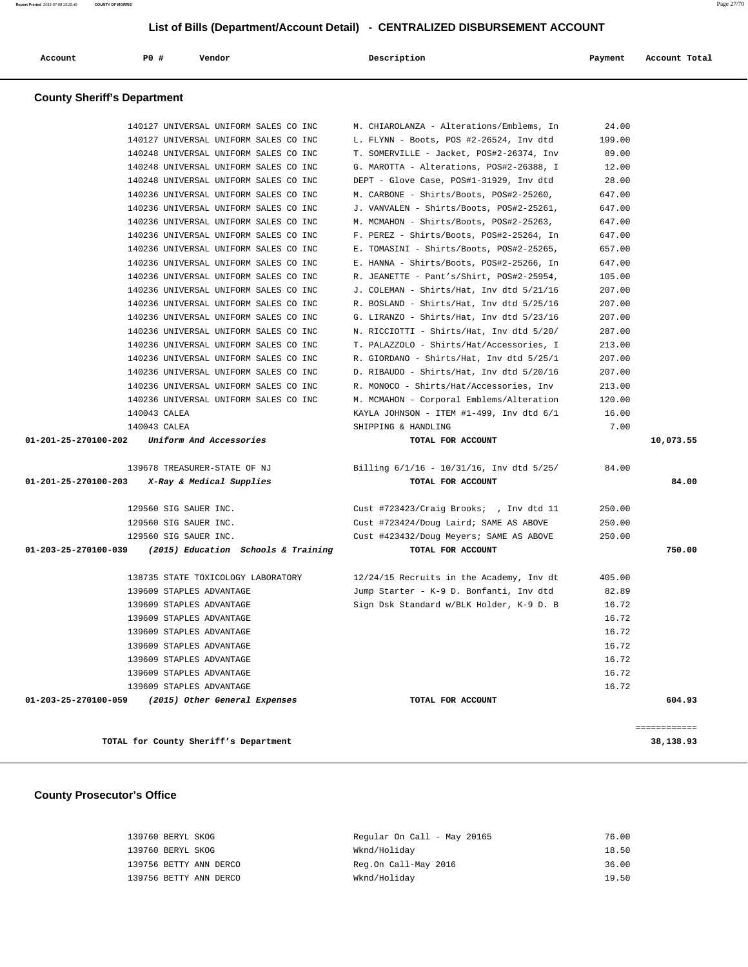| <b>County Sheriff's Department</b> | 140127 UNIVERSAL UNIFORM SALES CO INC<br>140127 UNIVERSAL UNIFORM SALES CO INC<br>140248 UNIVERSAL UNIFORM SALES CO INC<br>140248 UNIVERSAL UNIFORM SALES CO INC<br>140248 UNIVERSAL UNIFORM SALES CO INC<br>140236 UNIVERSAL UNIFORM SALES CO INC<br>140236 UNIVERSAL UNIFORM SALES CO INC<br>140236 UNIVERSAL UNIFORM SALES CO INC<br>140236 UNIVERSAL UNIFORM SALES CO INC |                                       | M. CHIAROLANZA - Alterations/Emblems, In<br>L. FLYNN - Boots, POS #2-26524, Inv dtd<br>T. SOMERVILLE - Jacket, POS#2-26374, Inv<br>G. MAROTTA - Alterations, POS#2-26388, I<br>DEPT - Glove Case, POS#1-31929, Inv dtd<br>M. CARBONE - Shirts/Boots, POS#2-25260,<br>J. VANVALEN - Shirts/Boots, POS#2-25261, | 24.00<br>199.00<br>89.00<br>12.00<br>28.00<br>647.00 |                           |
|------------------------------------|-------------------------------------------------------------------------------------------------------------------------------------------------------------------------------------------------------------------------------------------------------------------------------------------------------------------------------------------------------------------------------|---------------------------------------|---------------------------------------------------------------------------------------------------------------------------------------------------------------------------------------------------------------------------------------------------------------------------------------------------------------|------------------------------------------------------|---------------------------|
|                                    |                                                                                                                                                                                                                                                                                                                                                                               |                                       |                                                                                                                                                                                                                                                                                                               |                                                      |                           |
|                                    |                                                                                                                                                                                                                                                                                                                                                                               |                                       |                                                                                                                                                                                                                                                                                                               |                                                      |                           |
|                                    |                                                                                                                                                                                                                                                                                                                                                                               |                                       |                                                                                                                                                                                                                                                                                                               |                                                      |                           |
|                                    |                                                                                                                                                                                                                                                                                                                                                                               |                                       |                                                                                                                                                                                                                                                                                                               |                                                      |                           |
|                                    |                                                                                                                                                                                                                                                                                                                                                                               |                                       |                                                                                                                                                                                                                                                                                                               |                                                      |                           |
|                                    |                                                                                                                                                                                                                                                                                                                                                                               |                                       |                                                                                                                                                                                                                                                                                                               |                                                      |                           |
|                                    |                                                                                                                                                                                                                                                                                                                                                                               |                                       |                                                                                                                                                                                                                                                                                                               |                                                      |                           |
|                                    |                                                                                                                                                                                                                                                                                                                                                                               |                                       |                                                                                                                                                                                                                                                                                                               | 647.00                                               |                           |
|                                    |                                                                                                                                                                                                                                                                                                                                                                               |                                       | M. MCMAHON - Shirts/Boots, POS#2-25263,                                                                                                                                                                                                                                                                       | 647.00                                               |                           |
|                                    |                                                                                                                                                                                                                                                                                                                                                                               |                                       | F. PEREZ - Shirts/Boots, POS#2-25264, In                                                                                                                                                                                                                                                                      | 647.00                                               |                           |
|                                    |                                                                                                                                                                                                                                                                                                                                                                               | 140236 UNIVERSAL UNIFORM SALES CO INC | E. TOMASINI - Shirts/Boots, POS#2-25265,                                                                                                                                                                                                                                                                      | 657.00                                               |                           |
|                                    | 140236 UNIVERSAL UNIFORM SALES CO INC                                                                                                                                                                                                                                                                                                                                         |                                       | E. HANNA - Shirts/Boots, POS#2-25266, In                                                                                                                                                                                                                                                                      | 647.00                                               |                           |
|                                    | 140236 UNIVERSAL UNIFORM SALES CO INC                                                                                                                                                                                                                                                                                                                                         |                                       | R. JEANETTE - Pant's/Shirt, POS#2-25954,                                                                                                                                                                                                                                                                      | 105.00                                               |                           |
|                                    | 140236 UNIVERSAL UNIFORM SALES CO INC                                                                                                                                                                                                                                                                                                                                         |                                       | J. COLEMAN - Shirts/Hat, Inv dtd 5/21/16                                                                                                                                                                                                                                                                      | 207.00                                               |                           |
|                                    | 140236 UNIVERSAL UNIFORM SALES CO INC                                                                                                                                                                                                                                                                                                                                         |                                       | R. BOSLAND - Shirts/Hat, Inv dtd 5/25/16                                                                                                                                                                                                                                                                      | 207.00                                               |                           |
|                                    | 140236 UNIVERSAL UNIFORM SALES CO INC                                                                                                                                                                                                                                                                                                                                         |                                       | G. LIRANZO - Shirts/Hat, Inv dtd 5/23/16                                                                                                                                                                                                                                                                      | 207.00                                               |                           |
|                                    | 140236 UNIVERSAL UNIFORM SALES CO INC                                                                                                                                                                                                                                                                                                                                         |                                       | N. RICCIOTTI - Shirts/Hat, Inv dtd 5/20/                                                                                                                                                                                                                                                                      | 287.00                                               |                           |
|                                    | 140236 UNIVERSAL UNIFORM SALES CO INC                                                                                                                                                                                                                                                                                                                                         |                                       | T. PALAZZOLO - Shirts/Hat/Accessories, I                                                                                                                                                                                                                                                                      | 213.00                                               |                           |
|                                    | 140236 UNIVERSAL UNIFORM SALES CO INC                                                                                                                                                                                                                                                                                                                                         |                                       | R. GIORDANO - Shirts/Hat, Inv dtd 5/25/1                                                                                                                                                                                                                                                                      | 207.00                                               |                           |
|                                    | 140236 UNIVERSAL UNIFORM SALES CO INC                                                                                                                                                                                                                                                                                                                                         |                                       | D. RIBAUDO - Shirts/Hat, Inv dtd 5/20/16                                                                                                                                                                                                                                                                      | 207.00                                               |                           |
|                                    | 140236 UNIVERSAL UNIFORM SALES CO INC                                                                                                                                                                                                                                                                                                                                         |                                       | R. MONOCO - Shirts/Hat/Accessories, Inv                                                                                                                                                                                                                                                                       | 213.00                                               |                           |
|                                    | 140236 UNIVERSAL UNIFORM SALES CO INC                                                                                                                                                                                                                                                                                                                                         |                                       | M. MCMAHON - Corporal Emblems/Alteration                                                                                                                                                                                                                                                                      | 120.00                                               |                           |
|                                    | 140043 CALEA                                                                                                                                                                                                                                                                                                                                                                  |                                       | KAYLA JOHNSON - ITEM #1-499, Inv dtd 6/1                                                                                                                                                                                                                                                                      | 16.00                                                |                           |
|                                    | 140043 CALEA                                                                                                                                                                                                                                                                                                                                                                  |                                       | SHIPPING & HANDLING                                                                                                                                                                                                                                                                                           | 7.00                                                 |                           |
| 01-201-25-270100-202               | Uniform And Accessories                                                                                                                                                                                                                                                                                                                                                       |                                       | TOTAL FOR ACCOUNT                                                                                                                                                                                                                                                                                             |                                                      | 10,073.55                 |
|                                    | 139678 TREASURER-STATE OF NJ                                                                                                                                                                                                                                                                                                                                                  |                                       | Billing $6/1/16 - 10/31/16$ , Inv dtd $5/25/$                                                                                                                                                                                                                                                                 | 84.00                                                |                           |
| 01-201-25-270100-203               | X-Ray & Medical Supplies                                                                                                                                                                                                                                                                                                                                                      |                                       | TOTAL FOR ACCOUNT                                                                                                                                                                                                                                                                                             |                                                      | 84.00                     |
|                                    | 129560 SIG SAUER INC.                                                                                                                                                                                                                                                                                                                                                         |                                       | Cust #723423/Craig Brooks; , Inv dtd 11                                                                                                                                                                                                                                                                       | 250.00                                               |                           |
|                                    | 129560 SIG SAUER INC.                                                                                                                                                                                                                                                                                                                                                         |                                       | Cust #723424/Doug Laird; SAME AS ABOVE                                                                                                                                                                                                                                                                        | 250.00                                               |                           |
|                                    | 129560 SIG SAUER INC.                                                                                                                                                                                                                                                                                                                                                         |                                       | Cust #423432/Doug Meyers; SAME AS ABOVE                                                                                                                                                                                                                                                                       | 250.00                                               |                           |
| 01-203-25-270100-039               |                                                                                                                                                                                                                                                                                                                                                                               | (2015) Education Schools & Training   | TOTAL FOR ACCOUNT                                                                                                                                                                                                                                                                                             |                                                      | 750.00                    |
|                                    | 138735 STATE TOXICOLOGY LABORATORY                                                                                                                                                                                                                                                                                                                                            |                                       | 12/24/15 Recruits in the Academy, Inv dt                                                                                                                                                                                                                                                                      | 405.00                                               |                           |
|                                    | 139609 STAPLES ADVANTAGE                                                                                                                                                                                                                                                                                                                                                      |                                       | Jump Starter - K-9 D. Bonfanti, Inv dtd                                                                                                                                                                                                                                                                       | 82.89                                                |                           |
|                                    | 139609 STAPLES ADVANTAGE                                                                                                                                                                                                                                                                                                                                                      |                                       | Sign Dsk Standard w/BLK Holder, K-9 D. B                                                                                                                                                                                                                                                                      | 16.72                                                |                           |
|                                    | 139609 STAPLES ADVANTAGE                                                                                                                                                                                                                                                                                                                                                      |                                       |                                                                                                                                                                                                                                                                                                               | 16.72                                                |                           |
|                                    | 139609 STAPLES ADVANTAGE                                                                                                                                                                                                                                                                                                                                                      |                                       |                                                                                                                                                                                                                                                                                                               | 16.72                                                |                           |
|                                    | 139609 STAPLES ADVANTAGE                                                                                                                                                                                                                                                                                                                                                      |                                       |                                                                                                                                                                                                                                                                                                               | 16.72                                                |                           |
|                                    | 139609 STAPLES ADVANTAGE                                                                                                                                                                                                                                                                                                                                                      |                                       |                                                                                                                                                                                                                                                                                                               | 16.72                                                |                           |
|                                    | 139609 STAPLES ADVANTAGE                                                                                                                                                                                                                                                                                                                                                      |                                       |                                                                                                                                                                                                                                                                                                               | 16.72                                                |                           |
|                                    | 139609 STAPLES ADVANTAGE                                                                                                                                                                                                                                                                                                                                                      |                                       |                                                                                                                                                                                                                                                                                                               | 16.72                                                |                           |
| 01-203-25-270100-059               | (2015) Other General Expenses                                                                                                                                                                                                                                                                                                                                                 |                                       | TOTAL FOR ACCOUNT                                                                                                                                                                                                                                                                                             |                                                      | 604.93                    |
|                                    |                                                                                                                                                                                                                                                                                                                                                                               |                                       |                                                                                                                                                                                                                                                                                                               |                                                      |                           |
|                                    | TOTAL for County Sheriff's Department                                                                                                                                                                                                                                                                                                                                         |                                       |                                                                                                                                                                                                                                                                                                               |                                                      | ============<br>38,138.93 |

### **County Prosecutor's Office**

| 139760 BERYL SKOG      | Regular On Call - May 20165 | 76.00 |
|------------------------|-----------------------------|-------|
| 139760 BERYL SKOG      | Wknd/Holiday                | 18.50 |
| 139756 BETTY ANN DERCO | Reg.On Call-May 2016        | 36.00 |
| 139756 BETTY ANN DERCO | Wknd/Holidav                | 19.50 |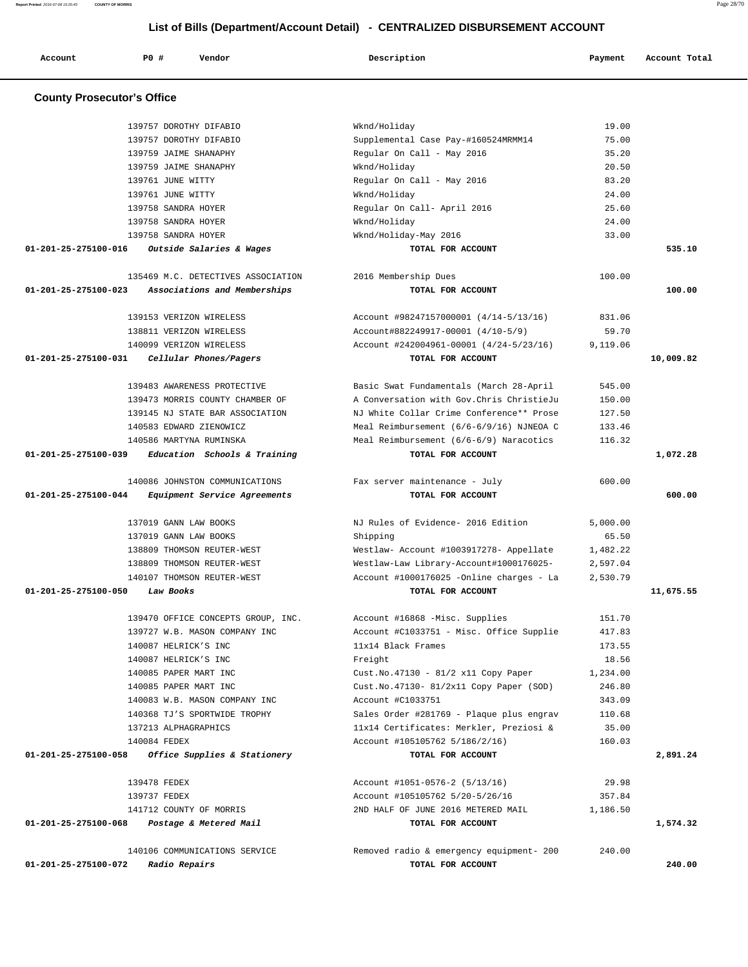**Report Printed** 2016-07-08 15:25:45 **COUNTY OF MORRIS** Page 28/70  **List of Bills (Department/Account Detail) - CENTRALIZED DISBURSEMENT ACCOUNT**

| Account              | P0 #<br>Vendor                                          | Description                                                  | Payment         | Account Total |
|----------------------|---------------------------------------------------------|--------------------------------------------------------------|-----------------|---------------|
|                      | <b>County Prosecutor's Office</b>                       |                                                              |                 |               |
|                      | 139757 DOROTHY DIFABIO                                  | Wknd/Holiday                                                 | 19.00           |               |
|                      | 139757 DOROTHY DIFABIO                                  | Supplemental Case Pay-#160524MRMM14                          | 75.00           |               |
|                      | 139759 JAIME SHANAPHY                                   | Regular On Call - May 2016                                   | 35.20           |               |
|                      | 139759 JAIME SHANAPHY                                   | Wknd/Holiday                                                 | 20.50           |               |
|                      | 139761 JUNE WITTY                                       | Regular On Call - May 2016                                   | 83.20           |               |
|                      | 139761 JUNE WITTY                                       | Wknd/Holiday                                                 | 24.00           |               |
|                      | 139758 SANDRA HOYER                                     | Regular On Call- April 2016                                  | 25.60           |               |
|                      | 139758 SANDRA HOYER                                     |                                                              | 24.00           |               |
|                      |                                                         | Wknd/Holiday                                                 |                 |               |
| 01-201-25-275100-016 | 139758 SANDRA HOYER<br>Outside Salaries & Wages         | Wknd/Holiday-May 2016<br>TOTAL FOR ACCOUNT                   | 33.00           | 535.10        |
|                      |                                                         |                                                              |                 |               |
|                      | 135469 M.C. DETECTIVES ASSOCIATION                      | 2016 Membership Dues                                         | 100.00          |               |
| 01-201-25-275100-023 | Associations and Memberships                            | TOTAL FOR ACCOUNT                                            |                 | 100.00        |
|                      | 139153 VERIZON WIRELESS                                 | Account #98247157000001 (4/14-5/13/16)                       | 831.06          |               |
|                      | 138811 VERIZON WIRELESS                                 | Account#882249917-00001 (4/10-5/9)                           | 59.70           |               |
|                      | 140099 VERIZON WIRELESS                                 | Account #242004961-00001 (4/24-5/23/16)                      | 9,119.06        |               |
| 01-201-25-275100-031 | Cellular Phones/Pagers                                  | TOTAL FOR ACCOUNT                                            |                 | 10,009.82     |
|                      | 139483 AWARENESS PROTECTIVE                             | Basic Swat Fundamentals (March 28-April                      | 545.00          |               |
|                      |                                                         | A Conversation with Gov. Chris ChristieJu                    |                 |               |
|                      | 139473 MORRIS COUNTY CHAMBER OF                         |                                                              | 150.00          |               |
|                      | 139145 NJ STATE BAR ASSOCIATION                         | NJ White Collar Crime Conference** Prose                     | 127.50          |               |
|                      | 140583 EDWARD ZIENOWICZ                                 | Meal Reimbursement (6/6-6/9/16) NJNEOA C                     | 133.46          |               |
| 01-201-25-275100-039 | 140586 MARTYNA RUMINSKA<br>Education Schools & Training | Meal Reimbursement (6/6-6/9) Naracotics<br>TOTAL FOR ACCOUNT | 116.32          | 1,072.28      |
|                      |                                                         |                                                              |                 |               |
|                      | 140086 JOHNSTON COMMUNICATIONS                          | Fax server maintenance - July                                | 600.00          |               |
| 01-201-25-275100-044 | Equipment Service Agreements                            | TOTAL FOR ACCOUNT                                            |                 | 600.00        |
|                      | 137019 GANN LAW BOOKS                                   | NJ Rules of Evidence- 2016 Edition                           | 5.000.00        |               |
|                      | 137019 GANN LAW BOOKS                                   | Shipping                                                     | 65.50           |               |
|                      | 138809 THOMSON REUTER-WEST                              | Westlaw- Account #1003917278- Appellate                      | 1,482.22        |               |
|                      | 138809 THOMSON REUTER-WEST                              | Westlaw-Law Library-Account#1000176025-                      | 2,597.04        |               |
|                      | 140107 THOMSON REUTER-WEST                              | Account #1000176025 -Online charges - La                     | 2,530.79        |               |
| 01-201-25-275100-050 | Law Books                                               | TOTAL FOR ACCOUNT                                            |                 | 11,675.55     |
|                      | 139470 OFFICE CONCEPTS GROUP, INC.                      | Account #16868 -Misc. Supplies                               | 151.70          |               |
|                      | 139727 W.B. MASON COMPANY INC                           | Account #C1033751 - Misc. Office Supplie                     | 417.83          |               |
|                      | 140087 HELRICK'S INC                                    | 11x14 Black Frames                                           | 173.55          |               |
|                      | 140087 HELRICK'S INC                                    | Freight                                                      | 18.56           |               |
|                      | 140085 PAPER MART INC                                   | Cust.No.47130 - 81/2 x11 Copy Paper                          | 1,234.00        |               |
|                      | 140085 PAPER MART INC                                   | Cust. No. 47130- 81/2x11 Copy Paper (SOD)                    | 246.80          |               |
|                      | 140083 W.B. MASON COMPANY INC                           | Account #C1033751                                            | 343.09          |               |
|                      | 140368 TJ'S SPORTWIDE TROPHY                            | Sales Order #281769 - Plaque plus engrav                     | 110.68          |               |
|                      | 137213 ALPHAGRAPHICS                                    | 11x14 Certificates: Merkler, Preziosi &                      | 35.00           |               |
|                      | 140084 FEDEX                                            | Account #105105762 5/186/2/16)                               | 160.03          |               |
| 01-201-25-275100-058 | Office Supplies & Stationery                            | TOTAL FOR ACCOUNT                                            |                 | 2,891.24      |
|                      |                                                         |                                                              |                 |               |
|                      | 139478 FEDEX<br>139737 FEDEX                            | Account #1051-0576-2 (5/13/16)                               | 29.98<br>357.84 |               |
|                      |                                                         | Account #105105762 5/20-5/26/16                              |                 |               |
|                      | 141712 COUNTY OF MORRIS                                 | 2ND HALF OF JUNE 2016 METERED MAIL                           | 1,186.50        |               |
| 01-201-25-275100-068 | Postage & Metered Mail                                  | TOTAL FOR ACCOUNT                                            |                 | 1,574.32      |
|                      | 140106 COMMUNICATIONS SERVICE                           | Removed radio & emergency equipment- 200                     | 240.00          |               |
| 01-201-25-275100-072 | Radio Repairs                                           | TOTAL FOR ACCOUNT                                            |                 | 240.00        |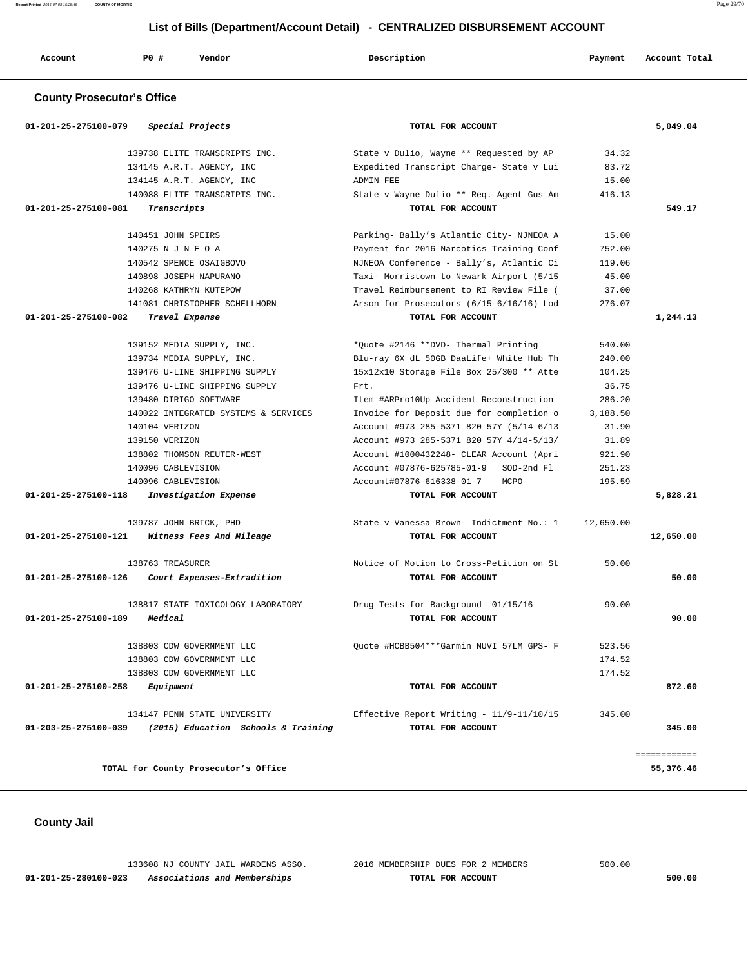**Report Printed** 2016-07-08 15:25:45 **COUNTY OF MORRIS** Page 29/70

| List of Bills (Department/Account Detail) - CENTRALIZED DISBURSEMENT ACCOUNT |                    |                               |                                          |         |               |  |  |
|------------------------------------------------------------------------------|--------------------|-------------------------------|------------------------------------------|---------|---------------|--|--|
| Account                                                                      | PO#                | Vendor                        | Description                              | Payment | Account Total |  |  |
| <b>County Prosecutor's Office</b>                                            |                    |                               |                                          |         |               |  |  |
| 01-201-25-275100-079                                                         |                    | Special Projects              | TOTAL FOR ACCOUNT                        |         | 5,049.04      |  |  |
|                                                                              |                    | 139738 ELITE TRANSCRIPTS INC. | State v Dulio, Wayne ** Requested by AP  | 34.32   |               |  |  |
|                                                                              |                    | 134145 A.R.T. AGENCY, INC     | Expedited Transcript Charge- State v Lui | 83.72   |               |  |  |
|                                                                              |                    | 134145 A.R.T. AGENCY, INC     | ADMIN FEE                                | 15.00   |               |  |  |
|                                                                              |                    | 140088 ELITE TRANSCRIPTS INC. | State v Wayne Dulio ** Req. Agent Gus Am | 416.13  |               |  |  |
| $01 - 201 - 25 - 275100 - 081$                                               | Transcripts        |                               | TOTAL FOR ACCOUNT                        |         | 549.17        |  |  |
|                                                                              | 140451 JOHN SPEIRS |                               | Parking- Bally's Atlantic City- NJNEOA A | 15.00   |               |  |  |
|                                                                              | 140275 N J N E O A |                               | Payment for 2016 Narcotics Training Conf | 752.00  |               |  |  |
|                                                                              |                    | 140542 SPENCE OSAIGBOVO       | NJNEOA Conference - Bally's, Atlantic Ci | 119.06  |               |  |  |
|                                                                              |                    | 140898 JOSEPH NAPURANO        | Taxi- Morristown to Newark Airport (5/15 | 45.00   |               |  |  |
|                                                                              |                    | 140268 KATHRYN KUTEPOW        | Travel Reimbursement to RI Review File ( | 37.00   |               |  |  |
|                                                                              |                    | 141081 CHRISTOPHER SCHELLHORN | Arson for Prosecutors (6/15-6/16/16) Lod | 276.07  |               |  |  |
| 01-201-25-275100-082                                                         |                    | Travel Expense                | TOTAL FOR ACCOUNT                        |         | 1,244.13      |  |  |
|                                                                              |                    | 139152 MEDIA SUPPLY, INC.     | *Ouote #2146 **DVD- Thermal Printing     | 540.00  |               |  |  |

|                                | 139734 MEDIA SUPPLY, INC.                       | Blu-ray 6X dL 50GB DaaLife+ White Hub Th | 240.00    |           |
|--------------------------------|-------------------------------------------------|------------------------------------------|-----------|-----------|
|                                | 139476 U-LINE SHIPPING SUPPLY                   | 15x12x10 Storage File Box 25/300 ** Atte | 104.25    |           |
|                                | 139476 U-LINE SHIPPING SUPPLY                   | Frt.                                     | 36.75     |           |
|                                | 139480 DIRIGO SOFTWARE                          | Item #ARPro10Up Accident Reconstruction  | 286.20    |           |
|                                | 140022 INTEGRATED SYSTEMS & SERVICES            | Invoice for Deposit due for completion o | 3,188.50  |           |
|                                | 140104 VERIZON                                  | Account #973 285-5371 820 57Y (5/14-6/13 | 31.90     |           |
|                                | 139150 VERIZON                                  | Account #973 285-5371 820 57Y 4/14-5/13/ | 31.89     |           |
|                                | 138802 THOMSON REUTER-WEST                      | Account #1000432248- CLEAR Account (Apri | 921.90    |           |
|                                | 140096 CABLEVISION                              | Account #07876-625785-01-9 SOD-2nd Fl    | 251.23    |           |
|                                | 140096 CABLEVISION                              | Account#07876-616338-01-7 MCPO           | 195.59    |           |
|                                | 01-201-25-275100-118 Investigation Expense      | TOTAL FOR ACCOUNT                        |           | 5,828.21  |
|                                |                                                 |                                          |           |           |
|                                | 139787 JOHN BRICK, PHD                          | State v Vanessa Brown- Indictment No.: 1 | 12,650.00 |           |
|                                | 01-201-25-275100-121 Witness Fees And Mileage   | TOTAL FOR ACCOUNT                        |           | 12,650.00 |
|                                |                                                 |                                          |           |           |
|                                | 138763 TREASURER                                | Notice of Motion to Cross-Petition on St | 50.00     |           |
|                                | 01-201-25-275100-126 Court Expenses-Extradition | TOTAL FOR ACCOUNT                        |           | 50.00     |
|                                |                                                 |                                          |           |           |
|                                | 138817 STATE TOXICOLOGY LABORATORY              | Drug Tests for Background 01/15/16       | 90.00     |           |
| 01-201-25-275100-189           | Medical                                         | TOTAL FOR ACCOUNT                        |           | 90.00     |
|                                |                                                 |                                          |           |           |
|                                | 138803 CDW GOVERNMENT LLC                       | Ouote #HCBB504***Garmin NUVI 57LM GPS- F | 523.56    |           |
|                                | 138803 CDW GOVERNMENT LLC                       |                                          | 174.52    |           |
|                                | 138803 CDW GOVERNMENT LLC                       |                                          | 174.52    |           |
| 01-201-25-275100-258 Equipment |                                                 | TOTAL FOR ACCOUNT                        |           | 872.60    |
|                                |                                                 |                                          |           |           |
|                                | 134147 PENN STATE UNIVERSITY                    | Effective Report Writing - 11/9-11/10/15 | 345.00    |           |
| $01 - 203 - 25 - 275100 - 039$ | (2015) Education Schools & Training             | TOTAL FOR ACCOUNT                        |           | 345.00    |
|                                |                                                 |                                          |           |           |

============

TOTAL for County Prosecutor's Office 55,376.46

 **County Jail** 

 133608 NJ COUNTY JAIL WARDENS ASSO. 2016 MEMBERSHIP DUES FOR 2 MEMBERS 500.00  **01-201-25-280100-023 Associations and Memberships TOTAL FOR ACCOUNT 500.00**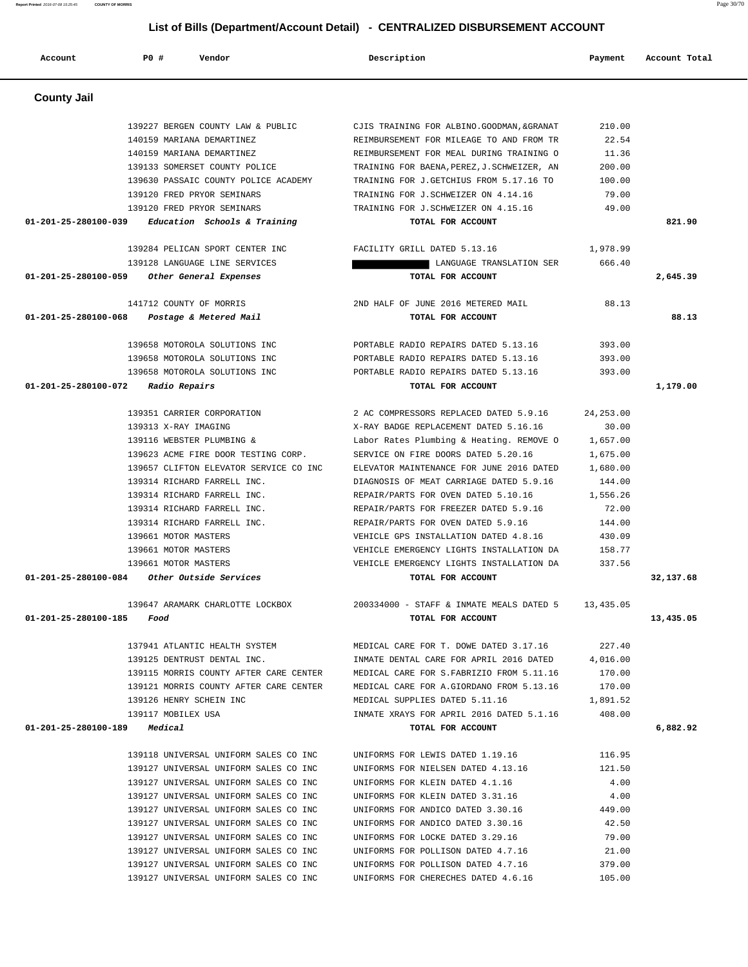139630 PASSAIC COUNTY POLICE ACADEMY TRAINING FOR J.GETCHIUS FROM 5.17.16 TO 100.00 139120 FRED PRYOR SEMINARS TRAINING FOR J.SCHWEIZER ON 4.14.16 79.00 139120 FRED PRYOR SEMINARS TRAINING FOR J.SCHWEIZER ON 4.15.16 49.00  **01-201-25-280100-039 Education Schools & Training TOTAL FOR ACCOUNT 821.90** 139284 PELICAN SPORT CENTER INC FACILITY GRILL DATED 5.13.16 1,978.99 139128 LANGUAGE LINE SERVICES **LANGUAGE TRANSLATION SER** 666.40  **01-201-25-280100-059 Other General Expenses TOTAL FOR ACCOUNT 2,645.39** 141712 COUNTY OF MORRIS 2ND HALF OF JUNE 2016 METERED MAIL 88.13  **01-201-25-280100-068 Postage & Metered Mail TOTAL FOR ACCOUNT 88.13** 139658 MOTOROLA SOLUTIONS INC PORTABLE RADIO REPAIRS DATED 5.13.16 393.00 139658 MOTOROLA SOLUTIONS INC PORTABLE RADIO REPAIRS DATED 5.13.16 393.00 139658 MOTOROLA SOLUTIONS INC PORTABLE RADIO REPAIRS DATED 5.13.16 393.00  **01-201-25-280100-072 Radio Repairs TOTAL FOR ACCOUNT 1,179.00** 139351 CARRIER CORPORATION 2 AC COMPRESSORS REPLACED DATED 5.9.16 24,253.00 139313 X-RAY IMAGING X-RAY BADGE REPLACEMENT DATED 5.16.16 30.00 139116 WEBSTER PLUMBING & Labor Rates Plumbing & Heating. REMOVE O 1,657.00 139623 ACME FIRE DOOR TESTING CORP. SERVICE ON FIRE DOORS DATED 5.20.16 1,675.00 139657 CLIFTON ELEVATOR SERVICE CO INC ELEVATOR MAINTENANCE FOR JUNE 2016 DATED 1,680.00 139314 RICHARD FARRELL INC. DIAGNOSIS OF MEAT CARRIAGE DATED 5.9.16 144.00 139314 RICHARD FARRELL INC. REPAIR/PARTS FOR OVEN DATED 5.10.16 1,556.26 139314 RICHARD FARRELL INC. REPAIR/PARTS FOR FREEZER DATED 5.9.16 72.00 139314 RICHARD FARRELL INC. REPAIR/PARTS FOR OVEN DATED 5.9.16 144.00 139661 MOTOR MASTERS VEHICLE GPS INSTALLATION DATED 4.8.16 430.09 139661 MOTOR MASTERS VEHICLE EMERGENCY LIGHTS INSTALLATION DA 158.77 139661 MOTOR MASTERS VEHICLE EMERGENCY LIGHTS INSTALLATION DA 337.56  **01-201-25-280100-084 Other Outside Services TOTAL FOR ACCOUNT 32,137.68** 139647 ARAMARK CHARLOTTE LOCKBOX 200334000 - STAFF & INMATE MEALS DATED 5 13,435.05  **01-201-25-280100-185 Food TOTAL FOR ACCOUNT 13,435.05** 137941 ATLANTIC HEALTH SYSTEM MEDICAL CARE FOR T. DOWE DATED 3.17.16 227.40 139125 DENTRUST DENTAL INC. INMATE DENTAL CARE FOR APRIL 2016 DATED 4,016.00 139115 MORRIS COUNTY AFTER CARE CENTER MEDICAL CARE FOR S.FABRIZIO FROM 5.11.16 170.00 139121 MORRIS COUNTY AFTER CARE CENTER MEDICAL CARE FOR A.GIORDANO FROM 5.13.16 170.00 139126 HENRY SCHEIN INC MEDICAL SUPPLIES DATED 5.11.16 1,891.52 139117 MOBILEX USA INMATE XRAYS FOR APRIL 2016 DATED 5.1.16 408.00  **01-201-25-280100-189 Medical TOTAL FOR ACCOUNT 6,882.92** 139118 UNIVERSAL UNIFORM SALES CO INC UNIFORMS FOR LEWIS DATED 1.19.16 116.95 139127 UNIVERSAL UNIFORM SALES CO INC UNIFORMS FOR NIELSEN DATED 4.13.16 121.50 139127 UNIVERSAL UNIFORM SALES CO INC UNIFORMS FOR KLEIN DATED 4.1.16 4.00 139127 UNIVERSAL UNIFORM SALES CO INC UNIFORMS FOR KLEIN DATED 3.31.16 4.00 139127 UNIVERSAL UNIFORM SALES CO INC UNIFORMS FOR ANDICO DATED 3.30.16 449.00 139127 UNIVERSAL UNIFORM SALES CO INC UNIFORMS FOR ANDICO DATED 3.30.16 42.50 139127 UNIVERSAL UNIFORM SALES CO INC UNIFORMS FOR LOCKE DATED 3.29.16 79.00 139127 UNIVERSAL UNIFORM SALES CO INC UNIFORMS FOR POLLISON DATED 4.7.16 21.00 139127 UNIVERSAL UNIFORM SALES CO INC UNIFORMS FOR POLLISON DATED 4.7.16 379.00 139127 UNIVERSAL UNIFORM SALES CO INC UNIFORMS FOR CHERECHES DATED 4.6.16 105.00

#### **County Jail**

 139227 BERGEN COUNTY LAW & PUBLIC CJIS TRAINING FOR ALBINO.GOODMAN,&GRANAT 210.00 140159 MARIANA DEMARTINEZ REIMBURSEMENT FOR MILEAGE TO AND FROM TR 22.54 140159 MARIANA DEMARTINEZ REIMBURSEMENT FOR MEAL DURING TRAINING O 11.36 139133 SOMERSET COUNTY POLICE TRAINING FOR BAENA,PEREZ,J.SCHWEIZER, AN 200.00

 **Account P0 # Vendor Description Payment Account Total**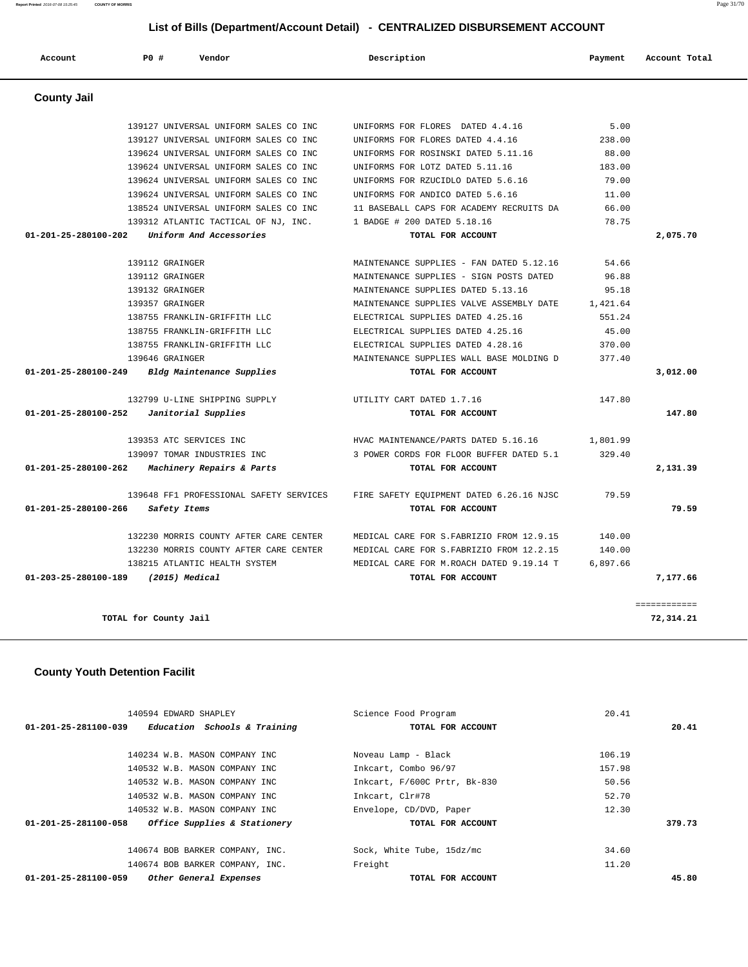| Account                        | PO#             | Vendor                                  | Description                               | Payment  | Account Total |
|--------------------------------|-----------------|-----------------------------------------|-------------------------------------------|----------|---------------|
| <b>County Jail</b>             |                 |                                         |                                           |          |               |
|                                |                 | 139127 UNIVERSAL UNIFORM SALES CO INC   | UNIFORMS FOR FLORES DATED 4.4.16          | 5.00     |               |
|                                |                 | 139127 UNIVERSAL UNIFORM SALES CO INC   | UNIFORMS FOR FLORES DATED 4.4.16          | 238.00   |               |
|                                |                 | 139624 UNIVERSAL UNIFORM SALES CO INC   | UNIFORMS FOR ROSINSKI DATED 5.11.16       | 88.00    |               |
|                                |                 | 139624 UNIVERSAL UNIFORM SALES CO INC   | UNIFORMS FOR LOTZ DATED 5.11.16           | 183.00   |               |
|                                |                 | 139624 UNIVERSAL UNIFORM SALES CO INC   | UNIFORMS FOR RZUCIDLO DATED 5.6.16        | 79.00    |               |
|                                |                 | 139624 UNIVERSAL UNIFORM SALES CO INC   | UNIFORMS FOR ANDICO DATED 5.6.16          | 11.00    |               |
|                                |                 | 138524 UNIVERSAL UNIFORM SALES CO INC   | 11 BASEBALL CAPS FOR ACADEMY RECRUITS DA  | 66.00    |               |
|                                |                 | 139312 ATLANTIC TACTICAL OF NJ, INC.    | 1 BADGE # 200 DATED 5.18.16               | 78.75    |               |
| $01 - 201 - 25 - 280100 - 202$ |                 | Uniform And Accessories                 | TOTAL FOR ACCOUNT                         |          | 2,075.70      |
|                                | 139112 GRAINGER |                                         | MAINTENANCE SUPPLIES - FAN DATED 5.12.16  | 54.66    |               |
|                                | 139112 GRAINGER |                                         | MAINTENANCE SUPPLIES - SIGN POSTS DATED   | 96.88    |               |
|                                | 139132 GRAINGER |                                         | MAINTENANCE SUPPLIES DATED 5.13.16        | 95.18    |               |
|                                | 139357 GRAINGER |                                         | MAINTENANCE SUPPLIES VALVE ASSEMBLY DATE  | 1,421.64 |               |
|                                |                 | 138755 FRANKLIN-GRIFFITH LLC            | ELECTRICAL SUPPLIES DATED 4.25.16         | 551.24   |               |
|                                |                 | 138755 FRANKLIN-GRIFFITH LLC            | ELECTRICAL SUPPLIES DATED 4.25.16         | 45.00    |               |
|                                |                 | 138755 FRANKLIN-GRIFFITH LLC            | ELECTRICAL SUPPLIES DATED 4.28.16         | 370.00   |               |
|                                | 139646 GRAINGER |                                         | MAINTENANCE SUPPLIES WALL BASE MOLDING D  | 377.40   |               |
| $01 - 201 - 25 - 280100 - 249$ |                 | Bldg Maintenance Supplies               | TOTAL FOR ACCOUNT                         |          | 3,012.00      |
|                                |                 | 132799 U-LINE SHIPPING SUPPLY           | UTILITY CART DATED 1.7.16                 | 147.80   |               |
| 01-201-25-280100-252           |                 | Janitorial Supplies                     | TOTAL FOR ACCOUNT                         |          | 147.80        |
|                                |                 | 139353 ATC SERVICES INC                 | HVAC MAINTENANCE/PARTS DATED 5.16.16      | 1,801.99 |               |
|                                |                 | 139097 TOMAR INDUSTRIES INC             | 3 POWER CORDS FOR FLOOR BUFFER DATED 5.1  | 329.40   |               |
| 01-201-25-280100-262           |                 | Machinery Repairs & Parts               | TOTAL FOR ACCOUNT                         |          | 2,131.39      |
|                                |                 | 139648 FF1 PROFESSIONAL SAFETY SERVICES | FIRE SAFETY EQUIPMENT DATED 6.26.16 NJSC  | 79.59    |               |
| 01-201-25-280100-266           |                 | Safety Items                            | TOTAL FOR ACCOUNT                         |          | 79.59         |
|                                |                 | 132230 MORRIS COUNTY AFTER CARE CENTER  | MEDICAL CARE FOR S. FABRIZIO FROM 12.9.15 | 140.00   |               |
|                                |                 | 132230 MORRIS COUNTY AFTER CARE CENTER  | MEDICAL CARE FOR S. FABRIZIO FROM 12.2.15 | 140.00   |               |
|                                |                 | 138215 ATLANTIC HEALTH SYSTEM           | MEDICAL CARE FOR M.ROACH DATED 9.19.14 T  | 6,897.66 |               |
| 01-203-25-280100-189           |                 | $(2015)$ Medical                        | TOTAL FOR ACCOUNT                         |          | 7,177.66      |
|                                |                 |                                         |                                           |          | ------------  |

 **County Youth Detention Facilit**

| 140594 EDWARD SHAPLEY                                | Science Food Program         | 20.41  |
|------------------------------------------------------|------------------------------|--------|
| Education Schools & Training<br>01-201-25-281100-039 | TOTAL FOR ACCOUNT            | 20.41  |
|                                                      |                              |        |
| 140234 W.B. MASON COMPANY INC                        | Noveau Lamp - Black          | 106.19 |
| 140532 W.B. MASON COMPANY INC                        | Inkcart, Combo 96/97         | 157.98 |
| 140532 W.B. MASON COMPANY INC                        | Inkcart, F/600C Prtr, Bk-830 | 50.56  |
| 140532 W.B. MASON COMPANY INC                        | Inkcart, Clr#78              | 52.70  |
| 140532 W.B. MASON COMPANY INC                        | Envelope, CD/DVD, Paper      | 12.30  |
| Office Supplies & Stationery<br>01-201-25-281100-058 | TOTAL FOR ACCOUNT            | 379.73 |
|                                                      |                              |        |
| 140674 BOB BARKER COMPANY, INC.                      | Sock, White Tube, 15dz/mc    | 34.60  |
| 140674 BOB BARKER COMPANY, INC.                      | Freight                      | 11.20  |
| 01-201-25-281100-059<br>Other General Expenses       | TOTAL FOR ACCOUNT            | 45.80  |

**TOTAL for County Jail 72,314.21**

**Report Printed** 2016-07-08 15:25:45 **COUNTY OF MORRIS** Page 31/70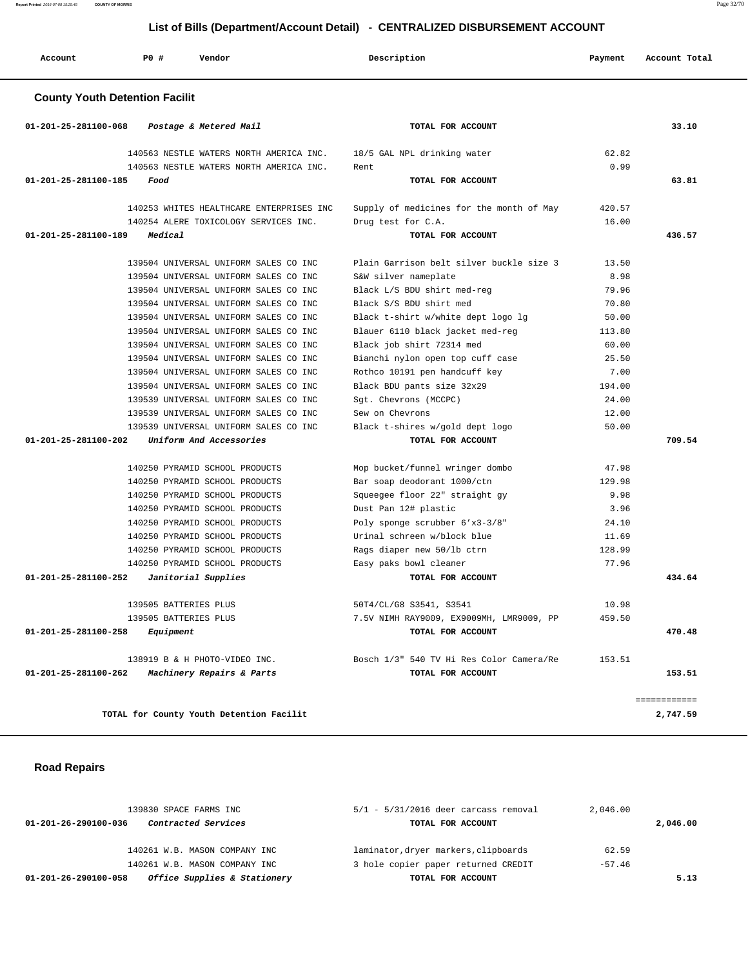**Report Printed** 2016-07-08 15:25:45 **COUNTY OF MORRIS** Page 32/70

# **List of Bills (Department/Account Detail) - CENTRALIZED DISBURSEMENT ACCOUNT**

| P0#<br>Account<br>Vendor                                                                 | Description                                          | Payment | Account Total |
|------------------------------------------------------------------------------------------|------------------------------------------------------|---------|---------------|
| <b>County Youth Detention Facilit</b>                                                    |                                                      |         |               |
| 01-201-25-281100-068<br>Postage & Metered Mail                                           | TOTAL FOR ACCOUNT                                    |         | 33.10         |
| 140563 NESTLE WATERS NORTH AMERICA INC.                                                  | 18/5 GAL NPL drinking water                          | 62.82   |               |
| 140563 NESTLE WATERS NORTH AMERICA INC.                                                  | Rent                                                 | 0.99    |               |
| $01 - 201 - 25 - 281100 - 185$<br>Food                                                   | TOTAL FOR ACCOUNT                                    |         | 63.81         |
| 140253 WHITES HEALTHCARE ENTERPRISES INC                                                 | Supply of medicines for the month of May             | 420.57  |               |
| 140254 ALERE TOXICOLOGY SERVICES INC.                                                    | Drug test for C.A.                                   | 16.00   |               |
| 01-201-25-281100-189<br>Medical                                                          | TOTAL FOR ACCOUNT                                    |         | 436.57        |
|                                                                                          |                                                      |         |               |
| 139504 UNIVERSAL UNIFORM SALES CO INC                                                    | Plain Garrison belt silver buckle size 3             | 13.50   |               |
| 139504 UNIVERSAL UNIFORM SALES CO INC                                                    | S&W silver nameplate                                 | 8.98    |               |
| 139504 UNIVERSAL UNIFORM SALES CO INC                                                    | Black L/S BDU shirt med-reg                          | 79.96   |               |
| 139504 UNIVERSAL UNIFORM SALES CO INC                                                    | Black S/S BDU shirt med                              | 70.80   |               |
| 139504 UNIVERSAL UNIFORM SALES CO INC                                                    | Black t-shirt w/white dept logo lg                   | 50.00   |               |
| 139504 UNIVERSAL UNIFORM SALES CO INC                                                    | Blauer 6110 black jacket med-reg                     | 113.80  |               |
| 139504 UNIVERSAL UNIFORM SALES CO INC                                                    | Black job shirt 72314 med                            | 60.00   |               |
| 139504 UNIVERSAL UNIFORM SALES CO INC                                                    | Bianchi nylon open top cuff case                     | 25.50   |               |
| 139504 UNIVERSAL UNIFORM SALES CO INC                                                    | Rothco 10191 pen handcuff key                        | 7.00    |               |
| 139504 UNIVERSAL UNIFORM SALES CO INC                                                    | Black BDU pants size 32x29                           | 194.00  |               |
| 139539 UNIVERSAL UNIFORM SALES CO INC                                                    | Sgt. Chevrons (MCCPC)                                | 24.00   |               |
| 139539 UNIVERSAL UNIFORM SALES CO INC                                                    | Sew on Chevrons                                      | 12.00   |               |
| 139539 UNIVERSAL UNIFORM SALES CO INC<br>01-201-25-281100-202<br>Uniform And Accessories | Black t-shires w/gold dept logo<br>TOTAL FOR ACCOUNT | 50.00   | 709.54        |
|                                                                                          |                                                      |         |               |
| 140250 PYRAMID SCHOOL PRODUCTS                                                           | Mop bucket/funnel wringer dombo                      | 47.98   |               |
| 140250 PYRAMID SCHOOL PRODUCTS                                                           | Bar soap deodorant 1000/ctn                          | 129.98  |               |
| 140250 PYRAMID SCHOOL PRODUCTS                                                           | Squeegee floor 22" straight gy                       | 9.98    |               |
| 140250 PYRAMID SCHOOL PRODUCTS                                                           | Dust Pan 12# plastic                                 | 3.96    |               |
| 140250 PYRAMID SCHOOL PRODUCTS                                                           | Poly sponge scrubber 6'x3-3/8"                       | 24.10   |               |
| 140250 PYRAMID SCHOOL PRODUCTS                                                           | Urinal schreen w/block blue                          | 11.69   |               |
| 140250 PYRAMID SCHOOL PRODUCTS                                                           | Rags diaper new 50/lb ctrn                           | 128.99  |               |
| 140250 PYRAMID SCHOOL PRODUCTS                                                           | Easy paks bowl cleaner                               | 77.96   |               |
| $01 - 201 - 25 - 281100 - 252$<br>Janitorial Supplies                                    | TOTAL FOR ACCOUNT                                    |         | 434.64        |
| 139505 BATTERIES PLUS                                                                    | 50T4/CL/G8 S3541, S3541                              | 10.98   |               |
| 139505 BATTERIES PLUS                                                                    | 7.5V NIMH RAY9009, EX9009MH, LMR9009, PP             | 459.50  |               |
| 01-201-25-281100-258<br>Equipment                                                        | TOTAL FOR ACCOUNT                                    |         | 470.48        |
| 138919 B & H PHOTO-VIDEO INC.                                                            | Bosch 1/3" 540 TV Hi Res Color Camera/Re             | 153.51  |               |
| 01-201-25-281100-262<br>Machinery Repairs & Parts                                        | TOTAL FOR ACCOUNT                                    |         | 153.51        |
|                                                                                          |                                                      |         | ============  |
| TOTAL for County Youth Detention Facilit                                                 |                                                      |         | 2,747.59      |

### **Road Repairs**

| 139830 SPACE FARMS INC                               | $5/1$ - $5/31/2016$ deer carcass removal | 2,046.00 |
|------------------------------------------------------|------------------------------------------|----------|
| Contracted Services<br>01-201-26-290100-036          | TOTAL FOR ACCOUNT                        | 2,046.00 |
| 140261 W.B. MASON COMPANY INC                        | laminator, dryer markers, clipboards     | 62.59    |
| 140261 W.B. MASON COMPANY INC                        | 3 hole copier paper returned CREDIT      | $-57.46$ |
| Office Supplies & Stationery<br>01-201-26-290100-058 | TOTAL FOR ACCOUNT                        | 5.13     |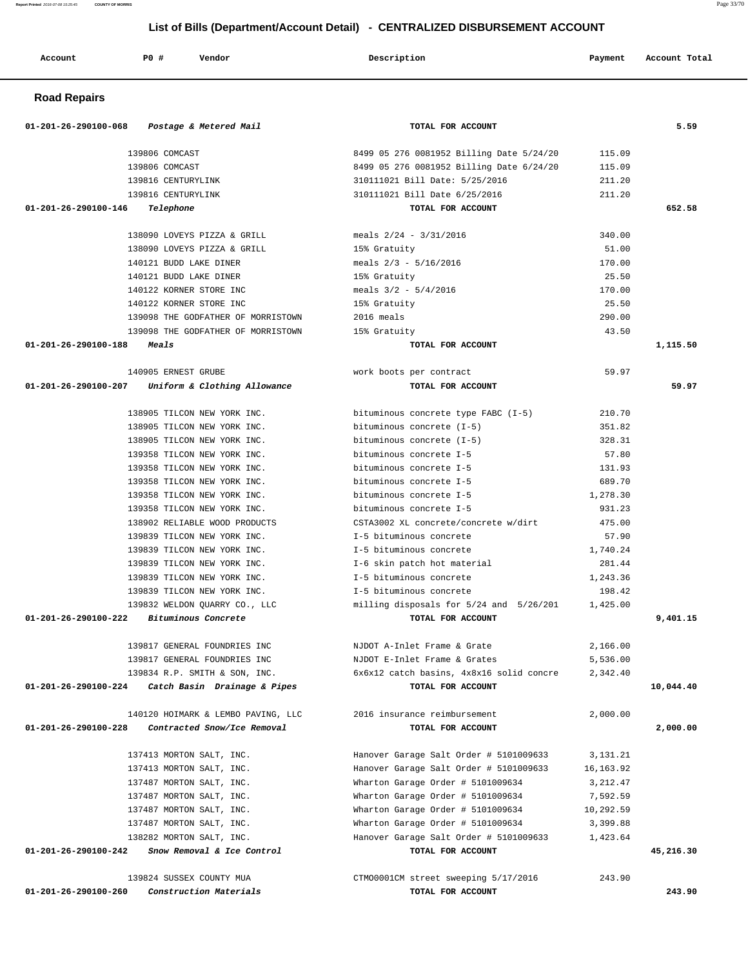| Account | <b>PO #</b> | Vendor<br>. | Description | Payment | Account Total |
|---------|-------------|-------------|-------------|---------|---------------|

### **Road Repairs**

| 01-201-26-290100-068 Postage & Metered Mail          | TOTAL FOR ACCOUNT                                                                |                       | 5.59      |
|------------------------------------------------------|----------------------------------------------------------------------------------|-----------------------|-----------|
| 139806 COMCAST                                       | 8499 05 276 0081952 Billing Date 5/24/20                                         | 115.09                |           |
| 139806 COMCAST                                       | 8499 05 276 0081952 Billing Date 6/24/20                                         | 115.09                |           |
| 139816 CENTURYLINK                                   | 310111021 Bill Date: 5/25/2016                                                   | 211.20                |           |
| 139816 CENTURYLINK                                   | 310111021 Bill Date 6/25/2016                                                    | 211.20                |           |
| 01-201-26-290100-146<br>Telephone                    | TOTAL FOR ACCOUNT                                                                |                       | 652.58    |
| 138090 LOVEYS PIZZA & GRILL                          | meals 2/24 - 3/31/2016                                                           | 340.00                |           |
| 138090 LOVEYS PIZZA & GRILL                          | 15% Gratuity                                                                     | 51.00                 |           |
| 140121 BUDD LAKE DINER                               | meals $2/3$ - $5/16/2016$                                                        | 170.00                |           |
| 140121 BUDD LAKE DINER                               | 15% Gratuity                                                                     | 25.50                 |           |
| 140122 KORNER STORE INC                              | meals $3/2 - 5/4/2016$                                                           | 170.00                |           |
| 140122 KORNER STORE INC                              | 15% Gratuity                                                                     | 25.50                 |           |
| 139098 THE GODFATHER OF MORRISTOWN                   | 2016 meals                                                                       | 290.00                |           |
| 139098 THE GODFATHER OF MORRISTOWN                   | 15% Gratuity                                                                     | 43.50                 |           |
| 01-201-26-290100-188<br><i><b>Meals</b></i>          | TOTAL FOR ACCOUNT                                                                |                       | 1,115.50  |
|                                                      |                                                                                  |                       |           |
| 140905 ERNEST GRUBE                                  | work boots per contract                                                          | 59.97                 |           |
| 01-201-26-290100-207 Uniform & Clothing Allowance    | TOTAL FOR ACCOUNT                                                                |                       | 59.97     |
| 138905 TILCON NEW YORK INC.                          | bituminous concrete type FABC (I-5)                                              | 210.70                |           |
| 138905 TILCON NEW YORK INC.                          | bituminous concrete (I-5)                                                        | 351.82                |           |
| 138905 TILCON NEW YORK INC.                          | bituminous concrete (I-5)                                                        | 328.31                |           |
| 139358 TILCON NEW YORK INC.                          | bituminous concrete I-5                                                          | 57.80                 |           |
| 139358 TILCON NEW YORK INC.                          | bituminous concrete I-5                                                          | 131.93                |           |
| 139358 TILCON NEW YORK INC.                          | bituminous concrete I-5                                                          | 689.70                |           |
| 139358 TILCON NEW YORK INC.                          | bituminous concrete I-5                                                          | 1,278.30              |           |
| 139358 TILCON NEW YORK INC.                          | bituminous concrete I-5                                                          | 931.23                |           |
| 138902 RELIABLE WOOD PRODUCTS                        | CSTA3002 XL concrete/concrete w/dirt                                             | 475.00                |           |
| 139839 TILCON NEW YORK INC.                          | I-5 bituminous concrete                                                          | 57.90                 |           |
| 139839 TILCON NEW YORK INC.                          | I-5 bituminous concrete                                                          | 1,740.24              |           |
| 139839 TILCON NEW YORK INC.                          | I-6 skin patch hot material                                                      | 281.44                |           |
| 139839 TILCON NEW YORK INC.                          | I-5 bituminous concrete                                                          | 1,243.36              |           |
| 139839 TILCON NEW YORK INC.                          | I-5 bituminous concrete                                                          | 198.42                |           |
| 139832 WELDON QUARRY CO., LLC                        | milling disposals for 5/24 and 5/26/201                                          | 1,425.00              |           |
| 01-201-26-290100-222<br>Bituminous Concrete          | TOTAL FOR ACCOUNT                                                                |                       | 9,401.15  |
| 139817 GENERAL FOUNDRIES INC                         | NJDOT A-Inlet Frame & Grate                                                      | 2,166.00              |           |
| 139817 GENERAL FOUNDRIES INC                         | NJDOT E-Inlet Frame & Grates                                                     | 5,536.00              |           |
| 139834 R.P. SMITH & SON, INC.                        | 6x6x12 catch basins, 4x8x16 solid concre                                         | 2,342.40              |           |
| $01-201-26-290100-224$ Catch Basin Drainage & Pipes  | TOTAL FOR ACCOUNT                                                                |                       | 10,044.40 |
| 140120 HOIMARK & LEMBO PAVING, LLC                   | 2016 insurance reimbursement                                                     | 2,000.00              |           |
| 01-201-26-290100-228<br>Contracted Snow/Ice Removal  | TOTAL FOR ACCOUNT                                                                |                       | 2,000.00  |
|                                                      |                                                                                  |                       |           |
| 137413 MORTON SALT, INC.<br>137413 MORTON SALT, INC. | Hanover Garage Salt Order # 5101009633<br>Hanover Garage Salt Order # 5101009633 | 3,131.21<br>16,163.92 |           |
| 137487 MORTON SALT, INC.                             | Wharton Garage Order # 5101009634                                                | 3,212.47              |           |
| 137487 MORTON SALT, INC.                             | Wharton Garage Order # 5101009634                                                | 7,592.59              |           |
|                                                      |                                                                                  |                       |           |
| 137487 MORTON SALT, INC.                             | Wharton Garage Order # 5101009634                                                | 10,292.59             |           |
| 137487 MORTON SALT, INC.                             | Wharton Garage Order # 5101009634                                                | 3,399.88              |           |
| 138282 MORTON SALT, INC.                             | Hanover Garage Salt Order # 5101009633                                           | 1,423.64              |           |
| 01-201-26-290100-242<br>Snow Removal & Ice Control   | TOTAL FOR ACCOUNT                                                                |                       | 45,216.30 |
| 139824 SUSSEX COUNTY MUA                             | CTM00001CM street sweeping 5/17/2016                                             | 243.90                |           |
| 01-201-26-290100-260<br>Construction Materials       | TOTAL FOR ACCOUNT                                                                |                       | 243.90    |

**Report Printed** 2016-07-08 15:25:45 **COUNTY OF MORRIS** Page 33/70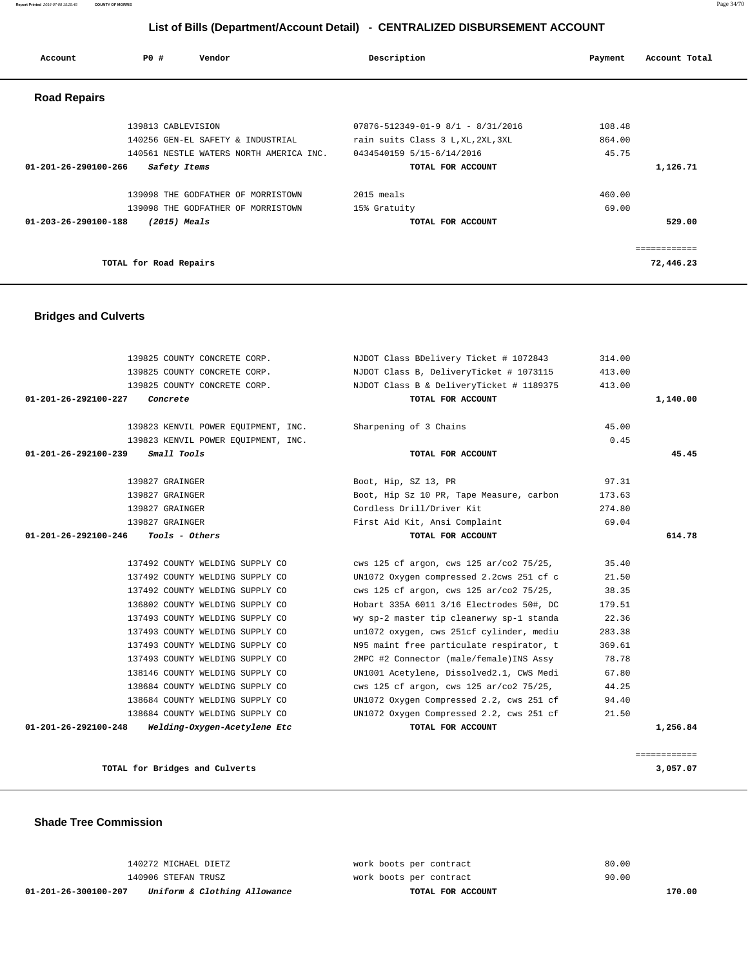#### **Report Printed** 2016-07-08 15:25:45 **COUNTY OF MORRIS** Page 34/70

# **List of Bills (Department/Account Detail) - CENTRALIZED DISBURSEMENT ACCOUNT**

| Account                        | PO#                    | Vendor                                  | Description                              | Payment | Account Total |
|--------------------------------|------------------------|-----------------------------------------|------------------------------------------|---------|---------------|
| <b>Road Repairs</b>            |                        |                                         |                                          |         |               |
|                                | 139813 CABLEVISION     |                                         | $07876 - 512349 - 01 - 98/1 - 8/31/2016$ | 108.48  |               |
|                                |                        | 140256 GEN-EL SAFETY & INDUSTRIAL       | rain suits Class 3 L, XL, 2XL, 3XL       | 864.00  |               |
|                                |                        | 140561 NESTLE WATERS NORTH AMERICA INC. | 0434540159 5/15-6/14/2016                | 45.75   |               |
| 01-201-26-290100-266           | Safety Items           |                                         | TOTAL FOR ACCOUNT                        |         | 1,126.71      |
|                                |                        | 139098 THE GODFATHER OF MORRISTOWN      | 2015 meals                               | 460.00  |               |
|                                |                        | 139098 THE GODFATHER OF MORRISTOWN      | 15% Gratuity                             | 69.00   |               |
| $01 - 203 - 26 - 290100 - 188$ |                        | $(2015)$ Meals                          | TOTAL FOR ACCOUNT                        |         | 529.00        |
|                                |                        |                                         |                                          |         |               |
|                                | TOTAL for Road Repairs |                                         |                                          |         | 72,446.23     |

### **Bridges and Culverts**

|          | 314.00 | NJDOT Class BDelivery Ticket # 1072843   | 139825 COUNTY CONCRETE CORP.                  |
|----------|--------|------------------------------------------|-----------------------------------------------|
|          | 413.00 | NJDOT Class B, DeliveryTicket # 1073115  | 139825 COUNTY CONCRETE CORP.                  |
|          | 413.00 | NJDOT Class B & DeliveryTicket # 1189375 | 139825 COUNTY CONCRETE CORP.                  |
| 1,140.00 |        | TOTAL FOR ACCOUNT                        | 01-201-26-292100-227<br>Concrete              |
|          | 45.00  | Sharpening of 3 Chains                   | 139823 KENVIL POWER EQUIPMENT, INC.           |
|          | 0.45   |                                          | 139823 KENVIL POWER EOUIPMENT, INC.           |
| 45.45    |        | TOTAL FOR ACCOUNT                        | Small Tools<br>01-201-26-292100-239           |
|          | 97.31  | Boot, Hip, SZ 13, PR                     | 139827 GRAINGER                               |
|          | 173.63 | Boot, Hip Sz 10 PR, Tape Measure, carbon | 139827 GRAINGER                               |
|          | 274.80 | Cordless Drill/Driver Kit                | 139827 GRAINGER                               |
|          | 69.04  | First Aid Kit, Ansi Complaint            | 139827 GRAINGER                               |
| 614.78   |        | TOTAL FOR ACCOUNT                        | 01-201-26-292100-246<br><i>Tools - Others</i> |
|          | 35.40  | cws 125 cf argon, cws 125 ar/co2 75/25,  | 137492 COUNTY WELDING SUPPLY CO               |
|          | 21.50  | UN1072 Oxygen compressed 2.2cws 251 cf c | 137492 COUNTY WELDING SUPPLY CO               |
|          | 38.35  | cws 125 cf argon, cws 125 ar/co2 75/25,  | 137492 COUNTY WELDING SUPPLY CO               |
|          | 179.51 | Hobart 335A 6011 3/16 Electrodes 50#, DC | 136802 COUNTY WELDING SUPPLY CO               |
|          | 22.36  | wy sp-2 master tip cleanerwy sp-1 standa | 137493 COUNTY WELDING SUPPLY CO               |
|          |        |                                          |                                               |
|          | 283.38 | un1072 oxygen, cws 251cf cylinder, mediu | 137493 COUNTY WELDING SUPPLY CO               |
|          | 369.61 | N95 maint free particulate respirator, t | 137493 COUNTY WELDING SUPPLY CO               |
|          | 78.78  | 2MPC #2 Connector (male/female) INS Assy | 137493 COUNTY WELDING SUPPLY CO               |
|          | 67.80  | UN1001 Acetylene, Dissolved2.1, CWS Medi | 138146 COUNTY WELDING SUPPLY CO               |
|          | 44.25  | cws 125 cf argon, cws 125 ar/co2 75/25,  | 138684 COUNTY WELDING SUPPLY CO               |
|          | 94.40  | UN1072 Oxygen Compressed 2.2, cws 251 cf | 138684 COUNTY WELDING SUPPLY CO               |
|          | 21.50  | UN1072 Oxygen Compressed 2.2, cws 251 cf | 138684 COUNTY WELDING SUPPLY CO               |

**TOTAL for Bridges and Culverts 3,057.07**

 **Shade Tree Commission** 

| 01-201-26-300100-207 | Uniform & Clothing Allowance | TOTAL FOR ACCOUNT       |       | 170.00 |
|----------------------|------------------------------|-------------------------|-------|--------|
|                      | 140906 STEFAN TRUSZ          | work boots per contract | 90.00 |        |
|                      | 140272 MICHAEL DIETZ         | work boots per contract | 80.00 |        |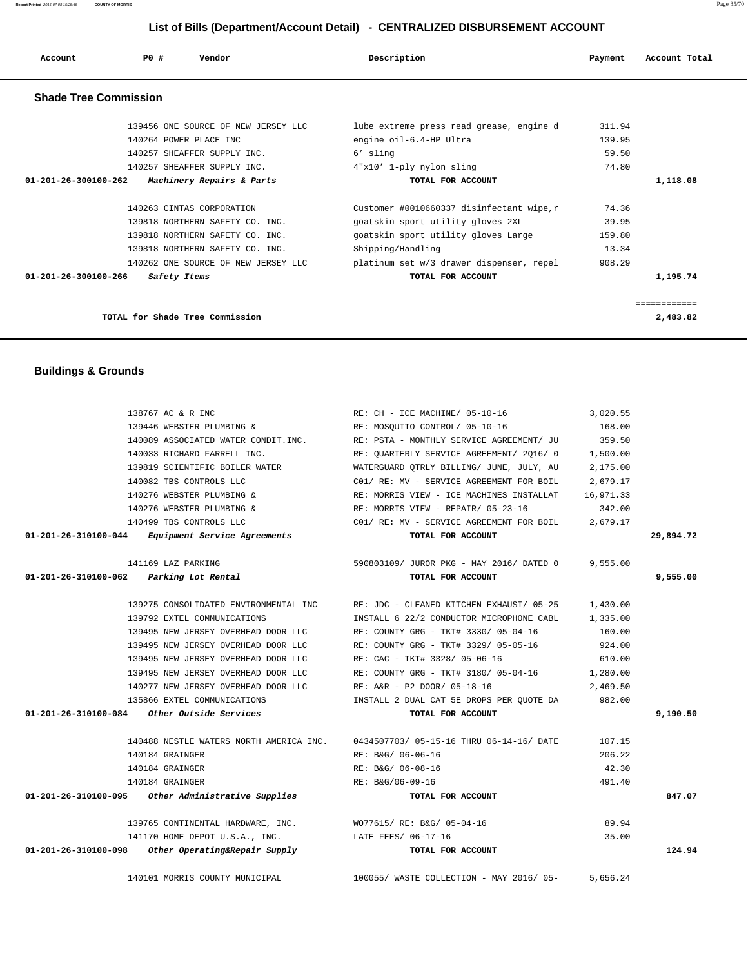| Account                      | PO#<br>Vendor                       | Description                               | Payment | Account Total |
|------------------------------|-------------------------------------|-------------------------------------------|---------|---------------|
| <b>Shade Tree Commission</b> |                                     |                                           |         |               |
|                              | 139456 ONE SOURCE OF NEW JERSEY LLC | lube extreme press read grease, engine d  | 311.94  |               |
|                              | 140264 POWER PLACE INC              | engine oil-6.4-HP Ultra                   | 139.95  |               |
|                              | 140257 SHEAFFER SUPPLY INC.         | 6' sling                                  | 59.50   |               |
|                              | 140257 SHEAFFER SUPPLY INC.         | 4"x10' 1-ply nylon sling                  | 74.80   |               |
| 01-201-26-300100-262         | Machinery Repairs & Parts           | TOTAL FOR ACCOUNT                         |         | 1,118.08      |
|                              | 140263 CINTAS CORPORATION           | Customer #0010660337 disinfectant wipe, r | 74.36   |               |
|                              | 139818 NORTHERN SAFETY CO. INC.     | goatskin sport utility gloves 2XL         | 39.95   |               |
|                              | 139818 NORTHERN SAFETY CO. INC.     | goatskin sport utility gloves Large       | 159.80  |               |

 **01-201-26-300100-266 Safety Items TOTAL FOR ACCOUNT 1,195.74**

**TOTAL for Shade Tree Commission 2,483.82**

============

139818 NORTHERN SAFETY CO. INC. Shipping/Handling 13.34 140262 ONE SOURCE OF NEW JERSEY LLC platinum set w/3 drawer dispenser, repel 908.29

| <b>Buildings &amp; Grounds</b> |                                                    |                                          |           |           |
|--------------------------------|----------------------------------------------------|------------------------------------------|-----------|-----------|
|                                | 138767 AC & R INC                                  | RE: CH - ICE MACHINE/ 05-10-16           | 3,020.55  |           |
|                                | 139446 WEBSTER PLUMBING &                          | RE: MOSQUITO CONTROL/ 05-10-16           | 168.00    |           |
|                                | 140089 ASSOCIATED WATER CONDIT.INC.                | RE: PSTA - MONTHLY SERVICE AGREEMENT/ JU | 359.50    |           |
|                                | 140033 RICHARD FARRELL INC.                        | RE: QUARTERLY SERVICE AGREEMENT/ 2Q16/ 0 | 1,500.00  |           |
|                                | 139819 SCIENTIFIC BOILER WATER                     | WATERGUARD OTRLY BILLING/ JUNE, JULY, AU | 2,175.00  |           |
|                                | 140082 TBS CONTROLS LLC                            | C01/ RE: MV - SERVICE AGREEMENT FOR BOIL | 2,679.17  |           |
|                                | 140276 WEBSTER PLUMBING &                          | RE: MORRIS VIEW - ICE MACHINES INSTALLAT | 16,971.33 |           |
|                                | 140276 WEBSTER PLUMBING &                          | RE: MORRIS VIEW - REPAIR/ 05-23-16       | 342.00    |           |
|                                | 140499 TBS CONTROLS LLC                            | C01/ RE: MV - SERVICE AGREEMENT FOR BOIL | 2,679.17  |           |
|                                |                                                    |                                          |           | 29,894.72 |
|                                | 01-201-26-310100-044 Equipment Service Agreements  | TOTAL FOR ACCOUNT                        |           |           |
|                                | 141169 LAZ PARKING                                 | 590803109/ JUROR PKG - MAY 2016/ DATED 0 | 9,555.00  |           |
| 01-201-26-310100-062           | Parking Lot Rental                                 | TOTAL FOR ACCOUNT                        |           | 9,555.00  |
|                                | 139275 CONSOLIDATED ENVIRONMENTAL INC              | RE: JDC - CLEANED KITCHEN EXHAUST/ 05-25 | 1,430.00  |           |
|                                | 139792 EXTEL COMMUNICATIONS                        | INSTALL 6 22/2 CONDUCTOR MICROPHONE CABL | 1,335.00  |           |
|                                | 139495 NEW JERSEY OVERHEAD DOOR LLC                | RE: COUNTY GRG - TKT# 3330/ 05-04-16     | 160.00    |           |
|                                | 139495 NEW JERSEY OVERHEAD DOOR LLC                | RE: COUNTY GRG - TKT# 3329/ 05-05-16     | 924.00    |           |
|                                | 139495 NEW JERSEY OVERHEAD DOOR LLC                | RE: CAC - TKT# 3328/ 05-06-16            | 610.00    |           |
|                                | 139495 NEW JERSEY OVERHEAD DOOR LLC                | RE: COUNTY GRG - TKT# 3180/ 05-04-16     | 1,280.00  |           |
|                                | 140277 NEW JERSEY OVERHEAD DOOR LLC                | RE: A&R - P2 DOOR/ 05-18-16              | 2,469.50  |           |
|                                | 135866 EXTEL COMMUNICATIONS                        | INSTALL 2 DUAL CAT 5E DROPS PER QUOTE DA | 982.00    |           |
| 01-201-26-310100-084           | Other Outside Services                             | TOTAL FOR ACCOUNT                        |           | 9,190.50  |
|                                | 140488 NESTLE WATERS NORTH AMERICA INC.            | 0434507703/05-15-16 THRU 06-14-16/DATE   | 107.15    |           |
|                                | 140184 GRAINGER                                    | RE: B&G/ 06-06-16                        | 206.22    |           |
|                                | 140184 GRAINGER                                    | RE: B&G/ 06-08-16                        | 42.30     |           |
|                                | 140184 GRAINGER                                    | RE: B&G/06-09-16                         | 491.40    |           |
| 01-201-26-310100-095           | Other Administrative Supplies                      | TOTAL FOR ACCOUNT                        |           | 847.07    |
|                                | 139765 CONTINENTAL HARDWARE, INC.                  | WO77615/ RE: B&G/ 05-04-16               | 89.94     |           |
|                                | 141170 HOME DEPOT U.S.A., INC. LATE FEES/ 06-17-16 |                                          | 35.00     |           |
| 01-201-26-310100-098           | Other Operating&Repair Supply                      | TOTAL FOR ACCOUNT                        |           | 124.94    |
|                                | 140101 MORRIS COUNTY MUNICIPAL                     | 100055/ WASTE COLLECTION - MAY 2016/ 05- | 5,656.24  |           |

**Report Printed** 2016-07-08 15:25:45 **COUNTY OF MORRIS** Page 35/70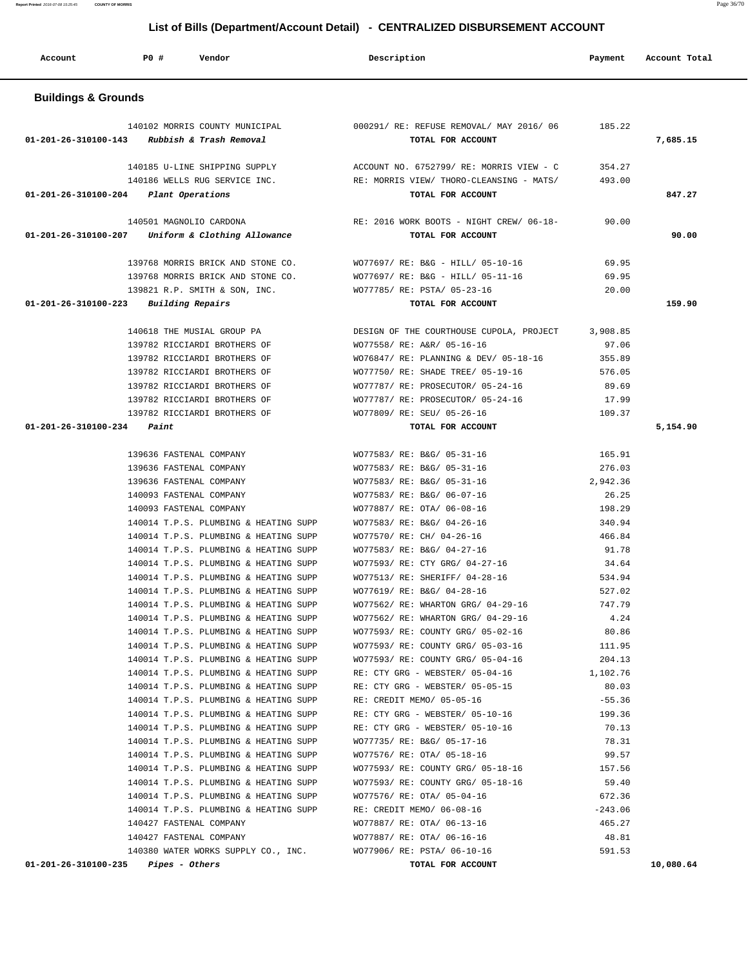**01-201-26-310100-235 Pipes - Others TOTAL FOR ACCOUNT 10,080.64**

140380 WATER WORKS SUPPLY CO., INC. WO77906/ RE: PSTA/ 06-10-16 591.53

140014 T.P.S. PLUMBING & HEATING SUPP WO77735/ RE: B&G/ 05-17-16 78.31 140014 T.P.S. PLUMBING & HEATING SUPP WO77576/ RE: OTA/ 05-18-16 99.57 140014 T.P.S. PLUMBING & HEATING SUPP WO77593/ RE: COUNTY GRG/ 05-18-16 157.56 140014 T.P.S. PLUMBING & HEATING SUPP WO77593/ RE: COUNTY GRG/ 05-18-16 59.40 140014 T.P.S. PLUMBING & HEATING SUPP WO77576/ RE: OTA/ 05-04-16 672.36 140014 T.P.S. PLUMBING & HEATING SUPP RE: CREDIT MEMO/ 06-08-16 -243.06 140427 FASTENAL COMPANY WO77887/ RE: OTA/ 06-13-16 465.27 140427 FASTENAL COMPANY WO77887/ RE: OTA/ 06-16-16 48.81

| Account                        | <b>PO #</b> | Vendor                                                    | Description                                                   | Payment  | Account Total |
|--------------------------------|-------------|-----------------------------------------------------------|---------------------------------------------------------------|----------|---------------|
| <b>Buildings &amp; Grounds</b> |             |                                                           |                                                               |          |               |
| 01-201-26-310100-143           |             | 140102 MORRIS COUNTY MUNICIPAL<br>Rubbish & Trash Removal | 000291/ RE: REFUSE REMOVAL/ MAY 2016/ 06<br>TOTAL FOR ACCOUNT | 185.22   | 7,685.15      |
|                                |             | 140185 U-LINE SHIPPING SUPPLY                             | ACCOUNT NO. 6752799/ RE: MORRIS VIEW - C                      | 354.27   |               |
|                                |             | 140186 WELLS RUG SERVICE INC.                             | RE: MORRIS VIEW/ THORO-CLEANSING - MATS/                      | 493.00   |               |
| 01-201-26-310100-204           |             | Plant Operations                                          | TOTAL FOR ACCOUNT                                             |          | 847.27        |
|                                |             | 140501 MAGNOLIO CARDONA                                   | RE: 2016 WORK BOOTS - NIGHT CREW/ 06-18-                      | 90.00    |               |
| 01-201-26-310100-207           |             | Uniform & Clothing Allowance                              | TOTAL FOR ACCOUNT                                             |          | 90.00         |
|                                |             | 139768 MORRIS BRICK AND STONE CO.                         | WO77697/ RE: B&G - HILL/ 05-10-16                             | 69.95    |               |
|                                |             | 139768 MORRIS BRICK AND STONE CO.                         | WO77697/ RE: B&G - HILL/ 05-11-16                             | 69.95    |               |
|                                |             | 139821 R.P. SMITH & SON, INC.                             | WO77785/ RE: PSTA/ 05-23-16                                   | 20.00    |               |
| 01-201-26-310100-223           |             | Building Repairs                                          | TOTAL FOR ACCOUNT                                             |          | 159.90        |
|                                |             | 140618 THE MUSIAL GROUP PA                                | DESIGN OF THE COURTHOUSE CUPOLA, PROJECT                      | 3,908.85 |               |
|                                |             | 139782 RICCIARDI BROTHERS OF                              | WO77558/ RE: A&R/ 05-16-16                                    | 97.06    |               |
|                                |             | 139782 RICCIARDI BROTHERS OF                              | WO76847/ RE: PLANNING & DEV/ 05-18-16                         | 355.89   |               |
|                                |             | 139782 RICCIARDI BROTHERS OF                              | WO77750/ RE: SHADE TREE/ 05-19-16                             | 576.05   |               |
|                                |             | 139782 RICCIARDI BROTHERS OF                              | WO77787/ RE: PROSECUTOR/ 05-24-16                             | 89.69    |               |
|                                |             | 139782 RICCIARDI BROTHERS OF                              | WO77787/ RE: PROSECUTOR/ 05-24-16                             | 17.99    |               |
|                                |             | 139782 RICCIARDI BROTHERS OF                              | WO77809/ RE: SEU/ 05-26-16                                    | 109.37   |               |
| 01-201-26-310100-234           | Paint       |                                                           | TOTAL FOR ACCOUNT                                             |          | 5,154.90      |
|                                |             | 139636 FASTENAL COMPANY                                   | WO77583/ RE: B&G/ 05-31-16                                    | 165.91   |               |
|                                |             | 139636 FASTENAL COMPANY                                   | WO77583/ RE: B&G/ 05-31-16                                    | 276.03   |               |
|                                |             | 139636 FASTENAL COMPANY                                   | WO77583/ RE: B&G/ 05-31-16                                    | 2,942.36 |               |
|                                |             | 140093 FASTENAL COMPANY                                   | WO77583/ RE: B&G/ 06-07-16                                    | 26.25    |               |
|                                |             | 140093 FASTENAL COMPANY                                   | WO77887/ RE: OTA/ 06-08-16                                    | 198.29   |               |
|                                |             | 140014 T.P.S. PLUMBING & HEATING SUPP                     | WO77583/ RE: B&G/ 04-26-16                                    | 340.94   |               |
|                                |             | 140014 T.P.S. PLUMBING & HEATING SUPP                     | WO77570/ RE: CH/ 04-26-16                                     | 466.84   |               |
|                                |             | 140014 T.P.S. PLUMBING & HEATING SUPP                     | WO77583/ RE: B&G/ 04-27-16                                    | 91.78    |               |
|                                |             | 140014 T.P.S. PLUMBING & HEATING SUPP                     | WO77593/ RE: CTY GRG/ 04-27-16                                | 34.64    |               |
|                                |             | 140014 T.P.S. PLUMBING & HEATING SUPP                     | WO77513/ RE: SHERIFF/ 04-28-16                                | 534.94   |               |
|                                |             | 140014 T.P.S. PLUMBING & HEATING SUPP                     | WO77619/ RE: B&G/ 04-28-16                                    | 527.02   |               |
|                                |             | 140014 T.P.S. PLUMBING & HEATING SUPP                     | WO77562/ RE: WHARTON GRG/ 04-29-16                            | 747.79   |               |
|                                |             | 140014 T.P.S. PLUMBING & HEATING SUPP                     | WO77562/ RE: WHARTON GRG/ 04-29-16                            | 4.24     |               |
|                                |             | 140014 T.P.S. PLUMBING & HEATING SUPP                     | WO77593/ RE: COUNTY GRG/ 05-02-16                             | 80.86    |               |
|                                |             | 140014 T.P.S. PLUMBING & HEATING SUPP                     | WO77593/ RE: COUNTY GRG/ 05-03-16                             | 111.95   |               |
|                                |             | 140014 T.P.S. PLUMBING & HEATING SUPP                     | WO77593/ RE: COUNTY GRG/ 05-04-16                             | 204.13   |               |
|                                |             | 140014 T.P.S. PLUMBING & HEATING SUPP                     | RE: CTY GRG - WEBSTER/ 05-04-16                               | 1,102.76 |               |
|                                |             | 140014 T.P.S. PLUMBING & HEATING SUPP                     | RE: CTY GRG - WEBSTER/ 05-05-15                               | 80.03    |               |
|                                |             | 140014 T.P.S. PLUMBING & HEATING SUPP                     | RE: CREDIT MEMO/ 05-05-16                                     | $-55.36$ |               |
|                                |             | 140014 T.P.S. PLUMBING & HEATING SUPP                     | RE: CTY GRG - WEBSTER/ 05-10-16                               | 199.36   |               |
|                                |             | 140014 T.P.S. PLUMBING & HEATING SUPP                     | RE: CTY GRG - WEBSTER/ 05-10-16                               | 70.13    |               |

**Report Printed** 2016-07-08 15:25:45 **COUNTY OF MORRIS** Page 36/70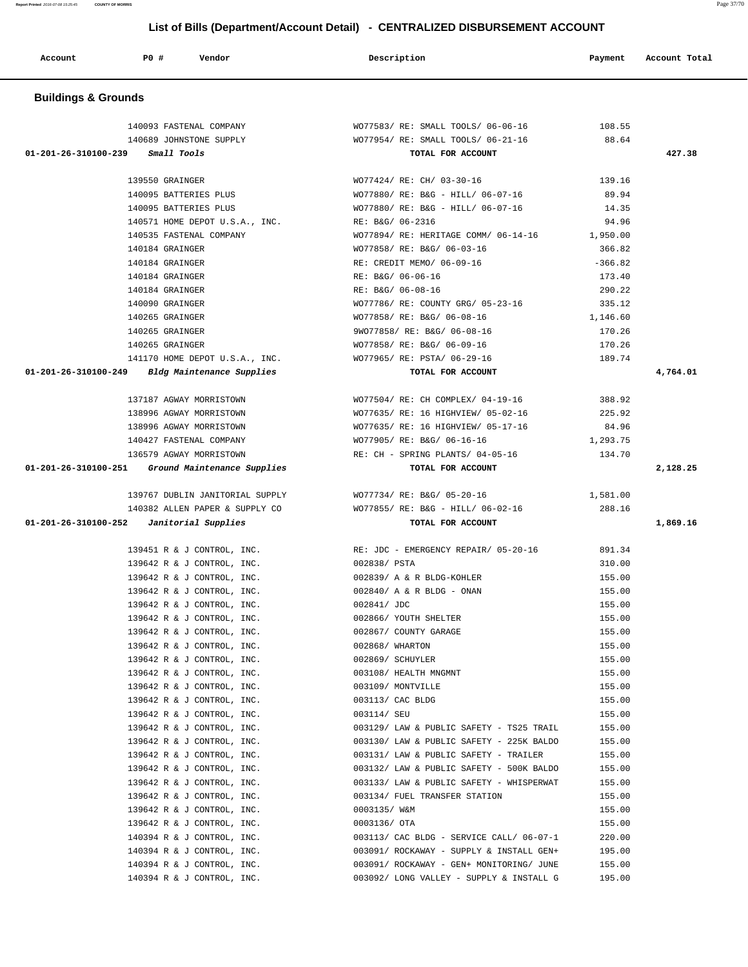| Account                        | P0 #<br>Vendor                  | Description                                            | Payment   | Account Total |
|--------------------------------|---------------------------------|--------------------------------------------------------|-----------|---------------|
| <b>Buildings &amp; Grounds</b> |                                 |                                                        |           |               |
|                                |                                 |                                                        |           |               |
|                                | 140093 FASTENAL COMPANY         | WO77583/ RE: SMALL TOOLS/ 06-06-16                     | 108.55    |               |
|                                | 140689 JOHNSTONE SUPPLY         | WO77954/ RE: SMALL TOOLS/ 06-21-16                     | 88.64     |               |
| 01-201-26-310100-239           | Small Tools                     | TOTAL FOR ACCOUNT                                      |           | 427.38        |
|                                | 139550 GRAINGER                 | WO77424/ RE: CH/ 03-30-16                              | 139.16    |               |
|                                | 140095 BATTERIES PLUS           | WO77880/ RE: B&G - HILL/ 06-07-16                      | 89.94     |               |
|                                | 140095 BATTERIES PLUS           | WO77880/ RE: B&G - HILL/ 06-07-16                      | 14.35     |               |
|                                | 140571 HOME DEPOT U.S.A., INC.  | RE: B&G/ 06-2316                                       | 94.96     |               |
|                                | 140535 FASTENAL COMPANY         | WO77894/ RE: HERITAGE COMM/ 06-14-16                   | 1,950.00  |               |
|                                | 140184 GRAINGER                 | WO77858/ RE: B&G/ 06-03-16                             | 366.82    |               |
|                                | 140184 GRAINGER                 | RE: CREDIT MEMO/ 06-09-16                              | $-366.82$ |               |
|                                | 140184 GRAINGER                 | RE: B&G/ 06-06-16                                      | 173.40    |               |
|                                | 140184 GRAINGER                 | RE: B&G/ 06-08-16                                      | 290.22    |               |
|                                | 140090 GRAINGER                 | WO77786/ RE: COUNTY GRG/ 05-23-16                      | 335.12    |               |
|                                | 140265 GRAINGER                 | WO77858/ RE: B&G/ 06-08-16                             | 1,146.60  |               |
|                                | 140265 GRAINGER                 | 9W077858/ RE: B&G/ 06-08-16                            | 170.26    |               |
|                                | 140265 GRAINGER                 | WO77858/ RE: B&G/ 06-09-16                             | 170.26    |               |
|                                | 141170 HOME DEPOT U.S.A., INC.  | WO77965/ RE: PSTA/ 06-29-16                            | 189.74    |               |
| 01-201-26-310100-249           | Bldg Maintenance Supplies       | TOTAL FOR ACCOUNT                                      |           | 4,764.01      |
|                                | 137187 AGWAY MORRISTOWN         | WO77504/ RE: CH COMPLEX/ 04-19-16                      | 388.92    |               |
|                                | 138996 AGWAY MORRISTOWN         | WO77635/ RE: 16 HIGHVIEW/ 05-02-16                     | 225.92    |               |
|                                | 138996 AGWAY MORRISTOWN         | WO77635/ RE: 16 HIGHVIEW/ 05-17-16                     | 84.96     |               |
|                                | 140427 FASTENAL COMPANY         | WO77905/ RE: B&G/ 06-16-16                             | 1,293.75  |               |
|                                | 136579 AGWAY MORRISTOWN         | RE: CH - SPRING PLANTS/ 04-05-16                       | 134.70    |               |
| 01-201-26-310100-251           | Ground Maintenance Supplies     | TOTAL FOR ACCOUNT                                      |           | 2,128.25      |
|                                | 139767 DUBLIN JANITORIAL SUPPLY | WO77734/ RE: B&G/ 05-20-16                             | 1,581.00  |               |
|                                | 140382 ALLEN PAPER & SUPPLY CO  |                                                        | 288.16    |               |
| 01-201-26-310100-252           | Janitorial Supplies             | WO77855/ RE: B&G - HILL/ 06-02-16<br>TOTAL FOR ACCOUNT |           | 1,869.16      |
|                                |                                 |                                                        |           |               |
|                                | 139451 R & J CONTROL, INC.      | RE: JDC - EMERGENCY REPAIR/ 05-20-16                   | 891.34    |               |
|                                | 139642 R & J CONTROL, INC.      | 002838/ PSTA                                           | 310.00    |               |
|                                | 139642 R & J CONTROL, INC.      | 002839/ A & R BLDG-KOHLER                              | 155.00    |               |
|                                | 139642 R & J CONTROL, INC.      | 002840/ A & R BLDG - ONAN                              | 155.00    |               |
|                                | 139642 R & J CONTROL, INC.      | 002841/ JDC                                            | 155.00    |               |
|                                | 139642 R & J CONTROL, INC.      | 002866/ YOUTH SHELTER                                  | 155.00    |               |

 139642 R & J CONTROL, INC. 002867/ COUNTY GARAGE 155.00 139642 R & J CONTROL, INC. 002868/ WHARTON 155.00 139642 R & J CONTROL, INC. 002869/ SCHUYLER 155.00 139642 R & J CONTROL, INC. 003108/ HEALTH MNGMNT 155.00 139642 R & J CONTROL, INC. 003109/ MONTVILLE 155.00 139642 R & J CONTROL, INC. 003113/ CAC BLDG 155.00 139642 R & J CONTROL, INC. 003114/ SEU 155.00 139642 R & J CONTROL, INC. 003129/ LAW & PUBLIC SAFETY - TS25 TRAIL 155.00 139642 R & J CONTROL, INC. 003130/ LAW & PUBLIC SAFETY - 225K BALDO 155.00 139642 R & J CONTROL, INC. 003131/ LAW & PUBLIC SAFETY - TRAILER 155.00 139642 R & J CONTROL, INC. 003132/ LAW & PUBLIC SAFETY - 500K BALDO 155.00 139642 R & J CONTROL, INC. 003133/ LAW & PUBLIC SAFETY - WHISPERWAT 155.00 139642 R & J CONTROL, INC. 003134/ FUEL TRANSFER STATION 155.00 139642 R & J CONTROL, INC. 0003135/ W&M 155.00 139642 R & J CONTROL, INC. 0003136/ OTA 155.00 140394 R & J CONTROL, INC. 003113/ CAC BLDG - SERVICE CALL/ 06-07-1 220.00 140394 R & J CONTROL, INC. 2003091/ ROCKAWAY - SUPPLY & INSTALL GEN+ 195.00 140394 R & J CONTROL, INC. 003091/ ROCKAWAY - GEN+ MONITORING/ JUNE 155.00 140394 R & J CONTROL, INC. 003092/ LONG VALLEY - SUPPLY & INSTALL G 195.00

**Report Printed** 2016-07-08 15:25:45 **COUNTY OF MORRIS** Page 37/70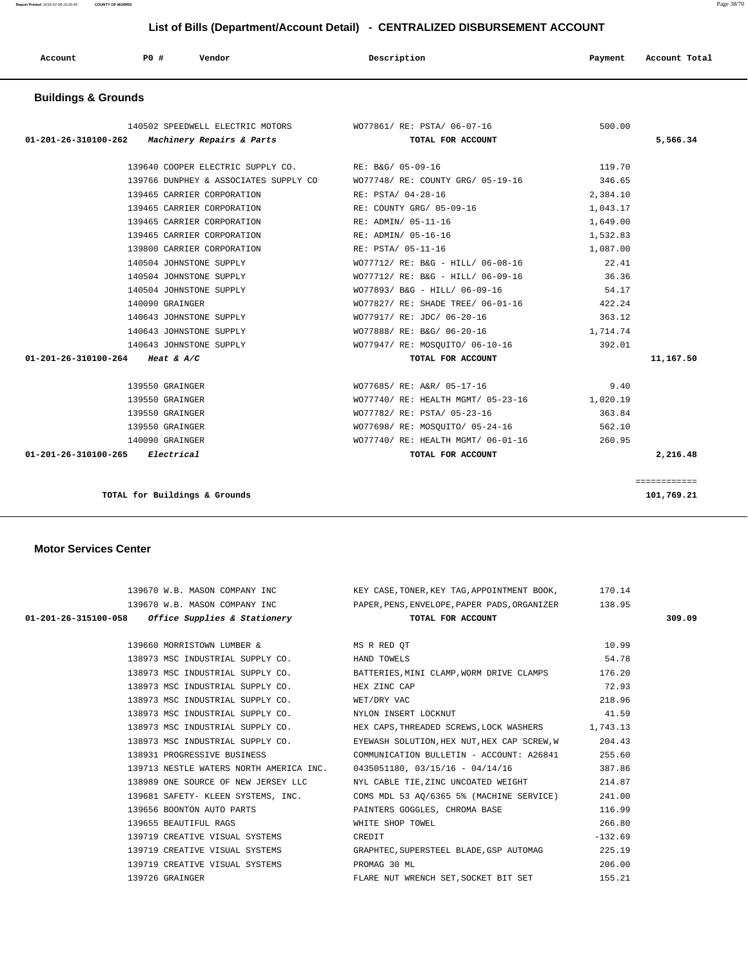**Report Printed** 2016-07-08 15:25:45 **COUNTY OF MORRIS** Page 38/70

| List of Bills (Department/Account Detail) - CENTRALIZED DISBURSEMENT ACCOUNT |                 |                                                     |                                                            |          |               |  |  |
|------------------------------------------------------------------------------|-----------------|-----------------------------------------------------|------------------------------------------------------------|----------|---------------|--|--|
| Account                                                                      | PO#             | Vendor                                              | Description                                                | Payment  | Account Total |  |  |
| <b>Buildings &amp; Grounds</b>                                               |                 |                                                     |                                                            |          |               |  |  |
|                                                                              |                 |                                                     | 140502 SPEEDWELL ELECTRIC MOTORS WO77861/RE: PSTA/06-07-16 | 500.00   |               |  |  |
| 01-201-26-310100-262                                                         |                 | Machinery Repairs & Parts                           | TOTAL FOR ACCOUNT                                          |          | 5,566.34      |  |  |
|                                                                              |                 | 139640 COOPER ELECTRIC SUPPLY CO. RE: B&G/ 05-09-16 |                                                            | 119.70   |               |  |  |
|                                                                              |                 | 139766 DUNPHEY & ASSOCIATES SUPPLY CO               | WO77748/ RE: COUNTY GRG/ 05-19-16                          | 346.65   |               |  |  |
|                                                                              |                 | 139465 CARRIER CORPORATION                          | RE: PSTA/ 04-28-16                                         | 2,384.10 |               |  |  |
|                                                                              |                 | 139465 CARRIER CORPORATION                          | RE: COUNTY GRG/ 05-09-16                                   | 1,043.17 |               |  |  |
|                                                                              |                 | 139465 CARRIER CORPORATION                          | RE: ADMIN/ 05-11-16                                        | 1,649.00 |               |  |  |
|                                                                              |                 | 139465 CARRIER CORPORATION                          | RE: ADMIN/ 05-16-16                                        | 1,532.83 |               |  |  |
|                                                                              |                 | 139800 CARRIER CORPORATION                          | RE: PSTA/ 05-11-16                                         | 1,087.00 |               |  |  |
|                                                                              |                 | 140504 JOHNSTONE SUPPLY                             | WO77712/ RE: B&G - HILL/ 06-08-16                          | 22.41    |               |  |  |
|                                                                              |                 | 140504 JOHNSTONE SUPPLY                             | WO77712/ RE: B&G - HILL/ 06-09-16                          | 36.36    |               |  |  |
|                                                                              |                 | 140504 JOHNSTONE SUPPLY                             | WO77893/ B&G - HILL/ 06-09-16                              | 54.17    |               |  |  |
|                                                                              | 140090 GRAINGER |                                                     | WO77827/ RE: SHADE TREE/ 06-01-16 422.24                   |          |               |  |  |
|                                                                              |                 | 140643 JOHNSTONE SUPPLY                             | WO77917/ RE: JDC/ 06-20-16                                 | 363.12   |               |  |  |
|                                                                              |                 | 140643 JOHNSTONE SUPPLY                             | WO77888/ RE: B&G/ 06-20-16                                 | 1,714.74 |               |  |  |
|                                                                              |                 | 140643 JOHNSTONE SUPPLY                             | WO77947/ RE: MOSQUITO/ 06-10-16                            | 392.01   |               |  |  |
| 01-201-26-310100-264 Heat & A/C                                              |                 |                                                     | TOTAL FOR ACCOUNT                                          |          | 11,167.50     |  |  |
|                                                                              | 139550 GRAINGER |                                                     | WO77685/ RE: A&R/ 05-17-16                                 | 9.40     |               |  |  |
|                                                                              | 139550 GRAINGER |                                                     | WO77740/ RE: HEALTH MGMT/ 05-23-16                         | 1,020.19 |               |  |  |
|                                                                              | 139550 GRAINGER |                                                     | WO77782/ RE: PSTA/ 05-23-16                                | 363.84   |               |  |  |
|                                                                              | 139550 GRAINGER |                                                     | WO77698/ RE: MOSQUITO/ 05-24-16                            | 562.10   |               |  |  |
|                                                                              | 140090 GRAINGER |                                                     | WO77740/ RE: HEALTH MGMT/ 06-01-16                         | 260.95   |               |  |  |
| 01-201-26-310100-265                                                         | Electrical      |                                                     | TOTAL FOR ACCOUNT                                          |          | 2,216.48      |  |  |

**TOTAL for Buildings & Grounds 101,769.21**

#### **Motor Services Center**

|                 |                                                   | 139670 W.B. MASON COMPANY INC KEY CASE, TONER, KEY TAG, APPOINTMENT BOOK, 170.14    |           |        |
|-----------------|---------------------------------------------------|-------------------------------------------------------------------------------------|-----------|--------|
|                 |                                                   | 139670 W.B. MASON COMPANY INC PAPER, PENS, ENVELOPE, PAPER PADS, ORGANIZER 138.95   |           |        |
|                 | 01-201-26-315100-058 Office Supplies & Stationery | TOTAL FOR ACCOUNT                                                                   |           | 309.09 |
|                 |                                                   |                                                                                     |           |        |
|                 | 139660 MORRISTOWN LUMBER & MS R RED QT            |                                                                                     | 10.99     |        |
|                 | 138973 MSC INDUSTRIAL SUPPLY CO. HAND TOWELS      |                                                                                     | 54.78     |        |
|                 |                                                   | 138973 MSC INDUSTRIAL SUPPLY CO. BATTERIES, MINI CLAMP, WORM DRIVE CLAMPS           | 176.20    |        |
|                 | 138973 MSC INDUSTRIAL SUPPLY CO. HEX ZINC CAP     |                                                                                     | 72.93     |        |
|                 |                                                   | 138973 MSC INDUSTRIAL SUPPLY CO. WET/DRY VAC                                        | 218.96    |        |
|                 |                                                   | 138973 MSC INDUSTRIAL SUPPLY CO. NYLON INSERT LOCKNUT                               | 41.59     |        |
|                 |                                                   | 138973 MSC INDUSTRIAL SUPPLY CO. HEX CAPS, THREADED SCREWS, LOCK WASHERS 1,743.13   |           |        |
|                 |                                                   | 138973 MSC INDUSTRIAL SUPPLY CO. EYEWASH SOLUTION, HEX NUT, HEX CAP SCREW, W 204.43 |           |        |
|                 |                                                   | 138931 PROGRESSIVE BUSINESS COMMUNICATION BULLETIN - ACCOUNT: A26841                | 255.60    |        |
|                 |                                                   | 139713 NESTLE WATERS NORTH AMERICA INC. 0435051180, 03/15/16 - 04/14/16             | 387.86    |        |
|                 |                                                   | 138989 ONE SOURCE OF NEW JERSEY LLC NYL CABLE TIE, ZINC UNCOATED WEIGHT             | 214.87    |        |
|                 |                                                   | 139681 SAFETY- KLEEN SYSTEMS, INC. COMS MDL 53 AQ/6365 5% (MACHINE SERVICE)         | 241.00    |        |
|                 |                                                   | 139656 BOONTON AUTO PARTS NAME AND PAINTERS GOGGLES, CHROMA BASE                    | 116.99    |        |
|                 | 139655 BEAUTIFUL RAGS                             | WHITE SHOP TOWEL                                                                    | 266.80    |        |
|                 | 139719 CREATIVE VISUAL SYSTEMS THE REDIT          |                                                                                     | $-132.69$ |        |
|                 |                                                   | 139719 CREATIVE VISUAL SYSTEMS GRAPHTEC, SUPERSTEEL BLADE, GSP AUTOMAG              | 225.19    |        |
|                 | 139719 CREATIVE VISUAL SYSTEMS THE PROMAG 30 ML   |                                                                                     | 206.00    |        |
| 139726 GRAINGER |                                                   | FLARE NUT WRENCH SET, SOCKET BIT SET 155.21                                         |           |        |
|                 |                                                   |                                                                                     |           |        |

============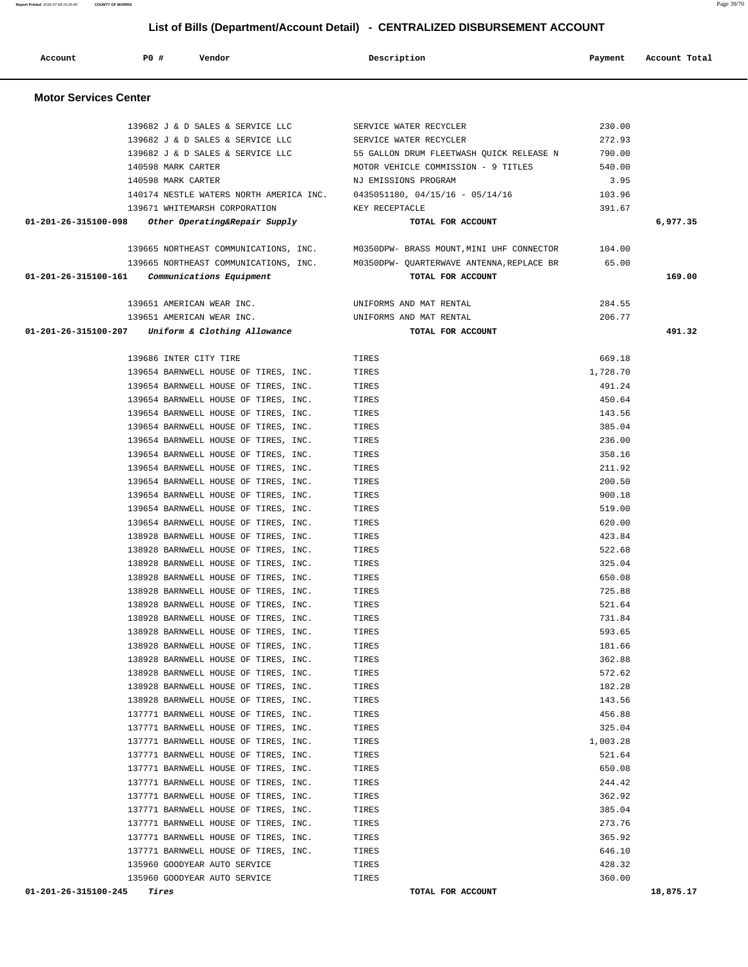|                      | 01-201-26-315100-098 Other Operating&Repair Supply  | TOTAL FOR ACCOUNT                                                                      |          | 6,977.35  |
|----------------------|-----------------------------------------------------|----------------------------------------------------------------------------------------|----------|-----------|
|                      |                                                     | 104.00 199665 NORTHEAST COMMUNICATIONS, INC. M0350DPW- BRASS MOUNT, MINI UHF CONNECTOR |          |           |
|                      |                                                     | 139665 NORTHEAST COMMUNICATIONS, INC. M0350DPW-QUARTERWAVE ANTENNA, REPLACE BR 65.00   |          |           |
|                      | $01-201-26-315100-161$ Communications Equipment     | TOTAL FOR ACCOUNT                                                                      |          | 169.00    |
|                      |                                                     |                                                                                        |          |           |
|                      | 139651 AMERICAN WEAR INC.                           | UNIFORMS AND MAT RENTAL                                                                | 284.55   |           |
|                      | 139651 AMERICAN WEAR INC.                           | UNIFORMS AND MAT RENTAL                                                                | 206.77   |           |
|                      | $01-201-26-315100-207$ Uniform & Clothing Allowance | TOTAL FOR ACCOUNT                                                                      |          | 491.32    |
|                      |                                                     |                                                                                        |          |           |
|                      | 139686 INTER CITY TIRE                              | TIRES                                                                                  | 669.18   |           |
|                      | 139654 BARNWELL HOUSE OF TIRES, INC.                | TIRES                                                                                  | 1,728.70 |           |
|                      | 139654 BARNWELL HOUSE OF TIRES, INC.                | TIRES                                                                                  | 491.24   |           |
|                      | 139654 BARNWELL HOUSE OF TIRES, INC.                | TIRES                                                                                  | 450.64   |           |
|                      | 139654 BARNWELL HOUSE OF TIRES, INC.                | TIRES                                                                                  | 143.56   |           |
|                      | 139654 BARNWELL HOUSE OF TIRES, INC.                | TIRES                                                                                  | 385.04   |           |
|                      | 139654 BARNWELL HOUSE OF TIRES, INC.                | TIRES                                                                                  | 236.00   |           |
|                      | 139654 BARNWELL HOUSE OF TIRES, INC.                | TIRES                                                                                  | 358.16   |           |
|                      | 139654 BARNWELL HOUSE OF TIRES, INC.                | TIRES                                                                                  | 211.92   |           |
|                      | 139654 BARNWELL HOUSE OF TIRES, INC.                | TIRES                                                                                  | 200.50   |           |
|                      | 139654 BARNWELL HOUSE OF TIRES, INC.                | TIRES                                                                                  | 900.18   |           |
|                      | 139654 BARNWELL HOUSE OF TIRES, INC.                | TIRES                                                                                  | 519.00   |           |
|                      | 139654 BARNWELL HOUSE OF TIRES, INC.                | TIRES                                                                                  | 620.00   |           |
|                      | 138928 BARNWELL HOUSE OF TIRES, INC.                | TIRES                                                                                  | 423.84   |           |
|                      | 138928 BARNWELL HOUSE OF TIRES, INC.                | TIRES                                                                                  | 522.68   |           |
|                      | 138928 BARNWELL HOUSE OF TIRES, INC.                | TIRES                                                                                  | 325.04   |           |
|                      | 138928 BARNWELL HOUSE OF TIRES, INC.                | TIRES                                                                                  | 650.08   |           |
|                      | 138928 BARNWELL HOUSE OF TIRES, INC.                | TIRES                                                                                  | 725.88   |           |
|                      | 138928 BARNWELL HOUSE OF TIRES, INC.                | TIRES                                                                                  | 521.64   |           |
|                      | 138928 BARNWELL HOUSE OF TIRES, INC.                | TIRES                                                                                  | 731.84   |           |
|                      | 138928 BARNWELL HOUSE OF TIRES, INC.                | TIRES                                                                                  | 593.65   |           |
|                      | 138928 BARNWELL HOUSE OF TIRES, INC.                | TIRES                                                                                  | 181.66   |           |
|                      | 138928 BARNWELL HOUSE OF TIRES, INC.                | TIRES                                                                                  | 362.88   |           |
|                      | 138928 BARNWELL HOUSE OF TIRES, INC.                | TIRES                                                                                  | 572.62   |           |
|                      | 138928 BARNWELL HOUSE OF TIRES, INC.                | TIRES                                                                                  | 182.28   |           |
|                      | 138928 BARNWELL HOUSE OF TIRES, INC.                | TIRES                                                                                  | 143.56   |           |
|                      | 137771 BARNWELL HOUSE OF TIRES, INC.                | TIRES                                                                                  | 456.88   |           |
|                      | 137771 BARNWELL HOUSE OF TIRES, INC.                | TIRES                                                                                  | 325.04   |           |
|                      | 137771 BARNWELL HOUSE OF TIRES, INC.                | TIRES                                                                                  | 1,003.28 |           |
|                      | 137771 BARNWELL HOUSE OF TIRES, INC.                | TIRES                                                                                  | 521.64   |           |
|                      | 137771 BARNWELL HOUSE OF TIRES, INC.                | TIRES                                                                                  | 650.08   |           |
|                      | 137771 BARNWELL HOUSE OF TIRES, INC.                | TIRES                                                                                  | 244.42   |           |
|                      | 137771 BARNWELL HOUSE OF TIRES, INC.                | TIRES                                                                                  | 362.92   |           |
|                      | 137771 BARNWELL HOUSE OF TIRES, INC.                | TIRES                                                                                  | 385.04   |           |
|                      | 137771 BARNWELL HOUSE OF TIRES, INC.                | TIRES                                                                                  | 273.76   |           |
|                      | 137771 BARNWELL HOUSE OF TIRES, INC.                | TIRES                                                                                  | 365.92   |           |
|                      | 137771 BARNWELL HOUSE OF TIRES, INC.                | TIRES                                                                                  | 646.10   |           |
|                      | 135960 GOODYEAR AUTO SERVICE                        | TIRES                                                                                  | 428.32   |           |
|                      | 135960 GOODYEAR AUTO SERVICE                        | TIRES                                                                                  | 360.00   |           |
| 01-201-26-315100-245 | Tires                                               | TOTAL FOR ACCOUNT                                                                      |          | 18,875.17 |

| 139671 WHITEMARSH CORPORATION<br>Other Operating&Repair Supply | KEY RECEPTACLE<br>TOTAL FOR ACCOUNT                                                                                                                                                             | 391.67 | 6,977 |
|----------------------------------------------------------------|-------------------------------------------------------------------------------------------------------------------------------------------------------------------------------------------------|--------|-------|
|                                                                |                                                                                                                                                                                                 |        |       |
|                                                                |                                                                                                                                                                                                 |        |       |
|                                                                | $0435051180, 04/15/16 - 05/14/16$                                                                                                                                                               | 103.96 |       |
|                                                                | NJ EMISSIONS PROGRAM                                                                                                                                                                            | 3.95   |       |
|                                                                | MOTOR VEHICLE COMMISSION - 9 TITLES                                                                                                                                                             | 540.00 |       |
|                                                                | 55 GALLON DRUM FLEETWASH OUICK RELEASE N                                                                                                                                                        | 790.00 |       |
|                                                                | SERVICE WATER RECYCLER                                                                                                                                                                          | 272.93 |       |
|                                                                | SERVICE WATER RECYCLER                                                                                                                                                                          | 230.00 |       |
|                                                                | 139682 J & D SALES & SERVICE LLC<br>139682 J & D SALES & SERVICE LLC<br>139682 J & D SALES & SERVICE LLC<br>140598 MARK CARTER<br>140598 MARK CARTER<br>140174 NESTLE WATERS NORTH AMERICA INC. |        |       |

 **Account P0 # Vendor Description Payment Account Total**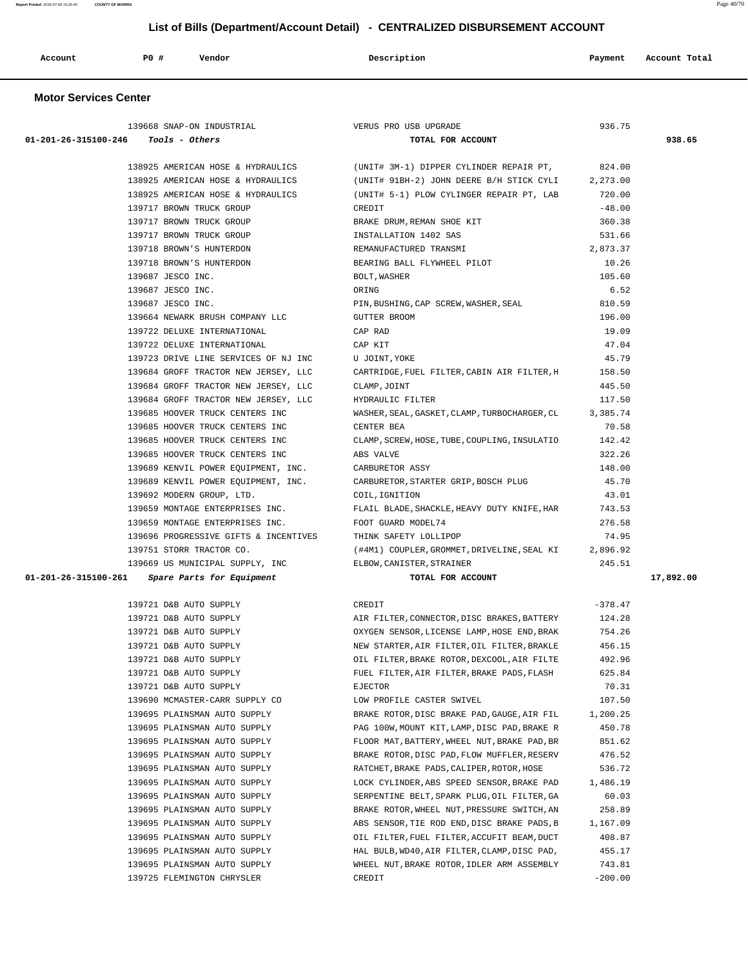| Account | <b>PO#</b> | Vendor | Description | Payment | Account Total |
|---------|------------|--------|-------------|---------|---------------|
|         |            |        |             |         |               |

### **Motor Services Center**

|                                                  | 139668 SNAP-ON INDUSTRIAL                                   | VERUS PRO USB UPGRADE                                                     | 936.75              |           |
|--------------------------------------------------|-------------------------------------------------------------|---------------------------------------------------------------------------|---------------------|-----------|
| $01-201-26-315100-246$ Tools - Others            |                                                             | TOTAL FOR ACCOUNT                                                         |                     | 938.65    |
|                                                  |                                                             |                                                                           |                     |           |
|                                                  |                                                             | 138925 AMERICAN HOSE & HYDRAULICS (UNIT# 3M-1) DIPPER CYLINDER REPAIR PT, | 824.00              |           |
|                                                  | 138925 AMERICAN HOSE & HYDRAULICS                           | (UNIT# 91BH-2) JOHN DEERE B/H STICK CYLI 2,273.00                         |                     |           |
|                                                  | 138925 AMERICAN HOSE & HYDRAULICS                           | (UNIT# 5-1) PLOW CYLINGER REPAIR PT, LAB                                  | 720.00              |           |
| 139717 BROWN TRUCK GROUP                         |                                                             | CREDIT                                                                    | $-48.00$            |           |
|                                                  | 139717 BROWN TRUCK GROUP                                    | BRAKE DRUM, REMAN SHOE KIT                                                | 360.38              |           |
|                                                  | 139717 BROWN TRUCK GROUP                                    | INSTALLATION 1402 SAS                                                     | 531.66              |           |
|                                                  | 139718 BROWN'S HUNTERDON                                    | REMANUFACTURED TRANSMI                                                    | 2,873.37            |           |
|                                                  | 139718 BROWN'S HUNTERDON                                    | BEARING BALL FLYWHEEL PILOT                                               | 10.26               |           |
| 139687 JESCO INC.                                |                                                             | BOLT, WASHER                                                              | 105.60              |           |
| 139687 JESCO INC.                                |                                                             | ORING                                                                     | 6.52                |           |
| 139687 JESCO INC.                                |                                                             | PIN, BUSHING, CAP SCREW, WASHER, SEAL                                     | 810.59              |           |
|                                                  | 139664 NEWARK BRUSH COMPANY LLC                             | GUTTER BROOM                                                              | 196.00              |           |
|                                                  | 139722 DELUXE INTERNATIONAL                                 | CAP RAD                                                                   | 19.09               |           |
|                                                  | 139722 DELUXE INTERNATIONAL                                 | CAP KIT                                                                   | 47.04               |           |
|                                                  | 139723 DRIVE LINE SERVICES OF NJ INC                        | U JOINT, YOKE                                                             | 45.79               |           |
|                                                  | 139684 GROFF TRACTOR NEW JERSEY, LLC                        | CARTRIDGE, FUEL FILTER, CABIN AIR FILTER, H                               | 158.50              |           |
|                                                  | 139684 GROFF TRACTOR NEW JERSEY, LLC                        | CLAMP, JOINT                                                              | 445.50              |           |
|                                                  | 139684 GROFF TRACTOR NEW JERSEY, LLC                        | HYDRAULIC FILTER                                                          | 117.50              |           |
|                                                  | 139685 HOOVER TRUCK CENTERS INC                             | WASHER, SEAL, GASKET, CLAMP, TURBOCHARGER, CL 3, 385.74                   |                     |           |
|                                                  | 139685 HOOVER TRUCK CENTERS INC                             | CENTER BEA                                                                | 70.58               |           |
|                                                  | 139685 HOOVER TRUCK CENTERS INC                             | CLAMP, SCREW, HOSE, TUBE, COUPLING, INSULATIO                             | 142.42              |           |
|                                                  | 139685 HOOVER TRUCK CENTERS INC                             | ABS VALVE                                                                 | 322.26              |           |
|                                                  | 139689 KENVIL POWER EQUIPMENT, INC. CARBURETOR ASSY         |                                                                           | 148.00              |           |
|                                                  | 139689 KENVIL POWER EQUIPMENT, INC.                         | CARBURETOR, STARTER GRIP, BOSCH PLUG                                      | 45.70               |           |
|                                                  | 139692 MODERN GROUP, LTD.                                   | COIL, IGNITION                                                            | 43.01               |           |
|                                                  | 139659 MONTAGE ENTERPRISES INC.                             | FLAIL BLADE, SHACKLE, HEAVY DUTY KNIFE, HAR                               | 743.53              |           |
|                                                  | 139659 MONTAGE ENTERPRISES INC. FOOT GUARD MODEL74          |                                                                           | 276.58              |           |
|                                                  | 139696 PROGRESSIVE GIFTS & INCENTIVES THINK SAFETY LOLLIPOP |                                                                           | 74.95               |           |
| 139751 STORR TRACTOR CO.                         |                                                             | (#4M1) COUPLER, GROMMET, DRIVELINE, SEAL KI 2,896.92                      |                     |           |
|                                                  | 139669 US MUNICIPAL SUPPLY, INC ELBOW, CANISTER, STRAINER   |                                                                           | 245.51              |           |
| $01-201-26-315100-261$ Spare Parts for Equipment |                                                             | TOTAL FOR ACCOUNT                                                         |                     | 17,892.00 |
|                                                  | 139721 D&B AUTO SUPPLY                                      | CREDIT                                                                    | $-378.47$           |           |
|                                                  | 139721 D&B AUTO SUPPLY                                      | AIR FILTER, CONNECTOR, DISC BRAKES, BATTERY                               | 124.28              |           |
|                                                  | 139721 D&B AUTO SUPPLY                                      | OXYGEN SENSOR, LICENSE LAMP, HOSE END, BRAK                               | 754.26              |           |
|                                                  | 139721 D&B AUTO SUPPLY                                      | NEW STARTER, AIR FILTER, OIL FILTER, BRAKLE                               | 456.15              |           |
| 139721 D&B AUTO SUPPLY                           |                                                             | OIL FILTER, BRAKE ROTOR, DEXCOOL, AIR FILTE                               | 492.96              |           |
| 139721 D&B AUTO SUPPLY                           |                                                             | FUEL FILTER, AIR FILTER, BRAKE PADS, FLASH                                | 625.84              |           |
| 139721 D&B AUTO SUPPLY                           |                                                             | <b>EJECTOR</b>                                                            | 70.31               |           |
|                                                  | 139690 MCMASTER-CARR SUPPLY CO                              | LOW PROFILE CASTER SWIVEL                                                 | 107.50              |           |
|                                                  | 139695 PLAINSMAN AUTO SUPPLY                                | BRAKE ROTOR, DISC BRAKE PAD, GAUGE, AIR FIL                               | 1,200.25            |           |
|                                                  | 139695 PLAINSMAN AUTO SUPPLY                                | PAG 100W, MOUNT KIT, LAMP, DISC PAD, BRAKE R                              | 450.78              |           |
|                                                  | 139695 PLAINSMAN AUTO SUPPLY                                | FLOOR MAT, BATTERY, WHEEL NUT, BRAKE PAD, BR                              | 851.62              |           |
|                                                  | 139695 PLAINSMAN AUTO SUPPLY                                | BRAKE ROTOR, DISC PAD, FLOW MUFFLER, RESERV                               | 476.52              |           |
|                                                  | 139695 PLAINSMAN AUTO SUPPLY                                | RATCHET, BRAKE PADS, CALIPER, ROTOR, HOSE                                 | 536.72              |           |
|                                                  | 139695 PLAINSMAN AUTO SUPPLY                                | LOCK CYLINDER, ABS SPEED SENSOR, BRAKE PAD                                | 1,486.19            |           |
|                                                  | 139695 PLAINSMAN AUTO SUPPLY                                | SERPENTINE BELT, SPARK PLUG, OIL FILTER, GA                               | 60.03               |           |
|                                                  | 139695 PLAINSMAN AUTO SUPPLY                                | BRAKE ROTOR, WHEEL NUT, PRESSURE SWITCH, AN                               | 258.89              |           |
|                                                  |                                                             |                                                                           |                     |           |
|                                                  | 139695 PLAINSMAN AUTO SUPPLY                                | ABS SENSOR, TIE ROD END, DISC BRAKE PADS, B                               | 1,167.09            |           |
|                                                  | 139695 PLAINSMAN AUTO SUPPLY                                | OIL FILTER, FUEL FILTER, ACCUFIT BEAM, DUCT                               | 408.87              |           |
|                                                  |                                                             |                                                                           | 455.17              |           |
|                                                  | 139695 PLAINSMAN AUTO SUPPLY                                | HAL BULB, WD40, AIR FILTER, CLAMP, DISC PAD,                              |                     |           |
|                                                  | 139695 PLAINSMAN AUTO SUPPLY<br>139725 FLEMINGTON CHRYSLER  | WHEEL NUT, BRAKE ROTOR, IDLER ARM ASSEMBLY<br>CREDIT                      | 743.81<br>$-200.00$ |           |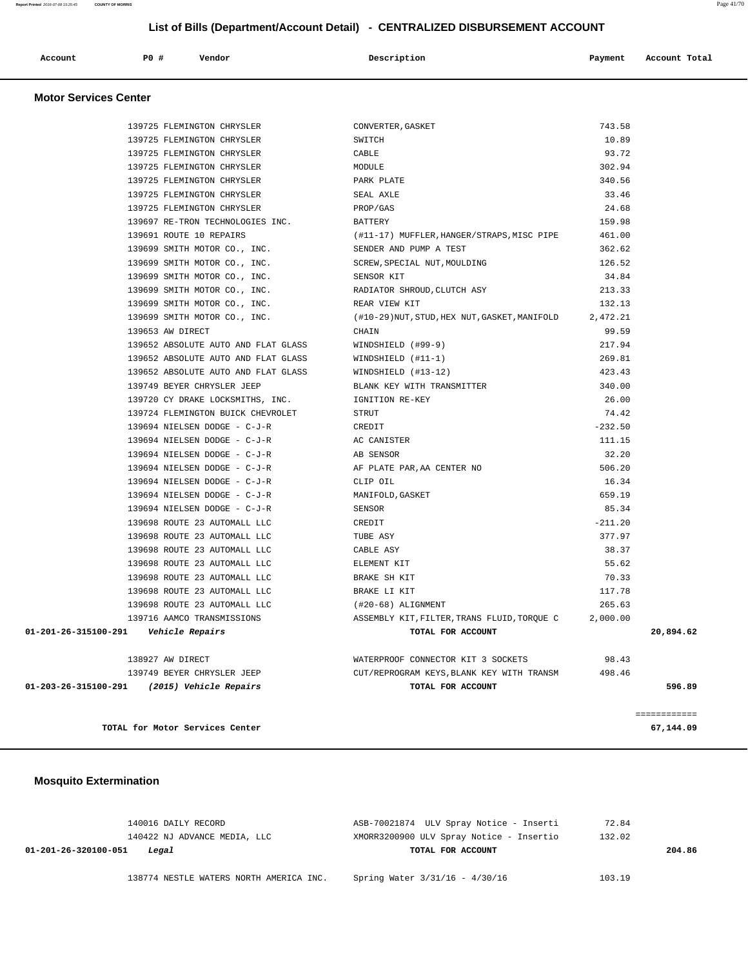|  | Account | $PO+$ | Vendor | Description | Payment | Account Total |
|--|---------|-------|--------|-------------|---------|---------------|
|--|---------|-------|--------|-------------|---------|---------------|

#### **Motor Services Center**

| 139725 FLEMINGTON CHRYSLER                  | CONVERTER, GASKET                            | 743.58    |              |
|---------------------------------------------|----------------------------------------------|-----------|--------------|
| 139725 FLEMINGTON CHRYSLER                  | SWITCH                                       | 10.89     |              |
| 139725 FLEMINGTON CHRYSLER                  | CABLE                                        | 93.72     |              |
| 139725 FLEMINGTON CHRYSLER                  | MODULE                                       | 302.94    |              |
| 139725 FLEMINGTON CHRYSLER                  | PARK PLATE                                   | 340.56    |              |
| 139725 FLEMINGTON CHRYSLER                  | SEAL AXLE                                    | 33.46     |              |
| 139725 FLEMINGTON CHRYSLER                  | PROP/GAS                                     | 24.68     |              |
| 139697 RE-TRON TECHNOLOGIES INC.            | <b>BATTERY</b>                               | 159.98    |              |
| 139691 ROUTE 10 REPAIRS                     | (#11-17) MUFFLER, HANGER/STRAPS, MISC PIPE   | 461.00    |              |
| 139699 SMITH MOTOR CO., INC.                | SENDER AND PUMP A TEST                       | 362.62    |              |
| 139699 SMITH MOTOR CO., INC.                | SCREW, SPECIAL NUT, MOULDING                 | 126.52    |              |
| 139699 SMITH MOTOR CO., INC.                | SENSOR KIT                                   | 34.84     |              |
| 139699 SMITH MOTOR CO., INC.                | RADIATOR SHROUD, CLUTCH ASY                  | 213.33    |              |
| 139699 SMITH MOTOR CO., INC.                | REAR VIEW KIT                                | 132.13    |              |
| 139699 SMITH MOTOR CO., INC.                | (#10-29)NUT, STUD, HEX NUT, GASKET, MANIFOLD | 2,472.21  |              |
| 139653 AW DIRECT                            | CHAIN                                        | 99.59     |              |
| 139652 ABSOLUTE AUTO AND FLAT GLASS         | WINDSHIELD (#99-9)                           | 217.94    |              |
| 139652 ABSOLUTE AUTO AND FLAT GLASS         | $WINDSHIELD (#11-1)$                         | 269.81    |              |
| 139652 ABSOLUTE AUTO AND FLAT GLASS         | WINDSHIELD (#13-12)                          | 423.43    |              |
| 139749 BEYER CHRYSLER JEEP                  | BLANK KEY WITH TRANSMITTER                   | 340.00    |              |
| 139720 CY DRAKE LOCKSMITHS, INC.            | IGNITION RE-KEY                              | 26.00     |              |
| 139724 FLEMINGTON BUICK CHEVROLET           | STRUT                                        | 74.42     |              |
| 139694 NIELSEN DODGE - C-J-R                | CREDIT                                       | $-232.50$ |              |
| 139694 NIELSEN DODGE - C-J-R                | AC CANISTER                                  | 111.15    |              |
| 139694 NIELSEN DODGE - C-J-R                | AB SENSOR                                    | 32.20     |              |
| 139694 NIELSEN DODGE - C-J-R                | AF PLATE PAR, AA CENTER NO                   | 506.20    |              |
| 139694 NIELSEN DODGE - C-J-R                | CLIP OIL                                     | 16.34     |              |
| 139694 NIELSEN DODGE - C-J-R                | MANIFOLD, GASKET                             | 659.19    |              |
| 139694 NIELSEN DODGE - C-J-R                | <b>SENSOR</b>                                | 85.34     |              |
| 139698 ROUTE 23 AUTOMALL LLC                | CREDIT                                       | $-211.20$ |              |
| 139698 ROUTE 23 AUTOMALL LLC                | TUBE ASY                                     | 377.97    |              |
| 139698 ROUTE 23 AUTOMALL LLC                | CABLE ASY                                    | 38.37     |              |
| 139698 ROUTE 23 AUTOMALL LLC                | ELEMENT KIT                                  | 55.62     |              |
| 139698 ROUTE 23 AUTOMALL LLC                | BRAKE SH KIT                                 | 70.33     |              |
| 139698 ROUTE 23 AUTOMALL LLC                | BRAKE LI KIT                                 | 117.78    |              |
| 139698 ROUTE 23 AUTOMALL LLC                | (#20-68) ALIGNMENT                           | 265.63    |              |
| 139716 AAMCO TRANSMISSIONS                  | ASSEMBLY KIT, FILTER, TRANS FLUID, TORQUE C  | 2,000.00  |              |
| 01-201-26-315100-291    Vehicle Repairs     | TOTAL FOR ACCOUNT                            |           | 20,894.62    |
| 138927 AW DIRECT                            | WATERPROOF CONNECTOR KIT 3 SOCKETS           | 98.43     |              |
| 139749 BEYER CHRYSLER JEEP                  | CUT/REPROGRAM KEYS, BLANK KEY WITH TRANSM    | 498.46    |              |
| 01-203-26-315100-291 (2015) Vehicle Repairs | TOTAL FOR ACCOUNT                            |           | 596.89       |
|                                             |                                              |           | ============ |
| TOTAL for Motor Services Center             |                                              |           | 67,144.09    |

### **Mosquito Extermination**

|                               | 140016 DAILY RECORD                     | ASB-70021874 ULV Spray Notice - Inserti  | 72.84  |        |
|-------------------------------|-----------------------------------------|------------------------------------------|--------|--------|
|                               | 140422 NJ ADVANCE MEDIA, LLC            | XMORR3200900 ULV Spray Notice - Insertio | 132.02 |        |
| 01-201-26-320100-051<br>Legal |                                         | TOTAL FOR ACCOUNT                        |        | 204.86 |
|                               | 138774 NESTLE WATERS NORTH AMERICA INC. | Spring Water 3/31/16 - 4/30/16           | 103.19 |        |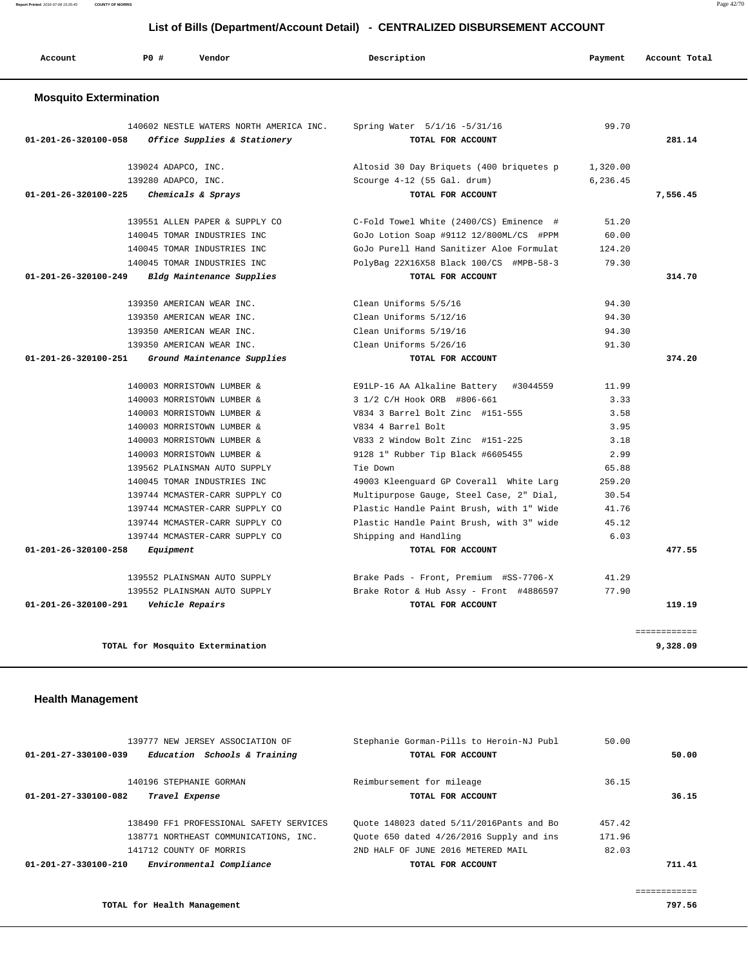**TOTAL for Health Management** 797.56

| $01 - 201 - 27 - 330100 - 039$ | 139777 NEW JERSEY ASSOCIATION OF<br>Education Schools & Training | Stephanie Gorman-Pills to Heroin-NJ Publ<br>TOTAL FOR ACCOUNT | 50.00  | 50.00  |
|--------------------------------|------------------------------------------------------------------|---------------------------------------------------------------|--------|--------|
|                                |                                                                  |                                                               |        |        |
|                                | 140196 STEPHANIE GORMAN                                          | Reimbursement for mileage                                     | 36.15  |        |
| $01 - 201 - 27 - 330100 - 082$ | Travel Expense                                                   | TOTAL FOR ACCOUNT                                             |        | 36.15  |
|                                |                                                                  |                                                               |        |        |
|                                | 138490 FF1 PROFESSIONAL SAFETY SERVICES                          | Ouote 148023 dated 5/11/2016Pants and Bo                      | 457.42 |        |
|                                | 138771 NORTHEAST COMMUNICATIONS, INC.                            | Ouote 650 dated 4/26/2016 Supply and ins                      | 171.96 |        |
|                                | 141712 COUNTY OF MORRIS                                          | 2ND HALF OF JUNE 2016 METERED MAIL                            | 82.03  |        |
| $01 - 201 - 27 - 330100 - 210$ | Environmental Compliance                                         | TOTAL FOR ACCOUNT                                             |        | 711.41 |
|                                |                                                                  |                                                               |        |        |
|                                |                                                                  |                                                               |        |        |

### **Health Management**

| Account                        | PO# | Vendor                                                                  | Description                                       | Payment  | Account Total |
|--------------------------------|-----|-------------------------------------------------------------------------|---------------------------------------------------|----------|---------------|
| <b>Mosquito Extermination</b>  |     |                                                                         |                                                   |          |               |
| 01-201-26-320100-058           |     | 140602 NESTLE WATERS NORTH AMERICA INC.<br>Office Supplies & Stationery | Spring Water 5/1/16 -5/31/16<br>TOTAL FOR ACCOUNT | 99.70    | 281.14        |
|                                |     | 139024 ADAPCO, INC.                                                     | Altosid 30 Day Briquets (400 briquetes p          | 1,320.00 |               |
|                                |     | 139280 ADAPCO, INC.                                                     | Scourge 4-12 (55 Gal. drum)                       | 6,236.45 |               |
| $01 - 201 - 26 - 320100 - 225$ |     | Chemicals & Sprays                                                      | TOTAL FOR ACCOUNT                                 |          | 7,556.45      |
|                                |     | 139551 ALLEN PAPER & SUPPLY CO                                          | C-Fold Towel White (2400/CS) Eminence #           | 51.20    |               |
|                                |     | 140045 TOMAR INDUSTRIES INC                                             | GoJo Lotion Soap #9112 12/800ML/CS #PPM           | 60.00    |               |
|                                |     | 140045 TOMAR INDUSTRIES INC                                             | GoJo Purell Hand Sanitizer Aloe Formulat          | 124.20   |               |
|                                |     | 140045 TOMAR INDUSTRIES INC                                             | PolyBag 22X16X58 Black 100/CS #MPB-58-3           | 79.30    |               |
| 01-201-26-320100-249           |     | Bldg Maintenance Supplies                                               | TOTAL FOR ACCOUNT                                 |          | 314.70        |
|                                |     | 139350 AMERICAN WEAR INC.                                               | Clean Uniforms 5/5/16                             | 94.30    |               |
|                                |     | 139350 AMERICAN WEAR INC.                                               | Clean Uniforms 5/12/16                            | 94.30    |               |
|                                |     | 139350 AMERICAN WEAR INC.                                               | Clean Uniforms 5/19/16                            | 94.30    |               |
|                                |     | 139350 AMERICAN WEAR INC.                                               | Clean Uniforms 5/26/16                            | 91.30    |               |
| 01-201-26-320100-251           |     | Ground Maintenance Supplies                                             | TOTAL FOR ACCOUNT                                 |          | 374.20        |
|                                |     | 140003 MORRISTOWN LUMBER &                                              | E91LP-16 AA Alkaline Battery #3044559             | 11.99    |               |
|                                |     | 140003 MORRISTOWN LUMBER &                                              | 3 1/2 C/H Hook ORB #806-661                       | 3.33     |               |
|                                |     | 140003 MORRISTOWN LUMBER &                                              | V834 3 Barrel Bolt Zinc #151-555                  | 3.58     |               |
|                                |     | 140003 MORRISTOWN LUMBER &                                              | V834 4 Barrel Bolt                                | 3.95     |               |
|                                |     | 140003 MORRISTOWN LUMBER &                                              | V833 2 Window Bolt Zinc #151-225                  | 3.18     |               |
|                                |     | 140003 MORRISTOWN LUMBER &                                              | 9128 1" Rubber Tip Black #6605455                 | 2.99     |               |
|                                |     | 139562 PLAINSMAN AUTO SUPPLY                                            | Tie Down                                          | 65.88    |               |
|                                |     | 140045 TOMAR INDUSTRIES INC                                             | 49003 Kleenguard GP Coverall White Larg           | 259.20   |               |
|                                |     | 139744 MCMASTER-CARR SUPPLY CO                                          | Multipurpose Gauge, Steel Case, 2" Dial,          | 30.54    |               |
|                                |     | 139744 MCMASTER-CARR SUPPLY CO                                          | Plastic Handle Paint Brush, with 1" Wide          | 41.76    |               |
|                                |     | 139744 MCMASTER-CARR SUPPLY CO                                          | Plastic Handle Paint Brush, with 3" wide          | 45.12    |               |
|                                |     | 139744 MCMASTER-CARR SUPPLY CO                                          | Shipping and Handling                             | 6.03     |               |
| $01 - 201 - 26 - 320100 - 258$ |     | Equipment                                                               | TOTAL FOR ACCOUNT                                 |          | 477.55        |
|                                |     | 139552 PLAINSMAN AUTO SUPPLY                                            | Brake Pads - Front, Premium #SS-7706-X            | 41.29    |               |
|                                |     | 139552 PLAINSMAN AUTO SUPPLY                                            | Brake Rotor & Hub Assy - Front #4886597           | 77.90    |               |
| 01-201-26-320100-291           |     | Vehicle Repairs                                                         | TOTAL FOR ACCOUNT                                 |          | 119.19        |
|                                |     |                                                                         |                                                   |          | ============  |
|                                |     | TOTAL for Mosquito Extermination                                        |                                                   |          | 9,328.09      |

 **List of Bills (Department/Account Detail) - CENTRALIZED DISBURSEMENT ACCOUNT**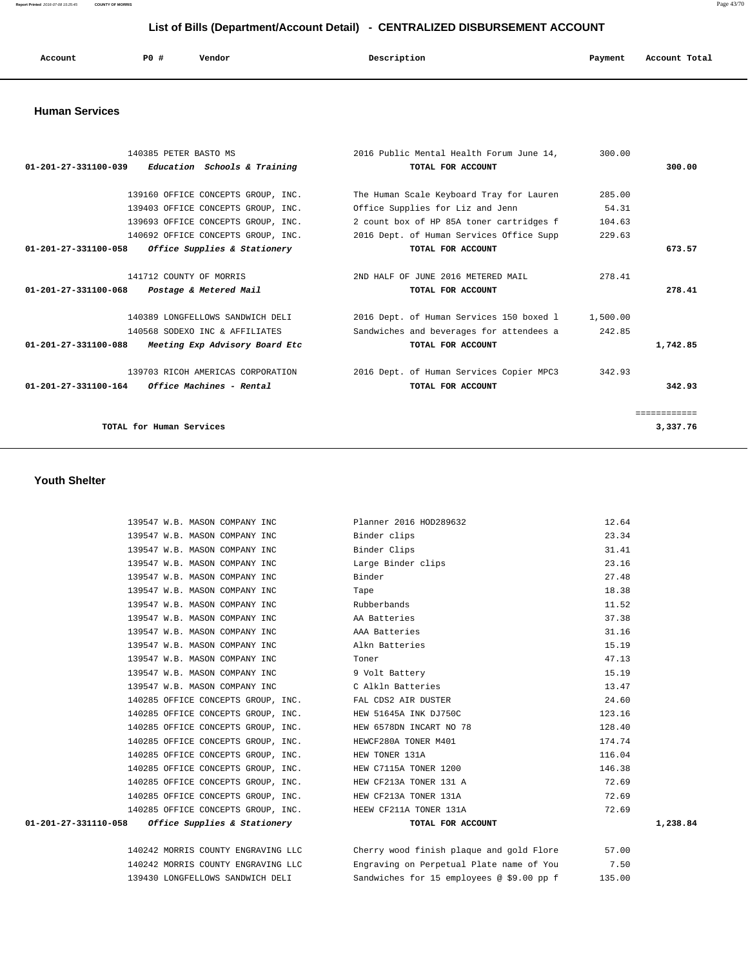**Report Printed** 2016-07-08 15:25:45 **COUNTY OF MORRIS** Page 43/70

# **List of Bills (Department/Account Detail) - CENTRALIZED DISBURSEMENT ACCOUNT**

| Account | PO# | Vendor | Description | Payment | Account Total |
|---------|-----|--------|-------------|---------|---------------|
|         |     |        |             |         |               |
|         |     |        |             |         |               |

#### **Human Services**

| 140385 PETER BASTO MS                                           | 2016 Public Mental Health Forum June 14, | 300.00   |              |
|-----------------------------------------------------------------|------------------------------------------|----------|--------------|
| $01-201-27-331100-039$ Education Schools & Training             | TOTAL FOR ACCOUNT                        |          | 300.00       |
|                                                                 |                                          |          |              |
| 139160 OFFICE CONCEPTS GROUP, INC.                              | The Human Scale Keyboard Tray for Lauren | 285.00   |              |
| 139403 OFFICE CONCEPTS GROUP, INC.                              | Office Supplies for Liz and Jenn         | 54.31    |              |
| 139693 OFFICE CONCEPTS GROUP, INC.                              | 2 count box of HP 85A toner cartridges f | 104.63   |              |
| 140692 OFFICE CONCEPTS GROUP, INC.                              | 2016 Dept. of Human Services Office Supp | 229.63   |              |
| 01-201-27-331100-058<br><i>Office Supplies &amp; Stationery</i> | TOTAL FOR ACCOUNT                        |          | 673.57       |
|                                                                 |                                          |          |              |
| 141712 COUNTY OF MORRIS                                         | 2ND HALF OF JUNE 2016 METERED MAIL       | 278.41   |              |
| 01-201-27-331100-068<br>Postage & Metered Mail                  | TOTAL FOR ACCOUNT                        |          | 278.41       |
|                                                                 |                                          |          |              |
| 140389 LONGFELLOWS SANDWICH DELI                                | 2016 Dept. of Human Services 150 boxed 1 | 1,500.00 |              |
| 140568 SODEXO INC & AFFILIATES                                  | Sandwiches and beverages for attendees a | 242.85   |              |
| 01-201-27-331100-088<br>Meeting Exp Advisory Board Etc          | TOTAL FOR ACCOUNT                        |          | 1,742.85     |
|                                                                 |                                          |          |              |
| 139703 RICOH AMERICAS CORPORATION                               | 2016 Dept. of Human Services Copier MPC3 | 342.93   |              |
| $01-201-27-331100-164$ Office Machines - Rental                 | TOTAL FOR ACCOUNT                        |          | 342.93       |
|                                                                 |                                          |          |              |
|                                                                 |                                          |          | ------------ |
| TOTAL for Human Services                                        |                                          |          | 3,337.76     |
|                                                                 |                                          |          |              |

#### **Youth Shelter**

| 139547 W.B. MASON COMPANY INC                             | Planner 2016 HOD289632                                                      | 12.64    |
|-----------------------------------------------------------|-----------------------------------------------------------------------------|----------|
| 139547 W.B. MASON COMPANY INC                             | Binder clips                                                                | 23.34    |
| 139547 W.B. MASON COMPANY INC                             | Binder Clips                                                                | 31.41    |
| 139547 W.B. MASON COMPANY INC                             | Large Binder clips                                                          | 23.16    |
| 139547 W.B. MASON COMPANY INC                             | Binder                                                                      | 27.48    |
| 139547 W.B. MASON COMPANY INC                             | Tape                                                                        | 18.38    |
| 139547 W.B. MASON COMPANY INC                             | Rubberbands                                                                 | 11.52    |
| 139547 W.B. MASON COMPANY INC                             | AA Batteries                                                                | 37.38    |
| 139547 W.B. MASON COMPANY INC                             | AAA Batteries                                                               | 31.16    |
| 139547 W.B. MASON COMPANY INC                             | Alkn Batteries                                                              | 15.19    |
| 139547 W.B. MASON COMPANY INC                             | Toner                                                                       | 47.13    |
| 139547 W.B. MASON COMPANY INC                             | 9 Volt Battery                                                              | 15.19    |
| 139547 W.B. MASON COMPANY INC CAlkln Batteries            |                                                                             | 13.47    |
| 140285 OFFICE CONCEPTS GROUP, INC. FAL CDS2 AIR DUSTER    |                                                                             | 24.60    |
| 140285 OFFICE CONCEPTS GROUP, INC. HEW 51645A INK DJ750C  |                                                                             | 123.16   |
| 140285 OFFICE CONCEPTS GROUP, INC.                        | HEW 6578DN INCART NO 78                                                     | 128.40   |
| 140285 OFFICE CONCEPTS GROUP, INC. HEWCF280A TONER M401   |                                                                             | 174.74   |
| 140285 OFFICE CONCEPTS GROUP, INC. HEW TONER 131A         |                                                                             | 116.04   |
| 140285 OFFICE CONCEPTS GROUP, INC. HEW C7115A TONER 1200  |                                                                             | 146.38   |
| 140285 OFFICE CONCEPTS GROUP, INC. HEW CF213A TONER 131 A |                                                                             | 72.69    |
| 140285 OFFICE CONCEPTS GROUP, INC. HEW CF213A TONER 131A  |                                                                             | 72.69    |
| 140285 OFFICE CONCEPTS GROUP, INC. HEEW CF211A TONER 131A |                                                                             | 72.69    |
| $01-201-27-331110-058$ Office Supplies & Stationery       | TOTAL FOR ACCOUNT                                                           | 1,238.84 |
|                                                           | 140242 MORRIS COUNTY ENGRAVING LLC Cherry wood finish plaque and gold Flore | 57.00    |
|                                                           |                                                                             |          |

 140242 MORRIS COUNTY ENGRAVING LLC Engraving on Perpetual Plate name of You 7.50 139430 LONGFELLOWS SANDWICH DELI Sandwiches for 15 employees @ \$9.00 pp f 135.00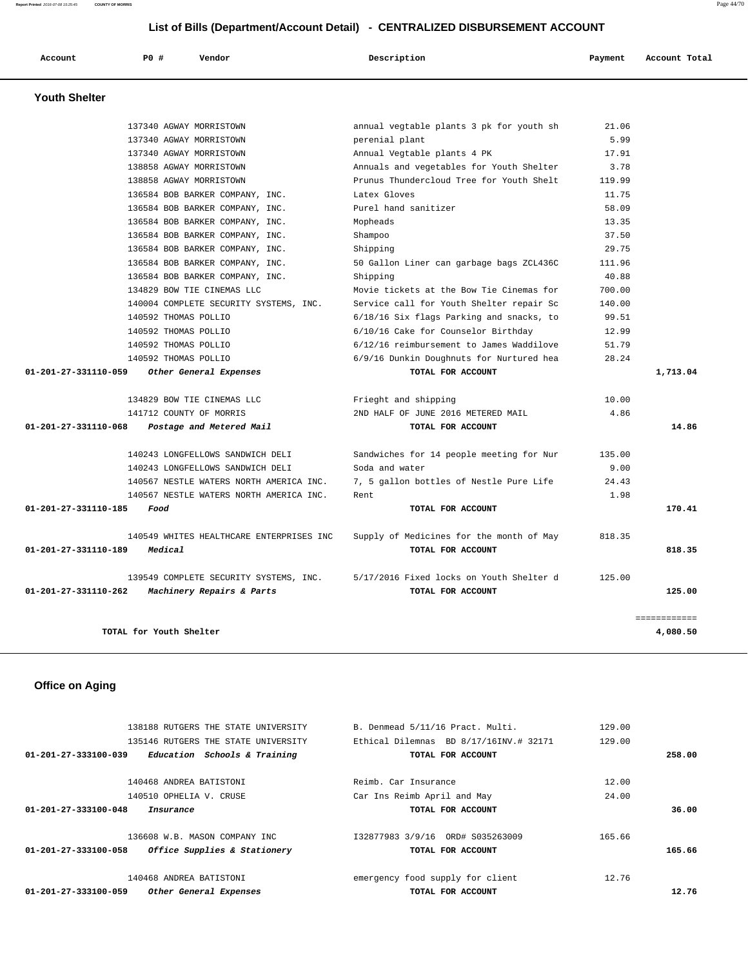**Report Printed** 2016-07-08 15:25:45 **COUNTY OF MORRIS** Page 44/70

# **List of Bills (Department/Account Detail) - CENTRALIZED DISBURSEMENT ACCOUNT**

| Account              | PO# | Vendor                  | Description                              | Payment | Account Total |
|----------------------|-----|-------------------------|------------------------------------------|---------|---------------|
| <b>Youth Shelter</b> |     |                         |                                          |         |               |
|                      |     | 137340 AGWAY MORRISTOWN | annual vegtable plants 3 pk for youth sh | 21.06   |               |
|                      |     | ERRATO TODAY MODELS     | poronial plant                           | 5.99    |               |

| 137340 AGWAY MORRISTOWN                           | perenial plant                           | 5.99   |              |
|---------------------------------------------------|------------------------------------------|--------|--------------|
| 137340 AGWAY MORRISTOWN                           | Annual Vegtable plants 4 PK              | 17.91  |              |
| 138858 AGWAY MORRISTOWN                           | Annuals and vegetables for Youth Shelter | 3.78   |              |
| 138858 AGWAY MORRISTOWN                           | Prunus Thundercloud Tree for Youth Shelt | 119.99 |              |
| 136584 BOB BARKER COMPANY, INC.                   | Latex Gloves                             | 11.75  |              |
| 136584 BOB BARKER COMPANY, INC.                   | Purel hand sanitizer                     | 58.09  |              |
| 136584 BOB BARKER COMPANY, INC.                   | Mopheads                                 | 13.35  |              |
| 136584 BOB BARKER COMPANY, INC.                   | Shampoo                                  | 37.50  |              |
| 136584 BOB BARKER COMPANY, INC.                   | Shipping                                 | 29.75  |              |
| 136584 BOB BARKER COMPANY, INC.                   | 50 Gallon Liner can garbage bags ZCL436C | 111.96 |              |
| 136584 BOB BARKER COMPANY, INC.                   | Shipping                                 | 40.88  |              |
| 134829 BOW TIE CINEMAS LLC                        | Movie tickets at the Bow Tie Cinemas for | 700.00 |              |
| 140004 COMPLETE SECURITY SYSTEMS, INC.            | Service call for Youth Shelter repair Sc | 140.00 |              |
| 140592 THOMAS POLLIO                              | 6/18/16 Six flags Parking and snacks, to | 99.51  |              |
| 140592 THOMAS POLLIO                              | 6/10/16 Cake for Counselor Birthday      | 12.99  |              |
| 140592 THOMAS POLLIO                              | 6/12/16 reimbursement to James Waddilove | 51.79  |              |
| 140592 THOMAS POLLIO                              | 6/9/16 Dunkin Doughnuts for Nurtured hea | 28.24  |              |
| 01-201-27-331110-059<br>Other General Expenses    | TOTAL FOR ACCOUNT                        |        | 1,713.04     |
|                                                   |                                          |        |              |
| 134829 BOW TIE CINEMAS LLC                        | Frieght and shipping                     | 10.00  |              |
| 141712 COUNTY OF MORRIS                           | 2ND HALF OF JUNE 2016 METERED MAIL       | 4.86   |              |
| 01-201-27-331110-068<br>Postage and Metered Mail  | TOTAL FOR ACCOUNT                        |        | 14.86        |
|                                                   |                                          |        |              |
| 140243 LONGFELLOWS SANDWICH DELI                  | Sandwiches for 14 people meeting for Nur | 135.00 |              |
| 140243 LONGFELLOWS SANDWICH DELI                  | Soda and water                           | 9.00   |              |
| 140567 NESTLE WATERS NORTH AMERICA INC.           | 7, 5 gallon bottles of Nestle Pure Life  | 24.43  |              |
| 140567 NESTLE WATERS NORTH AMERICA INC.           | Rent                                     | 1.98   |              |
| 01-201-27-331110-185<br>Food                      | TOTAL FOR ACCOUNT                        |        | 170.41       |
|                                                   |                                          |        |              |
| 140549 WHITES HEALTHCARE ENTERPRISES INC          | Supply of Medicines for the month of May | 818.35 |              |
| 01-201-27-331110-189<br>Medical                   | TOTAL FOR ACCOUNT                        |        | 818.35       |
| 139549 COMPLETE SECURITY SYSTEMS, INC.            | 5/17/2016 Fixed locks on Youth Shelter d | 125.00 |              |
| Machinery Repairs & Parts<br>01-201-27-331110-262 | TOTAL FOR ACCOUNT                        |        | 125.00       |
|                                                   |                                          |        |              |
|                                                   |                                          |        | ============ |
| TOTAL for Youth Shelter                           |                                          |        | 4,080.50     |
|                                                   |                                          |        |              |

# **Office on Aging**

|                                   | 138188 RUTGERS THE STATE UNIVERSITY |  |                   | B. Denmead 5/11/16 Pract. Multi.       | 129.00 |        |
|-----------------------------------|-------------------------------------|--|-------------------|----------------------------------------|--------|--------|
|                                   | 135146 RUTGERS THE STATE UNIVERSITY |  |                   | Ethical Dilemnas BD 8/17/16INV.# 32171 | 129.00 |        |
| $01 - 201 - 27 - 333100 - 039$    | Education Schools & Training        |  |                   | TOTAL FOR ACCOUNT                      |        | 258.00 |
|                                   |                                     |  |                   |                                        |        |        |
|                                   | 140468 ANDREA BATISTONI             |  |                   | Reimb, Car Insurance                   | 12.00  |        |
|                                   | 140510 OPHELIA V. CRUSE             |  |                   | Car Ins Reimb April and May            | 24.00  |        |
| 01-201-27-333100-048<br>Insurance |                                     |  | TOTAL FOR ACCOUNT |                                        | 36.00  |        |
|                                   |                                     |  |                   |                                        |        |        |
|                                   | 136608 W.B. MASON COMPANY INC       |  |                   | I32877983 3/9/16 ORD# S035263009       | 165.66 |        |
| 01-201-27-333100-058              | Office Supplies & Stationery        |  |                   | TOTAL FOR ACCOUNT                      |        | 165.66 |
|                                   |                                     |  |                   |                                        |        |        |
|                                   | 140468 ANDREA BATISTONI             |  |                   | emergency food supply for client       | 12.76  |        |
| 01-201-27-333100-059              | Other General Expenses              |  |                   | TOTAL FOR ACCOUNT                      |        | 12.76  |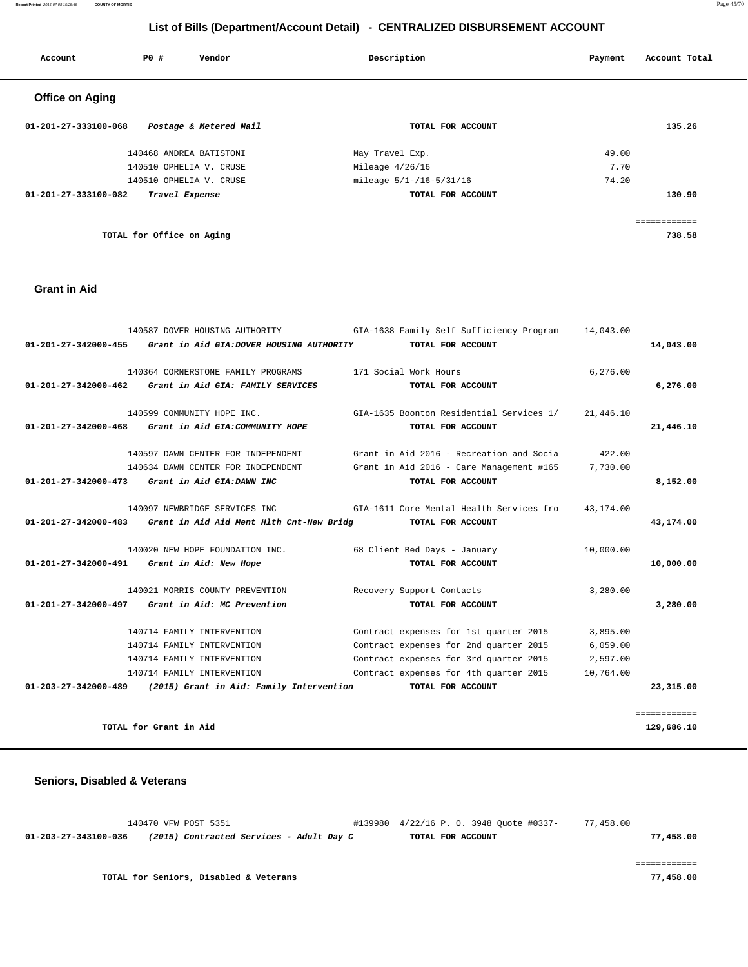**Report Printed** 2016-07-08 15:25:45 **COUNTY OF MORRIS** Page 45/70

# **List of Bills (Department/Account Detail) - CENTRALIZED DISBURSEMENT ACCOUNT**

| Account                | PO#                       | Vendor                  | Description             | Payment | Account Total |
|------------------------|---------------------------|-------------------------|-------------------------|---------|---------------|
| <b>Office on Aging</b> |                           |                         |                         |         |               |
| 01-201-27-333100-068   |                           | Postage & Metered Mail  | TOTAL FOR ACCOUNT       |         | 135.26        |
|                        |                           | 140468 ANDREA BATISTONI | May Travel Exp.         | 49.00   |               |
|                        |                           | 140510 OPHELIA V. CRUSE | Mileage $4/26/16$       | 7.70    |               |
|                        |                           | 140510 OPHELIA V. CRUSE | mileage 5/1-/16-5/31/16 | 74.20   |               |
| 01-201-27-333100-082   |                           | Travel Expense          | TOTAL FOR ACCOUNT       |         | 130.90        |
|                        |                           |                         |                         |         |               |
|                        |                           |                         |                         |         | ============  |
|                        | TOTAL for Office on Aging |                         |                         |         | 738.58        |

#### **Grant in Aid**

|                                | 140587 DOVER HOUSING AUTHORITY                                  | GIA-1638 Family Self Sufficiency Program           | 14,043.00 |              |
|--------------------------------|-----------------------------------------------------------------|----------------------------------------------------|-----------|--------------|
| 01-201-27-342000-455           | Grant in Aid GIA: DOVER HOUSING AUTHORITY                       | TOTAL FOR ACCOUNT                                  |           | 14,043.00    |
|                                | 140364 CORNERSTONE FAMILY PROGRAMS                              | 171 Social Work Hours                              | 6,276.00  |              |
|                                | 01-201-27-342000-462 Grant in Aid GIA: FAMILY SERVICES          | TOTAL FOR ACCOUNT                                  |           | 6,276,00     |
|                                | 140599 COMMUNITY HOPE INC.                                      | GIA-1635 Boonton Residential Services 1/ 21,446.10 |           |              |
| $01 - 201 - 27 - 342000 - 468$ | Grant in Aid GIA: COMMUNITY HOPE                                | TOTAL FOR ACCOUNT                                  |           | 21,446.10    |
|                                | 140597 DAWN CENTER FOR INDEPENDENT                              | Grant in Aid 2016 - Recreation and Socia           | 422.00    |              |
|                                | 140634 DAWN CENTER FOR INDEPENDENT                              | Grant in Aid 2016 - Care Management #165           | 7,730.00  |              |
|                                | 01-201-27-342000-473 Grant in Aid GIA:DAWN INC                  | TOTAL FOR ACCOUNT                                  |           | 8,152.00     |
|                                | 140097 NEWBRIDGE SERVICES INC                                   | GIA-1611 Core Mental Health Services fro           | 43,174.00 |              |
|                                | $01-201-27-342000-483$ Grant in Aid Aid Ment Hlth Cnt-New Bridg | TOTAL FOR ACCOUNT                                  |           | 43,174.00    |
|                                | 140020 NEW HOPE FOUNDATION INC.                                 | 68 Client Bed Days - January                       | 10,000.00 |              |
| 01-201-27-342000-491           | Grant in Aid: New Hope                                          | TOTAL FOR ACCOUNT                                  |           | 10,000.00    |
|                                | 140021 MORRIS COUNTY PREVENTION                                 | Recovery Support Contacts                          | 3,280.00  |              |
|                                | $01-201-27-342000-497$ Grant in Aid: MC Prevention              | TOTAL FOR ACCOUNT                                  |           | 3,280.00     |
|                                | 140714 FAMILY INTERVENTION                                      | Contract expenses for 1st quarter 2015             | 3,895.00  |              |
|                                | 140714 FAMILY INTERVENTION                                      | Contract expenses for 2nd quarter 2015             | 6,059.00  |              |
|                                | 140714 FAMILY INTERVENTION                                      | Contract expenses for 3rd quarter 2015             | 2,597.00  |              |
|                                | 140714 FAMILY INTERVENTION                                      | Contract expenses for 4th quarter 2015             | 10,764.00 |              |
| 01-203-27-342000-489           | (2015) Grant in Aid: Family Intervention                        | TOTAL FOR ACCOUNT                                  |           | 23,315.00    |
|                                |                                                                 |                                                    |           | ============ |
|                                | TOTAL for Grant in Aid                                          |                                                    |           | 129,686.10   |

### **Seniors, Disabled & Veterans**

|                      | 140470 VFW POST 5351                     | #139980 4/22/16 P. O. 3948 Ouote #0337- | 77,458.00 |
|----------------------|------------------------------------------|-----------------------------------------|-----------|
| 01-203-27-343100-036 | (2015) Contracted Services - Adult Day C | TOTAL FOR ACCOUNT                       | 77,458.00 |
|                      |                                          |                                         |           |
|                      |                                          |                                         |           |
|                      | TOTAL for Seniors, Disabled & Veterans   |                                         | 77,458.00 |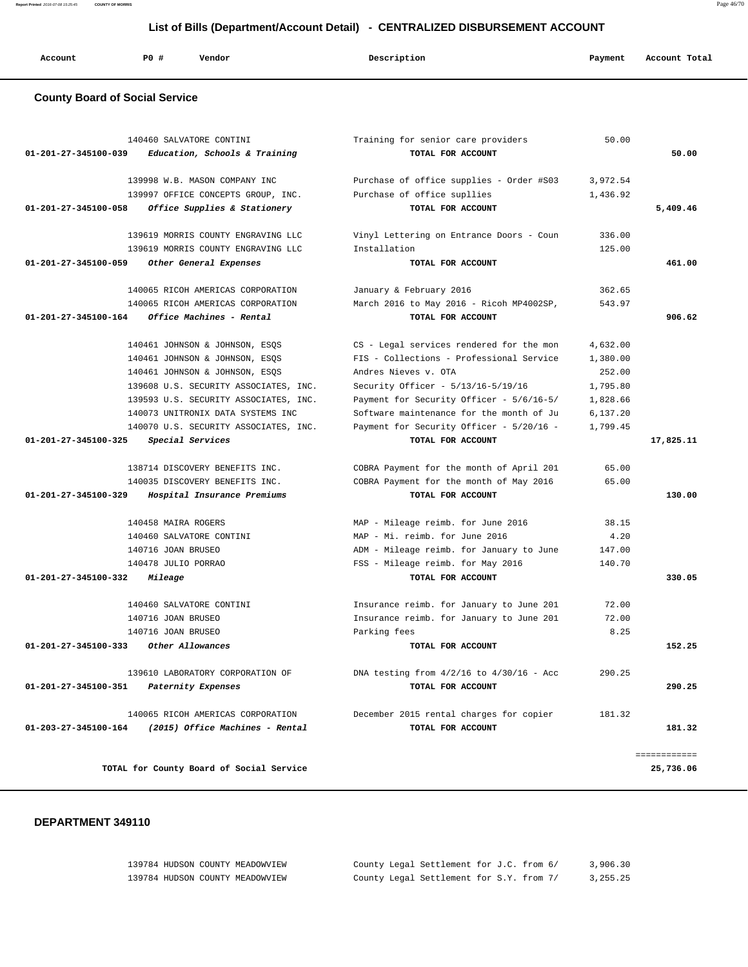| Account                               | <b>PO #</b>         | Vendor                                                                     | Description                                                   | Payment              | Account Total |
|---------------------------------------|---------------------|----------------------------------------------------------------------------|---------------------------------------------------------------|----------------------|---------------|
| <b>County Board of Social Service</b> |                     |                                                                            |                                                               |                      |               |
|                                       |                     | 140460 SALVATORE CONTINI                                                   | Training for senior care providers                            | 50.00                |               |
| 01-201-27-345100-039                  |                     | Education, Schools & Training                                              | TOTAL FOR ACCOUNT                                             |                      | 50.00         |
|                                       |                     | 139998 W.B. MASON COMPANY INC                                              | Purchase of office supplies - Order #S03                      | 3,972.54             |               |
|                                       |                     | 139997 OFFICE CONCEPTS GROUP, INC.                                         | Purchase of office supllies                                   | 1,436.92             |               |
| 01-201-27-345100-058                  |                     | Office Supplies & Stationery                                               | TOTAL FOR ACCOUNT                                             |                      | 5,409.46      |
|                                       |                     | 139619 MORRIS COUNTY ENGRAVING LLC                                         | Vinyl Lettering on Entrance Doors - Coun                      | 336.00               |               |
|                                       |                     | 139619 MORRIS COUNTY ENGRAVING LLC                                         | Installation                                                  | 125.00               |               |
| 01-201-27-345100-059                  |                     | Other General Expenses                                                     | TOTAL FOR ACCOUNT                                             |                      | 461.00        |
|                                       |                     | 140065 RICOH AMERICAS CORPORATION                                          | January & February 2016                                       | 362.65               |               |
|                                       |                     | 140065 RICOH AMERICAS CORPORATION                                          | March 2016 to May 2016 - Ricoh MP4002SP,                      | 543.97               |               |
| 01-201-27-345100-164                  |                     | Office Machines - Rental                                                   | TOTAL FOR ACCOUNT                                             |                      | 906.62        |
|                                       |                     | 140461 JOHNSON & JOHNSON, ESQS                                             | CS - Legal services rendered for the mon                      | 4,632.00             |               |
|                                       |                     | 140461 JOHNSON & JOHNSON, ESQS                                             | FIS - Collections - Professional Service                      | 1,380.00             |               |
|                                       |                     | 140461 JOHNSON & JOHNSON, ESQS                                             | Andres Nieves v. OTA                                          | 252.00               |               |
|                                       |                     | 139608 U.S. SECURITY ASSOCIATES, INC.                                      | Security Officer - 5/13/16-5/19/16                            | 1,795.80             |               |
|                                       |                     | 139593 U.S. SECURITY ASSOCIATES, INC.                                      | Payment for Security Officer - 5/6/16-5/                      | 1,828.66             |               |
|                                       |                     | 140073 UNITRONIX DATA SYSTEMS INC<br>140070 U.S. SECURITY ASSOCIATES, INC. | Software maintenance for the month of Ju                      | 6,137.20<br>1,799.45 |               |
| 01-201-27-345100-325                  |                     | <i>Special Services</i>                                                    | Payment for Security Officer - 5/20/16 -<br>TOTAL FOR ACCOUNT |                      | 17,825.11     |
|                                       |                     | 138714 DISCOVERY BENEFITS INC.                                             | COBRA Payment for the month of April 201                      | 65.00                |               |
|                                       |                     | 140035 DISCOVERY BENEFITS INC.                                             | COBRA Payment for the month of May 2016                       | 65.00                |               |
| 01-201-27-345100-329                  |                     | Hospital Insurance Premiums                                                | TOTAL FOR ACCOUNT                                             |                      | 130.00        |
|                                       | 140458 MAIRA ROGERS |                                                                            | MAP - Mileage reimb. for June 2016                            | 38.15                |               |
|                                       |                     | 140460 SALVATORE CONTINI                                                   | MAP - Mi. reimb. for June 2016                                | 4.20                 |               |
|                                       | 140716 JOAN BRUSEO  |                                                                            | ADM - Mileage reimb. for January to June                      | 147.00               |               |
|                                       | 140478 JULIO PORRAO |                                                                            | FSS - Mileage reimb. for May 2016                             | 140.70               |               |
| 01-201-27-345100-332                  | Mileage             |                                                                            | TOTAL FOR ACCOUNT                                             |                      | 330.05        |
|                                       |                     | 140460 SALVATORE CONTINI                                                   | Insurance reimb. for January to June 201                      | 72.00                |               |
|                                       | 140716 JOAN BRUSEO  |                                                                            | Insurance reimb. for January to June 201                      | 72.00                |               |
|                                       | 140716 JOAN BRUSEO  |                                                                            | Parking fees                                                  | 8.25                 |               |
| 01-201-27-345100-333                  |                     | Other Allowances                                                           | TOTAL FOR ACCOUNT                                             |                      | 152.25        |
|                                       |                     | 139610 LABORATORY CORPORATION OF                                           | DNA testing from $4/2/16$ to $4/30/16$ - Acc                  | 290.25               |               |
| 01-201-27-345100-351                  |                     | Paternity Expenses                                                         | TOTAL FOR ACCOUNT                                             |                      | 290.25        |
|                                       |                     | 140065 RICOH AMERICAS CORPORATION                                          | December 2015 rental charges for copier                       | 181.32               |               |
| 01-203-27-345100-164                  |                     | (2015) Office Machines - Rental                                            | TOTAL FOR ACCOUNT                                             |                      | 181.32        |

#### **DEPARTMENT 349110**

| 139784 HUDSON COUNTY MEADOWVIEW | County Legal Settlement for J.C. from 6/ |  |  | 3.906.30   |
|---------------------------------|------------------------------------------|--|--|------------|
| 139784 HUDSON COUNTY MEADOWVIEW | County Legal Settlement for S.Y. from 7/ |  |  | 3, 255, 25 |

**Report Printed** 2016-07-08 15:25:45 **COUNTY OF MORRIS** Page 46/70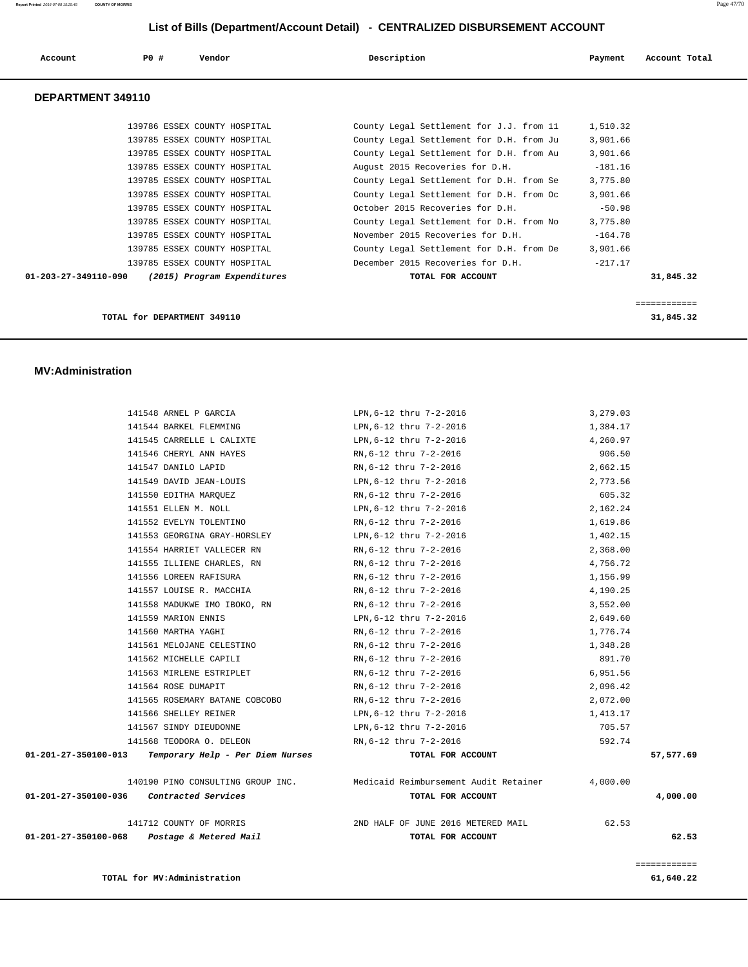| Account              | PO#                         | Vendor                       | Description                              | Payment   | Account Total |
|----------------------|-----------------------------|------------------------------|------------------------------------------|-----------|---------------|
| DEPARTMENT 349110    |                             |                              |                                          |           |               |
|                      |                             | 139786 ESSEX COUNTY HOSPITAL | County Legal Settlement for J.J. from 11 | 1,510.32  |               |
|                      |                             | 139785 ESSEX COUNTY HOSPITAL | County Legal Settlement for D.H. from Ju | 3,901.66  |               |
|                      |                             | 139785 ESSEX COUNTY HOSPITAL | County Legal Settlement for D.H. from Au | 3,901.66  |               |
|                      |                             | 139785 ESSEX COUNTY HOSPITAL | August 2015 Recoveries for D.H.          | $-181.16$ |               |
|                      |                             | 139785 ESSEX COUNTY HOSPITAL | County Legal Settlement for D.H. from Se | 3,775.80  |               |
|                      |                             | 139785 ESSEX COUNTY HOSPITAL | County Legal Settlement for D.H. from Oc | 3,901.66  |               |
|                      |                             | 139785 ESSEX COUNTY HOSPITAL | October 2015 Recoveries for D.H.         | $-50.98$  |               |
|                      |                             | 139785 ESSEX COUNTY HOSPITAL | County Legal Settlement for D.H. from No | 3,775.80  |               |
|                      |                             | 139785 ESSEX COUNTY HOSPITAL | November 2015 Recoveries for D.H.        | $-164.78$ |               |
|                      |                             | 139785 ESSEX COUNTY HOSPITAL | County Legal Settlement for D.H. from De | 3,901.66  |               |
|                      |                             | 139785 ESSEX COUNTY HOSPITAL | December 2015 Recoveries for D.H.        | $-217.17$ |               |
| 01-203-27-349110-090 |                             | (2015) Program Expenditures  | TOTAL FOR ACCOUNT                        |           | 31,845.32     |
|                      |                             |                              |                                          |           |               |
|                      |                             |                              |                                          |           | ============  |
|                      | TOTAL for DEPARTMENT 349110 |                              |                                          |           | 31,845.32     |

#### **MV:Administration**

| 01-201-27-350100-068                     | Postage & Metered Mail                                                | TOTAL FOR ACCOUNT                                                                |          | 62.53     |
|------------------------------------------|-----------------------------------------------------------------------|----------------------------------------------------------------------------------|----------|-----------|
|                                          |                                                                       | 141712 COUNTY OF MORRIS THE RESERVE TO A 2ND HALF OF JUNE 2016 METERED MAIL      | 62.53    |           |
| 01-201-27-350100-036 Contracted Services |                                                                       | TOTAL FOR ACCOUNT                                                                |          | 4,000.00  |
|                                          |                                                                       | 140190 PINO CONSULTING GROUP INC. Medicaid Reimbursement Audit Retainer 4,000.00 |          |           |
|                                          | $01-201-27-350100-013$ Temporary Help - Per Diem Nurses               | TOTAL FOR ACCOUNT                                                                |          | 57,577.69 |
|                                          | 141568 TEODORA O. DELEON                                              | RN,6-12 thru 7-2-2016                                                            | 592.74   |           |
|                                          | 141567 SINDY DIEUDONNE                                                | LPN,6-12 thru 7-2-2016                                                           | 705.57   |           |
|                                          | 141566 SHELLEY REINER                                                 | LPN,6-12 thru 7-2-2016                                                           | 1,413.17 |           |
|                                          | 141565 ROSEMARY BATANE COBCOBO                 RN, 6-12 thru 7-2-2016 |                                                                                  | 2,072.00 |           |
|                                          | 141564 ROSE DUMAPIT                                                   | RN,6-12 thru 7-2-2016                                                            | 2,096.42 |           |
|                                          | 141563 MIRLENE ESTRIPLET                                              | RN,6-12 thru 7-2-2016                                                            | 6,951.56 |           |
|                                          | 141562 MICHELLE CAPILI                                                | RN,6-12 thru 7-2-2016                                                            | 891.70   |           |
|                                          | 141561 MELOJANE CELESTINO                                             | RN,6-12 thru 7-2-2016                                                            | 1,348.28 |           |
|                                          | 141560 MARTHA YAGHI                                                   | RN,6-12 thru 7-2-2016                                                            | 1,776.74 |           |
|                                          | 141559 MARION ENNIS                                                   | LPN,6-12 thru 7-2-2016                                                           | 2,649.60 |           |
|                                          | 141558 MADUKWE IMO IBOKO, RN                                          | RN, 6-12 thru 7-2-2016                                                           | 3,552.00 |           |
|                                          | 141557 LOUISE R. MACCHIA                                              | RN, 6-12 thru 7-2-2016                                                           | 4,190.25 |           |
|                                          | 141556 LOREEN RAFISURA                                                | RN,6-12 thru 7-2-2016                                                            | 1,156.99 |           |
|                                          | 141555 ILLIENE CHARLES, RN RN, 6-12 thru 7-2-2016                     |                                                                                  | 4,756.72 |           |
|                                          | 141554 HARRIET VALLECER RN                                            | RN,6-12 thru 7-2-2016                                                            | 2,368.00 |           |
|                                          | 141553 GEORGINA GRAY-HORSLEY                                          | LPN,6-12 thru 7-2-2016                                                           | 1,402.15 |           |
|                                          | 141552 EVELYN TOLENTINO                                               | RN,6-12 thru 7-2-2016                                                            | 1,619.86 |           |
|                                          | 141551 ELLEN M. NOLL                                                  | LPN,6-12 thru 7-2-2016                                                           | 2,162.24 |           |
|                                          | 141550 EDITHA MARQUEZ                                                 | RN,6-12 thru 7-2-2016                                                            | 605.32   |           |
|                                          | 141549 DAVID JEAN-LOUIS                                               | LPN,6-12 thru 7-2-2016                                                           | 2,773.56 |           |
|                                          | 141547 DANILO LAPID                                                   | 2,662.15<br>RN,6-12 thru 7-2-2016                                                |          |           |
|                                          | 141546 CHERYL ANN HAYES                                               | RN, 6-12 thru 7-2-2016                                                           | 906.50   |           |
|                                          | 141545 CARRELLE L CALIXTE                                             | LPN,6-12 thru 7-2-2016                                                           | 4,260.97 |           |
|                                          | 141544 BARKEL FLEMMING                                                | LPN,6-12 thru 7-2-2016                                                           | 1,384.17 |           |
|                                          | 141548 ARNEL P GARCIA                                                 | LPN, 6-12 thru 7-2-2016                                                          | 3,279.03 |           |

============

**TOTAL for MV:Administration 61,640.22**

- -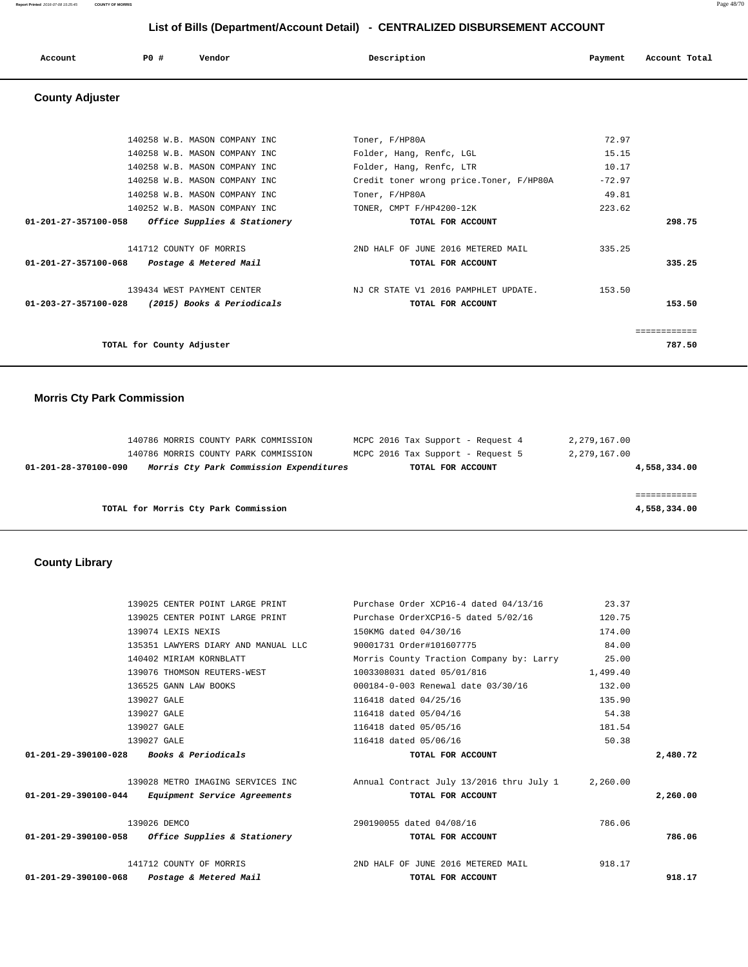**Report Printed** 2016-07-08 15:25:45 **COUNTY OF MORRIS** Page 48/70

# **List of Bills (Department/Account Detail) - CENTRALIZED DISBURSEMENT ACCOUNT**

| Account | PO# | Vendor | Description | Payment | Account Total |
|---------|-----|--------|-------------|---------|---------------|
|         |     |        |             |         |               |

# **County Adjuster**

| TOTAL for County Adjuster                                                        |                                                           |          | ============<br>787.50 |
|----------------------------------------------------------------------------------|-----------------------------------------------------------|----------|------------------------|
| 139434 WEST PAYMENT CENTER<br>01-203-27-357100-028<br>(2015) Books & Periodicals | NJ CR STATE V1 2016 PAMPHLET UPDATE.<br>TOTAL FOR ACCOUNT | 153.50   | 153.50                 |
| $01 - 201 - 27 - 357100 - 068$<br>Postage & Metered Mail                         | TOTAL FOR ACCOUNT                                         |          | 335.25                 |
| 141712 COUNTY OF MORRIS                                                          | 2ND HALF OF JUNE 2016 METERED MAIL                        | 335.25   |                        |
| 01-201-27-357100-058<br><i>Office Supplies &amp; Stationery</i>                  | TOTAL FOR ACCOUNT                                         |          | 298.75                 |
| 140252 W.B. MASON COMPANY INC                                                    | TONER, CMPT F/HP4200-12K                                  | 223.62   |                        |
| 140258 W.B. MASON COMPANY INC                                                    | Toner, F/HP80A                                            | 49.81    |                        |
| 140258 W.B. MASON COMPANY INC                                                    | Credit toner wrong price. Toner, F/HP80A                  | $-72.97$ |                        |
| 140258 W.B. MASON COMPANY INC                                                    | Folder, Hang, Renfc, LTR                                  | 10.17    |                        |
| 140258 W.B. MASON COMPANY INC                                                    | Folder, Hang, Renfc, LGL                                  | 15.15    |                        |
| 140258 W.B. MASON COMPANY INC                                                    | Toner, F/HP80A                                            | 72.97    |                        |

# **Morris Cty Park Commission**

|                                      | 01-201-28-370100-090 | 140786 MORRIS COUNTY PARK COMMISSION | Morris Cty Park Commission Expenditures | MCPC 2016 Tax Support - Request 5<br>TOTAL FOR ACCOUNT | 2,279,167.00 | 4,558,334.00 |
|--------------------------------------|----------------------|--------------------------------------|-----------------------------------------|--------------------------------------------------------|--------------|--------------|
|                                      |                      |                                      |                                         |                                                        |              |              |
| TOTAL for Morris Cty Park Commission |                      |                                      |                                         |                                                        |              | 4,558,334.00 |

# **County Library**

| 139025 CENTER POINT LARGE PRINT                     | Purchase Order XCP16-4 dated 04/13/16                                               | 23.37    |          |
|-----------------------------------------------------|-------------------------------------------------------------------------------------|----------|----------|
| 139025 CENTER POINT LARGE PRINT                     | Purchase OrderXCP16-5 dated 5/02/16                                                 | 120.75   |          |
| 139074 LEXIS NEXIS                                  | 150KMG dated 04/30/16                                                               | 174.00   |          |
| 135351 LAWYERS DIARY AND MANUAL LLC                 | 90001731 Order#101607775                                                            | 84.00    |          |
| 140402 MIRIAM KORNBLATT                             | Morris County Traction Company by: Larry 25.00                                      |          |          |
| 139076 THOMSON REUTERS-WEST                         | 1003308031 dated 05/01/816                                                          | 1,499.40 |          |
| 136525 GANN LAW BOOKS                               | 000184-0-003 Renewal date 03/30/16                                                  | 132.00   |          |
| 139027 GALE                                         | 116418 dated 04/25/16                                                               | 135.90   |          |
| 139027 GALE                                         | 116418 dated 05/04/16                                                               | 54.38    |          |
| 139027 GALE                                         | 116418 dated 05/05/16                                                               | 181.54   |          |
| 139027 GALE                                         | 116418 dated 05/06/16                                                               | 50.38    |          |
| 01-201-29-390100-028 Books & Periodicals            | TOTAL FOR ACCOUNT                                                                   |          | 2,480.72 |
|                                                     | 139028 METRO IMAGING SERVICES INC Annual Contract July 13/2016 thru July 1 2,260.00 |          |          |
| $01-201-29-390100-044$ Equipment Service Agreements | TOTAL FOR ACCOUNT                                                                   |          | 2,260.00 |
| 139026 DEMCO                                        | 290190055 dated 04/08/16                                                            | 786.06   |          |
| $01-201-29-390100-058$ Office Supplies & Stationery | TOTAL FOR ACCOUNT                                                                   |          | 786.06   |
| 141712 COUNTY OF MORRIS                             | 2ND HALF OF JUNE 2016 METERED MAIL                                                  | 918.17   |          |
| 01-201-29-390100-068 Postage & Metered Mail         | TOTAL FOR ACCOUNT                                                                   |          | 918.17   |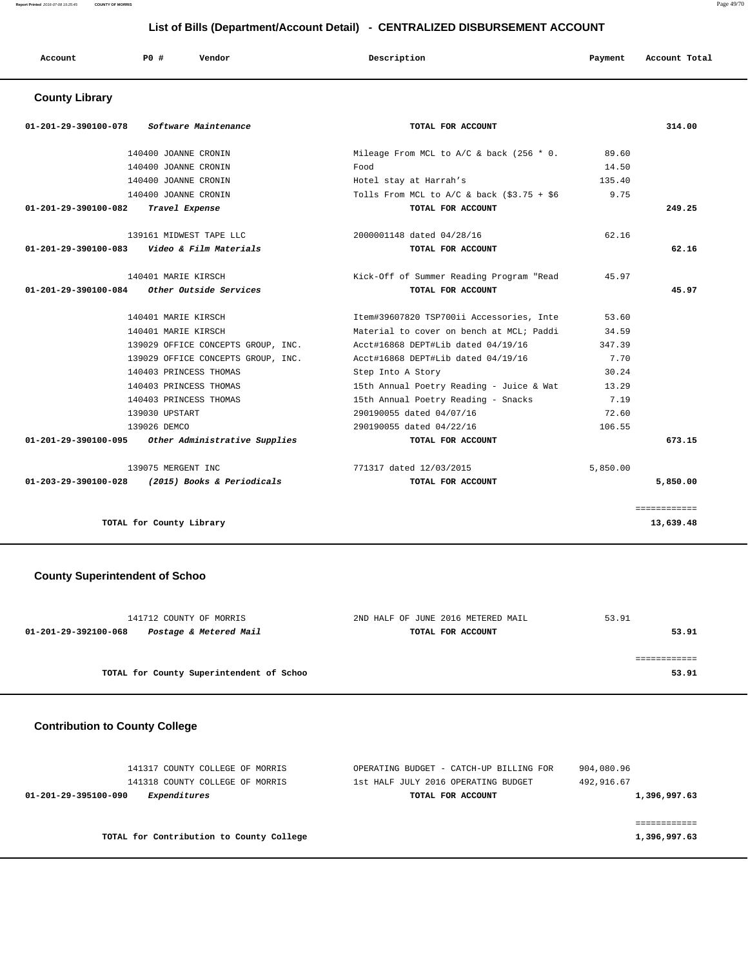**Report Printed** 2016-07-08 15:25:45 **COUNTY OF MORRIS** Page 49/70

# **List of Bills (Department/Account Detail) - CENTRALIZED DISBURSEMENT ACCOUNT**

|  | Account | PO# | Vendor | Description | Payment | Account Total |
|--|---------|-----|--------|-------------|---------|---------------|
|--|---------|-----|--------|-------------|---------|---------------|

# **County Library**

| <i>Software Maintenance</i><br>01-201-29-390100-078 | TOTAL FOR ACCOUNT                            |          | 314.00       |
|-----------------------------------------------------|----------------------------------------------|----------|--------------|
| 140400 JOANNE CRONIN                                | Mileage From MCL to $A/C$ & back (256 $*$ 0. | 89.60    |              |
| 140400 JOANNE CRONIN                                | Food                                         | 14.50    |              |
| 140400 JOANNE CRONIN                                | Hotel stay at Harrah's                       | 135.40   |              |
| 140400 JOANNE CRONIN                                | Tolls From MCL to $A/C$ & back (\$3.75 + \$6 | 9.75     |              |
| 01-201-29-390100-082 Travel Expense                 | TOTAL FOR ACCOUNT                            |          | 249.25       |
| 139161 MIDWEST TAPE LLC                             | 2000001148 dated 04/28/16                    | 62.16    |              |
| Video & Film Materials<br>01-201-29-390100-083      | TOTAL FOR ACCOUNT                            |          | 62.16        |
| 140401 MARIE KIRSCH                                 | Kick-Off of Summer Reading Program "Read     | 45.97    |              |
| $01-201-29-390100-084$ Other Outside Services       | TOTAL FOR ACCOUNT                            |          | 45.97        |
| 140401 MARIE KIRSCH                                 | Item#39607820 TSP700ii Accessories, Inte     | 53.60    |              |
| 140401 MARIE KIRSCH                                 | Material to cover on bench at MCL; Paddi     | 34.59    |              |
| 139029 OFFICE CONCEPTS GROUP, INC.                  | Acct#16868 DEPT#Lib dated 04/19/16           | 347.39   |              |
| 139029 OFFICE CONCEPTS GROUP, INC.                  | Acct#16868 DEPT#Lib dated 04/19/16           | 7.70     |              |
| 140403 PRINCESS THOMAS                              | Step Into A Story                            | 30.24    |              |
| 140403 PRINCESS THOMAS                              | 15th Annual Poetry Reading - Juice & Wat     | 13.29    |              |
| 140403 PRINCESS THOMAS                              | 15th Annual Poetry Reading - Snacks          | 7.19     |              |
| 139030 UPSTART                                      | 290190055 dated 04/07/16                     | 72.60    |              |
| 139026 DEMCO                                        | 290190055 dated 04/22/16                     | 106.55   |              |
| 01-201-29-390100-095 Other Administrative Supplies  | TOTAL FOR ACCOUNT                            |          | 673.15       |
| 139075 MERGENT INC                                  | 771317 dated 12/03/2015                      | 5,850.00 |              |
| 01-203-29-390100-028 (2015) Books & Periodicals     | TOTAL FOR ACCOUNT                            |          | 5,850.00     |
|                                                     |                                              |          | ============ |
| TOTAL for County Library                            |                                              |          | 13,639.48    |

# **County Superintendent of Schoo**

| 141712 COUNTY OF MORRIS                        | 2ND HALF OF JUNE 2016 METERED MAIL | 53.91 |
|------------------------------------------------|------------------------------------|-------|
| Postage & Metered Mail<br>01-201-29-392100-068 | TOTAL FOR ACCOUNT                  | 53.91 |
|                                                |                                    |       |
|                                                |                                    |       |
| TOTAL for County Superintendent of Schoo       |                                    | 53.91 |
|                                                |                                    |       |

### **Contribution to County College**

| 141317 COUNTY COLLEGE OF MORRIS          | OPERATING BUDGET - CATCH-UP BILLING FOR | 904,080.96   |
|------------------------------------------|-----------------------------------------|--------------|
| 141318 COUNTY COLLEGE OF MORRIS          | 1st HALF JULY 2016 OPERATING BUDGET     | 492,916.67   |
| Expenditures<br>01-201-29-395100-090     | TOTAL FOR ACCOUNT                       | 1,396,997.63 |
|                                          |                                         |              |
|                                          |                                         |              |
| TOTAL for Contribution to County College |                                         | 1,396,997.63 |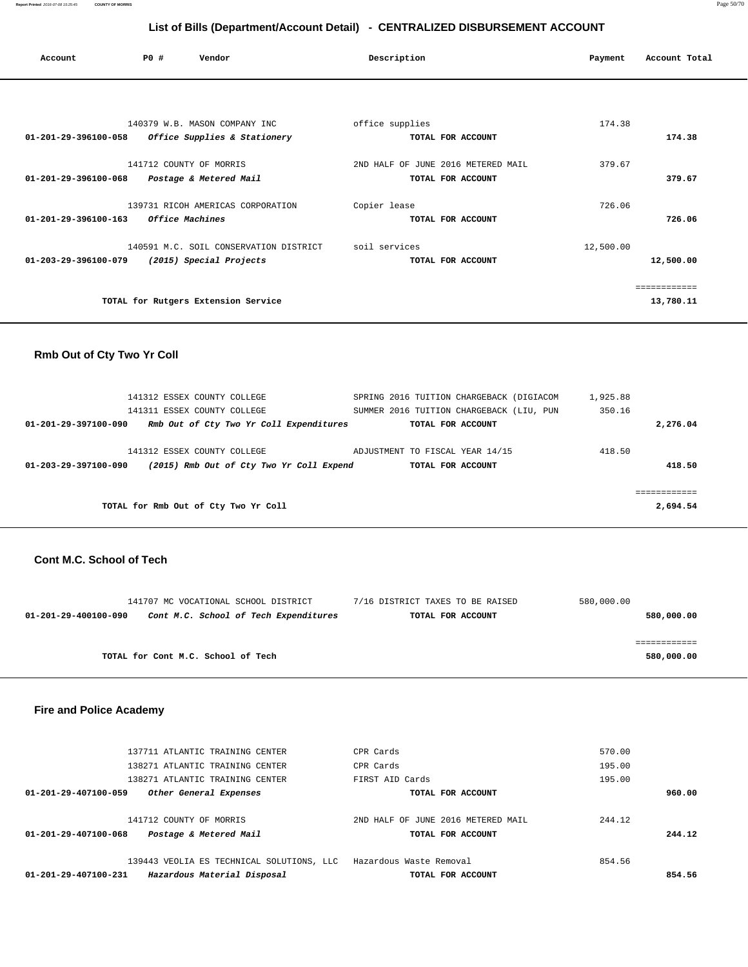| Account                        | PO#<br>Vendor                          | Description                        | Payment   | Account Total |
|--------------------------------|----------------------------------------|------------------------------------|-----------|---------------|
|                                |                                        |                                    |           |               |
|                                | 140379 W.B. MASON COMPANY INC          | office supplies                    | 174.38    |               |
| 01-201-29-396100-058           | Office Supplies & Stationery           | TOTAL FOR ACCOUNT                  |           | 174.38        |
|                                |                                        |                                    |           |               |
|                                | 141712 COUNTY OF MORRIS                | 2ND HALF OF JUNE 2016 METERED MAIL | 379.67    |               |
| $01 - 201 - 29 - 396100 - 068$ | Postage & Metered Mail                 | TOTAL FOR ACCOUNT                  |           | 379.67        |
|                                | 139731 RICOH AMERICAS CORPORATION      | Copier lease                       | 726.06    |               |
| 01-201-29-396100-163           | <i><b>Office Machines</b></i>          | TOTAL FOR ACCOUNT                  |           | 726.06        |
|                                |                                        |                                    |           |               |
|                                | 140591 M.C. SOIL CONSERVATION DISTRICT | soil services                      | 12,500.00 |               |
| 01-203-29-396100-079           | (2015) Special Projects                | TOTAL FOR ACCOUNT                  |           | 12,500.00     |
|                                |                                        |                                    |           | ============  |
|                                | TOTAL for Rutgers Extension Service    |                                    |           | 13,780.11     |
|                                |                                        |                                    |           |               |

### **Rmb Out of Cty Two Yr Coll**

| 141312 ESSEX COUNTY COLLEGE                                      | SPRING 2016 TUITION CHARGEBACK (DIGIACOM | 1,925.88 |
|------------------------------------------------------------------|------------------------------------------|----------|
| 141311 ESSEX COUNTY COLLEGE                                      | SUMMER 2016 TUITION CHARGEBACK (LIU, PUN | 350.16   |
| 01-201-29-397100-090<br>Rmb Out of Cty Two Yr Coll Expenditures  | TOTAL FOR ACCOUNT                        | 2,276.04 |
|                                                                  |                                          |          |
| 141312 ESSEX COUNTY COLLEGE                                      | ADJUSTMENT TO FISCAL YEAR 14/15          | 418.50   |
| (2015) Rmb Out of Cty Two Yr Coll Expend<br>01-203-29-397100-090 | TOTAL FOR ACCOUNT                        | 418.50   |
|                                                                  |                                          |          |
|                                                                  |                                          |          |
| TOTAL for Rmb Out of Cty Two Yr Coll                             |                                          | 2,694.54 |
|                                                                  |                                          |          |

#### **Cont M.C. School of Tech**

|                      | 141707 MC VOCATIONAL SCHOOL DISTRICT  | 7/16 DISTRICT TAXES TO BE RAISED | 580,000.00 |
|----------------------|---------------------------------------|----------------------------------|------------|
| 01-201-29-400100-090 | Cont M.C. School of Tech Expenditures | TOTAL FOR ACCOUNT                | 580,000.00 |
|                      |                                       |                                  |            |
|                      |                                       |                                  |            |
|                      | TOTAL for Cont M.C. School of Tech    |                                  | 580,000.00 |
|                      |                                       |                                  |            |

### **Fire and Police Academy**

| Hazardous Material Disposal<br>01-201-29-407100-231 | TOTAL FOR ACCOUNT                  | 854.56 |
|-----------------------------------------------------|------------------------------------|--------|
| 139443 VEOLIA ES TECHNICAL SOLUTIONS, LLC           | Hazardous Waste Removal            | 854.56 |
| Postage & Metered Mail<br>01-201-29-407100-068      | TOTAL FOR ACCOUNT                  | 244.12 |
| 141712 COUNTY OF MORRIS                             | 2ND HALF OF JUNE 2016 METERED MAIL | 244.12 |
| 01-201-29-407100-059<br>Other General Expenses      | TOTAL FOR ACCOUNT                  | 960.00 |
| 138271 ATLANTIC TRAINING CENTER                     | FIRST AID Cards                    | 195.00 |
| 138271 ATLANTIC TRAINING CENTER                     | CPR Cards                          | 195.00 |
| 137711 ATLANTIC TRAINING CENTER                     | CPR Cards                          | 570.00 |
|                                                     |                                    |        |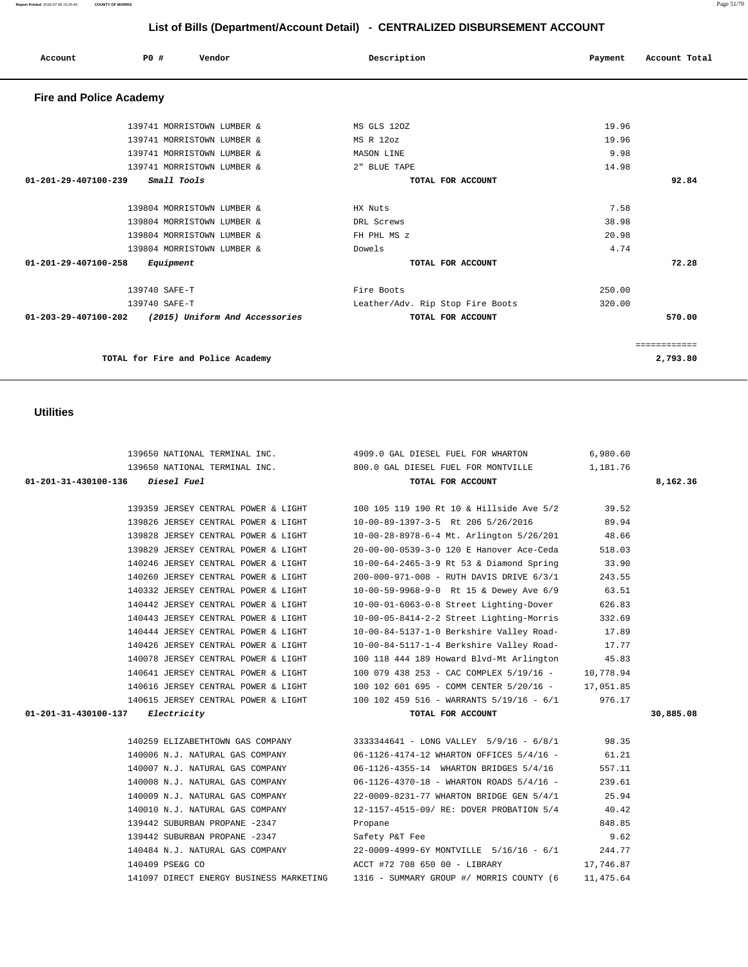#### **Report Printed** 2016-07-08 15:25:45 **COUNTY OF MORRIS** Page 51/70

# **List of Bills (Department/Account Detail) - CENTRALIZED DISBURSEMENT ACCOUNT**

| Account                        | PO#           | Vendor                            | Description                      | Payment | Account Total |
|--------------------------------|---------------|-----------------------------------|----------------------------------|---------|---------------|
| <b>Fire and Police Academy</b> |               |                                   |                                  |         |               |
|                                |               | 139741 MORRISTOWN LUMBER &        | MS GLS 120Z                      | 19.96   |               |
|                                |               | 139741 MORRISTOWN LUMBER &        | MS R 12oz                        | 19.96   |               |
|                                |               | 139741 MORRISTOWN LUMBER &        | MASON LINE                       | 9.98    |               |
|                                |               | 139741 MORRISTOWN LUMBER &        | 2" BLUE TAPE                     | 14.98   |               |
| $01 - 201 - 29 - 407100 - 239$ |               | Small Tools                       | TOTAL FOR ACCOUNT                |         | 92.84         |
|                                |               |                                   |                                  |         |               |
|                                |               | 139804 MORRISTOWN LUMBER &        | HX Nuts                          | 7.58    |               |
|                                |               | 139804 MORRISTOWN LUMBER &        | DRL Screws                       | 38.98   |               |
|                                |               | 139804 MORRISTOWN LUMBER &        | FH PHL MS z                      | 20.98   |               |
|                                |               | 139804 MORRISTOWN LUMBER &        | Dowels                           | 4.74    |               |
| 01-201-29-407100-258           |               | Equipment                         | TOTAL FOR ACCOUNT                |         | 72.28         |
|                                | 139740 SAFE-T |                                   | Fire Boots                       | 250.00  |               |
|                                | 139740 SAFE-T |                                   | Leather/Adv. Rip Stop Fire Boots | 320.00  |               |
| 01-203-29-407100-202           |               | (2015) Uniform And Accessories    | TOTAL FOR ACCOUNT                |         | 570.00        |
|                                |               |                                   |                                  |         | ============  |
|                                |               | TOTAL for Fire and Police Academy |                                  |         | 2,793.80      |

### **Utilities**

|                                            | 139650 NATIONAL TERMINAL INC. 4909.0 GAL DIESEL FUEL FOR WHARTON                   | 6,980.60  |           |
|--------------------------------------------|------------------------------------------------------------------------------------|-----------|-----------|
|                                            | 1,181.76 1,181.76 TERMINAL INC. 800.0 GAL DIESEL FUEL FOR MONTVILLE                |           |           |
| 01-201-31-430100-136 Diesel Fuel           | TOTAL FOR ACCOUNT                                                                  |           | 8,162.36  |
|                                            |                                                                                    |           |           |
|                                            | 139359 JERSEY CENTRAL POWER & LIGHT 100 105 119 190 Rt 10 & Hillside Ave 5/2 39.52 |           |           |
| 139826 JERSEY CENTRAL POWER & LIGHT        | 10-00-89-1397-3-5 Rt 206 5/26/2016                                                 | 89.94     |           |
| 139828 JERSEY CENTRAL POWER & LIGHT        | 10-00-28-8978-6-4 Mt. Arlington 5/26/201                                           | 48.66     |           |
| 139829 JERSEY CENTRAL POWER & LIGHT        | 20-00-00-0539-3-0 120 E Hanover Ace-Ceda                                           | 518.03    |           |
| 140246 JERSEY CENTRAL POWER & LIGHT        | 10-00-64-2465-3-9 Rt 53 & Diamond Spring                                           | 33.90     |           |
| 140260 JERSEY CENTRAL POWER & LIGHT        | 200-000-971-008 - RUTH DAVIS DRIVE 6/3/1                                           | 243.55    |           |
| 140332 JERSEY CENTRAL POWER & LIGHT        | 10-00-59-9968-9-0 Rt 15 & Dewey Ave 6/9                                            | 63.51     |           |
| 140442 JERSEY CENTRAL POWER & LIGHT        | 10-00-01-6063-0-8 Street Lighting-Dover                                            | 626.83    |           |
| 140443 JERSEY CENTRAL POWER & LIGHT        | 10-00-05-8414-2-2 Street Lighting-Morris                                           | 332.69    |           |
| 140444 JERSEY CENTRAL POWER & LIGHT        | 10-00-84-5137-1-0 Berkshire Valley Road-                                           | 17.89     |           |
| 140426 JERSEY CENTRAL POWER & LIGHT        | 10-00-84-5117-1-4 Berkshire Valley Road-                                           | 17.77     |           |
| 140078 JERSEY CENTRAL POWER & LIGHT        | 100 118 444 189 Howard Blvd-Mt Arlington                                           | 45.83     |           |
| 140641 JERSEY CENTRAL POWER & LIGHT        | 100 079 438 253 - CAC COMPLEX 5/19/16 -                                            | 10,778.94 |           |
| 140616 JERSEY CENTRAL POWER & LIGHT        | 100 102 601 695 - COMM CENTER 5/20/16 - 17,051.85                                  |           |           |
|                                            | 140615 JERSEY CENTRAL POWER & LIGHT 100 102 459 516 - WARRANTS 5/19/16 - 6/1       | 976.17    |           |
| $01 - 201 - 31 - 430100 - 137$ Electricity | TOTAL FOR ACCOUNT                                                                  |           | 30,885.08 |
|                                            |                                                                                    |           |           |
|                                            | 140259 ELIZABETHTOWN GAS COMPANY 3333344641 - LONG VALLEY 5/9/16 - 6/8/1 98.35     |           |           |
| 140006 N.J. NATURAL GAS COMPANY            | 06-1126-4174-12 WHARTON OFFICES 5/4/16 -                                           | 61.21     |           |
| 140007 N.J. NATURAL GAS COMPANY            | 06-1126-4355-14 WHARTON BRIDGES 5/4/16                                             | 557.11    |           |
| 140008 N.J. NATURAL GAS COMPANY            | 06-1126-4370-18 - WHARTON ROADS 5/4/16 -                                           | 239.61    |           |
| 140009 N.J. NATURAL GAS COMPANY            | 22-0009-8231-77 WHARTON BRIDGE GEN 5/4/1                                           | 25.94     |           |
| 140010 N.J. NATURAL GAS COMPANY            | 12-1157-4515-09/ RE: DOVER PROBATION 5/4                                           | 40.42     |           |
| 139442 SUBURBAN PROPANE -2347              | Propane                                                                            | 848.85    |           |
| 139442 SUBURBAN PROPANE -2347              | Safety P&T Fee                                                                     | 9.62      |           |
|                                            | 140484 N.J. NATURAL GAS COMPANY 22-0009-4999-6Y MONTVILLE 5/16/16 - 6/1            | 244.77    |           |
| 140409 PSE&G CO                            | ACCT #72 708 650 00 - LIBRARY                                                      | 17,746.87 |           |
| 141097 DIRECT ENERGY BUSINESS MARKETING    | 1316 - SUMMARY GROUP #/ MORRIS COUNTY (6                                           | 11,475.64 |           |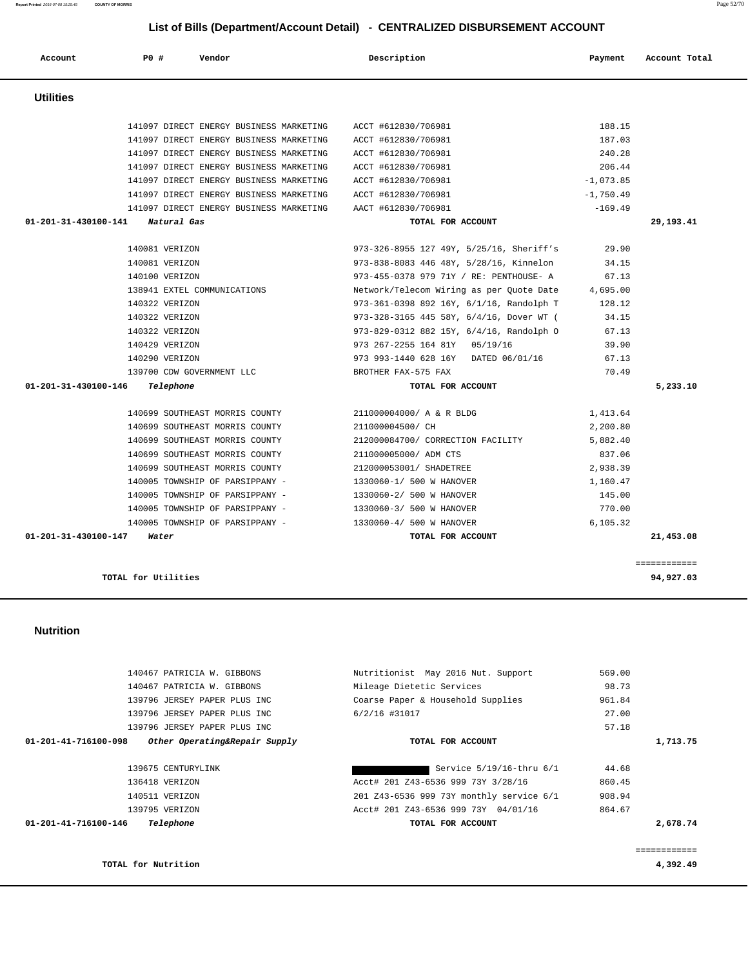|                      | 139796 JERSEY PAPER PLUS INC  | Coarse Paper & Household Supplies        | 961.84 |          |
|----------------------|-------------------------------|------------------------------------------|--------|----------|
|                      | 139796 JERSEY PAPER PLUS INC  | 6/2/16 #31017                            | 27.00  |          |
|                      | 139796 JERSEY PAPER PLUS INC  |                                          | 57.18  |          |
| 01-201-41-716100-098 | Other Operating&Repair Supply | TOTAL FOR ACCOUNT                        |        | 1,713.75 |
|                      | 139675 CENTURYLINK            | Service 5/19/16-thru 6/1                 | 44.68  |          |
|                      | 136418 VERIZON                | Acct# 201 Z43-6536 999 73Y 3/28/16       | 860.45 |          |
|                      | 140511 VERIZON                | 201 Z43-6536 999 73Y monthly service 6/1 | 908.94 |          |
|                      | 139795 VERIZON                | Acct# 201 Z43-6536 999 73Y 04/01/16      | 864.67 |          |
| 01-201-41-716100-146 | Telephone                     | TOTAL FOR ACCOUNT                        |        | 2,678.74 |
|                      |                               |                                          |        |          |
|                      |                               |                                          |        |          |

### **Nutrition**

|                                            | 141097 DIRECT ENERGY BUSINESS MARKETING                     | ACCT #612830/706981                                              | 240.28      |           |
|--------------------------------------------|-------------------------------------------------------------|------------------------------------------------------------------|-------------|-----------|
|                                            | 141097 DIRECT ENERGY BUSINESS MARKETING                     | ACCT #612830/706981                                              | 206.44      |           |
|                                            | 141097 DIRECT ENERGY BUSINESS MARKETING                     | ACCT #612830/706981                                              | $-1,073.85$ |           |
|                                            | 141097 DIRECT ENERGY BUSINESS MARKETING                     | ACCT #612830/706981                                              | $-1,750.49$ |           |
|                                            | 141097 DIRECT ENERGY BUSINESS MARKETING AACT #612830/706981 |                                                                  | $-169.49$   |           |
| $01 - 201 - 31 - 430100 - 141$ Natural Gas |                                                             | TOTAL FOR ACCOUNT                                                |             | 29,193.41 |
|                                            | 140081 VERIZON                                              | 973-326-8955 127 49Y, 5/25/16, Sheriff's 29.90                   |             |           |
|                                            | 140081 VERIZON                                              | 973-838-8083 446 48Y, 5/28/16, Kinnelon 34.15                    |             |           |
|                                            | 140100 VERIZON                                              | 973-455-0378 979 71Y / RE: PENTHOUSE- A 67.13                    |             |           |
|                                            | 138941 EXTEL COMMUNICATIONS                                 | Network/Telecom Wiring as per Quote Date 4,695.00                |             |           |
|                                            | 140322 VERIZON                                              | 973-361-0398 892 16Y, 6/1/16, Randolph T 128.12                  |             |           |
|                                            | 140322 VERIZON                                              | 973-328-3165 445 58Y, 6/4/16, Dover WT (                         | 34.15       |           |
|                                            | 140322 VERIZON                                              | 973-829-0312 882 15Y, 6/4/16, Randolph O                         | 67.13       |           |
|                                            | 140429 VERIZON                                              | 973 267-2255 164 81Y 05/19/16                                    | 39.90       |           |
|                                            | 140290 VERIZON                                              | 973 993-1440 628 16Y DATED 06/01/16                              | 67.13       |           |
|                                            | 139700 CDW GOVERNMENT LLC BELLET BROTHER FAX-575 FAX        |                                                                  | 70.49       |           |
| $01 - 201 - 31 - 430100 - 146$ Telephone   |                                                             | TOTAL FOR ACCOUNT                                                |             | 5,233.10  |
|                                            | 140699 SOUTHEAST MORRIS COUNTY 211000004000/ A & R BLDG     |                                                                  | 1,413.64    |           |
|                                            | 140699 SOUTHEAST MORRIS COUNTY 211000004500/ CH             |                                                                  | 2,200.80    |           |
|                                            |                                                             | 140699 SOUTHEAST MORRIS COUNTY 212000084700/ CORRECTION FACILITY | 5,882.40    |           |
|                                            | 140699 SOUTHEAST MORRIS COUNTY                              | 211000005000/ ADM CTS                                            | 837.06      |           |
|                                            | 140699 SOUTHEAST MORRIS COUNTY                              | 212000053001/ SHADETREE                                          | 2,938.39    |           |
|                                            |                                                             | $140005$ TOWNSHIP OF PARSIPPANY - $1330060 - 1/500$ W HANOVER    | 1,160.47    |           |
|                                            | 140005 TOWNSHIP OF PARSIPPANY - 1330060-2/ 500 W HANOVER    |                                                                  | 145.00      |           |
|                                            | 140005 TOWNSHIP OF PARSIPPANY - 1330060-3/ 500 W HANOVER    |                                                                  | 770.00      |           |
|                                            | 140005 TOWNSHIP OF PARSIPPANY - 1330060-4/ 500 W HANOVER    |                                                                  | 6,105.32    |           |
| 01-201-31-430100-147                       | Water                                                       | TOTAL FOR ACCOUNT                                                |             | 21,453.08 |

**TOTAL for Utilities** 94,927.03

**TOTAL for Nutrition 4,392.49**

140467 PATRICIA W. GIBBONS Mileage Dietetic Services 98.73

Nutritionist May 2016 Nut. Support 569.00

| Report Printed 2016-07-08 15:25:45 | <b>COUNTY OF MORRIS</b> |                                                                                    |                                                                              |                          | Page 52/70 |
|------------------------------------|-------------------------|------------------------------------------------------------------------------------|------------------------------------------------------------------------------|--------------------------|------------|
|                                    |                         |                                                                                    | List of Bills (Department/Account Detail) - CENTRALIZED DISBURSEMENT ACCOUNT |                          |            |
| Account                            | PO#                     | Vendor                                                                             | Description                                                                  | Account Total<br>Payment |            |
| <b>Utilities</b>                   |                         |                                                                                    |                                                                              |                          |            |
|                                    |                         | 141097 DIRECT ENERGY BUSINESS MARKETING<br>141097 DIRECT ENERGY BUSINESS MARKETING | ACCT #612830/706981<br>ACCT #612830/706981                                   | 188.15<br>187.03         |            |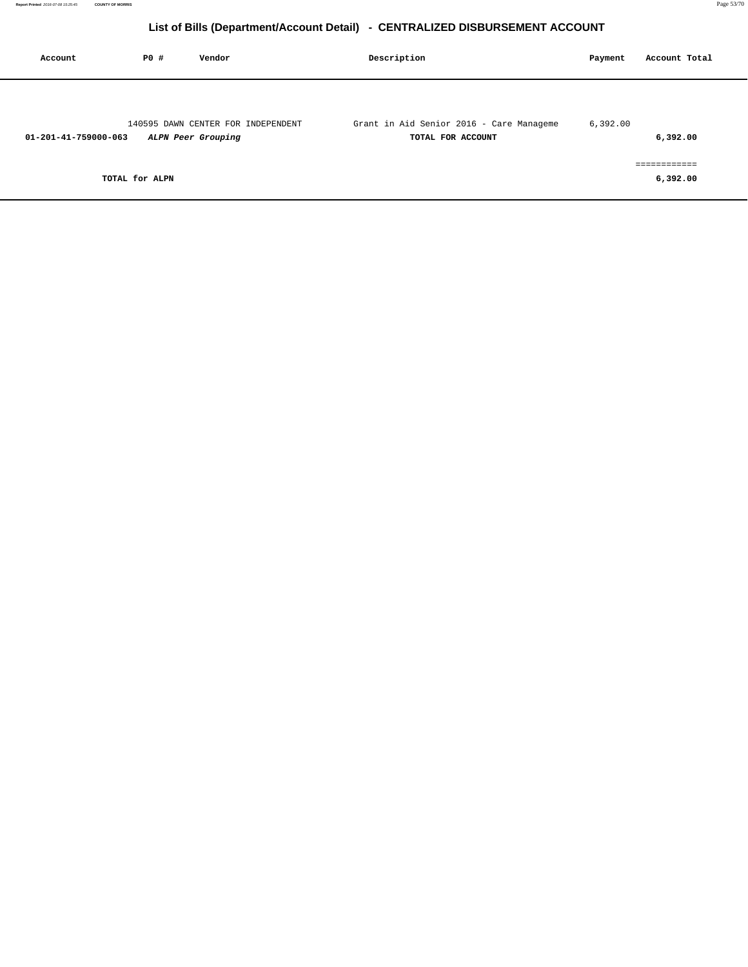| Account              | P0 #           | Vendor                                                   | Description                                                   | Payment  | Account Total            |
|----------------------|----------------|----------------------------------------------------------|---------------------------------------------------------------|----------|--------------------------|
| 01-201-41-759000-063 |                | 140595 DAWN CENTER FOR INDEPENDENT<br>ALPN Peer Grouping | Grant in Aid Senior 2016 - Care Manageme<br>TOTAL FOR ACCOUNT | 6,392.00 | 6,392.00                 |
|                      | TOTAL for ALPN |                                                          |                                                               |          | ============<br>6,392.00 |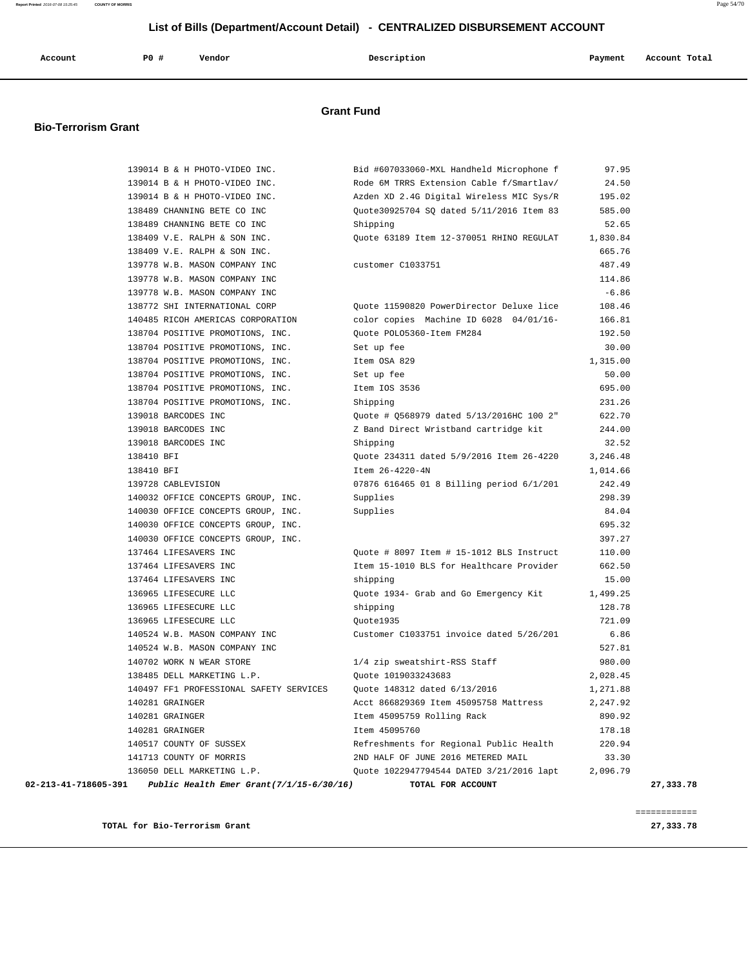| Account<br>. | P0 # | Vendor | Description<br>$\sim$ $\sim$ | Payment | Account Total |
|--------------|------|--------|------------------------------|---------|---------------|
|              |      |        |                              |         |               |

## **Grant Fund**

#### **Bio-Terrorism Grant**

|                      | 139014 B & H PHOTO-VIDEO INC.               | Bid #607033060-MXL Handheld Microphone f | 97.95    |           |
|----------------------|---------------------------------------------|------------------------------------------|----------|-----------|
|                      | 139014 B & H PHOTO-VIDEO INC.               | Rode 6M TRRS Extension Cable f/Smartlav/ | 24.50    |           |
|                      | 139014 B & H PHOTO-VIDEO INC.               | Azden XD 2.4G Digital Wireless MIC Sys/R | 195.02   |           |
|                      | 138489 CHANNING BETE CO INC                 | Quote30925704 SQ dated 5/11/2016 Item 83 | 585.00   |           |
|                      | 138489 CHANNING BETE CO INC                 | Shipping                                 | 52.65    |           |
|                      | 138409 V.E. RALPH & SON INC.                | Quote 63189 Item 12-370051 RHINO REGULAT | 1,830.84 |           |
|                      | 138409 V.E. RALPH & SON INC.                |                                          | 665.76   |           |
|                      | 139778 W.B. MASON COMPANY INC               | customer C1033751                        | 487.49   |           |
|                      | 139778 W.B. MASON COMPANY INC               |                                          | 114.86   |           |
|                      | 139778 W.B. MASON COMPANY INC               |                                          | $-6.86$  |           |
|                      | 138772 SHI INTERNATIONAL CORP               | Quote 11590820 PowerDirector Deluxe lice | 108.46   |           |
|                      | 140485 RICOH AMERICAS CORPORATION           | color copies Machine ID 6028 04/01/16-   | 166.81   |           |
|                      | 138704 POSITIVE PROMOTIONS, INC.            | Quote POLO5360-Item FM284                | 192.50   |           |
|                      | 138704 POSITIVE PROMOTIONS, INC.            | Set up fee                               | 30.00    |           |
|                      | 138704 POSITIVE PROMOTIONS, INC.            | Item OSA 829                             | 1,315.00 |           |
|                      | 138704 POSITIVE PROMOTIONS, INC.            | Set up fee                               | 50.00    |           |
|                      | 138704 POSITIVE PROMOTIONS, INC.            | Item IOS 3536                            | 695.00   |           |
|                      | 138704 POSITIVE PROMOTIONS, INC.            | Shipping                                 | 231.26   |           |
|                      | 139018 BARCODES INC                         | Quote # Q568979 dated 5/13/2016HC 100 2" | 622.70   |           |
|                      | 139018 BARCODES INC                         | Z Band Direct Wristband cartridge kit    | 244.00   |           |
|                      | 139018 BARCODES INC                         | Shipping                                 | 32.52    |           |
|                      | 138410 BFI                                  | Quote 234311 dated 5/9/2016 Item 26-4220 | 3,246.48 |           |
|                      | 138410 BFI                                  | Item 26-4220-4N                          | 1,014.66 |           |
|                      | 139728 CABLEVISION                          | 07876 616465 01 8 Billing period 6/1/201 | 242.49   |           |
|                      | 140032 OFFICE CONCEPTS GROUP, INC.          | Supplies                                 | 298.39   |           |
|                      | 140030 OFFICE CONCEPTS GROUP, INC.          | Supplies                                 | 84.04    |           |
|                      | 140030 OFFICE CONCEPTS GROUP, INC.          |                                          | 695.32   |           |
|                      | 140030 OFFICE CONCEPTS GROUP, INC.          |                                          | 397.27   |           |
|                      | 137464 LIFESAVERS INC                       | Ouote # 8097 Item # 15-1012 BLS Instruct | 110.00   |           |
|                      | 137464 LIFESAVERS INC                       | Item 15-1010 BLS for Healthcare Provider | 662.50   |           |
|                      | 137464 LIFESAVERS INC                       | shipping                                 | 15.00    |           |
|                      | 136965 LIFESECURE LLC                       | Quote 1934- Grab and Go Emergency Kit    | 1,499.25 |           |
|                      | 136965 LIFESECURE LLC                       | shipping                                 | 128.78   |           |
|                      | 136965 LIFESECURE LLC                       | Ouote1935                                | 721.09   |           |
|                      | 140524 W.B. MASON COMPANY INC               | Customer C1033751 invoice dated 5/26/201 | 6.86     |           |
|                      | 140524 W.B. MASON COMPANY INC               |                                          | 527.81   |           |
|                      | 140702 WORK N WEAR STORE                    | 1/4 zip sweatshirt-RSS Staff             | 980.00   |           |
|                      | 138485 DELL MARKETING L.P.                  | Ouote 1019033243683                      | 2,028.45 |           |
|                      | 140497 FF1 PROFESSIONAL SAFETY SERVICES     | Ouote 148312 dated 6/13/2016             | 1,271.88 |           |
|                      | 140281 GRAINGER                             | Acct 866829369 Item 45095758 Mattress    | 2,247.92 |           |
|                      | 140281 GRAINGER                             | Item 45095759 Rolling Rack               | 890.92   |           |
|                      | 140281 GRAINGER                             | Item 45095760                            | 178.18   |           |
|                      | 140517 COUNTY OF SUSSEX                     | Refreshments for Regional Public Health  | 220.94   |           |
|                      | 141713 COUNTY OF MORRIS                     | 2ND HALF OF JUNE 2016 METERED MAIL       | 33.30    |           |
|                      | 136050 DELL MARKETING L.P.                  | Quote 1022947794544 DATED 3/21/2016 lapt | 2,096.79 |           |
| 02-213-41-718605-391 | Public Health Emer Grant $(7/1/15-6/30/16)$ | TOTAL FOR ACCOUNT                        |          | 27,333.78 |

**TOTAL for Bio-Terrorism Grant 27,333.78**

============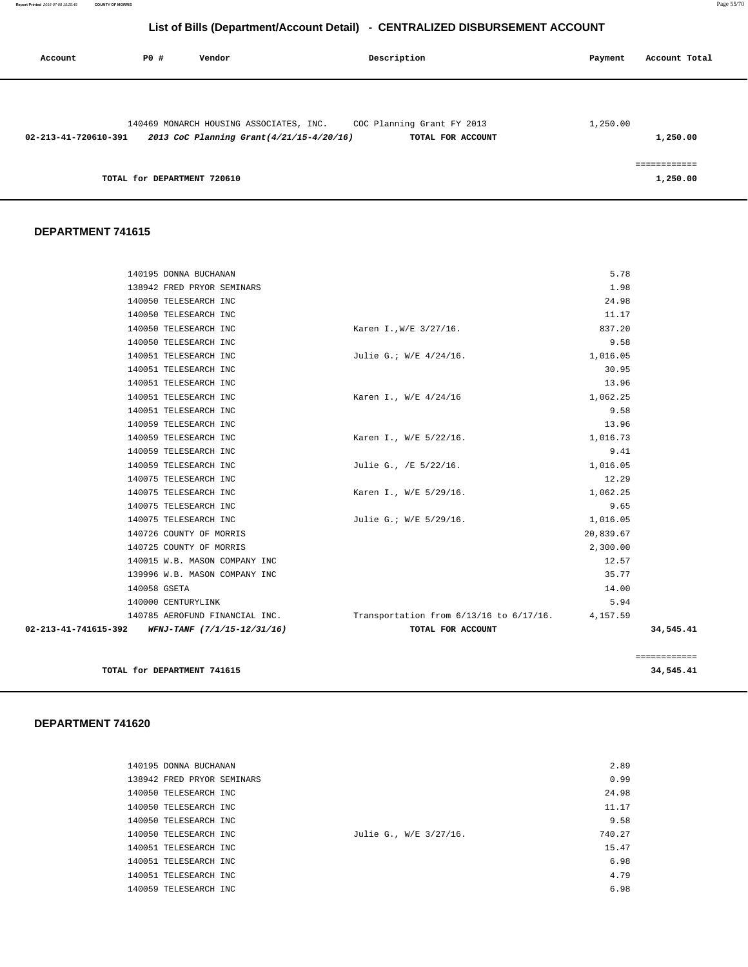| Account              | PO#                         | Vendor                                                                              | Description |                                                 | Payment  | Account Total |
|----------------------|-----------------------------|-------------------------------------------------------------------------------------|-------------|-------------------------------------------------|----------|---------------|
|                      |                             |                                                                                     |             |                                                 |          |               |
| 02-213-41-720610-391 |                             | 140469 MONARCH HOUSING ASSOCIATES, INC.<br>2013 CoC Planning Grant(4/21/15-4/20/16) |             | COC Planning Grant FY 2013<br>TOTAL FOR ACCOUNT | 1,250.00 | 1,250.00      |
|                      | TOTAL for DEPARTMENT 720610 |                                                                                     |             |                                                 |          | 1,250.00      |

#### **DEPARTMENT 741615**

| 02-213-41-741615-392 WFNJ-TANF (7/1/15-12/31/16) | TOTAL FOR ACCOUNT                                |           | 34.545.41 |
|--------------------------------------------------|--------------------------------------------------|-----------|-----------|
| 140785 AEROFUND FINANCIAL INC.                   | Transportation from 6/13/16 to 6/17/16. 4,157.59 |           |           |
| 140000 CENTURYLINK                               |                                                  | 5.94      |           |
| 140058 GSETA                                     |                                                  | 14.00     |           |
| 139996 W.B. MASON COMPANY INC                    |                                                  | 35.77     |           |
| 140015 W.B. MASON COMPANY INC                    |                                                  | 12.57     |           |
| 140725 COUNTY OF MORRIS                          |                                                  | 2,300.00  |           |
| 140726 COUNTY OF MORRIS                          |                                                  | 20,839.67 |           |
| 140075 TELESEARCH INC                            | Julie G.; W/E 5/29/16.                           | 1,016.05  |           |
| 140075 TELESEARCH INC                            |                                                  | 9.65      |           |
| 140075 TELESEARCH INC                            | Karen I., W/E 5/29/16.                           | 1,062.25  |           |
| 140075 TELESEARCH INC                            |                                                  | 12.29     |           |
| 140059 TELESEARCH INC                            | Julie G., /E 5/22/16.                            | 1,016.05  |           |
| 140059 TELESEARCH INC                            |                                                  | 9.41      |           |
| 140059 TELESEARCH INC                            | Karen I., W/E 5/22/16.                           | 1,016.73  |           |
| 140059 TELESEARCH INC                            |                                                  | 13.96     |           |
| 140051 TELESEARCH INC                            |                                                  | 9.58      |           |
| 140051 TELESEARCH INC                            | Karen I., W/E 4/24/16                            | 1,062.25  |           |
| 140051 TELESEARCH INC                            |                                                  | 13.96     |           |
| 140051 TELESEARCH INC                            |                                                  | 30.95     |           |
| 140051 TELESEARCH INC                            | Julie G.; W/E 4/24/16.                           | 1,016.05  |           |
| 140050 TELESEARCH INC                            |                                                  | 9.58      |           |
| 140050 TELESEARCH INC                            | Karen I., W/E 3/27/16.                           | 837.20    |           |
| 140050 TELESEARCH INC                            |                                                  | 11.17     |           |
| 140050 TELESEARCH INC                            |                                                  | 24.98     |           |
| 138942 FRED PRYOR SEMINARS                       |                                                  | 1.98      |           |
| 140195 DONNA BUCHANAN                            |                                                  | 5.78      |           |

**TOTAL for DEPARTMENT 741615 34,545.41**

============

| 140195 DONNA BUCHANAN      |                        | 2.89   |
|----------------------------|------------------------|--------|
| 138942 FRED PRYOR SEMINARS |                        | 0.99   |
| 140050 TELESEARCH INC      |                        | 24.98  |
| 140050 TELESEARCH INC      |                        | 11.17  |
| 140050 TELESEARCH INC      |                        | 9.58   |
| 140050 TELESEARCH INC      | Julie G., W/E 3/27/16. | 740.27 |
| 140051 TELESEARCH INC      |                        | 15.47  |
| 140051 TELESEARCH INC      |                        | 6.98   |
| 140051 TELESEARCH INC      |                        | 4.79   |
| 140059 TELESEARCH INC      |                        | 6.98   |
|                            |                        |        |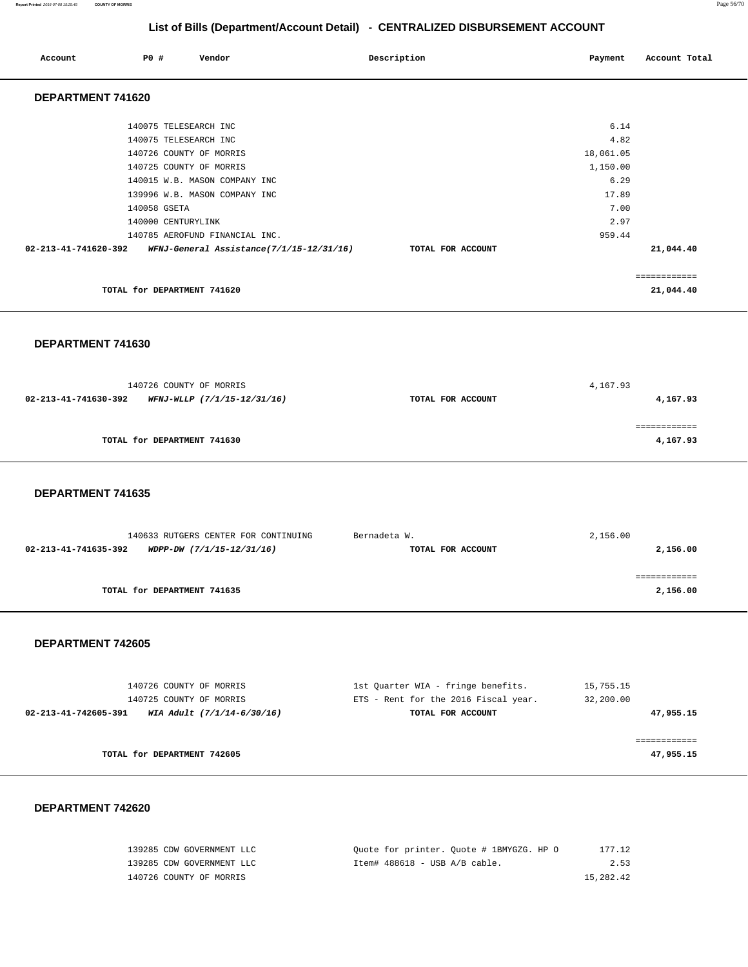**Report Printed** 2016-07-08 15:25:45 **COUNTY OF MORRIS** Page 56/70

# **List of Bills (Department/Account Detail) - CENTRALIZED DISBURSEMENT ACCOUNT**

| Account              | PO#          | Vendor                                                                     | Description       | Payment           | Account Total             |
|----------------------|--------------|----------------------------------------------------------------------------|-------------------|-------------------|---------------------------|
| DEPARTMENT 741620    |              |                                                                            |                   |                   |                           |
|                      |              | 140075 TELESEARCH INC                                                      |                   | 6.14              |                           |
|                      |              | 140075 TELESEARCH INC<br>140726 COUNTY OF MORRIS                           |                   | 4.82<br>18,061.05 |                           |
|                      |              | 140725 COUNTY OF MORRIS<br>140015 W.B. MASON COMPANY INC                   |                   | 1,150.00<br>6.29  |                           |
|                      |              | 139996 W.B. MASON COMPANY INC                                              |                   | 17.89             |                           |
|                      | 140058 GSETA | 140000 CENTURYLINK                                                         |                   | 7.00<br>2.97      |                           |
| 02-213-41-741620-392 |              | 140785 AEROFUND FINANCIAL INC.<br>WFNJ-General Assistance(7/1/15-12/31/16) | TOTAL FOR ACCOUNT | 959.44            | 21,044.40                 |
|                      |              |                                                                            |                   |                   |                           |
|                      |              | TOTAL for DEPARTMENT 741620                                                |                   |                   | ============<br>21,044.40 |

 **DEPARTMENT 741630** 

| 140726 COUNTY OF MORRIS                             | 4,167.93                      |
|-----------------------------------------------------|-------------------------------|
| 02-213-41-741630-392<br>WFNJ-WLLP (7/1/15-12/31/16) | 4,167.93<br>TOTAL FOR ACCOUNT |
|                                                     |                               |
|                                                     |                               |
| TOTAL for DEPARTMENT 741630                         | 4,167.93                      |
|                                                     |                               |

 **DEPARTMENT 741635** 

| 140633 RUTGERS CENTER FOR CONTINUING              | Bernadeta W.      | 2,156.00 |
|---------------------------------------------------|-------------------|----------|
| 02-213-41-741635-392<br>WDPP-DW (7/1/15-12/31/16) | TOTAL FOR ACCOUNT | 2,156.00 |
|                                                   |                   |          |
|                                                   |                   |          |
| TOTAL for DEPARTMENT 741635                       |                   | 2,156.00 |
|                                                   |                   |          |

#### **DEPARTMENT 742605**

| 140726 COUNTY OF MORRIS                            | 1st Quarter WIA - fringe benefits.   | 15,755.15 |
|----------------------------------------------------|--------------------------------------|-----------|
| 140725 COUNTY OF MORRIS                            | ETS - Rent for the 2016 Fiscal year. | 32,200.00 |
| WIA Adult (7/1/14-6/30/16)<br>02-213-41-742605-391 | TOTAL FOR ACCOUNT                    | 47,955.15 |
|                                                    |                                      |           |
|                                                    |                                      |           |
| TOTAL for DEPARTMENT 742605                        |                                      | 47,955.15 |
|                                                    |                                      |           |

| 139285 CDW GOVERNMENT LLC | Quote for printer. Quote # 1BMYGZG. HP 0<br>177.12 |
|---------------------------|----------------------------------------------------|
| 139285 CDW GOVERNMENT LLC | 2.53<br>Item# $488618 - USB A/B cable.$            |
| 140726 COUNTY OF MORRIS   | 15,282.42                                          |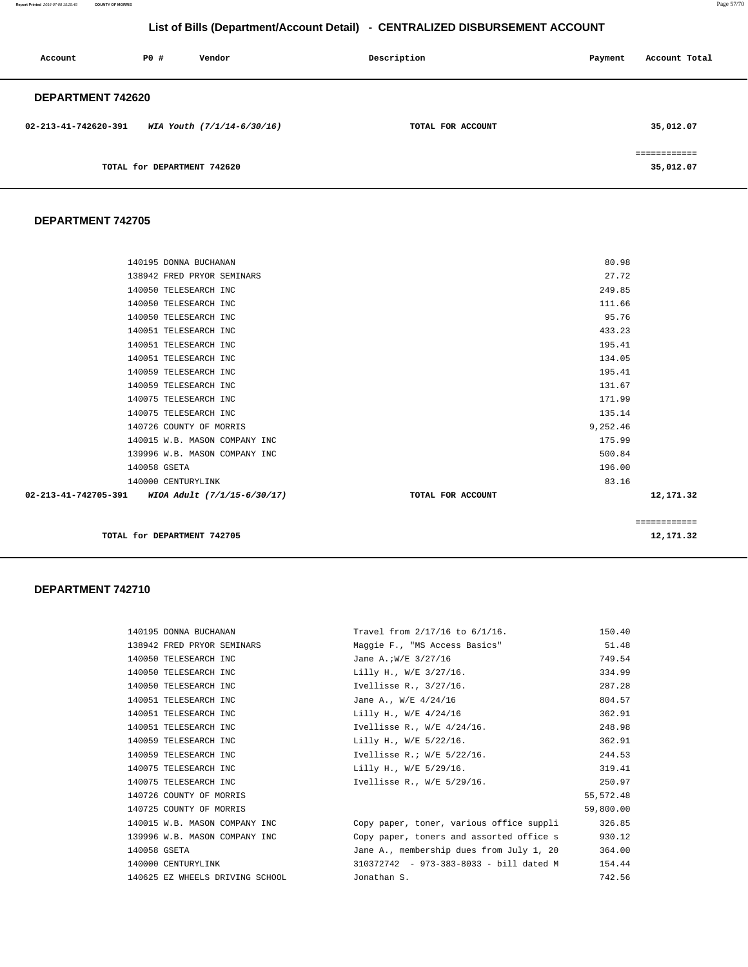**Report Printed** 2016-07-08 15:25:45 **COUNTY OF MORRIS** Page 57/70

# **List of Bills (Department/Account Detail) - CENTRALIZED DISBURSEMENT ACCOUNT**

| Account                  | PO#                         | Vendor                     | Description       | Payment | Account Total                            |
|--------------------------|-----------------------------|----------------------------|-------------------|---------|------------------------------------------|
| <b>DEPARTMENT 742620</b> |                             |                            |                   |         |                                          |
| 02-213-41-742620-391     |                             | WIA Youth (7/1/14-6/30/16) | TOTAL FOR ACCOUNT |         | 35,012.07                                |
|                          | TOTAL for DEPARTMENT 742620 |                            |                   |         | -----------<br>------------<br>35,012.07 |

#### **DEPARTMENT 742705**

| 135.14<br>9,252.46<br>175.99<br>500.84<br>196.00<br>83.16<br>12,171.32<br>============ |
|----------------------------------------------------------------------------------------|
|                                                                                        |
|                                                                                        |
|                                                                                        |
|                                                                                        |
|                                                                                        |
|                                                                                        |
|                                                                                        |
|                                                                                        |
| 171.99                                                                                 |
| 131.67                                                                                 |
| 195.41                                                                                 |
| 134.05                                                                                 |
| 195.41                                                                                 |
| 433.23                                                                                 |
| 95.76                                                                                  |
| 111.66                                                                                 |
| 249.85                                                                                 |
| 27.72                                                                                  |
| 80.98                                                                                  |
|                                                                                        |

| 140195 DONNA BUCHANAN           | Travel from 2/17/16 to 6/1/16.           | 150.40     |
|---------------------------------|------------------------------------------|------------|
| 138942 FRED PRYOR SEMINARS      | Maggie F., "MS Access Basics"            | 51.48      |
| 140050 TELESEARCH INC           | Jane A.; W/E 3/27/16                     | 749.54     |
| 140050 TELESEARCH INC           | Lilly H., W/E 3/27/16.                   | 334.99     |
| 140050 TELESEARCH INC           | Ivellisse R., 3/27/16.                   | 287.28     |
| 140051 TELESEARCH INC           | Jane A., W/E 4/24/16                     | 804.57     |
| 140051 TELESEARCH INC           | Lilly H., W/E 4/24/16                    | 362.91     |
| 140051 TELESEARCH INC           | Ivellisse R., W/E 4/24/16.               | 248.98     |
| 140059 TELESEARCH INC           | Lilly H., W/E 5/22/16.                   | 362.91     |
| 140059 TELESEARCH INC           | Ivellisse R.; W/E $5/22/16$ .            | 244.53     |
| 140075 TELESEARCH INC           | Lilly H., W/E 5/29/16.                   | 319.41     |
| 140075 TELESEARCH INC           | Ivellisse R., W/E 5/29/16.               | 250.97     |
| 140726 COUNTY OF MORRIS         |                                          | 55, 572.48 |
| 140725 COUNTY OF MORRIS         |                                          | 59,800.00  |
| 140015 W.B. MASON COMPANY INC   | Copy paper, toner, various office suppli | 326.85     |
| 139996 W.B. MASON COMPANY INC   | Copy paper, toners and assorted office s | 930.12     |
| 140058 GSETA                    | Jane A., membership dues from July 1, 20 | 364.00     |
| 140000 CENTURYLINK              | 310372742 - 973-383-8033 - bill dated M  | 154.44     |
| 140625 EZ WHEELS DRIVING SCHOOL | Jonathan S.                              | 742.56     |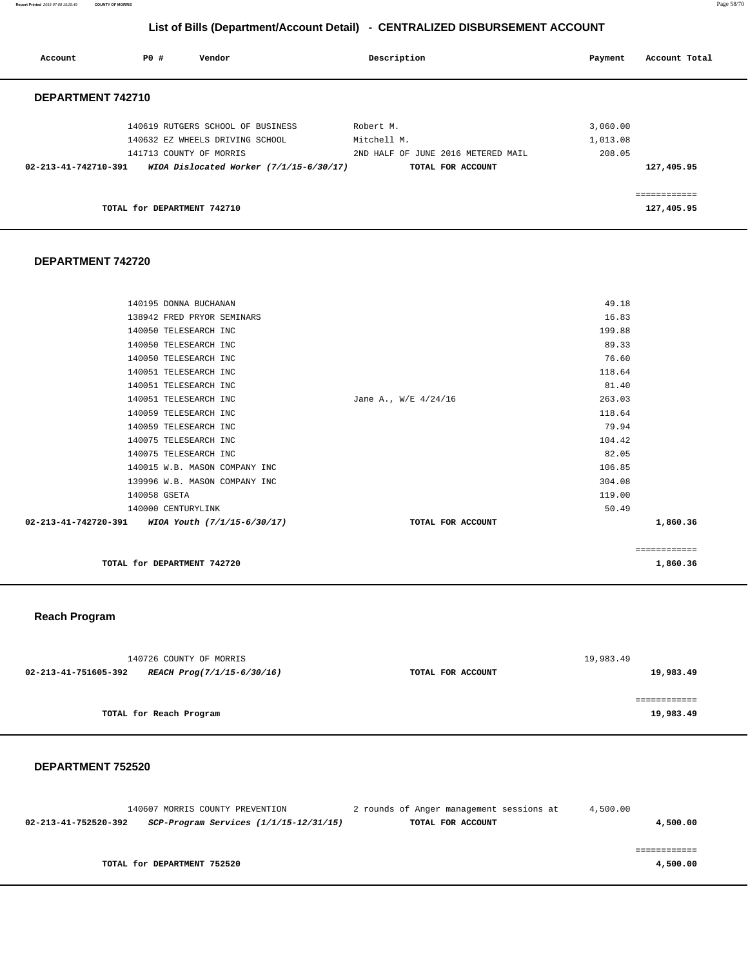**Report Printed** 2016-07-08 15:25:45 **COUNTY OF MORRIS** Page 58/70

# **List of Bills (Department/Account Detail) - CENTRALIZED DISBURSEMENT ACCOUNT**

| PO#<br>Vendor<br>Account                                                  | Description                        | Account Total<br>Payment |
|---------------------------------------------------------------------------|------------------------------------|--------------------------|
| DEPARTMENT 742710                                                         |                                    |                          |
| 140619 RUTGERS SCHOOL OF BUSINESS                                         | Robert M.                          | 3,060.00                 |
| 140632 EZ WHEELS DRIVING SCHOOL                                           | Mitchell M.                        | 1,013.08                 |
| 141713 COUNTY OF MORRIS                                                   | 2ND HALF OF JUNE 2016 METERED MAIL | 208.05                   |
| $02 - 213 - 41 - 742710 - 391$<br>WIOA Dislocated Worker (7/1/15-6/30/17) | TOTAL FOR ACCOUNT                  | 127,405.95               |
|                                                                           |                                    | ============             |
| TOTAL for DEPARTMENT 742710                                               |                                    | 127,405.95               |

#### **DEPARTMENT 742720**

|                      |                               |                      |        | ============ |
|----------------------|-------------------------------|----------------------|--------|--------------|
| 02-213-41-742720-391 | WIOA Youth (7/1/15-6/30/17)   | TOTAL FOR ACCOUNT    |        | 1,860.36     |
|                      | 140000 CENTURYLINK            |                      | 50.49  |              |
| 140058 GSETA         |                               |                      | 119.00 |              |
|                      | 139996 W.B. MASON COMPANY INC |                      | 304.08 |              |
|                      | 140015 W.B. MASON COMPANY INC |                      | 106.85 |              |
|                      | 140075 TELESEARCH INC         |                      | 82.05  |              |
|                      | 140075 TELESEARCH INC         |                      | 104.42 |              |
|                      | 140059 TELESEARCH INC         |                      | 79.94  |              |
|                      | 140059 TELESEARCH INC         |                      | 118.64 |              |
|                      | 140051 TELESEARCH INC         | Jane A., W/E 4/24/16 | 263.03 |              |
|                      | 140051 TELESEARCH INC         |                      | 81.40  |              |
|                      | 140051 TELESEARCH INC         |                      | 118.64 |              |
|                      | 140050 TELESEARCH INC         |                      | 76.60  |              |
|                      | 140050 TELESEARCH INC         |                      | 89.33  |              |
|                      | 140050 TELESEARCH INC         |                      | 199.88 |              |
|                      | 138942 FRED PRYOR SEMINARS    |                      | 16.83  |              |
|                      | 140195 DONNA BUCHANAN         |                      | 49.18  |              |
|                      |                               |                      |        |              |

**TOTAL for DEPARTMENT 742720** 1,860.36

#### **Reach Program**

| 140726 COUNTY OF MORRIS                            |                   | 19,983.49 |
|----------------------------------------------------|-------------------|-----------|
| 02-213-41-751605-392<br>REACH Prog(7/1/15-6/30/16) | TOTAL FOR ACCOUNT | 19,983.49 |
|                                                    |                   |           |
|                                                    |                   |           |
| TOTAL for Reach Program                            |                   | 19,983.49 |
|                                                    |                   |           |

| 140607 MORRIS COUNTY PREVENTION                                    | 2 rounds of Anger management sessions at | 4,500.00 |
|--------------------------------------------------------------------|------------------------------------------|----------|
| $SCP-Program$ Services $(1/1/15-12/31/15)$<br>02-213-41-752520-392 | TOTAL FOR ACCOUNT                        | 4,500.00 |
|                                                                    |                                          |          |
|                                                                    |                                          |          |
| TOTAL for DEPARTMENT 752520                                        |                                          | 4,500.00 |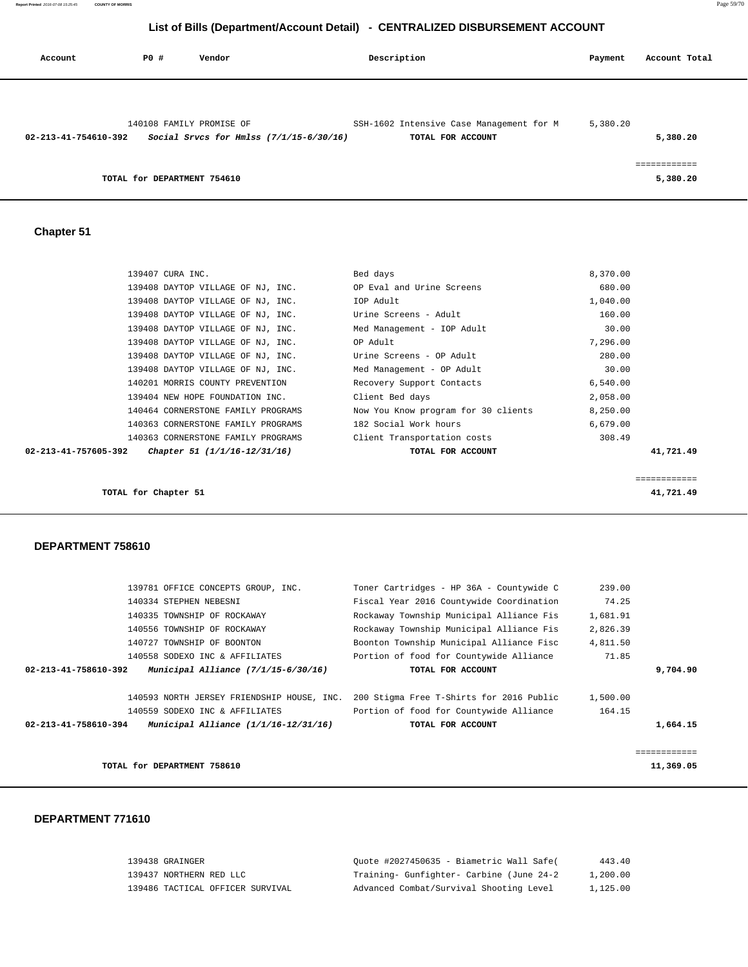**Report Printed** 2016-07-08 15:25:45 **COUNTY OF MORRIS** Page 59/70

# **List of Bills (Department/Account Detail) - CENTRALIZED DISBURSEMENT ACCOUNT**

| Account              | PO#                         | Vendor                                  | Description                              | Payment  | Account Total |
|----------------------|-----------------------------|-----------------------------------------|------------------------------------------|----------|---------------|
|                      |                             |                                         |                                          |          |               |
|                      |                             | 140108 FAMILY PROMISE OF                | SSH-1602 Intensive Case Management for M | 5,380.20 |               |
| 02-213-41-754610-392 |                             | Social Srvcs for Hmlss (7/1/15-6/30/16) | TOTAL FOR ACCOUNT                        |          | 5,380.20      |
|                      |                             |                                         |                                          |          |               |
|                      | TOTAL for DEPARTMENT 754610 |                                         |                                          |          | 5,380.20      |

 **Chapter 51** 

|                      | 139407 CURA INC.                   | Bed days                            | 8,370.00  |
|----------------------|------------------------------------|-------------------------------------|-----------|
|                      | 139408 DAYTOP VILLAGE OF NJ, INC.  | OP Eval and Urine Screens           | 680.00    |
|                      | 139408 DAYTOP VILLAGE OF NJ, INC.  | IOP Adult                           | 1,040.00  |
|                      | 139408 DAYTOP VILLAGE OF NJ, INC.  | Urine Screens - Adult               | 160.00    |
|                      | 139408 DAYTOP VILLAGE OF NJ, INC.  | Med Management - IOP Adult          | 30.00     |
|                      | 139408 DAYTOP VILLAGE OF NJ, INC.  | OP Adult                            | 7,296.00  |
|                      | 139408 DAYTOP VILLAGE OF NJ, INC.  | Urine Screens - OP Adult            | 280.00    |
|                      | 139408 DAYTOP VILLAGE OF NJ, INC.  | Med Management - OP Adult           | 30.00     |
|                      | 140201 MORRIS COUNTY PREVENTION    | Recovery Support Contacts           | 6,540.00  |
|                      | 139404 NEW HOPE FOUNDATION INC.    | Client Bed days                     | 2,058.00  |
|                      | 140464 CORNERSTONE FAMILY PROGRAMS | Now You Know program for 30 clients | 8,250.00  |
|                      | 140363 CORNERSTONE FAMILY PROGRAMS | 182 Social Work hours               | 6,679.00  |
|                      | 140363 CORNERSTONE FAMILY PROGRAMS | Client Transportation costs         | 308.49    |
| 02-213-41-757605-392 | Chapter 51 (1/1/16-12/31/16)       | TOTAL FOR ACCOUNT                   | 41,721.49 |
|                      |                                    |                                     |           |
|                      |                                    |                                     |           |

============

**TOTAL for Chapter 51 41,721.49**

#### **DEPARTMENT 758610**

| TOTAL for DEPARTMENT 758610                                    |                                          |          | 11,369.05 |
|----------------------------------------------------------------|------------------------------------------|----------|-----------|
|                                                                |                                          |          |           |
| Municipal Alliance $(1/1/16-12/31/16)$<br>02-213-41-758610-394 | TOTAL FOR ACCOUNT                        |          | 1,664.15  |
| 140559 SODEXO INC & AFFILIATES                                 | Portion of food for Countywide Alliance  | 164.15   |           |
| 140593 NORTH JERSEY FRIENDSHIP HOUSE, INC.                     | 200 Stigma Free T-Shirts for 2016 Public | 1,500.00 |           |
| Municipal Alliance $(7/1/15-6/30/16)$<br>02-213-41-758610-392  | TOTAL FOR ACCOUNT                        |          | 9,704.90  |
| 140558 SODEXO INC & AFFILIATES                                 | Portion of food for Countywide Alliance  | 71.85    |           |
| 140727 TOWNSHIP OF BOONTON                                     | Boonton Township Municipal Alliance Fisc | 4,811.50 |           |
| 140556 TOWNSHIP OF ROCKAWAY                                    | Rockaway Township Municipal Alliance Fis | 2,826.39 |           |
| 140335 TOWNSHIP OF ROCKAWAY                                    | Rockaway Township Municipal Alliance Fis | 1,681.91 |           |
| 140334 STEPHEN NEBESNI                                         | Fiscal Year 2016 Countywide Coordination | 74.25    |           |
| 139781 OFFICE CONCEPTS GROUP, INC.                             | Toner Cartridges - HP 36A - Countywide C | 239.00   |           |
|                                                                |                                          |          |           |

| 139438 GRAINGER                  | Ouote #2027450635 - Biametric Wall Safe( | 443.40   |
|----------------------------------|------------------------------------------|----------|
| 139437 NORTHERN RED LLC          | Training- Gunfighter- Carbine (June 24-2 | 1,200.00 |
| 139486 TACTICAL OFFICER SURVIVAL | Advanced Combat/Survival Shooting Level  | 1,125.00 |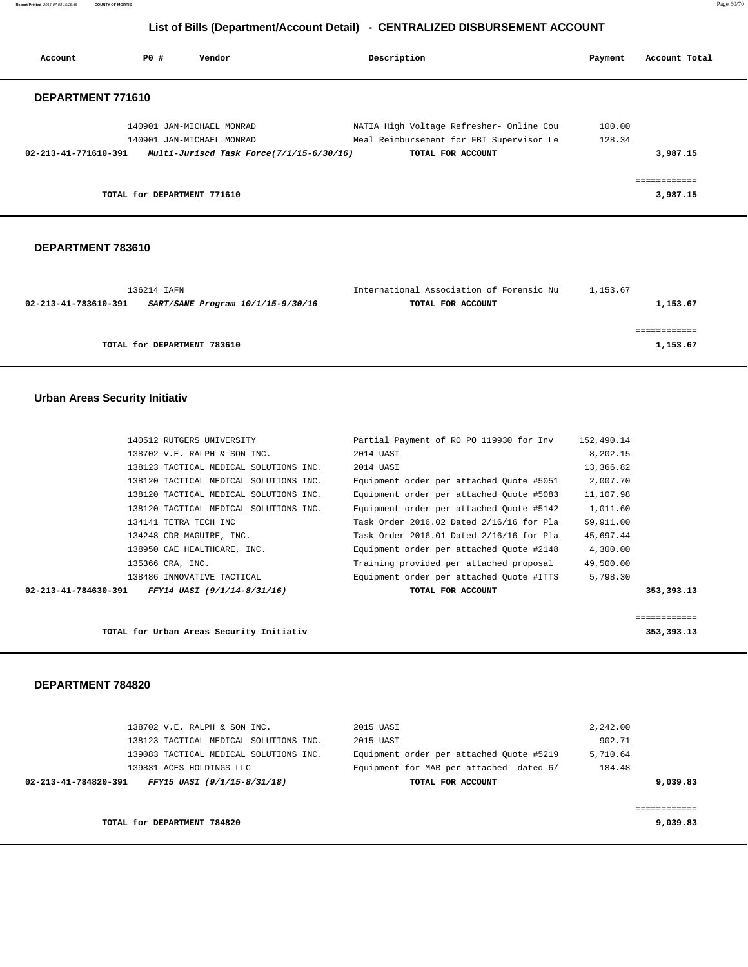**Report Printed** 2016-07-08 15:25:45 **COUNTY OF MORRIS** Page 60/70

# **List of Bills (Department/Account Detail) - CENTRALIZED DISBURSEMENT ACCOUNT**

| Account              | PO#                         | Vendor                                   | Description                              | Payment | Account Total            |
|----------------------|-----------------------------|------------------------------------------|------------------------------------------|---------|--------------------------|
| DEPARTMENT 771610    |                             |                                          |                                          |         |                          |
|                      |                             | 140901 JAN-MICHAEL MONRAD                | NATIA High Voltage Refresher- Online Cou | 100.00  |                          |
|                      |                             | 140901 JAN-MICHAEL MONRAD                | Meal Reimbursement for FBI Supervisor Le | 128.34  |                          |
| 02-213-41-771610-391 |                             | Multi-Juriscd Task Force(7/1/15-6/30/16) | TOTAL FOR ACCOUNT                        |         | 3,987.15                 |
|                      | TOTAL for DEPARTMENT 771610 |                                          |                                          |         | eessessesses<br>3,987.15 |

#### **DEPARTMENT 783610**

| 136214 IAFN                                               | International Association of Forensic Nu | 1,153.67 |
|-----------------------------------------------------------|------------------------------------------|----------|
| 02-213-41-783610-391<br>SART/SANE Program 10/1/15-9/30/16 | TOTAL FOR ACCOUNT                        | 1,153.67 |
|                                                           |                                          |          |
|                                                           |                                          |          |
| TOTAL for DEPARTMENT 783610                               |                                          | 1,153.67 |
|                                                           |                                          |          |

### **Urban Areas Security Initiativ**

| 140512 RUTGERS UNIVERSITY                           | Partial Payment of RO PO 119930 for Inv  | 152,490.14 |
|-----------------------------------------------------|------------------------------------------|------------|
| 138702 V.E. RALPH & SON INC.                        | 2014 UASI                                | 8,202.15   |
| 138123 TACTICAL MEDICAL SOLUTIONS INC.              | 2014 UASI                                | 13,366.82  |
| 138120 TACTICAL MEDICAL SOLUTIONS INC.              | Equipment order per attached Quote #5051 | 2,007.70   |
| 138120 TACTICAL MEDICAL SOLUTIONS INC.              | Equipment order per attached Quote #5083 | 11,107.98  |
| 138120 TACTICAL MEDICAL SOLUTIONS INC.              | Equipment order per attached Ouote #5142 | 1,011.60   |
| 134141 TETRA TECH INC                               | Task Order 2016.02 Dated 2/16/16 for Pla | 59,911.00  |
| 134248 CDR MAGUIRE, INC.                            | Task Order 2016.01 Dated 2/16/16 for Pla | 45,697.44  |
| 138950 CAE HEALTHCARE, INC.                         | Equipment order per attached Ouote #2148 | 4,300.00   |
| 135366 CRA, INC.                                    | Training provided per attached proposal  | 49,500.00  |
| 138486 INNOVATIVE TACTICAL                          | Equipment order per attached Quote #ITTS | 5,798.30   |
| FFY14 UASI (9/1/14-8/31/16)<br>02-213-41-784630-391 | TOTAL FOR ACCOUNT                        | 353,393.13 |
|                                                     |                                          |            |

|                                          | ------------<br>----------- |
|------------------------------------------|-----------------------------|
| TOTAL for Urban Areas Security Initiativ | 353,393.13                  |

| 138702 V.E. RALPH & SON INC.                        | 2015 UASI                                | 2,242.00 |
|-----------------------------------------------------|------------------------------------------|----------|
| 138123 TACTICAL MEDICAL SOLUTIONS INC.              | 2015 UASI                                | 902.71   |
| 139083 TACTICAL MEDICAL SOLUTIONS INC.              | Equipment order per attached Ouote #5219 | 5,710.64 |
| 139831 ACES HOLDINGS LLC                            | Equipment for MAB per attached dated 6/  | 184.48   |
| 02-213-41-784820-391<br>FFY15 UASI (9/1/15-8/31/18) | TOTAL FOR ACCOUNT                        | 9,039.83 |
|                                                     |                                          |          |
|                                                     |                                          |          |
| TOTAL for DEPARTMENT 784820                         |                                          | 9,039.83 |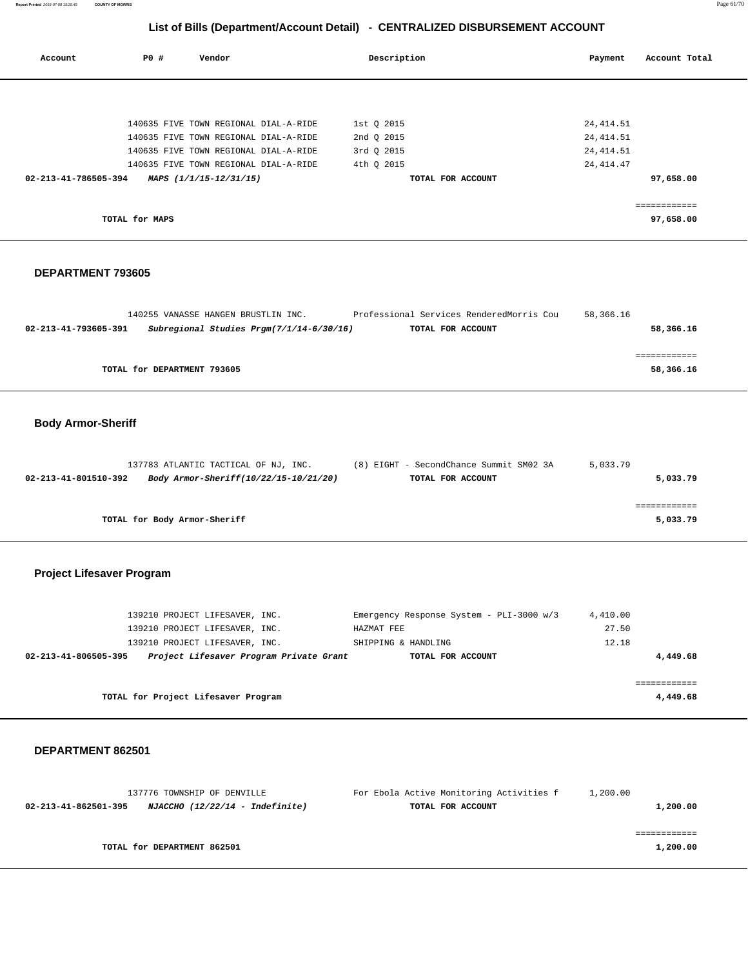| Report Printed 2016-07-08 15:25:45 | <b>COUNTY OF MORRIS</b> |                                       |                                                                              |             | Page 61/70    |
|------------------------------------|-------------------------|---------------------------------------|------------------------------------------------------------------------------|-------------|---------------|
|                                    |                         |                                       | List of Bills (Department/Account Detail) - CENTRALIZED DISBURSEMENT ACCOUNT |             |               |
| Account                            | PO#                     | Vendor                                | Description                                                                  | Payment     | Account Total |
|                                    |                         |                                       |                                                                              |             |               |
|                                    |                         | 140635 FIVE TOWN REGIONAL DIAL-A-RIDE | 1st Q 2015                                                                   | 24, 414.51  |               |
|                                    |                         | 140635 FIVE TOWN REGIONAL DIAL-A-RIDE | 2nd Q 2015                                                                   | 24, 414.51  |               |
|                                    |                         | 140635 FIVE TOWN REGIONAL DIAL-A-RIDE | 3rd Q 2015                                                                   | 24, 414.51  |               |
|                                    |                         | 140635 FIVE TOWN REGIONAL DIAL-A-RIDE | 4th Q 2015                                                                   | 24, 414. 47 |               |
| 02-213-41-786505-394               |                         | MAPS (1/1/15-12/31/15)                | TOTAL FOR ACCOUNT                                                            |             | 97,658.00     |
|                                    |                         |                                       |                                                                              |             | ============  |
|                                    | TOTAL for MAPS          |                                       |                                                                              |             | 97,658.00     |
|                                    |                         |                                       |                                                                              |             |               |
| <b>DEPARTMENT 793605</b>           |                         |                                       |                                                                              |             |               |

|                      |                             | 140255 VANASSE HANGEN BRUSTLIN INC.        | Professional Services RenderedMorris Cou | 58,366.16 |           |
|----------------------|-----------------------------|--------------------------------------------|------------------------------------------|-----------|-----------|
| 02-213-41-793605-391 |                             | Subregional Studies $Prgm(7/1/14-6/30/16)$ | TOTAL FOR ACCOUNT                        |           | 58,366.16 |
|                      |                             |                                            |                                          |           |           |
|                      |                             |                                            |                                          |           |           |
|                      | TOTAL for DEPARTMENT 793605 |                                            |                                          |           | 58,366.16 |
|                      |                             |                                            |                                          |           |           |

# **Body Armor-Sheriff**

|                      | 137783 ATLANTIC TACTICAL OF NJ, INC.  | (8) EIGHT - SecondChance Summit SM02 3A | 5,033.79 |
|----------------------|---------------------------------------|-----------------------------------------|----------|
| 02-213-41-801510-392 | Body Armor-Sheriff(10/22/15-10/21/20) | TOTAL FOR ACCOUNT                       | 5,033.79 |
|                      |                                       |                                         |          |
|                      |                                       |                                         |          |
|                      | TOTAL for Body Armor-Sheriff          |                                         | 5,033.79 |

# **Project Lifesaver Program**

| 139210 PROJECT LIFESAVER, INC.<br>139210 PROJECT LIFESAVER, INC. | Emergency Response System - PLI-3000 w/3<br>HAZMAT FEE | 4,410.00<br>27.50 |
|------------------------------------------------------------------|--------------------------------------------------------|-------------------|
| 139210 PROJECT LIFESAVER, INC.                                   | SHIPPING & HANDLING                                    | 12.18             |
| Project Lifesaver Program Private Grant<br>02-213-41-806505-395  | TOTAL FOR ACCOUNT                                      | 4,449.68          |
|                                                                  |                                                        |                   |
|                                                                  |                                                        |                   |
| TOTAL for Project Lifesaver Program                              |                                                        | 4,449.68          |

| 137776 TOWNSHIP OF DENVILLE                             | For Ebola Active Monitoring Activities f | 1,200.00 |
|---------------------------------------------------------|------------------------------------------|----------|
| NJACCHO (12/22/14 - Indefinite)<br>02-213-41-862501-395 | TOTAL FOR ACCOUNT                        | 1,200.00 |
|                                                         |                                          |          |
|                                                         |                                          |          |
| TOTAL for DEPARTMENT 862501                             |                                          | 1,200.00 |
|                                                         |                                          |          |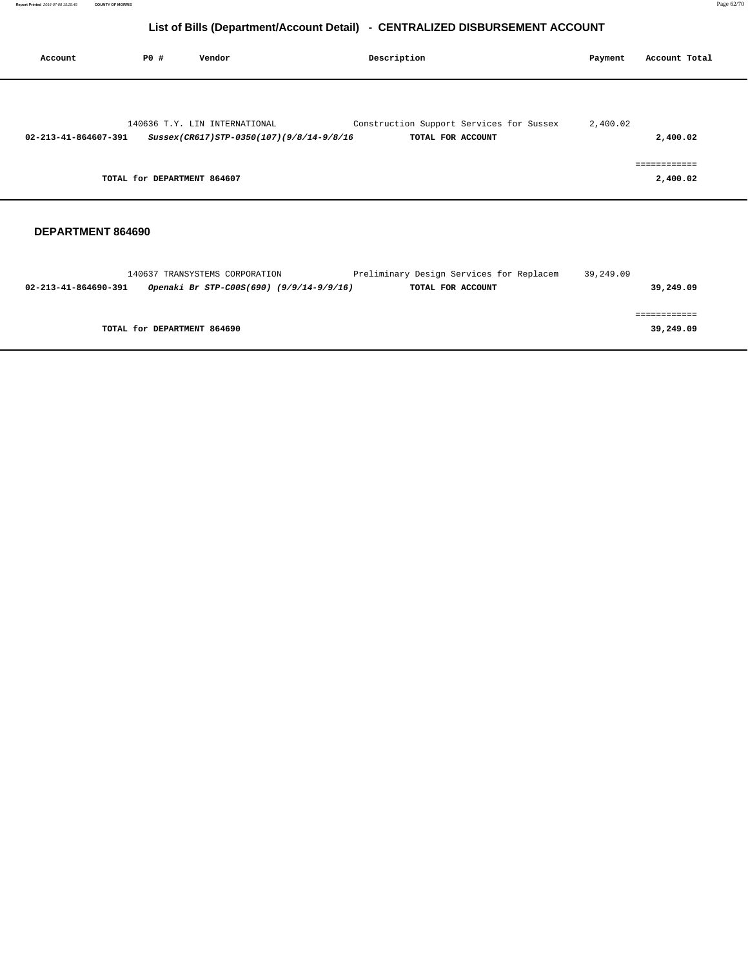| Account              | PO# | Vendor                                   | Description       |                                          | Payment  | Account Total                       |
|----------------------|-----|------------------------------------------|-------------------|------------------------------------------|----------|-------------------------------------|
|                      |     | 140636 T.Y. LIN INTERNATIONAL            |                   | Construction Support Services for Sussex | 2,400.02 |                                     |
| 02-213-41-864607-391 |     | Sussex(CR617)STP-0350(107)(9/8/14-9/8/16 | TOTAL FOR ACCOUNT |                                          |          | 2,400.02                            |
|                      |     | TOTAL for DEPARTMENT 864607              |                   |                                          |          | . = = = = = = = = = = =<br>2,400.02 |

|                      | 140637 TRANSYSTEMS CORPORATION           | Preliminary Design Services for Replacem | 39,249.09 |           |
|----------------------|------------------------------------------|------------------------------------------|-----------|-----------|
| 02-213-41-864690-391 | Openaki Br STP-C00S(690) (9/9/14-9/9/16) | TOTAL FOR ACCOUNT                        |           | 39,249.09 |
|                      |                                          |                                          |           |           |
|                      |                                          |                                          |           |           |
|                      | TOTAL for DEPARTMENT 864690              |                                          |           | 39,249.09 |
|                      |                                          |                                          |           |           |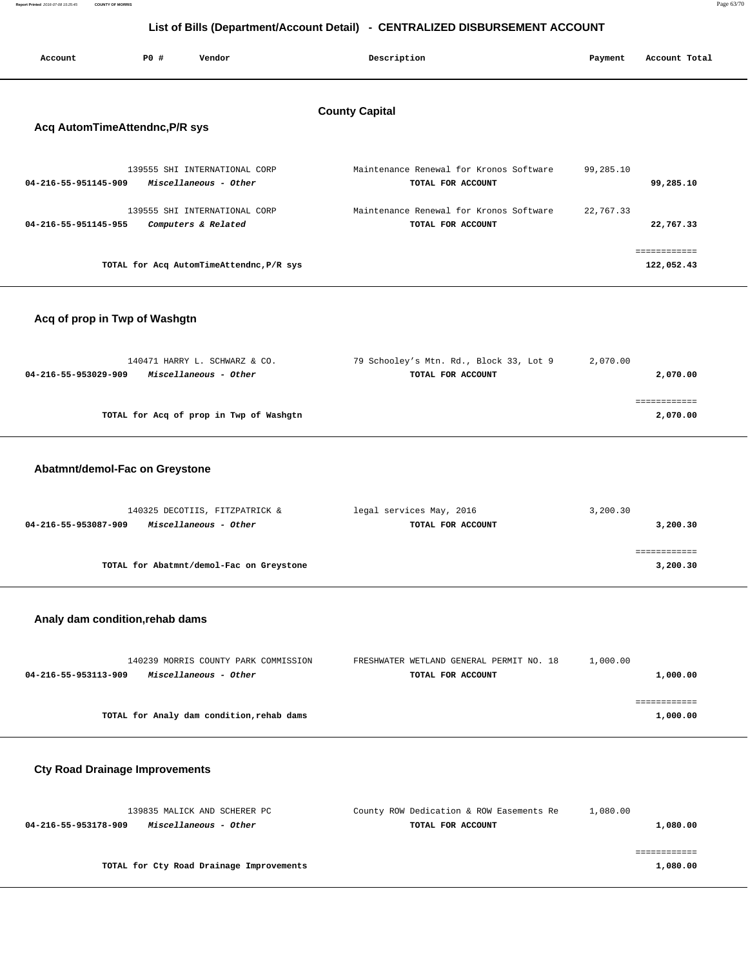| Report Printed 2016-07-08 15:25:45 | <b>COUNTY OF MORRIS</b> | Page 63/70 |
|------------------------------------|-------------------------|------------|
|                                    |                         |            |

| Account                        | PO# | Vendor                                                 | Description                                                  | Payment   | Account Total              |
|--------------------------------|-----|--------------------------------------------------------|--------------------------------------------------------------|-----------|----------------------------|
| Acq AutomTimeAttendnc, P/R sys |     |                                                        | <b>County Capital</b>                                        |           |                            |
| 04-216-55-951145-909           |     | 139555 SHI INTERNATIONAL CORP<br>Miscellaneous - Other | Maintenance Renewal for Kronos Software<br>TOTAL FOR ACCOUNT | 99,285.10 | 99,285.10                  |
| 04-216-55-951145-955           |     | 139555 SHI INTERNATIONAL CORP<br>Computers & Related   | Maintenance Renewal for Kronos Software<br>TOTAL FOR ACCOUNT | 22,767.33 | 22,767.33                  |
|                                |     | TOTAL for Acq AutomTimeAttendnc, P/R sys               |                                                              |           | ============<br>122,052.43 |

### **Acq of prop in Twp of Washgtn**

| 140471 HARRY L. SCHWARZ & CO.                 | 79 Schooley's Mtn. Rd., Block 33, Lot 9 | 2,070.00   |
|-----------------------------------------------|-----------------------------------------|------------|
| Miscellaneous - Other<br>04-216-55-953029-909 | TOTAL FOR ACCOUNT                       | 2,070.00   |
|                                               |                                         |            |
|                                               |                                         | ---------- |
| TOTAL for Acq of prop in Twp of Washgtn       |                                         | 2,070.00   |
|                                               |                                         |            |

#### **Abatmnt/demol-Fac on Greystone**

| 140325 DECOTIIS, FITZPATRICK &                | legal services May, 2016 | 3,200.30 |
|-----------------------------------------------|--------------------------|----------|
| Miscellaneous - Other<br>04-216-55-953087-909 | TOTAL FOR ACCOUNT        | 3,200.30 |
|                                               |                          |          |
|                                               |                          |          |
| TOTAL for Abatmnt/demol-Fac on Greystone      |                          | 3,200.30 |
|                                               |                          |          |

#### **Analy dam condition,rehab dams**

| 140239 MORRIS COUNTY PARK COMMISSION          | FRESHWATER WETLAND GENERAL PERMIT NO. 18 | 1,000.00 |
|-----------------------------------------------|------------------------------------------|----------|
| Miscellaneous - Other<br>04-216-55-953113-909 | TOTAL FOR ACCOUNT                        | 1,000.00 |
|                                               |                                          |          |
|                                               |                                          |          |
| TOTAL for Analy dam condition, rehab dams     |                                          | 1,000.00 |

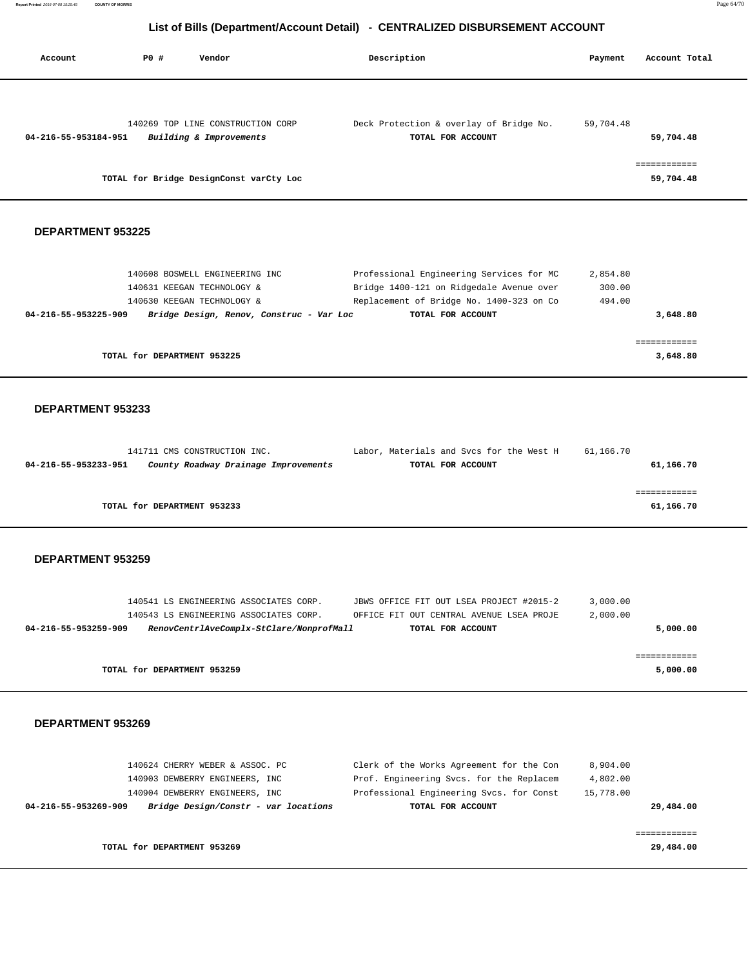| Account                  | <b>PO #</b><br>Vendor                   | Description                              | Payment   | Account Total |
|--------------------------|-----------------------------------------|------------------------------------------|-----------|---------------|
|                          | 140269 TOP LINE CONSTRUCTION CORP       | Deck Protection & overlay of Bridge No.  | 59,704.48 |               |
| 04-216-55-953184-951     | Building & Improvements                 | TOTAL FOR ACCOUNT                        |           | 59,704.48     |
|                          |                                         |                                          |           |               |
|                          |                                         |                                          |           | ============  |
|                          | TOTAL for Bridge DesignConst varCty Loc |                                          |           | 59,704.48     |
|                          |                                         |                                          |           |               |
| <b>DEPARTMENT 953225</b> |                                         |                                          |           |               |
|                          |                                         |                                          |           |               |
|                          | 140608 BOSWELL ENGINEERING INC          | Professional Engineering Services for MC | 2,854.80  |               |
|                          | 140631 KEEGAN TECHNOLOGY &              | Bridge 1400-121 on Ridgedale Avenue over | 300.00    |               |
|                          | 140630 KEEGAN TECHNOLOGY &              | Replacement of Bridge No. 1400-323 on Co | 494.00    |               |

| 04-216-55-953225-909 | Bridge Design, Renov, Construc - Var Loc | TOTAL FOR ACCOUNT | 3,648.80 |
|----------------------|------------------------------------------|-------------------|----------|
|                      |                                          |                   |          |
|                      |                                          |                   |          |
|                      | TOTAL for DEPARTMENT 953225              |                   | 3,648.80 |

#### **DEPARTMENT 953233**

| 141711 CMS CONSTRUCTION INC.                                 | Labor, Materials and Svcs for the West H | 61,166.70 |
|--------------------------------------------------------------|------------------------------------------|-----------|
| County Roadway Drainage Improvements<br>04-216-55-953233-951 | TOTAL FOR ACCOUNT                        | 61,166.70 |
|                                                              |                                          |           |
|                                                              |                                          |           |
| TOTAL for DEPARTMENT 953233                                  |                                          | 61,166.70 |

#### **DEPARTMENT 953259**

|                      | 140541 LS ENGINEERING ASSOCIATES CORP. |                                          | JBWS OFFICE FIT OUT LSEA PROJECT #2015-2 | 3,000.00 |          |
|----------------------|----------------------------------------|------------------------------------------|------------------------------------------|----------|----------|
|                      | 140543 LS ENGINEERING ASSOCIATES CORP. |                                          | OFFICE FIT OUT CENTRAL AVENUE LSEA PROJE | 2,000.00 |          |
| 04-216-55-953259-909 |                                        | RenovCentrlAveComplx-StClare/NonprofMall | TOTAL FOR ACCOUNT                        |          | 5,000.00 |
|                      |                                        |                                          |                                          |          |          |
|                      |                                        |                                          |                                          |          |          |
|                      | TOTAL for DEPARTMENT 953259            |                                          |                                          |          | 5,000.00 |
|                      |                                        |                                          |                                          |          |          |

|                      | 140624 CHERRY WEBER & ASSOC. PC      | Clerk of the Works Agreement for the Con | 8.904.00  |
|----------------------|--------------------------------------|------------------------------------------|-----------|
|                      | 140903 DEWBERRY ENGINEERS, INC.      | Prof. Engineering Svcs. for the Replacem | 4,802.00  |
|                      | 140904 DEWBERRY ENGINEERS, INC.      | Professional Engineering Svcs. for Const | 15,778.00 |
| 04-216-55-953269-909 | Bridge Design/Constr - var locations | TOTAL FOR ACCOUNT                        | 29,484.00 |
|                      |                                      |                                          |           |
|                      |                                      |                                          |           |
|                      | TOTAL for DEPARTMENT 953269          |                                          | 29,484.00 |
|                      |                                      |                                          |           |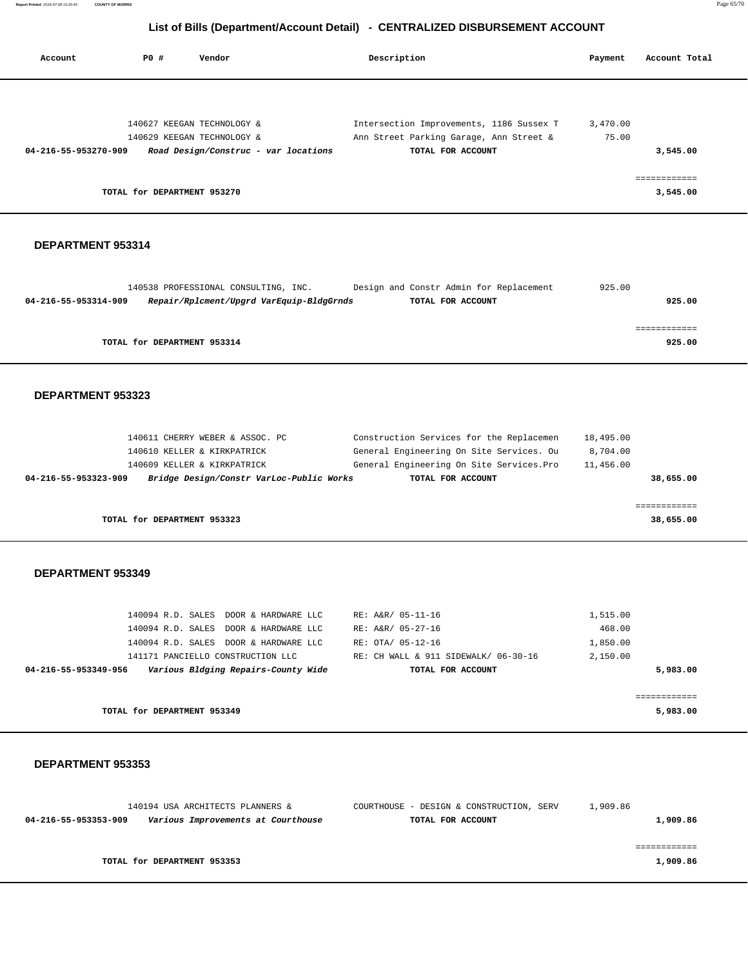**Report Printed** 2016-07-08 15:25:45 **COUNTY OF MORRIS** Page 65/70

# **List of Bills (Department/Account Detail) - CENTRALIZED DISBURSEMENT ACCOUNT**

| Account              | PO#                         | Vendor                               | Description                              | Payment  | Account Total |
|----------------------|-----------------------------|--------------------------------------|------------------------------------------|----------|---------------|
|                      |                             |                                      |                                          |          |               |
|                      |                             | 140627 KEEGAN TECHNOLOGY &           | Intersection Improvements, 1186 Sussex T | 3,470.00 |               |
|                      |                             | 140629 KEEGAN TECHNOLOGY &           | Ann Street Parking Garage, Ann Street &  | 75.00    |               |
| 04-216-55-953270-909 |                             | Road Design/Construc - var locations | TOTAL FOR ACCOUNT                        |          | 3,545.00      |
|                      |                             |                                      |                                          |          |               |
|                      | TOTAL for DEPARTMENT 953270 |                                      |                                          |          | 3,545.00      |
|                      |                             |                                      |                                          |          |               |

#### **DEPARTMENT 953314**

|                      | 140538 PROFESSIONAL CONSULTING, INC.     | Design and Constr Admin for Replacement |                   | 925.00 |
|----------------------|------------------------------------------|-----------------------------------------|-------------------|--------|
| 04-216-55-953314-909 | Repair/Rplcment/Upgrd VarEquip-BldgGrnds |                                         | TOTAL FOR ACCOUNT | 925.00 |
|                      |                                          |                                         |                   |        |
|                      |                                          |                                         |                   |        |
|                      | TOTAL for DEPARTMENT 953314              |                                         |                   | 925.00 |

#### **DEPARTMENT 953323**

| 04-216-55-953323-909 |                                 | Bridge Design/Constr VarLoc-Public Works | TOTAL FOR ACCOUNT                         |  |           | 38,655.00 |
|----------------------|---------------------------------|------------------------------------------|-------------------------------------------|--|-----------|-----------|
|                      | 140609 KELLER & KIRKPATRICK     |                                          | General Engineering On Site Services. Pro |  | 11,456.00 |           |
|                      | 140610 KELLER & KIRKPATRICK     |                                          | General Engineering On Site Services. Ou  |  | 8,704.00  |           |
|                      | 140611 CHERRY WEBER & ASSOC. PC |                                          | Construction Services for the Replacemen  |  | 18,495.00 |           |

**TOTAL for DEPARTMENT 953323** 38,655.00

#### **DEPARTMENT 953349**

| 140094 R.D. SALES DOOR & HARDWARE LLC                       | RE: A&R/ 05-11-16                    | 1,515.00 |
|-------------------------------------------------------------|--------------------------------------|----------|
| 140094 R.D. SALES DOOR & HARDWARE LLC                       | RE: A&R/ 05-27-16                    | 468.00   |
| 140094 R.D. SALES DOOR & HARDWARE LLC                       | RE: OTA/ 05-12-16                    | 1,850.00 |
| 141171 PANCIELLO CONSTRUCTION LLC                           | RE: CH WALL & 911 SIDEWALK/ 06-30-16 | 2,150.00 |
| Various Bldging Repairs-County Wide<br>04-216-55-953349-956 | TOTAL FOR ACCOUNT                    | 5,983.00 |
|                                                             |                                      |          |
|                                                             |                                      |          |
| TOTAL for DEPARTMENT 953349                                 |                                      | 5,983.00 |

| 140194 USA ARCHITECTS PLANNERS &                           | COURTHOUSE - DESIGN & CONSTRUCTION, SERV | 1,909.86 |
|------------------------------------------------------------|------------------------------------------|----------|
| Various Improvements at Courthouse<br>04-216-55-953353-909 | TOTAL FOR ACCOUNT                        | 1,909.86 |
|                                                            |                                          |          |
|                                                            |                                          |          |
| TOTAL for DEPARTMENT 953353                                |                                          | 1,909.86 |
|                                                            |                                          |          |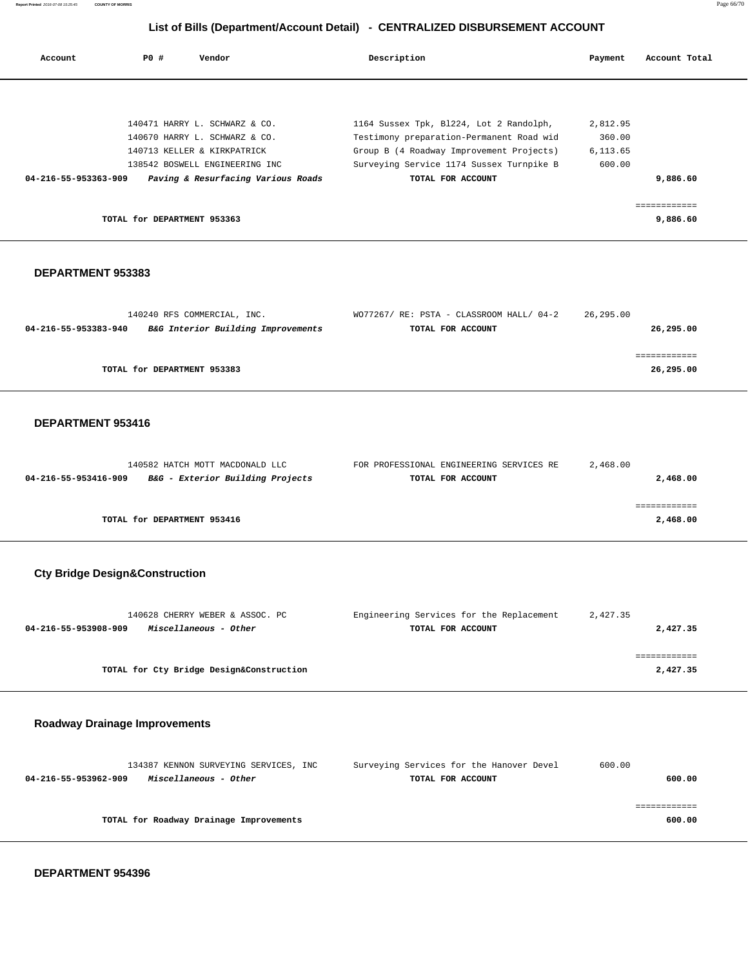**Report Printed** 2016-07-08 15:25:45 **COUNTY OF MORRIS** Page 66/70

# **List of Bills (Department/Account Detail) - CENTRALIZED DISBURSEMENT ACCOUNT**

| PO# | Vendor               | Description                                                                                                                                                                                          | Payment  | Account Total |
|-----|----------------------|------------------------------------------------------------------------------------------------------------------------------------------------------------------------------------------------------|----------|---------------|
|     |                      |                                                                                                                                                                                                      |          |               |
|     |                      | 1164 Sussex Tpk, B1224, Lot 2 Randolph,                                                                                                                                                              | 2,812.95 |               |
|     |                      | Testimony preparation-Permanent Road wid                                                                                                                                                             | 360.00   |               |
|     |                      | Group B (4 Roadway Improvement Projects)                                                                                                                                                             | 6,113.65 |               |
|     |                      | Surveying Service 1174 Sussex Turnpike B                                                                                                                                                             | 600.00   |               |
|     |                      | TOTAL FOR ACCOUNT                                                                                                                                                                                    |          | 9,886.60      |
|     |                      |                                                                                                                                                                                                      |          |               |
|     |                      |                                                                                                                                                                                                      |          | ============  |
|     |                      |                                                                                                                                                                                                      |          | 9,886.60      |
|     | 04-216-55-953363-909 | 140471 HARRY L. SCHWARZ & CO.<br>140670 HARRY L. SCHWARZ & CO.<br>140713 KELLER & KIRKPATRICK<br>138542 BOSWELL ENGINEERING INC<br>Paving & Resurfacing Various Roads<br>TOTAL for DEPARTMENT 953363 |          |               |

#### **DEPARTMENT 953383**

| 140240 RFS COMMERCIAL, INC.                                | WO77267/ RE: PSTA - CLASSROOM HALL/ 04-2 | 26,295.00 |
|------------------------------------------------------------|------------------------------------------|-----------|
| B&G Interior Building Improvements<br>04-216-55-953383-940 | TOTAL FOR ACCOUNT                        | 26,295.00 |
|                                                            |                                          |           |
|                                                            |                                          |           |
| TOTAL for DEPARTMENT 953383                                |                                          | 26,295.00 |

#### **DEPARTMENT 953416**

| 140582 HATCH MOTT MACDONALD LLC                          | FOR PROFESSIONAL ENGINEERING SERVICES RE | 2,468.00 |
|----------------------------------------------------------|------------------------------------------|----------|
| B&G - Exterior Building Projects<br>04-216-55-953416-909 | TOTAL FOR ACCOUNT                        | 2,468.00 |
|                                                          |                                          |          |
|                                                          |                                          |          |
| TOTAL for DEPARTMENT 953416                              |                                          | 2,468.00 |
|                                                          |                                          |          |

# **Cty Bridge Design&Construction**

| 140628 CHERRY WEBER & ASSOC. PC               | Engineering Services for the Replacement | 2,427.35 |
|-----------------------------------------------|------------------------------------------|----------|
| 04-216-55-953908-909<br>Miscellaneous - Other | TOTAL FOR ACCOUNT                        | 2,427.35 |
|                                               |                                          |          |
|                                               |                                          |          |
| TOTAL for Cty Bridge Design&Construction      |                                          | 2,427.35 |
|                                               |                                          |          |

### **Roadway Drainage Improvements**

|                      | 134387 KENNON SURVEYING SERVICES, INC   | Surveying Services for the Hanover Devel | 600.00 |
|----------------------|-----------------------------------------|------------------------------------------|--------|
| 04-216-55-953962-909 | Miscellaneous - Other                   | TOTAL FOR ACCOUNT                        | 600.00 |
|                      |                                         |                                          |        |
|                      |                                         |                                          |        |
|                      | TOTAL for Roadway Drainage Improvements |                                          | 600.00 |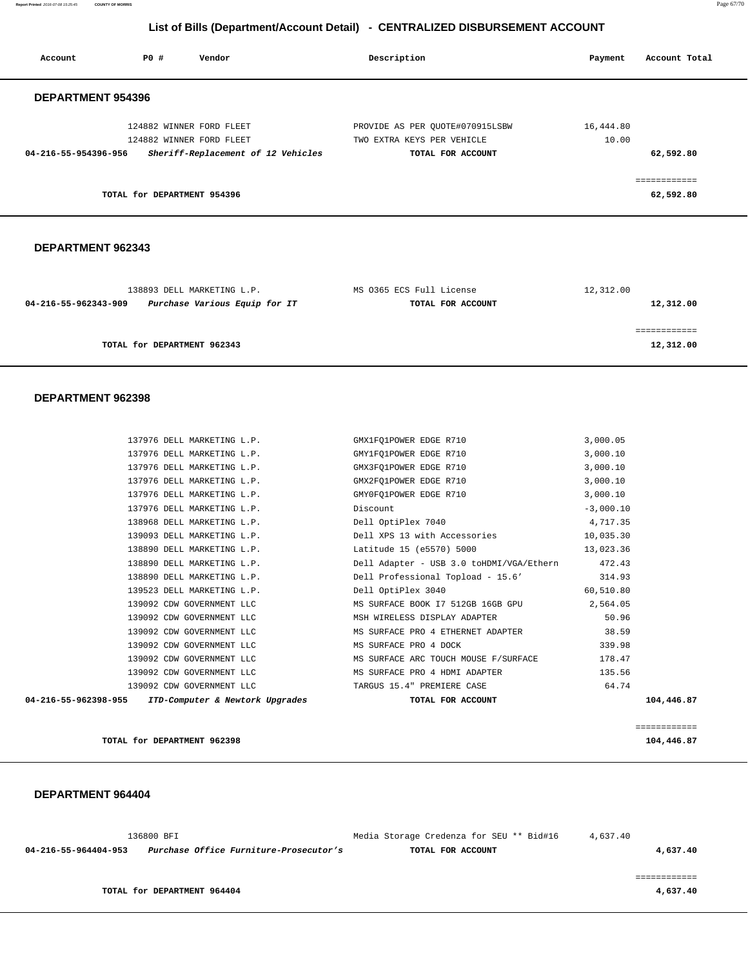**Report Printed** 2016-07-08 15:25:45 **COUNTY OF MORRIS** Page 67/70

# **List of Bills (Department/Account Detail) - CENTRALIZED DISBURSEMENT ACCOUNT**

| Account                  | PO# | Vendor                                                         | Description                |                                 | Payment   | Account Total             |
|--------------------------|-----|----------------------------------------------------------------|----------------------------|---------------------------------|-----------|---------------------------|
| <b>DEPARTMENT 954396</b> |     |                                                                |                            |                                 |           |                           |
|                          |     | 124882 WINNER FORD FLEET                                       |                            | PROVIDE AS PER OUOTE#070915LSBW | 16,444.80 |                           |
| 04-216-55-954396-956     |     | 124882 WINNER FORD FLEET<br>Sheriff-Replacement of 12 Vehicles | TWO EXTRA KEYS PER VEHICLE | TOTAL FOR ACCOUNT               | 10.00     | 62,592.80                 |
|                          |     | TOTAL for DEPARTMENT 954396                                    |                            |                                 |           | ------------<br>62,592.80 |
|                          |     |                                                                |                            |                                 |           |                           |

### **DEPARTMENT 962343**

| 138893 DELL MARKETING L.P.                            | MS 0365 ECS Full License | 12,312.00 |
|-------------------------------------------------------|--------------------------|-----------|
| Purchase Various Equip for IT<br>04-216-55-962343-909 | TOTAL FOR ACCOUNT        | 12,312.00 |
|                                                       |                          |           |
|                                                       |                          |           |
| TOTAL for DEPARTMENT 962343                           |                          | 12,312.00 |
|                                                       |                          |           |

#### **DEPARTMENT 962398**

| 04-216-55-962398-955 ITD-Computer & Newtork Upgrades | TOTAL FOR ACCOUNT                                                          |             | 104,446.87 |
|------------------------------------------------------|----------------------------------------------------------------------------|-------------|------------|
|                                                      | 139092 CDW GOVERNMENT LLC TARGUS 15.4" PREMIERE CASE                       | 64.74       |            |
|                                                      | 139092 CDW GOVERNMENT LLC MS SURFACE PRO 4 HDMI ADAPTER                    | 135.56      |            |
|                                                      | 139092 CDW GOVERNMENT LLC MS SURFACE ARC TOUCH MOUSE F/SURFACE             | 178.47      |            |
| 139092 CDW GOVERNMENT LLC                            | MS SURFACE PRO 4 DOCK                                                      | 339.98      |            |
|                                                      | 139092 CDW GOVERNMENT LLC MS SURFACE PRO 4 ETHERNET ADAPTER 38.59          |             |            |
| 139092 CDW GOVERNMENT LLC                            | MSH WIRELESS DISPLAY ADAPTER 50.96                                         |             |            |
|                                                      | 139092 CDW GOVERNMENT LLC MS SURFACE BOOK I7 512GB 16GB GPU 2,564.05       |             |            |
|                                                      | 139523 DELL MARKETING L.P. Dell OptiPlex 3040 60,510.80                    |             |            |
|                                                      | 138890 DELL MARKETING L.P. Dell Professional Topload - 15.6' 314.93        |             |            |
|                                                      | 138890 DELL MARKETING L.P. Dell Adapter - USB 3.0 toHDMI/VGA/Ethern 472.43 |             |            |
|                                                      | 138890 DELL MARKETING L.P. Latitude 15 (e5570) 5000                        | 13,023.36   |            |
|                                                      | 139093 DELL MARKETING L.P. Dell XPS 13 with Accessories                    | 10,035.30   |            |
|                                                      | 138968 DELL MARKETING L.P. Dell OptiPlex 7040 4,717.35                     |             |            |
|                                                      | 137976 DELL MARKETING L.P. Discount                                        | $-3,000.10$ |            |
|                                                      | 137976 DELL MARKETING L.P. CHYOFQ1 POWER EDGE R710 3,000.10                |             |            |
|                                                      | 137976 DELL MARKETING L.P. CHX2FQ1 POWER EDGE R710 3,000.10                |             |            |
|                                                      | 137976 DELL MARKETING L.P. GMX3FQ1 POWER EDGE R710                         | 3,000.10    |            |
| 137976 DELL MARKETING L.P. (GMY1FQ1 POWER EDGE R710  |                                                                            | 3,000.10    |            |
|                                                      | 137976 DELL MARKETING L.P. GMX1FQ1 POWER EDGE R710                         | 3,000.05    |            |

**TOTAL for DEPARTMENT 962398 104,446.87**

============

|                                                                | 136800 BFI                  | Media Storage Credenza for SEU ** Bid#16 | 4,637.40 |
|----------------------------------------------------------------|-----------------------------|------------------------------------------|----------|
| Purchase Office Furniture-Prosecutor's<br>04-216-55-964404-953 |                             | TOTAL FOR ACCOUNT                        | 4,637.40 |
|                                                                |                             |                                          |          |
|                                                                |                             |                                          |          |
|                                                                | TOTAL for DEPARTMENT 964404 |                                          | 4,637.40 |
|                                                                |                             |                                          |          |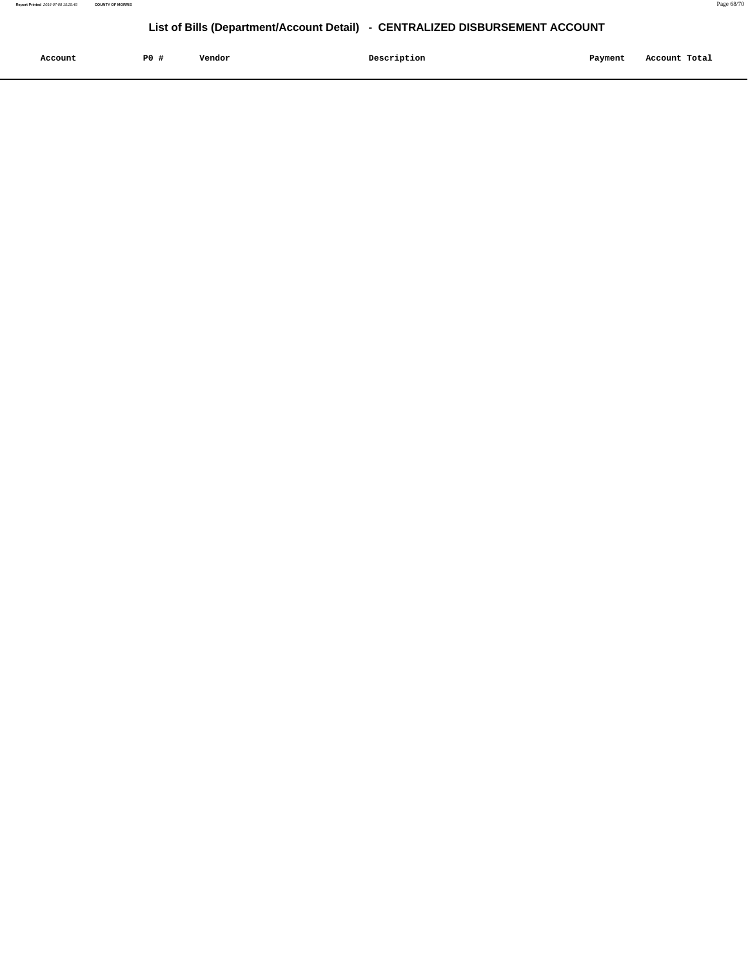| Account<br>. | P <sub>0</sub> | Vendor<br>. | Description | Payment | Account Total |
|--------------|----------------|-------------|-------------|---------|---------------|
|              |                |             |             |         |               |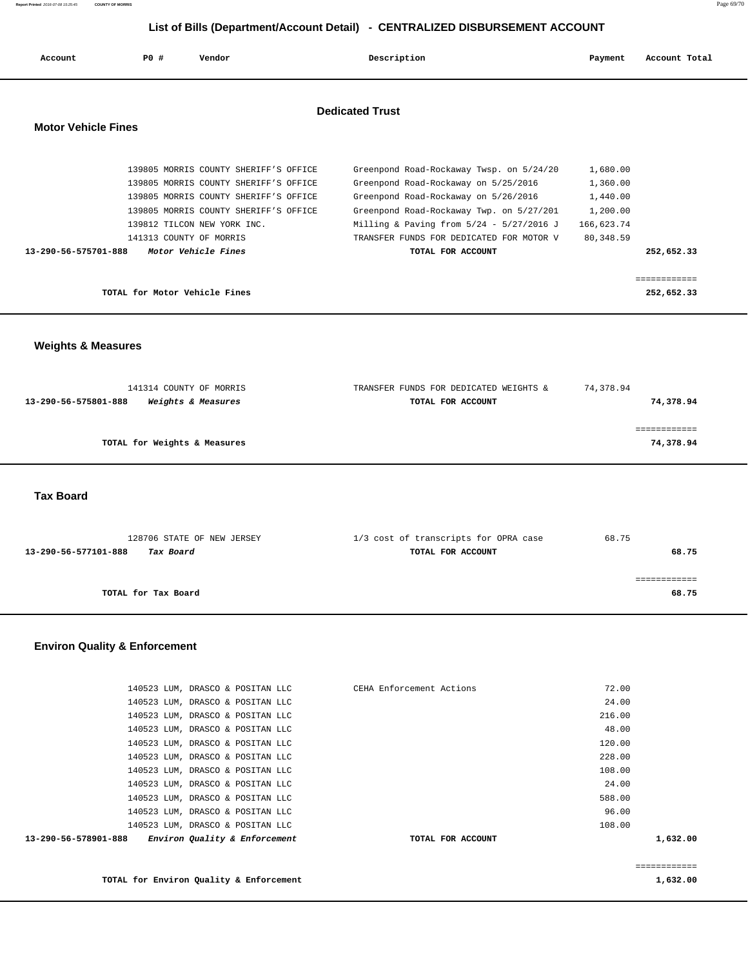| Account                    | PO#                           | Vendor                                                                                                                                                                                                                                            | Description                                                                                                                                                                                                                                                                         | Payment                                                                 | Account Total              |
|----------------------------|-------------------------------|---------------------------------------------------------------------------------------------------------------------------------------------------------------------------------------------------------------------------------------------------|-------------------------------------------------------------------------------------------------------------------------------------------------------------------------------------------------------------------------------------------------------------------------------------|-------------------------------------------------------------------------|----------------------------|
| <b>Motor Vehicle Fines</b> |                               |                                                                                                                                                                                                                                                   | <b>Dedicated Trust</b>                                                                                                                                                                                                                                                              |                                                                         |                            |
| 13-290-56-575701-888       |                               | 139805 MORRIS COUNTY SHERIFF'S OFFICE<br>139805 MORRIS COUNTY SHERIFF'S OFFICE<br>139805 MORRIS COUNTY SHERIFF'S OFFICE<br>139805 MORRIS COUNTY SHERIFF'S OFFICE<br>139812 TILCON NEW YORK INC.<br>141313 COUNTY OF MORRIS<br>Motor Vehicle Fines | Greenpond Road-Rockaway Twsp. on 5/24/20<br>Greenpond Road-Rockaway on 5/25/2016<br>Greenpond Road-Rockaway on 5/26/2016<br>Greenpond Road-Rockaway Twp. on 5/27/201<br>Milling & Paving from $5/24 - 5/27/2016$ J<br>TRANSFER FUNDS FOR DEDICATED FOR MOTOR V<br>TOTAL FOR ACCOUNT | 1,680.00<br>1,360.00<br>1,440.00<br>1,200.00<br>166,623.74<br>80,348.59 | 252,652.33                 |
|                            | TOTAL for Motor Vehicle Fines |                                                                                                                                                                                                                                                   |                                                                                                                                                                                                                                                                                     |                                                                         | ============<br>252,652.33 |

 **Weights & Measures** 

| 141314 COUNTY OF MORRIS                                      | TRANSFER FUNDS FOR DEDICATED WEIGHTS & | 74,378.94 |
|--------------------------------------------------------------|----------------------------------------|-----------|
| <i><b>Weights &amp; Measures</b></i><br>13-290-56-575801-888 | TOTAL FOR ACCOUNT                      | 74,378.94 |
|                                                              |                                        |           |
|                                                              |                                        |           |
| TOTAL for Weights & Measures                                 |                                        | 74,378.94 |
|                                                              |                                        |           |

 **Tax Board** 

| 128706 STATE OF NEW JERSEY        | 1/3 cost of transcripts for OPRA case | 68.75 |
|-----------------------------------|---------------------------------------|-------|
| Tax Board<br>13-290-56-577101-888 | TOTAL FOR ACCOUNT                     | 68.75 |
|                                   |                                       |       |
|                                   |                                       |       |
| TOTAL for Tax Board               |                                       | 68.75 |
|                                   |                                       |       |

### **Environ Quality & Enforcement**

| 13-290-56-578901-888 | Environ Quality & Enforcement    | TOTAL FOR ACCOUNT        | 1,632.00 |
|----------------------|----------------------------------|--------------------------|----------|
|                      | 140523 LUM, DRASCO & POSITAN LLC |                          | 108.00   |
|                      | 140523 LUM, DRASCO & POSITAN LLC |                          | 96.00    |
|                      | 140523 LUM, DRASCO & POSITAN LLC |                          | 588.00   |
|                      | 140523 LUM, DRASCO & POSITAN LLC |                          | 24.00    |
|                      | 140523 LUM, DRASCO & POSITAN LLC |                          | 108.00   |
|                      | 140523 LUM, DRASCO & POSITAN LLC |                          | 228.00   |
|                      | 140523 LUM, DRASCO & POSITAN LLC |                          | 120.00   |
|                      | 140523 LUM, DRASCO & POSITAN LLC |                          | 48.00    |
|                      | 140523 LUM, DRASCO & POSITAN LLC |                          | 216.00   |
|                      | 140523 LUM, DRASCO & POSITAN LLC |                          | 24.00    |
|                      | 140523 LUM, DRASCO & POSITAN LLC | CEHA Enforcement Actions | 72.00    |

============